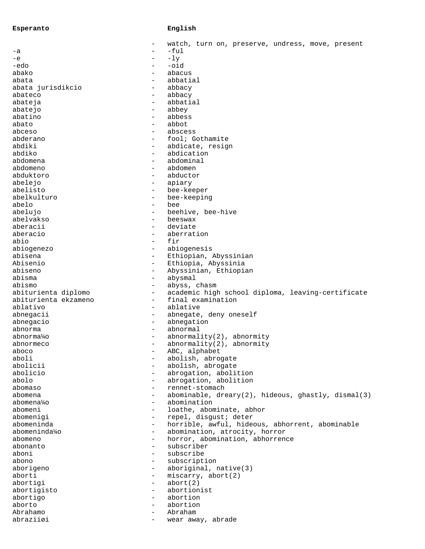## **Esperanto English**

|                      |                                               | watch, turn on, preserve, undress, move, present                 |
|----------------------|-----------------------------------------------|------------------------------------------------------------------|
| -a                   |                                               | -ful                                                             |
| -e                   | $\overline{\phantom{0}}$                      | $-1y$                                                            |
| -edo                 | $\qquad \qquad -$                             | $-oid$                                                           |
| abako                | $\overline{\phantom{0}}$                      | abacus                                                           |
| abata                | $\overline{\phantom{0}}$                      | abbatial                                                         |
| abata jurisdikcio    | $\overline{\phantom{0}}$                      | abbacy                                                           |
| abateco              | $\overline{\phantom{0}}$                      | abbacy                                                           |
| abateja              | $\overline{\phantom{0}}$                      | abbatial                                                         |
| abatejo              | $\overline{\phantom{0}}$                      | abbey                                                            |
| abatino              | $\overline{\phantom{0}}$                      | abbess                                                           |
| abato                | $\overline{\phantom{0}}$                      | abbot                                                            |
| abceso               | $\qquad \qquad -$                             | abscess                                                          |
| abderano             | -                                             | fool; Gothamite                                                  |
| abdiki               | $\qquad \qquad -$                             | abdicate, resign                                                 |
| abdiko               | $\qquad \qquad -$                             | abdication                                                       |
| abdomena             | $\overline{\phantom{0}}$                      | abdominal                                                        |
| abdomeno             | $\overline{\phantom{0}}$                      | abdomen                                                          |
| abduktoro            | $\overline{\phantom{0}}$                      | abductor                                                         |
| abelejo              | -                                             | apiary                                                           |
| abelisto             | -                                             | bee-keeper                                                       |
| abelkulturo          | $\qquad \qquad -$<br>$\overline{\phantom{0}}$ | bee-keeping                                                      |
| abelo                | $\overline{\phantom{0}}$                      | bee<br>beehive, bee-hive                                         |
| abelujo<br>abelvakso | $\overline{\phantom{0}}$                      | beeswax                                                          |
| aberacii             | $\overline{\phantom{0}}$                      | deviate                                                          |
| aberacio             | $\overline{\phantom{0}}$                      | aberration                                                       |
| abio                 | $\overline{\phantom{0}}$                      | fir                                                              |
| abiogenezo           | $\qquad \qquad -$                             | abiogenesis                                                      |
| abisena              | $\qquad \qquad -$                             | Ethiopian, Abyssinian                                            |
| Abisenio             | $\qquad \qquad -$                             | Ethiopia, Abyssinia                                              |
| abiseno              | $\overline{\phantom{0}}$                      | Abyssinian, Ethiopian                                            |
| abisma               | $\qquad \qquad -$                             | abysmal                                                          |
| abismo               | $\qquad \qquad -$                             | abyss, chasm                                                     |
| abiturienta diplomo  | $\qquad \qquad -$                             | academic high school diploma, leaving-certificate                |
| abiturienta ekzameno | $\overline{\phantom{0}}$                      | final examination                                                |
| ablativo             | $\qquad \qquad -$                             | ablative                                                         |
| abnegacii            | $\qquad \qquad -$                             | abnegate, deny oneself                                           |
| abnegacio            | $\qquad \qquad -$                             | abnegation                                                       |
| abnorma              | $\overline{\phantom{0}}$                      | abnormal                                                         |
| abnorma¼o            | $\overline{\phantom{0}}$                      | $abnormality(2)$ , $abnormalty$                                  |
| abnormeco            | $\qquad \qquad -$                             | $abnormality(2)$ , $abnormalty$                                  |
| aboco                |                                               | ABC, alphabet                                                    |
| aboli                | $\qquad \qquad -$                             | abolish, abrogate                                                |
| abolicii             | $\qquad \qquad -$                             | abolish, abrogate                                                |
| abolicio             | $\qquad \qquad -$                             | abrogation, abolition                                            |
| abolo                | $\overline{\phantom{0}}$                      | abrogation, abolition                                            |
| abomaso              | $\overline{\phantom{0}}$                      | rennet-stomach                                                   |
| abomena              | $\overline{\phantom{0}}$                      | $abominable, decay(2), hideous, ghastly, dismal(3)$              |
| abomena¼o            | $\qquad \qquad -$                             | abomination                                                      |
| abomeni              | $\qquad \qquad -$                             | loathe, abominate, abhor                                         |
| abomenigi            | $\overline{\phantom{0}}$                      | repel, disgust; deter                                            |
| abomeninda           | $\overline{\phantom{0}}$                      | horrible, awful, hideous, abhorrent, abominable                  |
| abomeninda¼o         | $\qquad \qquad -$<br>$\overline{\phantom{0}}$ | abomination, atrocity, horror<br>horror, abomination, abhorrence |
| abomeno<br>abonanto  | $\overline{\phantom{0}}$                      | subscriber                                                       |
| aboni                | $\overline{\phantom{0}}$                      | subscribe                                                        |
| abono                | $-$                                           | subscription                                                     |
| aborigeno            | $\qquad \qquad -$                             | aboriginal, native(3)                                            |
| aborti               | $\qquad \qquad -$                             | miscarry, abort(2)                                               |
| abortigi             | $\qquad \qquad -$                             | abort(2)                                                         |
| abortigisto          | $\overline{\phantom{0}}$                      | abortionist                                                      |
| abortigo             | $\overline{\phantom{0}}$                      | abortion                                                         |
| aborto               | $\overline{\phantom{0}}$                      | abortion                                                         |
| Abrahamo             | $\overline{\phantom{0}}$                      | Abraham                                                          |
| abraziiøi            | $\overline{\phantom{0}}$                      | wear away, abrade                                                |
|                      |                                               |                                                                  |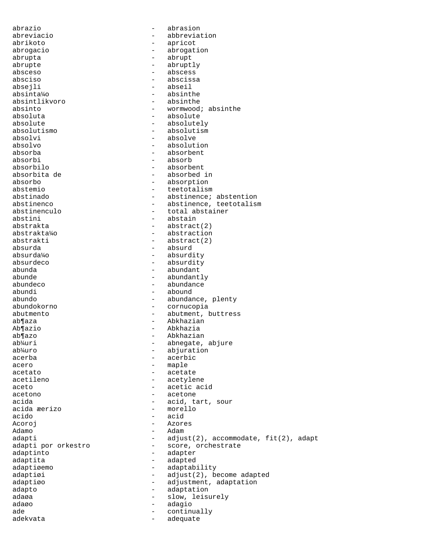abrazio - abrasion abreviacio - abbreviation<br>abrikoto - apricot abrikoto - apricot abrogacio - abrogation abrupta - abrupt abrupte - abruptly<br>absceso - abscess absceso - abscess absciso - abscissa - abseil absinta¼o - absinthe absintlikvoro absinto - wormwood; absinthe absoluta - absolute absolute - absolutely absolutismo - absolutism absolvi - absolve absolvo - absolution absorba - absorbent absorbi - absorb absorbilo - absorbent absorbita de  $\qquad \qquad -$  absorbed in absorbo absorbo - absorption<br>abstemio - absorption<br>- teetotalism abstemio - teetotalism<br>abstinado - abstinence: - abstinence; abstention abstinenco - abstinence, teetotalism<br>abstinenculo - total abstainer - total abstainer abstini - abstain abstrakta - abstract(2) abstrakta¼o - abstraction abstrakti - abstract(2) absurda - absurd absurda¼o - absurdity absurdeco - absurdity abunda - abundant abunde - abundantly - abundance abundi - abound - abundance, plenty abundokorno - cornucopia abutmento - abutment, buttress<br>ab¶aza - abkhazian ab¶aza - Abkhazian<br>absario - Abkhazian Ab¶azio - Abkhazia<br>ab¶azo - Abkhazia ab¶azo - Abkhazian - Abkhazian - Abkhazian - Abkhazian - Abkhazian - Abkhazian - Abkhazian - Abkhazian - Abkhazian - Abkhazian - Abkhazian - Abkhazian - Abkhazian - Abkhazian - Abkhazian - Abkhazian - Abkhazian - Abkhazian ab¼uri - abnegate, abjure<br>ab¼uro - abiuration - abiuration - abjuration acerba - acerbic acero - maple acetato - acetate acetileno - acetylene aceto - acetic acid acetono - acetone - acetone acida - acid, tart, sour acida æerizo - morello acido Acoroj - Azores - Azores - Azores - Azores - Adamo Adamo - Adam adapti - adjust(2), accommodate, fit(2), adapt<br>adapti por orkestro - score, orchestrate - score, orchestrate adaptinto - adapter adaptita - adapted adaptiøemo - adaptability adaptiøi - adjust(2), become adapted adaptiøo - adjustment, adaptation adapto - adaptation adaøa - slow, leisurely adaøo - adagio ade - continually - adequate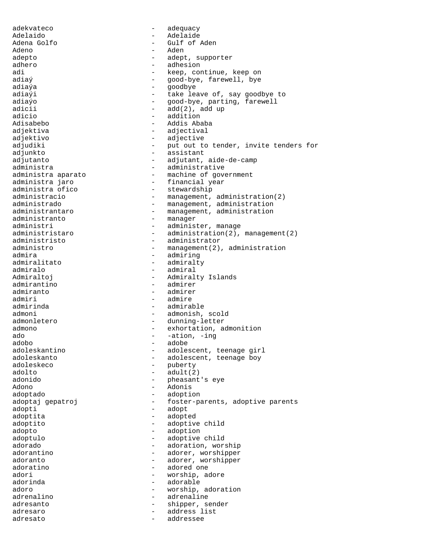adekvateco - adequacy Adelaido - Adelaide Adena Golfo - Gulf of Aden Adeno - Aden adepto - adept, supporter adhero - adhesion - adhesion<br>adi - keep, co adi - keep, continue, keep on adiaý - good-bye, farewell, bye<br>
adiaýa - egodbye<br>
- goodbye goodbye adiaýi  $-$  take leave of, say goodbye to adiaýo - good-bye, parting, farewell<br>adicii - add(2). add up  $-$  add(2), add up adicio - addition Adisabebo - Addis Ababa adjektiva - adjectival adjektivo - adjective adjudiki - put out to tender, invite tenders for adjunkto - assistant adjutanto - adjutant, aide-de-camp administra - administrative administra aparato  $\overline{\phantom{a}}$  - machine of government administra jaro - financial year administra ofico  $\overline{\phantom{0}}$  - stewardship<br>administracio - management. administracio  $-$  management, administration(2)<br>administrado  $-$  management, administration - management, administration administrantaro e management, administration administranto - manager administri  $-$  administer, manage administristaro - administration(2), management(2) administristo - administrator administro - management(2), administration<br>admira - admiring admira - admiring admiralitato - admiralty<br>admiralo - admiral admiralo - admiral<br>Admiraltoj - Admiral - Admiralty Islands admirantino - admirer admiranto - admirer - admire admirinda - admirable admoni - admonish, scold admonletero  $-$  dunning-letter admono - exhortation, admonition<br>ado - -ation -ing ado - -ation, -ing adobo - adobe adoleskantino - adolescent, teenage girl<br>adoleskanto - adolescent, teenage boy adoleskanto - adolescent, teenage boy - puberty  $\qquad \qquad \text{add}(t)$ adonido - pheasant's eye Adono - Adonis adoptado - adoption adoptaj gepatroj  $-$  foster-parents, adoptive parents adopti - adopt adoptita - adopted adoptito - adoptive child adopto - adoption adoptulo - adoptive child adorado - adoration, worship<br>adorantino - adorer, worshipper - adorer, worshipper adoranto - adorer, worshipper adoratino - adored one adori - worship, adore adorinda - adorable adoro - worship, adoration adrenalino - adrenaline adresanto - shipper, sender adresaro - address list adresato - addressee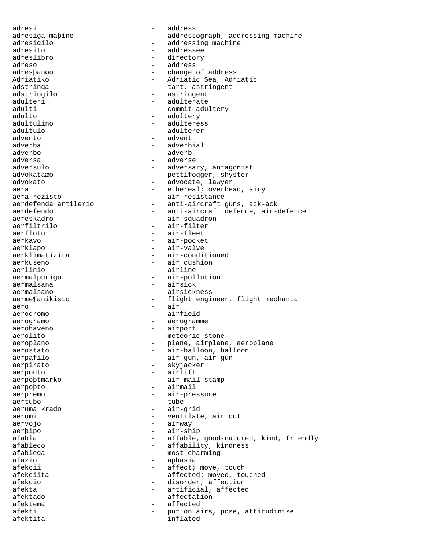adresi - address adresiga maþino - - addressograph, addressing machine adresigilo  $-$  addressing machine adresito - addressee adreslibro - directory adreso - address adresbango - address - address - address - address - address - address - address - address adresþanøo - change of address Adriatiko - Adriatic Sea, Adriatic<br>adstringa - - - - - - - - tart, astringent - tart, astringent adstringilo - astringent adulteri - adulterate<br>
adulti - commit adulti adulti - commit adultery<br>adulto - adultery<br>- adultery - adultery adultulino - adulteress adultulo - adulterer advento - advent adverba - adverbial adverbo - adverb adversa - adverse adversulo  $\qquad \qquad -$  adversary, antagonist advokataæo - pettifogger, shyster advokato - advocate, lawyer aera - ethereal; overhead, airy aera rezisto  $-$  air-resistance aerdefenda artilerio  $-$  anti-aircraft guns, ack-ack<br>aerdefendo  $-$  anti-aircraft defence, air-o - anti-aircraft defence, air-defence aereskadro - air squadron aerfiltrilo - air-filter aerfloto - air-fleet aerkavo - air-pocket aerklapo - air-valve - air-conditioned aerkuseno - air cushion - airline aermalpurigo - air-pollution aermalsana - airsick aermalsano - airsickness aerme¶anikisto - flight engineer, flight mechanic aero - air aerodromo - airfield aerogramo - aerogramme aerohaveno - airport aerolito - meteoric stone<br>aeroplano - meteoric stone<br>plane, airplane aeroplano - plane, airplane, aeroplane aerostato - air-balloon, balloon aerpafilo - air-gun, air gun aerpirato - skyjacker aerponto - airlift aerpoþtmarko - air-mail stamp aerpoþto - airmail aerpremo - air-pressure aertubo - tube aeruma krado - air-grid aerumi - ventilate, air out aervojo - airway - air-ship afabla - affable, good-natured, kind, friendly<br>afableco - affability, kindness - affability, kindness afablega - most charming afazio - aphasia afekcii - affect; move, touch afekciita - affected; moved, touched afekcio - disorder, affection afekta - artificial, affected<br>afektado - affectation afektado - affectation afektema - affected afekti - put on airs, pose, attitudinise afektita - inflated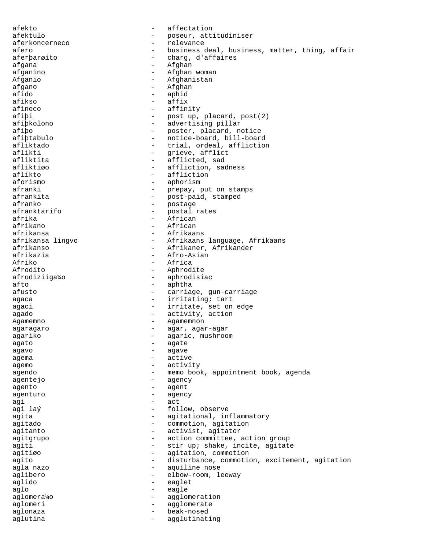afekto - affectation afektulo - poseur, attitudiniser aferkoncerneco - relevance afero  $-$  business deal, business, matter, thing, affair aferþarøito - charg' d'affaires afgana - Afghan<br>afganino - Afghan afganino - Afghan woman Afganio - Afghanistan<br>afgano - Afghan afgano - Afghan - aphid afikso - affix afineco - affinity afiþi - post up, placard, post(2) afiþkolono - advertising pillar afiþo - poster, placard, notice afiþtabulo - notice-board, bill-board afliktado - trial, ordeal, affliction aflikti - grieve, afflict - afflicted, sad afliktiøo - affliction, sadness<br>aflikto - affliction - affliction aflikto - affliction<br>aforismo - aphorism - aphorism - aphorism afranki  $-$  prepay, put on stamps afrankita - post-paid, stamped - postage afranktarifo - postal rates afrika - African afrikano - African afrikansa - Afrikaans - Afrikaans language, Afrikaans afrikanso - Afrikaner, Afrikander afrikazia - Afro-Asian Afriko - Africa - Africa<br>Afrodito - Aphrod Afrodito - Aphrodite<br>afrodiziiga¼o - aphrodisi - aphrodisiac afto - aphtha afusto - carriage, gun-carriage agaca - irritating; tart agaci - irritate, set on edge agado  $-$  activity, action Agamemno - Agamemnon agaragaro - agar, agar-agar agariko - agaric, mushroom<br>agaric, mushroom<br>- agare agato - agate - agate - agate - agate - agate - agate - agate - agate - agate - agate - agate - agate - agate - agate - agate - agate - agate - agate - agate - agate - agate - agate - agate - agate - agate - agate - agate agavo - agave agema  $-$  active agemo - activity agendo - memo book, appointment book, agenda agentejo - agency agento - agent agenturo - agency agi - act agi laý - follow, observe agita  $-$  agitational, inflammatory agitado - commotion, agitation<br>agitanto agitanto - activist, agitator<br>agitarupo - action committee. agitgrupo - action committee, action group agiti - stir up; shake, incite, agitate agitiøo - agitation, commotion agito - disturbance, commotion, excitement, agitation agla nazo  $\overline{\phantom{a}}$  - aquiline nose aglibero - elbow-room, leeway aglido - eaglet aglo - eagle<br>aglomera¼o - eagle aglomera¼o - agglomeration<br>aqlomeri - aqqlomerate aglomeri - agglomerate aglonaza - beak-nosed aglutina  $-$  agglutinating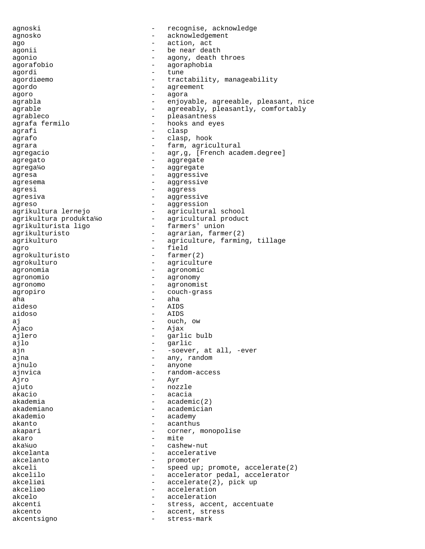agnoski - recognise, acknowledge agnosko - acknowledgement ago  $-$  action, act agonii  $-$  be near death agonio - agony, death throes<br>agorafobio - agoranhobia agorafobio - agoraphobia agordi - tune<br>agordiøemo - trac - tractability, manageability agordo - agreement agoro - agora - agora agrabla - enjoyable, agreeable, pleasant, nice - agreeably, pleasantly, comfortably agrableco - pleasantness agrafa fermilo - hooks and eyes agrafi - clasp agrafo - clasp, hook agrara  $-$  farm, agricultural agregacio  $-$  agr, g, [French academ.degree] agregato - aggregate agrega¼o - aggregate agresa - aggressive - aggressive agresema - aggressive agresi - aggress agresiva - aggressive agreso - aggression - agricultural school agrikultura produkta¼o - agricultural product agrikulturista ligo  $-$  farmers' union agrikulturisto - agrarian, farmer(2) agrikulturo  $-$  agriculture, farming, tillage agro - field<br>aqrokulturisto - farmer(2) agrokulturisto agrokulturo  $-$  agriculture agronomia - agronomic agronomio - agronomy agronomo - agronomist agropiro - couch-grass aha  $-$  aha aideso - AIDS aidoso - AIDS aj en entre la contra de la contra de la contra de la contra de la contra de la contra de la contra de la contra Ajaco - Ajax ajlero - garlic bulb ajlo - garlic ajn  $-$  -soever, at all, -ever ajna  $\qquad \qquad$  - any, random ajnulo - anyone ajnvica - random-access Ajro - Ayr ajuto - nozzle akacio - acacia akademia  $-$  academic(2) akademiano - academician akademio - academy akanto - acanthus akapari - corner, monopolise<br>akaro - mite akaro – mite<br>aka<sup>karo</sup> – mite aka¼uo - cashew-nut - accelerative akcelanto - promoter<br>akceli - speed up akceli - speed up; promote, accelerate(2)<br>akcelilo - accelerator pedal. accelerator akcelilo - accelerator pedal, accelerator akcelizi - accelerator pedal, accelerator akcelizi - accelerate(2), pick up akceliøo - acceleration akcelo - acceleration akcenti - stress, accent, accentuate akcento - accent, stress akcentsigno - stress-mark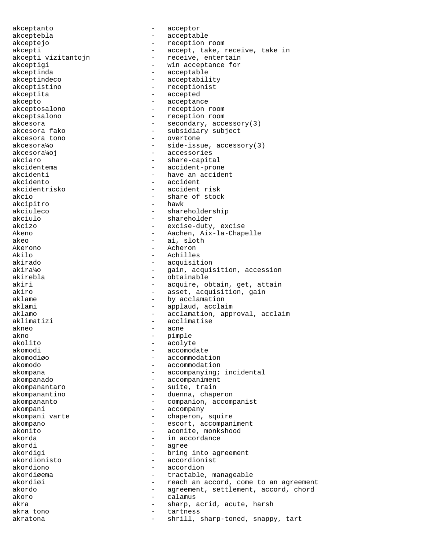akceptanto - acceptor akceptebla - acceptable akceptejo - reception room akcepti<br>akcepti vizitantojn - accept, take, receive, take in<br>receive, entertain - receive, entertain akceptigi - win acceptance for akceptinda - acceptable - acceptability akceptistino - receptionist akceptita - accepted akcepto - acceptance akceptosalono - reception room akceptsalono - reception room akcesora  $-$  secondary,  $\arccos{\log(3)}$ akcesora fako  $\sim$  - subsidiary subject akcesora tono - overtone akcesora¼o - side-issue, accessory(3) akcesora¼oj - accessories akciaro - share-capital<br>akcidentema - share-capital<br>- accident-pron akcidentema - accident-prone<br>akcidenti - have an accide akcidenti - have an accident<br>akcidento - have an accident - accident akcidentrisko - accident risk akcio - share of stock<br>akcipitro - shawk - hawk akcipitro akciuleco - shareholdership akciulo - shareholder akcizo - excise-duty, excise Akeno - Aachen, Aix-la-Chapelle akeo - ai, sloth - ai, sloth - ai, sloth - ai, sloth - ai, sloth - ai, sloth - ai, sloth - ai, sloth - ai, sloth - ai, sloth - ai, sloth - ai, sloth - ai, sloth - ai, sloth - ai, sloth - ai, sloth - ai, sloth - ai, sloth -Akerono - Acheron Akilo - Achilles<br>akirado - Achilles<br>- acquisit akirado - acquisition - gain, acquisition, accession akirebla - obtainable akiri - acquire, obtain, get, attain akiro  $-$  asset, acquisition, gain aklame - by acclamation aklami - applaud, acclaim aklamo - acclamation, approval, acclaim aklimatizi - acclimatise akneo - acne akno - pimple - pimple - pimple - pimple - pimple - pimple - pimple - pimple - pimple - pimple - pimple - pimple - pimple - pimple - pimple - pimple - pimple - pimple - pimple - pimple - pimple - pimple - pimple - pimple akolito - acolyte - acolyte - aconodi akomodi - accomodate<br>akomodiøo - accommodate akomodiøo - accommodation - accommodation akompana - accompanying; incidental akompanado - accompaniment akompanantaro  $-$  suite, train akompanantino - duenna, chaperon akompananto - companion, accompanist akompani - accompany - chaperon, squire akompano  $-$  escort, accompaniment akonito - aconite, monkshood akorda - in accordance akordi - agree akordigi - agree - agree - agree - agree - agree - agree - agree - agree - agree - agree - agree - agree - agree - agree - agree - agree - agree - agree - agree - agree - agree - agree - agree - agree - agre - bring into agreement akordionisto - accordionist akordiono - accordion - tractable, manageable akordiøi - reach an accord, come to an agreement akordo - agreement, settlement, accord, chord<br>akoro - calamus akoro - calamus - calamus akra  $\qquad \qquad -$  sharp, acrid, acute, harsh akra tono  $-$  tartness akratona - shrill, sharp-toned, snappy, tart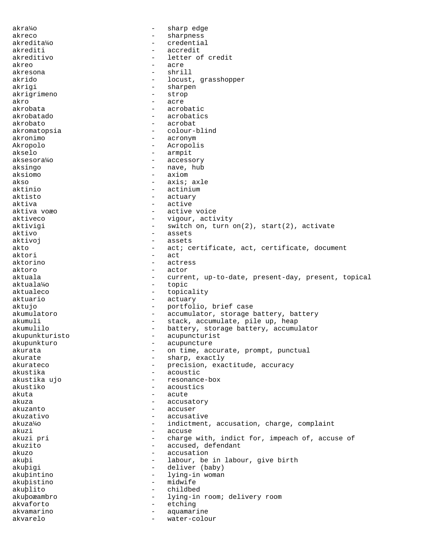akra¼o - sharp edge akreco - sharpness akredita¼o - credential akrediti - accredit akreditivo - letter of credit akreo - acre<br>akresona - acre - akresona akresona - shrill akrido - locust, grasshopper akrigi - sharpen<br>akrigrimeno - strop - strop akrigrimeno akro - acre akrobata - acrobatic akrobatado - acrobatics akrobato - acrobat akromatopsia - colour-blind akronimo - acronym Akropolo - Acropolis akselo - armpit aksesora¼o - accessory aksingo  $-$  nave, hub aksiomo - axiom - axiom<br>akso - axis: - axis; axle aktinio - actinium - actinium - actinium - actinium - actinium - actinium - actinium - actinium - actinium - actinium - actinium - actinium - actinium - actinium - actinium - actinium - actinium - actinium - actinium - act - actuary aktiva - active aktiva voæo - active voice aktiveco - vigour, activity aktivigi  $-$  switch on, turn on(2), start(2), activate aktivo - assets aktivoj - assets akto - act; certificate, act, certificate, document<br>aktori - act<br>- act  $\begin{bmatrix} - & act \end{bmatrix}$ aktorino - actress aktoro - actor aktuala - current, up-to-date, present-day, present, topical aktuala¼o - topic aktualeco - topicality aktuario  $-$  actuary aktujo  $-$  portfolio, brief case akumulatoro  $-$  accumulator, storage battery, battery akumuli - stack, accumulate, pile up, heap<br>akumulilo - - - - - - - battery, storage battery, accumu - battery, storage battery, accumulator akupunkturisto - acupuncturist akupunkturo - acupuncture akurata - on time, accurate, prompt, punctual<br>akurate - sharp, exactly - sharp, exactly akurateco - precision, exactitude, accuracy akustika - acoustic akustika ujo - resonance-box akustiko - acoustics akuta - acute akuza - accusatory akuzanto - accuser akuzativo - accusative akuza¼o - indictment, accusation, charge, complaint<br>akuzi akuzi - accuse - accuse - accuse - accuse - accuse - accuse - accuse - accuse - accuse - accuse - accuse - accuse - accuse - accuse - accuse - accuse - accuse - accuse - accuse - accuse - accuse - accuse - accuse - accuse akuzi pri - charge with, indict for, impeach of, accuse of akuzito - accused, defendant<br>akuzo - - accusation accusation akuþi - labour, be in labour, give birth akuþigi - deliver (baby) akuþintino - lying-in woman akuþistino - midwife akuþlito - childbed akuþoæambro - lying-in room; delivery room akvaforto - etching akvamarino - aquamarine akvarelo - water-colour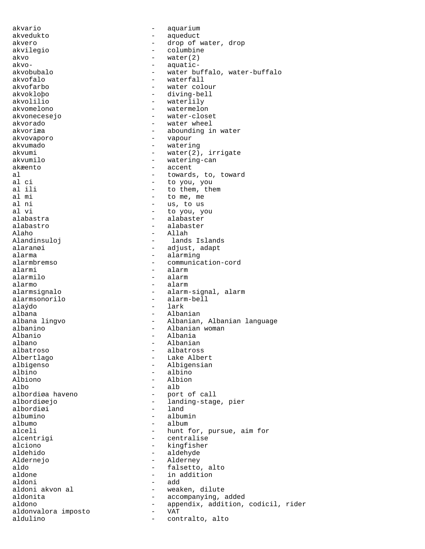akvario - aquarium akvedukto - aqueduct akvero - drop of water, drop akvilegio - columbine akvo - water(2)<br>akvo- - water(2)<br>- aquaticakvo- - aquaticakvobubalo - water buffalo, water-buffalo<br>akvofalo - waterfall - waterfall akvofalo - waterfall - waterfall<br>akvofarbo - water col - water colour akvokloþo - diving-bell akvolilio - waterlily<br>akvomelono - watermelono - watermelon akvonecesejo - water-closet akvorado - water wheel akvoriæa - abounding in water akvovaporo - vapour akvumado - watering akvumi - water(2), irrigate<br>akvumilo - watering-can akvumilo - watering-can akæento - accent al - towards, to, toward al ci  $\begin{array}{ccc} - & \text{to you, you} \\ - & \text{to them. the} \end{array}$ al ili  $\qquad \qquad -$  to them, them<br>al mi  $\qquad \qquad -$  to me, me al mi  $-$  to me, me al ni  $-$  us, to us al ni  $-$  us, to us<br>al vi  $-$  to you, y - to you, you alabastra  $\qquad \qquad$  - alabaster alabastro - alabaster Alaho - Allah - Allah - Allah Alandinsuloj - lands Islands alaranøi <sup>-</sup> edjust, adapt - adjust, adapt - alarming alarma - alarming alarmbremso - communication-cord<br>alarmi - alarmi - alarm alarmi - alarmi - alarmi - alarmi - alarmi - alarmi - alarmi - alarmi - alarmi - alarmi - alarmi - alarmi - al - alarm alarmo - alarmo - alarmo - alarmo - alarmo - alarmo - alarmo - alarmo - alarmo - alarmo - alarmo - alarmo - al alarmsignalo - alarm-signal, alarm<br>alarmsonorilo - alarm-bell - alarm-bell alaýdo - lark albana - Albanian - Albanian<br>albana lingvo - - - - Albanian albana lingvo Albanian, Albanian language albanino Albanian woman albanino - Albanian woman Albanio - Albania albano - Albanian albatroso - albatross Albertlago - Lake Albert albigenso - Albigensian<br>albino - albino - albino albino - albino Albiono - Albiono - Albiono - Albiono - Albiono - Albiono - Albiono - Albiono - Albiono - Albiono - Albiono - Albiono - Albiono - Albiono - Albiono - Albiono - Albiono - Albiono - Albiono - Albiono - Albiono - Albiono - Al albo - alb albordiøa haveno - port of call - landing-stage, pier<br>- land albordiøi<br>albumino albumino - albumin albumo - album alceli - hunt for, pursue, aim for alcentrigi - hunt for, pursue, aim for alcentrigi - centralise<br>alciono - kingfisher alciono - kingfisher aldehido - aldehyde Aldernejo - Alderney - Alderney - Alderney - Alderney - Alderney - Alderney - Alderney - Alderney - Alderney - Alderney - Alderney - Alderney - Alderney - Alderney - Alderney - Alderney - Alderney - Alderney - Alderney - A aldo - falsetto, alto<br>
aldone - falsetto, alto<br>
- in addition aldone - in addition<br>aldoni - add aldoni - add aldoni akvon al  $\qquad \qquad$  - weaken, dilute aldonita - accompanying, added<br>aldono - annendix addition aldono - appendix, addition, codicil, rider<br>aldonvalora imposto - var aldonvalora imposto - VAT aldulino - contralto, alto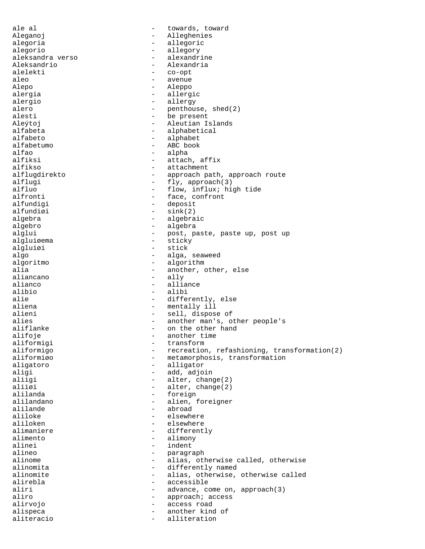ale al  $\qquad \qquad$  - towards, toward Aleganoj - Alleghenies alegoria - allegoric alegorio - allegory<br>aleksandra verso - alexandrine aleksandra verso - alexandrine Aleksandrio - Alexandria<br>alelekti - Co-opt alelekti - co-opt<br>aleo - avenue aleo - avenue - avenue - avenue - avenue - avenue - avenue - avenue - avenue - avenue - avenue - avenue - avenue - avenue - avenue - avenue - avenue - avenue - avenue - avenue - avenue - avenue - avenue - avenue - avenue -Alepo - Aleppo alergia - allergic - allergy alero - penthouse, shed(2) alesti - be present Aleýtoj - Aleutian Islands alfabeta - alphabetical alfabeto - alphabet alfabetumo - ABC book alfao - alpha - alpha - alpha - alpha - alpha - alpha - alpha - alpha - alpha - alpha - alpha - alpha - alpha - alpha - alpha - alpha - alpha - alpha - alpha - alpha - alpha - alpha - alpha - alpha - alpha - alpha - alpha alfiksi - attach, affix alfikso - attachment<br>alfluqdirekto - approach p alflugdirekto - approach path, approach route<br>alflugi - fly, approach(3) - fly, approach(3) alfluo<br>
- flow, influx; high tide<br>
- face, confront. alfronti - face, confronti<br>alfundigi - deposit - deposit alfundiøi  $-$  sink(2) algebra - algebraic algebro - algebra alglui  $-$  post, paste, paste up, post up algluiøema - sticky algluiøi - stick algo  $-$  alga, seaweed algoritmo - algorithm<br>alia - another, c alia  $-$  another, other, else aliancano aliancano - ally<br>alianco - allianco - allia alianco - alliance - alliance - aliance - aliance - aliance - aliance - aliance - aliance - aliance - aliance - aliance - aliance - aliance - aliance - aliance - aliance - aliance - aliance - aliance - aliance - aliance alibio - alibi<br>alie - alibi - differently, else aliena - mentally ill alieni - sell, dispose of alies - sell, dispose of alies - sell, dispose of alies - sell, dispose of  $-$  another man's, o alies - another man's, other people's<br>aliflanke - on the other hand - on the other hand<br>- another time alifoje - another time aliformigi<br>aliformigo aliformigo - recreation, refashioning, transformation(2)<br>aliformigo - metamorphosis, transformation aliformiøo - metamorphosis, transformation<br>aligatoro - alligator - alligator aligi - add, adjoin<br>aliigi - alter chan aliigi - alter, change(2)<br>aliigi - alter.change(2) - alter, change(2) alilanda - foreign alilandano - alien, foreigner alilande<br>aliloke aliloke - elsewhere<br>aliloken - elsewhere aliloken - elsewhere - elsewhere alimaniere - elsewhere - elsewhere alimaniere - elsewhere - elsewhere - elsewhere  $-$  different alimaniere  $\qquad \qquad -$  differently<br>alimento alimento - alimony alinei - indent alineo - paragraph alinome - alias, otherwise called, otherwise<br>alinomita - differently named alinomita<br>
alinomite<br>
alinomite<br>
- alias otherwise. alinomite - alias, otherwise, otherwise called<br>alirebla - accessible - accessible aliri - advance, come on, approach(3) aliro  $-$  approach; access alirvojo - access road alispeca - another kind of aliteracio - alliteration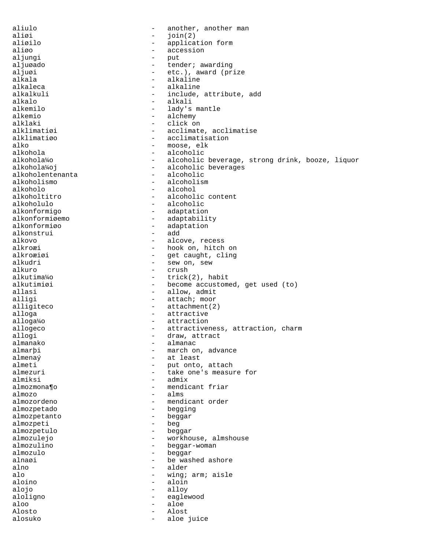aliulo  $\qquad \qquad -$  another, another man aliøi - join(2)<br>aliøilo - applicate - applicate - applicate - applicate - applicate - applicate - applicate - applicate - applicate - applicate - applicate - applicate - applicate - applicate - applicate - applicate - appl application form aliøo - accession aljungi - put aljuøado - tender; awarding aljuøi - etc.), award (prize alkala - alkaline - alkaline alkalkuli - include, attribute, add<br>alkalo - alkali - alkali alkalo - alkali alkemilo - lady's mantle - alchemy alklaki - click on alklimatiøi - acclimate, acclimatise<br>alklimatiøo - - acclimatisation alklimatiøo - acclimatisation<br>alko - moose, elk alko - moose, elk<br>alkohola - moose, elk<br>- alcoholic alkohola - alcoholic - alcoholic alkohola<sup>4</sup>o - alcoholic - alcoholic - alcoholic alkohola¼o - alcoholic beverage, strong drink, booze, liquor<br>alkohola¼oj - alcoholic beverages - alcoholic beverages<br>- alcoholic alkoholentenanta<br>alkoholismo alkoholismo - alcoholismo - alcoholismo - alcoholismo - alcoholismo - alcoholismo - alcoholismo - alcoholismo - alcoholismo - alcoholismo - alcoholismo - alcoholismo - alcoholismo - alcoholismo - alcoholismo - alcoholismo alkoholo - alcoholo - alcoholo - alcoholo - alcoholo - alcoholo - alcoholo - alcoholo - alcoholo - alcoholo alkoholtitro - alcoholic content<br>alkoholulo - alcoholic - alcoholic alkonformigo - adaptation alkonformiøemo - adaptability<br>alkonformiøo - adaptation - adaptation<br>- add alkonstrui<br>alkovo alkovo - alcove, recess alkroæi - hook on, hitch on alkroæiøi - get caught, cling alkudri - sew on, sew<br>alkuro - crush - crush alkuro - crush - crush - crush - crush - crush - crush - crush - crush - crush - crush - crush - crush - crush alkutima¼o - trick(2), habit alkutimiøi - become accustomed, get used (to)<br>allasi - allow, admit allasi - allow, admit<br>alligi - attach; moor - attach; moor alligiteco - attachment(2) alloga - attractive alloga¼o - attraction allogeco - attractiveness, attraction, charm<br>allogi - draw, attract allogi - draw, attract - draw, attract - draw, attract - draw, attract - draw, attract - draw, attract - draw,  $\frac{1}{2}$ almanako - almanac almarþi - march on, advance<br>almena $\hat{y}$  - at least almenaý - at least almeti - put onto, attach<br>almezuri - take one's measur almezuri - take one's measure for<br>almiksi - admix almiksi - admix - mendicant friar almozo  $-$  alms almozordeno - mendicant order almozpetado - begging almozpetanto - beggar<br>almozpeti - beg almozpeti - beg almozpetulo - beggar - beggar - beggar - beggar - beggar - beggar - beggar - beggar - beggar - beggar - beggar almozulejo - workhouse, almshouse<br>almozulino - beggar-woman almozulino - beggar-woman<br>almozulo - heggar-woman - beggar alnaøi - be washed ashore<br>alno - alder alno - alder<br>alo - wing; alo - wing; arm; aisle<br>aloino - aloin - aloin alojo - alloy aloligno - eaglewood aloo - aloe Alosto - Alost alosuko - aloe juice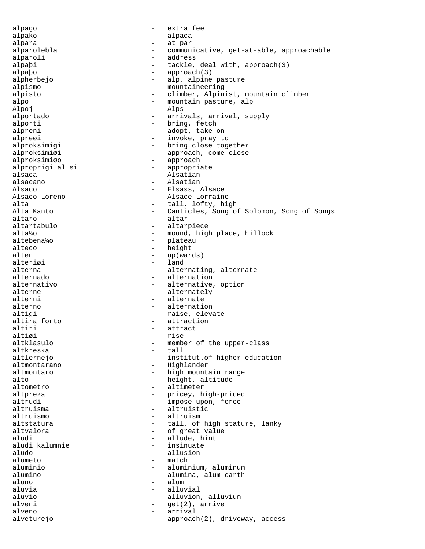alpago - extra fee alpako - alpaca alpara  $\qquad \qquad$  - at par alparolebla - communicative, get-at-able, approachable alparoli - address alpaþi - tackle, deal with, approach(3)<br>alpabo - approach(3) alpaþo<br>
alpharbaio<br>
alpharbaio alpherbejo - alp, alpine pasture alpismo - mountaineering alpisto - climber, Alpinist, mountain climber alpo - mountain pasture, alp<br>alpoi - alps Alpoj – Alps alportado - arrivals, arrival, supply alporti - bring, fetch alpreni - adopt, take on alpreøi - invoke, pray to alproksimigi - bring close together<br>alproksimiøi - approach, come close alproksimiøi - approach, come close alproksimiøo - approach alproprigi al si entre la espropriate alsaca - Alsatian - Alsatian - Alsatian - Alsatian - Alsatian - Alsatian - Alsatian - Alsatian - Alsatian - Alsatian - Alsatian - Alsatian - Alsatian - Alsatian - Alsatian - Alsatian - Alsatian - Alsatian - Alsatian - Alsa - Alsatian Alsaco - Elsass, Alsace Alsaco-Loreno - Alsace-Lorraine alta  $-$  tall, lofty, high<br>Alta Kanto Canticles. Song of - Canticles, Song of Solomon, Song of Songs altaro - altar altartabulo - altarpiece alta¼o - mound, high place, hillock altebena¼o - plateau alteco - height<br>alten - lup(ward) - lup(ward) alten - up(wards)<br>alteriøi - land - land alteriøi alterna - alternating, alternate<br>alternado - alternation - alternation alternativo - alternative, option alterne alternately alterni - alternate alterno - alternation altigi - raise, elevate altira forto - raise, elevate altira forto - raise, elevate altiration altira forto  $$ altiri - attract altiøi - rise<br>altklasulo - membe - member of the upper-class<br>- tall altkreska - tall altlernejo  $-$  institut.of higher education altmontarano - Highlander altmontaro  $-$  high mountain range alto  $-$  height, altitude altometro - altimeter altpreza - pricey, high-priced altrudi - impose upon, force altruisma - electronic - altruistic altruistic altruismo - altruism altstatura - tall, of high stature, lanky<br>altyalora - cf great yalue altvalora - of great value aludi - allude, hint<br>aludi kalumnie - allude, hint aludi kalumnie - insinuate - allusion alumeto - match aluminio - aluminium, aluminum - alumina, alum earth<br>- alum aluno - alum aluvia - alluvial aluvio - alluvion, alluvium<br>alveni - alluvion, alluvium alveni - get(2), arrive alveno - arrival alveturejo - approach(2), driveway, access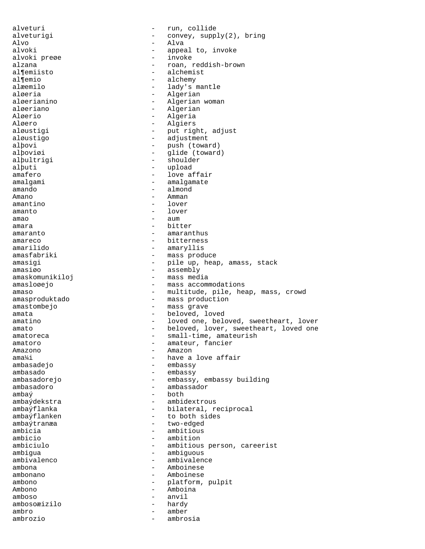alveturi - run, collide alveturigi  $\begin{array}{ccc} - & \text{convey, supply}(2), \text{ bring} \\ \text{Also} & - & \text{Also} \end{array}$ Alvo - Alva alvoki - appeal to, invoke alvoki preøe invokende state og en alzana i state og en alzana i state og en alvene state og en alvene state o<br>En alzana i state og en alvene state og en alvene state og en alvene state og en alvene state og en alvene sta alzana - roan, reddish-brown al¶emiisto - alchemist<br>al¶emio - alchemy - alchemy al¶emio - alchemy<br>alæemilo - alchemy - alchemy - lady's mantle aløeria - Algerian - Algerian - Algerian - Algerian - Algerian - Algerian - Algerian - Algerian - Algerian - Algerian - Algerian - Algerian - Algerian - Algerian - Algerian - Algerian - Algerian - Algerian - Algerian - Alg aløerianino - Algerian woman<br>aløeriano - Algerian aløeriano - Algeriano - Algeriano<br>Aløerio - Algeria Aløerio - Algeria Aløero - Algiers aløustigi - put right, adjust aløustigo  $-$  adjustment alþovi - push (toward) alþoviøi - glide (toward) alþultrigi - shoulder<br>alþuti - shoulder<br>alþuti - upload alþuti - upload amafero - love affair<br>amalgami - amalgamate - amalgamate amando - almond Amano - Amman amantino - lover amanto - lover amao - aum amara  $-$  bitter amaranto  $-$  amaranthus amareco - bitterness amarilido - amaryllis<br>amasfabriki - mass prod - mass produce amasigi - pile up, heap, amass, stack<br>amasigo - assembly - assembly<br>- mass media amaskomunikiloj amasloøejo - mass accommodations amaso - multitude, pile, heap, mass, crowd<br>amasproduktado - mass production - mass production amastombejo - mass grave amata  $-$  beloved, loved amatino  $-$  loved one, beloved, sweetheart, lover amato - beloved, lover, sweetheart, loved one amatoreca - small-time, amateurish<br>amatoro - amateur. fancier amatoro - amateur, fancier<br>Amazono - Amazono - Amazono Amazono - Amazon ama¼i - have a love affair - embassy ambasado - embassy - embassy, embassy building ambasadoro - ambassador  $amba\circ$  - both ambaýdekstra - ambidextrous ambaýflanka - bilateral, reciprocal ambaýflanken to both sides ambaýtranæa ambaýtranæa - two-edged - two-edged - two-edged - two-edged - two-edged - two-edged - two-edged - two-edged - twoambicia - ambitious ambicio - ambition<br>ambiciulo - ambitious ambiciulo - ambitious person, careerist ambigua - ambiguous<br>ambivalenco - ambivalenco - ambivalen ambivalenco - ambivalence ambona - Amboinese ambonano - Amboinese ambono - platform, pulpit Ambono - Amboina<br>amboso - anvil amboso - anvil<br>ambosoæizilo - hardy - hardy ambosoæizilo - hardywe ambro - amber ambrozio - ambrosia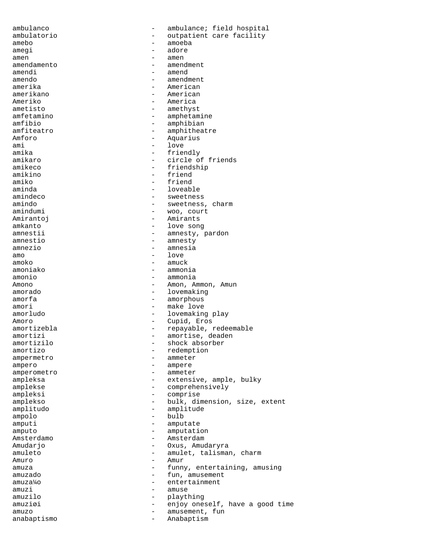ambulanco - ambulance; field hospital ambulatorio outpatient care facility<br>amebo amebo - amoeba amegi - adore amen - amen amendamento - amendmento - amendinamento - amendinamento - amendinamento - amendinamento - amendinamento - amendi amendi - amend amendo - amendment - American amerikano - American Ameriko - America<br>ameristo - america<br>- ameriko - america ametisto - amethyst<br>amfetamino - amphetam - amphetamine amfibio - amphibian amfiteatro - amphitheatre Amforo - Aquarius<br>
ami - love ami - love amika - friendly amikaro - circle of friends amikeco - friendship<br>amikino - friend amikino - friend<br>amiko - friend amiko - friend aminda<br>
amindeco<br>
amindeco<br>
amindeco<br>
amindeco amindeco - sweetness<br>amindo - sweetness amindo - sweetness, charm - woo, court Amirantoj - Amirants amkanto - love song amnestii - amnesty, pardon<br>amnestio<br>- amnesty amnestio - amnesty<br>amnezio - amnesia amnezio - amnesia<br>amo - amnesia amo - love amoko - amuck - ammonia amonio - ammonia Amono - Amon, Ammon, Amun amorado - lovemaking amorfa - amorphous amori - make love amorludo - lovemaking play Amoro - Cupid, Eros amortizebla - repayable, redeemable amortizi - amortise, deaden<br>amortizilo - shock absorber - shock absorber amortizo - redemption ampermetro - ammeter ampero - ampero - ampero amperometro - ammeter ampleksa - extensive, ample, bulky amplekse - comprehensively<br>ampleksi - comprise ampleksi - comprise amplekso - bulk, dimension, size, extent amplitudo - amplitude ampolo - bulbaran - bulbaran - bulbaran - bulbaran - bulbaran - bulbaran - bulbaran - bulbaran - bulbaran - bulbaran - bulbaran - bulbaran - bulbaran - bulbaran - bulbaran - bulbaran - bulbaran - bulbaran - bulbaran - bulb amputi - amputate<br>amputo - amputati amputo - amputation Amsterdamo - Amsterdamo - Amsterdamo - Amsterdam Amudarjo - Oxus, Amudaryra - amulet, talisman, charm  $\begin{array}{ccc}\n\text{Amuro} & - & \text{Amur} \\
\text{amur} & - & \text{Amur} \\
\end{array}$ amuza - funny, entertaining, amusing<br>amuzado - fun, amusement - fun, amusement<br>- entertainment amuza¼o - entertainment amuzi - amuse - amuse - amuse - amuse - amuse - amuse - amuse - amuse - amuse - amuse - amuse - amuse - amuse - amuse - amuse - amuse - amuse - amuse - amuse - amuse - amuse - amuse - amuse - amuse - amuse - amuse - amuse amuzilo - plaything amuziøi - enjoy oneself, have a good time amuzo - amusement, fun anabaptismo - Anabaptism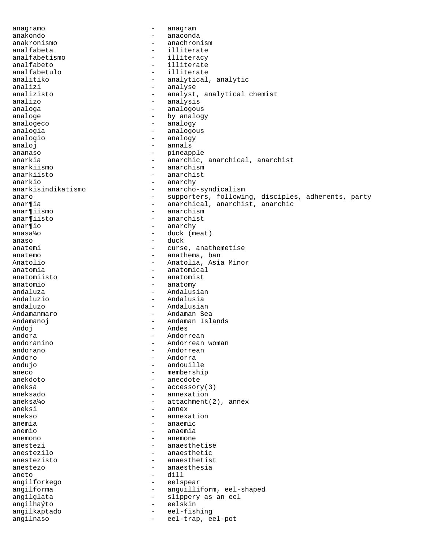anagramo - anagram anakondo - anaconda anakronismo - anachronismo - anachronismo<br>analfabeta - illiterate - illiterate<br>- illiteracy analfabetismo - illiteracy - illiteracy - illiteracy - illiteracy - illiteracy - illiteracy - illiteracy - il analfabeto - illiterate analfabetulo - illiterate analitiko  $\begin{array}{ccc} - & \text{analytical}, \text{analytic} \\ \text{analytic} & - & \text{analytic} \end{array}$ analizi - analyse<br>analizisto - analyse - analyse analizisto - analyst, analytical chemist<br>analizo - analysis - analysis analoga - analogous analoge by analogy by analogy analogeco - analogy analogia - analogous analogio - analogy analoj - annals ananaso - pineapple anarkia - anarchic, anarchical, anarchist anarkiismo - anarchism anarkiisto - anarchisto - anarchisto<br>anarkio - anarchy anarkio - anarchy<br>anarkisindikatismo - anarcho - anarcho-syndicalism anaro - supporters, following, disciples, adherents, party<br>anartia - anarchical, anarchist, anarchic anar¶ia - anarchical, anarchist, anarchic<br>anar¶iismo - anarchism - anarchism anar¶iisto - anarchist anar¶io - anarchy anasa¼o - duck (meat) anaso - duck anatemi - curse, anathemetise<br>anatemo - anathema, ban anatemo - anathema, ban Anatolio - Anatolia, Asia Minor anatomia - anatomical<br>anatomiisto - - anatomist - anatomist anatomio - anatomy andaluza - Andalusian Andaluzio - Andalusia andaluzo - Andalusian Andamanmaro - Andaman Sea Andamanoj - Andaman Islands Andoj - Andes andora - Andorrean<br>andoranino - Andorrean<br>- Andorrean andoranino - Andorrean woman andorano - Andorrean Andoro - Andorra - andouille aneco – membership<br>anekdoto – membership<br>anecdote – anecdote - anecdote aneksa - accessory(3) aneksado - annexation aneksa¼o - attachment(2), annex aneksi - annex anekso - annexation anemia - anaemic<br>anemio - anaemia anemio - anaemia<br>anemono - anemono - anemono anemono - anemone anestezi - anaesthetise<br>anestezilo - anaesthetic - anaesthetic anestezisto - anaesthetist anestezo - anaesthesia aneto - dill angilforkego - eelspear angilforma - anguilliform, eel-shaped angilglata - slippery as an eel angilhaýto - eelskin angilkaptado - eel-fishing angilnaso - eel-trap, eel-pot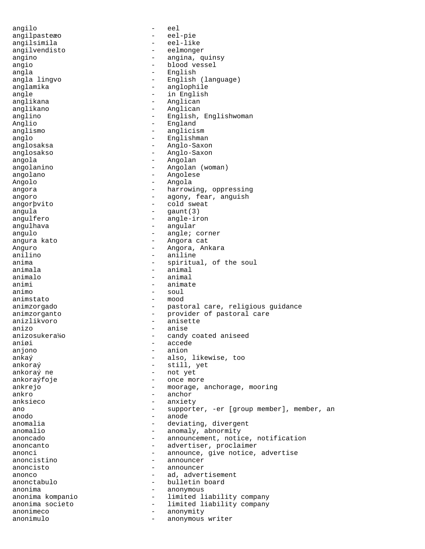angilo - eel angilpasteæo - eel-pie angilsimila - eel-like angilvendisto - eelmonger angino - angina, quinsy<br>angio - blood vessel angio - blood vessel angla - English - English<br>angla lingvo - - English - English (language) anglamika - anglophile angle  $-$  in English anglikana - Anglican anglikano - Anglican anglino - English, Englishwoman Anglio - England anglismo - anglicismo - anglicismo - anglicismo - anglicismo - anglicismo - anglicismo - anglicismo - anglicismo - anglicismo - anglicismo - anglicismo - anglicismo - anglicismo - anglicismo - anglicismo - anglicismo - ang - Englishman<br>- Anglo-Saxo anglosaksa - Anglo-Saxon<br>anglosakso - Anglo-Saxon anglosakso - Anglo-Saxon angola - Angolan angolanino - Angolan (woman) angolano - Angolese Angolo - Angola angora - harrowing, oppressing angoro - agony, fear, anguish angorþvito - cold sweat angula - gaunt(3) angulfero - angle-iron angulhava - angular angulo - angle; corner<br>angura kato - - - - - - - Angora cat - Angora cat Anguro - Angora, Ankara aniline anima<br>
animala<br>
- animala<br>
- animala<br>
- animal - animal<br>- animal animalo - animalo - animalo - animalo animi - animate<br>animo - soul animo - soul animstato - mood animzorgado - pastoral care, religious guidance animzorganto - provider of pastoral care anizlikvoro - anisette  $\text{anizo}$ <br> $\text{anizosukera}$ <sup>1</sup>/0  $\text{anizosukera}$ <sup>1</sup>/0  $\text{candy}$ anizosukera¼o - candy coated aniseed aniøi - accede anjono - anion ankaý - also, likewise, too ankoraý e still, yet <br/> - still, yet <br/> - not yet <br/> - not yet <br/> - not yet <br/> - not yet <br/> - not yet <br/> - not yet <br/> - not yet <br/>  $\label{eq:2.1} \bullet$ ankoraý ne - not yet - once more ankrejo - moorage, anchorage, mooring ankro - anchor anksieco - anxiety ano  $-$  supporter,  $-$ er [group member], member, an anodo - anode anomalia - deviating, divergent<br>anomalio - anomaly abnormity anomalio - anomaly, abnormity<br>anoncado - announcement notianoncado  $\qquad \qquad \qquad -$  announcement, notice, notification anoncanto  $\qquad \qquad -$  advertiser, proclaimer anonci anonci announce, give notice, advertise anoncistino - announcer anoncisto - announcer<br>anonco - ad adver anonco - ad, advertisement<br>
anonctabulo - bulletin board<br>
- bulletin board - bulletin board anonima - anonymous anonima kompanio - limited liability company anonima societo - limited liability company anonimeco - anonymity anonimulo - anonymous writer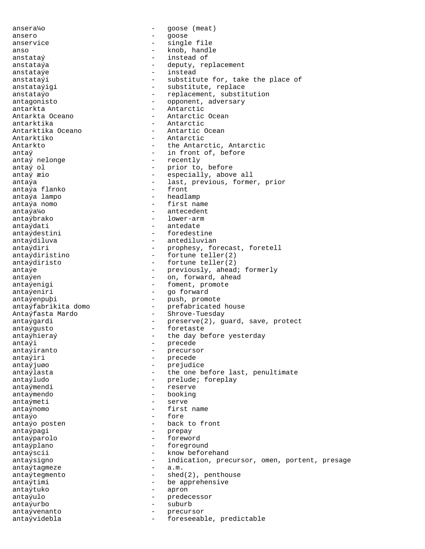ansera¼o - goose (meat) ansero - goose - goose - goose - goose - goose - goose - goose - goose - goose - goose - goose - goose - goose - goose - goose - goose - goose - goose - goose - goose - goose - goose - goose - goose - goose - goose - goose anservice - single file anso - knob, handle anstataý  $-$  instead of anstataýa - deputy, replacement<br>anstataýe - deputy, replacement anstataýe - instead anstataýigi  $-$  substitute, replace anstataýo  $-$  replacement, substitution antagonisto  $-$  opponent, adversary antarkta - Antarctic Antarctic Antarctic Antarctic - Antarctic - Antarctic - Antarctic - Antarctic antarktika - Antarctic Antarktika Oceano - Antartic Ocean Antarktiko - Antarctic Antarkto **-** the Antarctic, Antarctic antaý  $-$  in front of, before antaý nelonge  $-$  recently antaý ol - prior to, before antaýa - last, previous, former, prior antaýa flanko antaýa lampo  $-$  headlamp antaýa nomo - first name antaýa¼o - antecedent antaýbrako - lower-arm antaýdati - antedate antaýdestini - foredestine antaýdiluva - antediluvian antaýdiri - prophesy, forecast, foretell antaýdiristino - fortune teller(2) antaýdiristo - fortune teller(2) antaýe - previously, ahead; formerly antaýen - on, forward, ahead antaýenigi  $-$  foment, promote antaýeniri  $-$  go forward antaýenpuþi<br>
antaýfabrikita domo<br>
- prefabricated antaýfabrikita domo - prefabricated house Antaýfasta Mardo - Shrove-Tuesday antaýgardi - preserve(2), guard, save, protect antaýgusto - foretaste antaýhieraý  $-$  the day before yesterday antaýi - precede - precede - precede - precede - precursor - precursor - precursor - precursor - precursor - precursor - precursor - precursor - precursor - precursor - precursor - precursor - precursor - precursor - precu antaýiranto - precursor - precursor - precursor - precursor - precursor - precursor - precursor - precursor - <br>Precursor - precursor - precursor - precursor - precursor - precursor - precursor - precursor - precursor - pr antaýiri - precede<br>antaýiuso - precede antaýjuøo - prejudice antaýlasta  $-$  the one before last, penultimate antaýludo  $-$  prelude; foreplay antaýmendi - reserve antaýmendo - booking antaýmeti - serve antaýnomo - first name  $\begin{array}{cccc}\n\text{antaýo} & - & \text{fore} \\
\text{antaýo posten} & - & \text{hack}\n\end{array}$ antaýo posten  $\overline{a}$  - back to front antaýpagi - prepay antaýparolo - foreword antaýplano - foreground antaýscii - know beforehand antaýtagmeze antaýtegmento - shed(2), penthouse antaýtimi  $-$  be apprehensive antaýtuko - apron antaýulo - predecessor antaýurbo - suburb antaývenanto - precursor antaývidebla - foreseeable, predictable

- substitute for, take the place of - Antarctic Ocean - recently especially, above all antaýsigno - indication, precursor, omen, portent, presage<br>antaýtagmeze - a.m.<br>- a.m.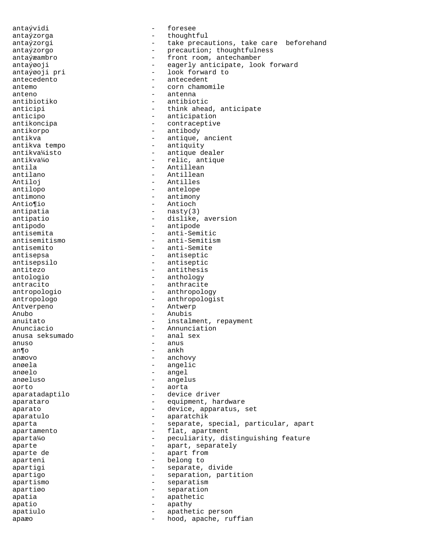antaývidi - foresee antaýzorga  $-$  thoughtful antaýzorgi - take precautions, take care beforehand antaýzorgo - precaution; thoughtfulness antaýæambro - front room, antechamber antaýøoji - eagerly anticipate, look forward  $\overline{a}$  anta $\overline{y}$ *e* oji pri  $\overline{a}$  - look forward to antecedent  $\overline{a}$  - antecedent - antecedent antemo - corn chamomile anteno - antenna antibiotiko - antibiotic anticipi - think ahead, anticipate anticipo - anticipation antikoncipa - contraceptive antikorpo - antibody antikva<br>
antikva<br>
antikva<br>
antiquity<br>
- antiquity - antiquity antikva¼isto - antique dealer<br>antikva¼o - - relic, antique antikva¼o - relic, antique antila - Antillean - Antillean - Antillean - Antillean - Antillean - Antillean - Antillean - Antillean - Antillean - Antillean - Antillean - Antillean - Antillean - Antillean - Antillean - Antillean - Antillean - Antillean antilano - Antillean Antiloj - Antilles - antelope antimono - antimony Antio¶io - Antioch antipatia - nasty(3) antipatio - dislike, aversion antipodo - antipode antisemita - anti-Semitic antisemitismo - anti-Semitism antisemito - anti-Semite antisepsa - antiseptic antisepsilo - antiseptic - antithesis antologio - anthology - anthracite antropologio - anthropology antropologo - anthropologist Antverpeno - Antwerp Anubo - Anubis anuitato  $-$  instalment, repayment Anunciacio - Annunciation<br>anusa seksumado - - anal sex anusa seksumado anuso - anus an¶o  $-$  ankh anæovo - anchovy anøela - angelic anøelo - angel anøeluso - angelus aorto - aorta aparatadaptilo - device driver aparataro  $\overline{\phantom{a}}$  - equipment, hardware aparato - device, apparatus, set aparatulo - aparatchik aparta - separate, special, particular, apart apartamento  $\overline{\phantom{a}}$  - flat, apartment aparta¼o - peculiarity, distinguishing feature aparte - apart, separately apart from the separately control of the separately apart from the separately separately  $\sim$  apart from the separately separately separately separately separately separately separately separatel - apart from aparteni - belong to apartigi  $-$  separate, divide apartigo - separation, partition apartismo - separatism apartiøo - separation<br>apatia - separation apatia - apathetic apatio - apathy - apathy apatiulo  $\qquad \qquad -$  apathetic person apaæo - hood, apache, ruffian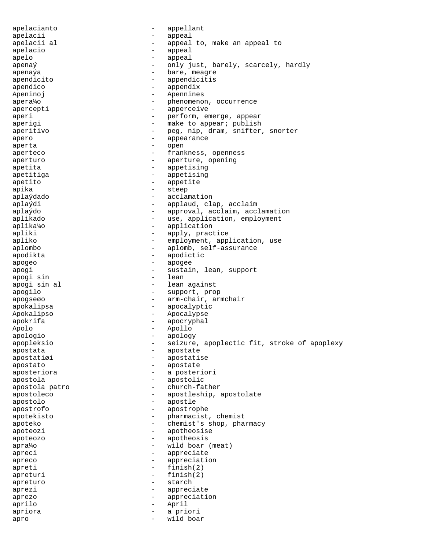apelacianto - appellant apelacii - appeal apelacii al  $-$  appeal to, make an appeal to apelacio appeal - appeal apelo - appeal  $apenaý$  - only just, barely, scarcely, hardly<br>apenaýs - hare meagre apenaýa - bare, meagre<br>apendicito - appendicitis - appendicitis apendico - appendix Apeninoj - Apennines apera¼o - phenomenon, occurrence apercepti - apperceive aperi  $-$  perform, emerge, appear aperigi - make to appear; publish aperitivo - peg, nip, dram, snifter, snorter<br>apero apero - appearance - appearance aperta - open aperteco - Frankness, openness aperturo - aperture, opening apetita - appetising apetitiga - appetising apetito - appetite -<br>apika - steep aplaýdado - acclamation aplaýdi - applaud, clap, acclaim aplaýdo - approval, acclaim, acclamation aplikado  $-$  use, application, employment<br>aplika<sup>1</sup>40 aplika¼o - application apliki - apply, practice<br>apliko - employment appli apliko - employment, application, use<br>aplombo aplombo - aplomb, self-assurance<br>apodikta - apodictic apodikta - apodictic apogeo - apogee - apogee apogi - sustain, lean, support<br>apogi sin - lean - lean apogi sin apogi sin al  $-$  lean against apogilo - support, prop apogseøo - arm-chair, armchair apokalipsa - apocalyptic Apokalipso - Apocalypse<br>
apokrifa - Apocalypse apokrifa - apocryphal Apolo - Apollo apologio - apology apopleksio - seizure, apoplectic fit, stroke of apoplexy apostata - apostate apostatiøi - apostatise apostato - apostate aposteriora - a posteriori apostola - apostolic apostola patro  $\qquad \qquad -$  church-father<br>apostoleco  $\qquad \qquad -$  apostleship apostoleco - apostleship, apostolate apostolo - apostle apostrofo - apostrophe apotekisto - pharmacist, chemist<br>apoteko - chemist's shop pha apoteko - chemist's shop, pharmacy<br>apoteozi - apotheosise apoteozi - apotheosise apoteozo - apotheosis apra¼o - wild boar (meat) apreci - appreciate apreco - appreciation  $apreti$  - finish(2)  $\begin{array}{ccc} \text{apreturn} & - & \text{finish}(2) \\ \text{apreturn} & - & \text{starch} \end{array}$ apreturo - starch aprezi - appreciate aprezo - appreciation aprilo - April apriora - a priori apro - wild boar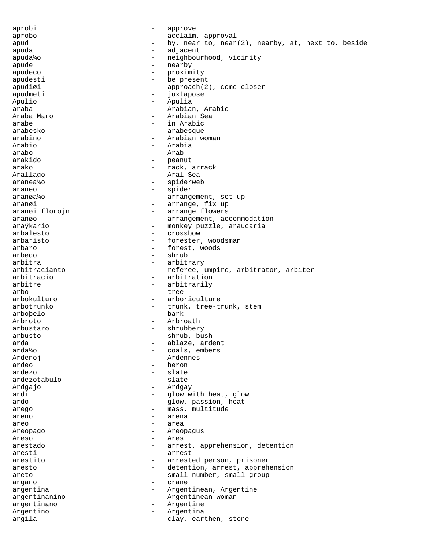aprobi - approve aprobo - acclaim, approval apud  $-$  by, near to, near(2), nearby, at, next to, beside apuda - adjacent apuda¼o - neighbourhood, vicinity<br>apude  $apude$  - nearby  $-$  nearby  $-$  nearby  $-$  nearby apudeco - proximity apudesti - be present  $apudioi$  -  $approach(2)$ , come closer apudmeti - juxtapose Apulio - Apulia araba - Arabian, Arabic Araba Maro - Arabian Sea arabe  $\qquad \qquad -$  in Arabic arabesko - arabesque arabino - Arabian woman Arabio - Arabia arabo - Arab arakido - peanut arako - rack, arrack<br>Arallago - rack, arrack<br>- Aral Sea - Aral Sea aranea¼o - spiderweb araneo - spider aranøa¼o - arrangement, set-up aranøi 1999 – arrange, fix up aranøi florojn <br />  $\blacksquare$  <br/> - arrange flowers aranøo - arrangement, accommodation araýkario - monkey puzzle, araucaria arbalesto - crossbow - crossbow<br>arbaristo - forester arbaristo - forester, woodsman<br>arbaro - forest woods arbaro - forest, woods arbedo - shrub arbitra<br>
arbitracianto<br>
- referee, - referee, umpire, arbitrator, arbiter arbitracio - arbitration arbitre - arbitrarily arbo - tree arbokulturo - arboriculture arbotrunko  $-$  trunk, tree-trunk, stem arboþelo - bark Arbroto - Arbroath - shrubbery arbusto - shrub, bush arda - ablaze, ardent - ablaze, ardent - ablaze, ardent - ablaze, ardent - ablaze - ardent - ablaze - ablaze -- coals, embers Ardenoj - Ardennes - heron ardezo - slate<br>ardezotabulo - slate<br>- slate ardezotabulo Ardgajo - Ardgay ardi - glow with heat, glow ardo - glow, passion, heat arego  $-$  mass, multitude areno - arena areo  $-$  area Areopago - Areopagus Areso - Ares arestado  $-$  arrest, apprehension, detention aresti - arrest arestito - arrested person, prisoner aresto - detention, arrest, apprehension areto - small number, small group<br>argano argano - crane argentina  $\qquad \qquad -$  Argentinean, Argentine argentinanino - Argentinean woman argentinano - Argentine Argentino - Argentina argila  $\qquad \qquad -$  clay, earthen, stone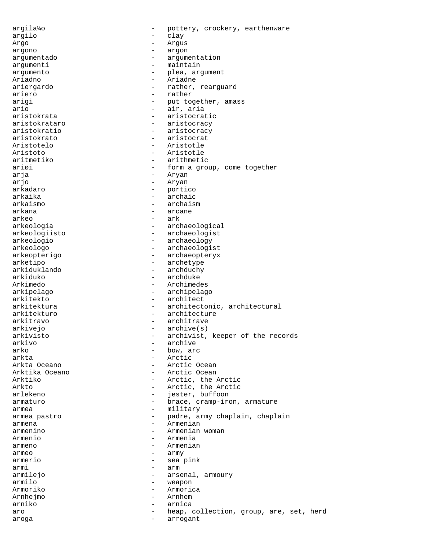argila¼o - pottery, crockery, earthenware argilo - clay Argo - Argus argono - argon argumentado - argumentation argumenti - maintain argumento - plea, argument Ariadno - Ariadne - Ariadne - Ariadne - Ariadne - Ariadne - Ariadne - Ariadne - Ariadne - Ariadne - Ariadne ariergardo - rather, rearguard - rather arigi  $-$  put together, amass ario - air, aria aristokrata - aristocratic aristokrataro - aristocracy aristokratio - aristocracy aristokrato - aristocrat Aristotelo - Aristotle - Aristotle - Aristotle - Aristotle - Aristotle - Aristotle - Aristotle - Aristotle - A Aristoto - Aristotle aritmetiko - arithmetic ariøi - form a group, come together arja - Aryan - Aryan arkadaro - portico - archaic arkaismo - archaism arkana - arcane - arcane arkeo - ark arkeologia - archaeological arkeologiisto - archaeologist arkeologio - archaeology arkeologo - archaeologist arkeopterigo - archaeopteryx arketipo - archetype arkiduklando - archduchy<br>arkiduko - archduke - archduke Arkimedo - Archimedes arkipelago - archipelago arkitekto - architect arkitektura - architectonic, architectural arkitekturo - architecture arkitravo - architrave - archive(s) arkivisto - archivist, keeper of the records<br>arkivo - archive - archive archive arko - bow, arc arkta - Arctic - Arctic Ocean Arktika Oceano - Arctic Ocean Arktiko - Arctic, the Arctic Arkto - Arctic, the Arctic<br>arlekeno - iester, buffoon arlekeno - jester, buffoon armaturo  $-$  brace, cramp-iron, armature armea - military armea pastro - padre, army chaplain, chaplain<br>
- armena armena - Armenian<br>armenino - Armenian<br>- Armenian armenino - Armenian woman<br>Armenio - Armenia Armenio - Armenia<br>armeno - Armenia armeno - Armenian armeo - army armerio - sea pink armi - armi - armi - armi - armi - armi - armi - armi - armi - armi - armi - armi - armi - armi - armi - armi - armi - armi - armi - armi - armi - armi - armi - armi - armi - armi - armi - armi - armi - armi - armi - armi armilejo - arsenal, armoury - arsenal, armoury - arsenal, armoury - arsenal, armoury - arsenal armoury - arsenal armoury - arsenal armoury - arsenal armoury - arsenal armoury - arsenal armoury - arsenal armoury - arsenal a - weapon Armoriko - Armorica Arnhejmo - Arnhem arniko - arnica aro  $-$  heap, collection, group, are, set, herd aroga - arrogant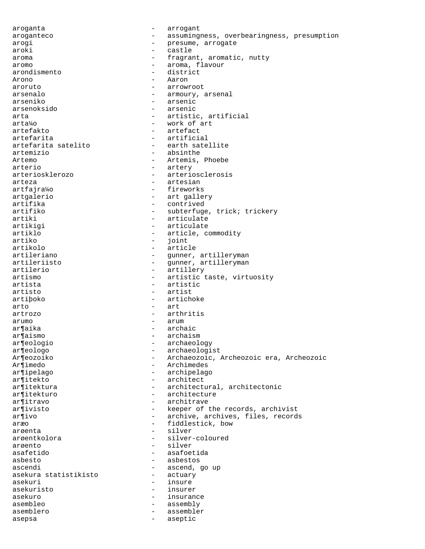aroganta  $\overline{\phantom{a}}$  - arrogant aroganteco - assumingness, overbearingness, presumption arogi - presume, arrogate aroki - castle aroma  $-$  fragrant, aromatic, nutty aromo - aroma, flavour arondismento - district Arono - Aaron aroruto - arrowroot arsenalo - armoury, arsenal<br>arseniko - arsenic - arsenic arsenoksido - arsenic arta  $\qquad \qquad -$  artistic, artificial arta¼o - work of art artefakto - artefact artefarita - artificial artefarita satelito - earth satellite - absinthe Artemo - Artemis, Phoebe arterio - artery arteriosklerozo - arteriosclerosis arteza - artesian artfajra¼o - fireworks artgalerio - art gallery<br>artifika - contrived artifika - contrived<br>artifiko - subterfuge - subterfuge, trick; trickery artiki - articulate artikigi  $-$  articulate artiklo - article, commodity artiko - joint artikolo - article artileriano - gunner, artilleryman<br>artileriisto - - gunner, artilleryman artileriisto - gunner, artilleryman<br>artilerio - artillery artilerio - artillery<br>artismo - artisticularismo - artistic taste, virtuosity artista - artistic artisto - artist - artichoke arto - art artrozo - arthritis arumo - arum ar¶aika - archaic ar¶aismo - archaism ar¶eologio - archaeology ar¶eologo - archaeologist<br>Ar¶eozoiko - Archaeozoic, Ar¶eozoiko - Archaeozoic, Archeozoic era, Archeozoic<br>Ar¶imedo - Archimedes - Archimedes ar¶ipelago - archipelago ar¶itekto - architect ar¶itektura - architectural, architectonic ar¶itekturo - architecture ar¶itravo - architrave ar¶ivisto - keeper of the records, archivist ar¶ivo - archive, archives, files, records aræo - fiddlestick, bow<br>argenta arøenta - silver arøentkolora - silver-coloured arøento - silver asafetido - asafoetida asbesto - asbestos - ascend, go up<br>- actuary asekura statistikisto asekuri - insure asekuristo - insurer asekuro - insurance asembleo - assembly asemblero - assembler asepsa - aseptic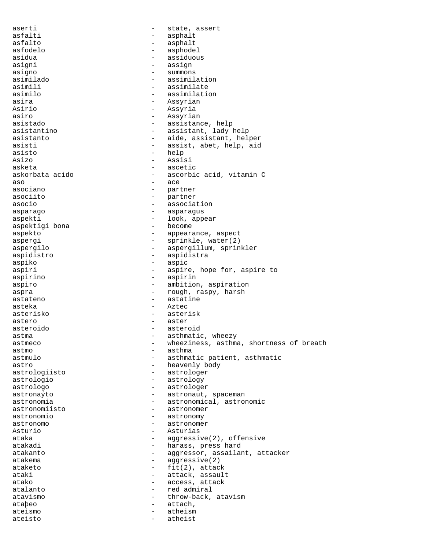aserti  $-$  state, assert asfalti - asphalt asfalto - asphalt asfodelo - asphodel asidua - assiduous asigni - assign<br>asigno - assigno - assigno asigno - summons<br>asimilado - summons - summons asimilado - assimilation - assimilate asimilo - assimilation asira  $-$  Assyrian Asirio - Assyria asiro - Assyrian asistado - assistance, help asistantino  $-$  assistant, lady help asistanto - aide, assistant, helper asisti  $-$  assist, abet, help, aid asisto - help<br>asizo - assizo - assisto Asizo - Assisi asketa - ascetic - ascetic askorbata acido - ascetic - ascorbic acid, vitamin C  $\overline{a}$ so  $\overline{a}$ asociano - partner - partner - partner - partner - partner - partner - partner - partner - partner - partner -- partner asocio - association asparago - asparagus aspekti - look, appear - look, appear - aspekti - look, appear - look, appear - become aspektigi bona aspekto - appearance, aspect aspergi - sprinkle, water(2) aspergilo - aspergillum, sprinkler aspidistro - aspidistra aspiko - aspic - aspic<br>aspiri - aspiri - aspiri aspiri - aspire, hope for, aspire to<br>aspirino - aspirin - aspirin aspiro - ambition, aspiration aspra  $-$  rough, raspy, harsh astateno - astatine asteka - Aztec asterisko - asterisk astero - aster asteroido - asteroid astma  $-$  asthmatic, wheezy astmeco - wheeziness, asthma, shortness of breath astmo - asthma astmulo - asthmatic patient, asthmatic astro - heavenly body astrologiisto - astrologer - astrology astrologo - astrologer astronaýto - astronaut, spaceman astronomia - astronomical, astronomic astronomiisto - astronomer astronomio - astronomy astronomo - astronomer Asturio - Asturias ataka - aggressive(2), offensive<br>atakadi - - - - - - - harass, press hard atakadi - harass, press hard<br>atakanto - harassor, assailar - aggressor, assailant, attacker atakema - aggressive(2) ataketo - fit(2), attack ataki  $-$  attack, assault atako  $-$  access, attack atalanto  $\begin{array}{ccc} - & \text{red admiral} \\ - & \text{throw-back} \end{array}$ atavismo - throw-back, atavism ataþeo - attach, ateismo - attach, ateismo - atheism - atheism ateisto - atheist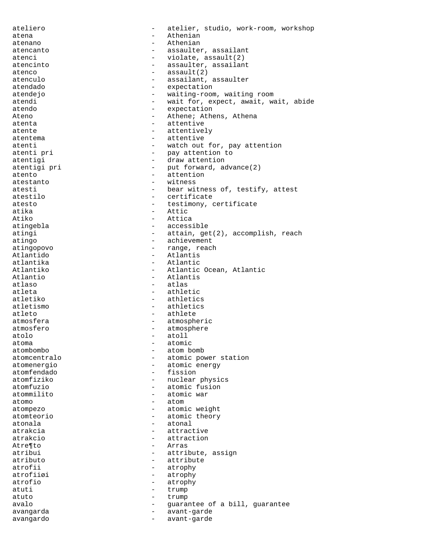ateliero - atelier, studio, work-room, workshop atena - Athenian atenano - Athenian atencanto  $-$  assaulter, assailant atenci - violate, assault(2) atencinto  $-$  assaulter, assailant atenco - assault(2) atenculo - assailant, assaulter<br>atendado - atendado - expectation - expectation atendejo - waiting-room, waiting room atendi  $-$  wait for, expect, await, wait, abide atendo  $-$  expectation Ateno **- Athene; Athens, Athena** atenta  $-$  attentive atente  $-$  attentively atentema - attentive atenti - watch out for, pay attention<br>atenti pri - pay attention to atenti pri - pay attention to atentigi - draw attention<br>atentigi pri - put forward, ac - put forward, advance(2) atento  $\overline{a}$  - attention  $\overline{a}$  - attention  $\overline{a}$ - witness atesti  $-$  bear witness of, testify, attest atestilo - certificate atesto - testimony, certificate atika - Attic Atiko - Attica atingebla - accessible atingi  $-$  attain, get(2), accomplish, reach atingo - achievement<br>atingopovo - achievement<br>- range, reac atingopovo - range, reach Atlantido - Atlantis atlantika - Atlantic<br>Atlantiko - Atlantic - Atlantic Ocean, Atlantic Atlantio - Atlantis<br>atlaso - Atlantis<br>- atlas atlaso - atlas<br>atleta - atleta - athlei atleta - athletic<br>atletiko - athletic - athletics atletismo - athletics atleto - athlete atmosfera  $-$  atmospheric atmosfero - atmosphere atolo - atoll atoma - atomic atombombo - atomic - atomic - atomic - atomic - atomic - atomic - atomic - atomic - atomic - atomic - atomic - atomic - atomic - atomic - atomic - atomic - atomic - atomic - atomic - atomic - atomic - atomic atombombo - atom bomb<br>atomcentralo - atomic power atomcentralo - atomic power station<br>atomenergio - atomic energy - atomic energy atomfendado - fission atomfiziko - nuclear physics<br>atomfuzio - atomic fusion - atomic fusion atommilito - atomic war atomo - atom atompezo - atomic weight atomteorio - atomic theory atonala - atonal atrakcia - attractive atrakcio - attraction Atre¶to - Arras - Arras - Arras - Arras - Arras - Arras - Arras - Arras - Arras - Arras - Arras - Arras - Arra - attribute, assign atributo - attribute atrofii - atrophy<br>atrofii*a*i - atrophy<br>- atrophy atrofiiøi - atrophy<br>atrofio - atronhv - atrophy atuti - trump atuto - trump avalo  $\overline{\phantom{a}}$  - guarantee of a bill, guarantee avangarda - avant-garde avangardo - avant-garde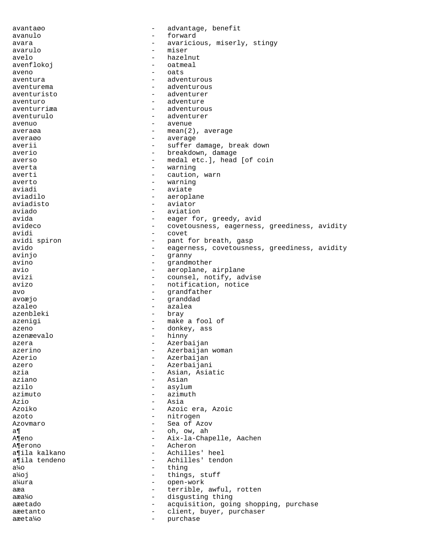avantaøo - advantage, benefit avanulo - forward avara  $-$  avaricious, miserly, stingy avarulo - miser avelo - hazelnut avenflokoj – oatmeal<br>aveno – oats aveno - oats aventura entre adventurous aventura aventurema extensive adventurous and adventurous aventuristo - adventurer aventuro - adventure aventurriæa - adventurous aventurulo - adventurer avenuo - avenue averaøa - mean(2), average averaøo - average averii  $-$  suffer damage, break down averio - breakdown, damage<br>averso - medaletcl head averso - medal etc.], head [of coin averta - warning averti - caution, warn averto - warning - aviate aviadilo - aeroplane - aviator aviado - aviation avida - eager for, greedy, avid avideco - covetousness, eagerness, greediness, avidity avidi - covet avidi spiron - covet - covet - covet - covet - covet - covet - covet - covet - covet - covet - covet - covet - covet - covet - covet - covet - covet - covet - covet - covet - covet - covet - covet - covet - c - pant for breath, gasp<br>- eagerness covetousne avido - eagerness, covetousness, greediness, avidity avinjo - granny avino - grandmother - aeroplane, airplane avizi  $-$  counsel, notify, advise avizo - notification, notice avo - grandfather - granddad azaleo - azalea azenbleki - bray azenigi  $-$  make a fool of azeno  $\sim$  donkey, ass azenæevalo - hinny azera - Azerbaijan azerino  $-$  Azerbaijan woman Azerio  $\overline{z}$  - Azerbaijan azero - Azerbaijani azia - Asian, Asiatic aziano - Asian azilo - asylum azimuto - azimuth Azio - Asia Azoiko - Azoic era, Azoic azoto - nitrogen Azovmaro  $-$  Sea of Azov $\overline{a}$ a¶ - oh, ow, ah A¶eno - Aix-la-Chapelle, Aachen<br>A¶erono - Acheron - Acheron A¶erono - Acherono - Acherono<br>a¶ila kalkano - Achilles - Achilles' heel a¶ila tendeno - Achilles' tendon<br>a¼o - thing a¼o - thing<br>a¼oi - thing a¼oj - things, stuff open-work aæa - terrible, awful, rotten aæa¼o - disgusting thing aæetado - - acquisition, going shopping, purchase aæetanto <br />
- client, buyer, purchaser<br />
- client, buyer, purchaser aæeta¼o - purchase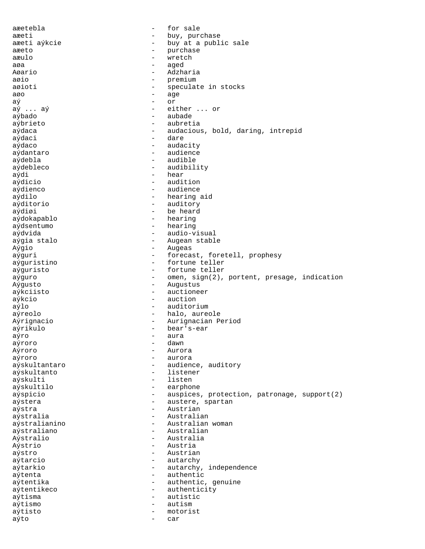aæetebla - for sale aæeti - buy, purchase aæeti aýkcie  $-$  buy at a public sale aæeto - purchase aæulo - wretch aøa - aged<br>Aøario - ademander - ademander - ademander - ademander - ademander - ademander - ademander - ademander - adema Aøario - Adzharia - premium<br>- specula aøioti - speculate in stocks aøo - age aý - or - either ... or aýbado - aubade aýbrieto - aubretia aýdaca - audacious, bold, daring, intrepid aýdaci - dare aýdaco - audacity<br>avdantaro - audience aýdantaro  $-$  audience aýdebla - audible aýdebleco - audibility aýdi - hear<br>aýdicio - hear - hear - audition aýdienco - audience aýdilo - hearing aid aýditorio - auditory aýdiøi - be heard aýdokapablo - hearing aýdsentumo - hearing aýdvida - audio-visual aýgia stalo - Augean stable Aýgio - Augeas aýguri - forecast, foretell, prophesy aýguristino - fortune teller aýguristo - fortune teller aýguro  $-$  omen, sign(2), portent, presage, indication Aýgusto - Augustus aýkciisto - auctioneer aýkcio - auction aýlo - auditorium aýreolo - halo, aureole Aýrignacio - Aurignacian Period aýrikulo - bear's-ear aýro - aura aýroro Aýroro - Aurora aýroro - aurora aýskultantaro  $\overline{\phantom{a}}$  - audience, auditory aýskultanto - listener aýskulti - listen aýskultilo  $\overline{a}$  - earphone aýspicio - auspices, protection, patronage, support(2) aýstera - austere, spartan aýstra - Austrian aýstralia - Australian aýstralianino - Australian woman<br>aýstraliano - Australian aýstraliano - Australian<br>Avstralio - Australia Aýstralio - Australia Aýstrio - Austria aýstro - Austrian aýtarcio - autarchy aýtarkio - autarchy, independence aýtenta - authentic aýtentika - authentic, genuine aýtentikeco - authenticity aýtisma - autistic aýtismo - autism aýtisto - motorist aýto - car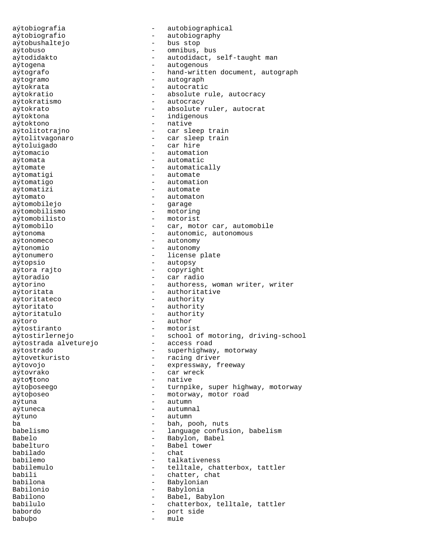aýtobiografia - autobiographical aýtobiografio - autobiography aýtobushaltejo - bus stop aýtobuso - omnibus, bus aýtodidakto - autodidact, self-taught man aýtogena - autogenous aýtografo - hand-written document, autograph aýtogramo - autograph aýtokrata - autocratic aýtokratio  $-$  absolute rule, autocracy aýtokratismo - autocracy aýtokrato - absolute ruler, autocrat aýtoktona - indigenous aýtoktono - native aýtolitotrajno - car sleep train aýtolitvagonaro - car sleep train aýtoluigado - car hire aýtomacio - automation aýtomata - automatic aýtomate - automatically aýtomatigi  $-$  automate aýtomatigo - automation aýtomatizi - automate aýtomato - automaton aýtomobilejo - garage aýtomobilismo - motoring aýtomobilisto - motorist aýtomobilo - car, motor car, automobile aýtonoma - autonomic, autonomous aýtonomeco - autonomy aýtonomio - autonomy aýtonumero  $\overline{a}$  - license plate aýtopsio - autopsy - copyright aýtoradio - car radio aýtorino - authoress, woman writer, writer<br>
aýtoritata - authoritative - authoritative aýtoritateco - authority aýtoritato - authority aýtoritatulo - authority aýtoro - author aýtostiranto - motorist aýtostirlernejo - school of motoring, driving-school a<br/>vtostrada alveturejo - access road aýtostrada alveturejo aýtostrado  $-$  superhighway, motorway aýtovetkuristo - racing driver aýtovojo  $\sim$  - expressway, freeway aýtovrako - car wreck aýto¶tono - native aýtoþoseego - turnpike, super highway, motorway aýtoþoseo - motorway, motor road aýtuna - autumn aýtuneca - autumnal aýtuno - autumn ba - bah, pooh, nuts - language confusion, babelism Babelo - Babylon, Babel<br>babelturo - Babel tower - Babel tower<br>- chat babilado babilemo - talkativeness babilemulo - telltale, chatterbox, tattler babili - chatter, chat<br>babilona - - Babylonian - Babylonian Babilonio - Babylonia Babilono - Babel, Babylono - Babel, Babylono - Babel, Babylono - Babel, Babylono - Babel, Babylono - Babel, Babylono - Babel, Babylono - Babel, Babylono - Babel, Babylono - Babel, Babylono - Babel, Babylono - Babel, Babylo babilulo - chatterbox, telltale, tattler babordo - port side babuþo - mule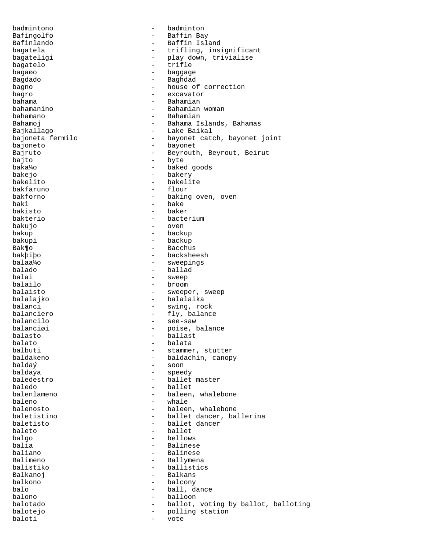badmintono - badminton Bafingolfo - Baffin Bay Bafinlando - Baffin Island bagatela - trifling, insignificant bagateligi - play down, trivialise<br>bagatelo - trifle - trifle bagatelo bagaøo - baggage - baggage Bagdado - Baghdad bagno  $-$  house of correction bagro - excavator bahama - Bahamian - Bahamian woman bahamano - Bahamian Bahamoj - Bahama Islands, Bahamas Bajkallago - Lake Baikal bajoneta fermilo - bayonet catch, bayonet joint bajoneto - bayonet Bajruto - Beyrouth, Beyrout, Beirut bajto - byte baka¼o - baked goods bakejo - bakery bakelito - bakelite bakfaruno - flour bakforno - baking oven, oven baki - bake<br>bakisto - baker - baker - baker bakterio - bacterium bakujo - oven bakup - backup bakupi - backup Bak¶o - Bacchus bakþiþo - backsheesh balaa¼o - sweepings - ballad balai - sweep<br>balailo - hroom - broom - broom balaisto  $-$  sweeper, sweep balalajko - balalaika balanci - swing, rock balanciero - fly, balance<br>balancilo - - see-saw balancilo - see-saw balanciøi - poise, balance<br>balasto - ballast balasto - ballast balato - balata balbuti - stammer, stutter<br>baldakeno - baldachin, canop baldakeno - baldachin, canopy<br>baldaý - soon - soon - soon baldaýa - speedy - ballet master baledo - ballet balenlameno - baleen, whalebone baleno - whale balenosto - baleen, whalebone baletistino - ballet dancer, ballerina<br>haletisto - hallet dancer baletisto - ballet dancer<br>haleto - hallet baleto - ballet<br>balgo - ballow balgo - bellows balia - Balinese<br>baliano - - Balinese baliano - Balinese Balimeno - Ballymena<br>
balistiko - ballistic - ballistics Balkanoj - Balkans - balcony balo - ball, dance balono - balloon balotado - ballot, voting by ballot, balloting - polling station baloti - vote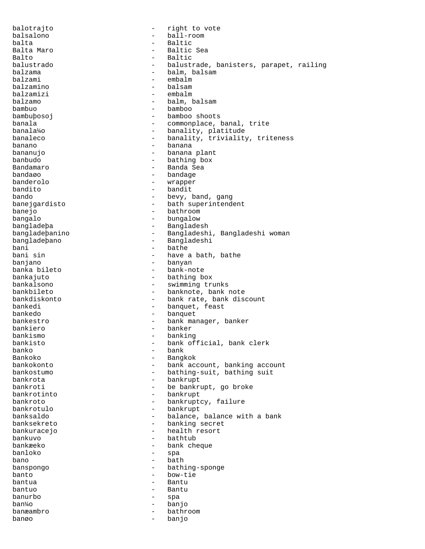balotrajto - right to vote balsalono - ball-room balta - Baltic - Baltic - Baltic - Baltic - Baltic - Baltic - Baltic - Baltic - Baltic - Baltic - Baltic - Baltic - Baltic - Baltic - Baltic - Baltic - Baltic - Baltic - Baltic - Baltic - Baltic - Baltic - Baltic - Baltic - Baltic Sea Balto - Baltic - balustrade, banisters, parapet, railing balzama - balm, balsam balzami - embalm - balsam balzamizi - embalm balzamo - balm, balsam  $-$  bamboo bambuþosoj - bamboo shoots banala  $-$  commonplace, banal, trite banala¼o - banality, platitude banaleco - banality, triviality, triteness banano - banana bananujo - banana plant banbudo - bathing box Bandamaro - Banda Sea bandaøo - bandage - wrapper bandito - bandit bando  $-$  bevy, band, gang banejgardisto - bath superintendent banejo - bathroom bangalo - bungalow bangladeþa - Bangladesh bangladeþanino - Bangladeshi, Bangladeshi woman bangladeþano - Bangladeshi bani - bathe - bathe - bathe - bathe - bathe - bathe - bathe - bathe - bathe - bathe - bathe - bathe - bathe bani sin - have a bath, bathe banjano - banyan - bank-note bankajuto - bathing box bankalsono - swimming trunks - banknote, bank note bankdiskonto - bank rate, bank discount bankedi - banquet, feast bankedo - banquet bankestro  $-$  bank manager, banker bankiero - banker bankismo - banking bankisto - bank official, bank clerk banko - bank Bankoko - Bangkok - Bangkoko - Bangkoko - Bangkoko - Bangkoko - Bangkoko - Bangkoko - Bangkoko - Bangkoko - Bangkoko - Bangkoko - Bangkoko - Bangkoko - Bangkoko - Bangkoko - Bangkoko - Bangkoko - Bangkoko - Bangko - Bangko - bank account, banking account bankostumo - bathing-suit, bathing suit bankrota - bankrupt bankroti - be bankrupt, go broke bankrotinto - bankrupt bankroto - bankruptcy, failure bankrotulo - bankrupt banksaldo - balance, balance with a bank<br>hanksekreto - hanking secret banksekreto - banking secret<br>hankuracejo - health resort bankuracejo - health resort bankuvo - bathtub bankæeko - bank cheque - spa bano - bath - bathing-sponge banto - bow-tie bantua - Bantu bantuo - Bantu banurbo - spa ban¼o - banjo banæambro - bathroom banøo - banjo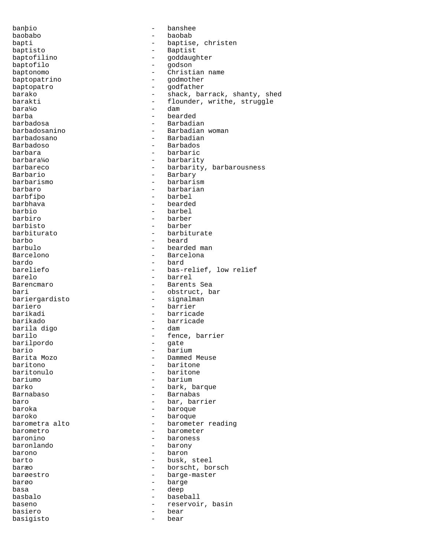banþio - banshee baobabo - baobab bapti - baptise, christen baptisto - Baptist - goddaughter<br>- godson baptofilo - godson baptonomo - Christian name<br>baptopatrino - compositor - compositor - compositor - compositor - compositor - compositor - compositor - compo baptopatrino - godmother<br>baptopatro - godfather baptopatro barako  $-$  shack, barrack, shanty, shed barakti - flounder, writhe, struggle<br>bara<sup>1</sup>/0 - dam bara¼o - dam barba - bearded barbadosa - Barbadian barbadosanino - Barbadian woman barbadosano - Barbadian Barbadoso - Barbados barbara - barbaric barbaric - barbaric - barbaric - barbaric - barbaric - barbaric - barbaric - barbaric - barbaric - barbaric - barbaric - barbaric - barbaric - barbaric - barbaric - barbaric - barbaric - barbaric - barba barbara¼o - barbarity barbareco - barbarity, barbarousness Barbario - Barbary - barbarism barbaro - barbarian barbfiþo - barbel barbhava - bearded barbio - barbel barbiro - barber barbisto - barber barbiturato - barbiturate barbo - beard barbulo - bearded man Barcelono - Barcelona bardo - bard bareliefo - bas-relief, low relief<br>harelo - barrel - barrel - barrel Barencmaro - Barents Sea bari - obstruct, bar<br>bariergardisto - - signalman bariergardisto bariero - barrier barikadi - barricade barikado - barricade barila digo - dam - fence, barrier<br>- gate barilpordo<br>bario bario - barium Barita Mozo - Dammed Meuse baritono - baritone baritonulo - baritone - barium barko - bark, barque Barnabaso - Barnabas baro - bar, barrier baroka - baroque baroko - baroque - baroque - baroque - baroque - barometra alto - barometer reading<br>- barometer barometro - barometer<br>
baronino - baroness baronino - baroness baronlando - barony barono - baron barto  $-$  busk, steel baræo - borscht, borsch barøestro - barge-master<br>barøe - barge-master<br>- barge barøo - barge basa - deep basbalo - baseball baseno - reservoir, basin<br>basiero - bear - bear basiero basigisto - bear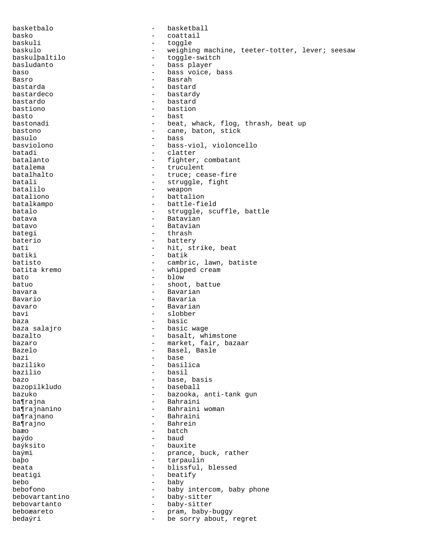basketbalo - basketball basko - coattail baskuli - toggle baskulo - weighing machine, teeter-totter, lever; seesaw<br>baskulpaltilo - toggle-switch baskulþaltilo - toggle-switch<br>basludanto - bass player - bass player baso - bass voice, bass Basro - Basrah - Basrah - Basrah - Basrah - Basrah - Basrah - Basrah - Basrah - Basrah - Basrah - Basrah - Basrah - Basrah - Basrah - Basrah - Basrah - Basrah - Basrah - Basrah - Basrah - Basrah - Basrah - Basrah - Basrah - bastard bastardeco - bastardy bastardo - bastard bastiono - bastion basto - bast bastonadi - beat, whack, flog, thrash, beat up bastono - cane, baton, stick basulo - bass basviolono - bass-viol, violoncello batadi - clatter batalanto  $\begin{array}{ccc}\n\text{batalanto} & - & \text{fighter, combatant} \\
\text{batalema} & - & \text{truculent}\n\end{array}$ batalema - truculent batalhalto  $\begin{array}{ccc}\n\text{batch} & \text{total} \\
\text{batch} & \text{total} \\
\end{array}$ batali - struggle, fight<br>
batalilo - weapon batalilo - weapon - battalion batalkampo - battle-field batalo  $-$  struggle, scuffle, battle batava - Batavian batavo - Batavian bategi - thrash baterio  $-$  battery bati - hit, strike, beat batiki - batik batisto - cambric, lawn, batiste<br>batita kremo - - whipped cream - whipped cream bato - blow batuo - shoot, battue bavara - Bavarian Bavario - Bavaria bavaro  $-$  Bavarian bavi - slobber baza - basic baza salajro - basic wage bazalto - basalt, whimstone bazaro  $-$  market, fair, bazaar Bazelo **-** Basel, Basle bazi - base baziliko - basilica - basil bazo - base, basis<br>bazopilkludo - baseball - baseball bazopilkludo bazuko - bazooka, anti-tank gun ba¶rajna - Bahraini ba¶rajnanino - Bahraini woman ba¶rajnano - Bahraini Ba¶rajno - Bahrein<br>baæo - batch baæo - batch<br>baýdo - baydo - baydo baýdo - baud baýksito - bauxite - prance, buck, rather baþo - tarpaulin beata  $-$  blissful, blessed beatigi  $-$  beatify bebo - baby bebofono - baby intercom, baby phone bebovartantino - baby-sitter bebovartanto - baby-sitter beboæareto - pram, baby-buggy bedaýri - be sorry about, regret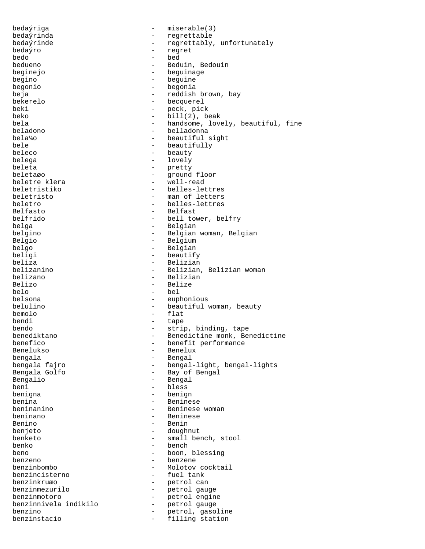bedaýriga - miserable(3) bedaýrinda - regrettable bedaýrinde  $-$  regrettably, unfortunately bedaýro - regret bedo - bed Beduin, Bedouin beginejo - beguinage begino - beguine begonio - begonia beja - reddish brown, bay bekerelo - becquerel beki - peck, pick<br>beko - bill(2). b  $-$  bill(2), beak bela  $-$  handsome, lovely, beautiful, fine beladono - belladonna bela¼o - beautiful sight bele  $\qquad \qquad$  - beautifully beleco - beauty<br>helega - lovely belega - lovely beleta - pretty<br>
beleta - pretty<br>
- pround - ground floor<br>- well-read beletre klera beletristiko - belles-lettres beletristo - man of letters beletro - belles-lettres<br>Belfasto - Belfast - Belfast belfrido - bell tower, belfry belga - Belgian - Belgian belgino - Belgian woman, Belgian Belgio - Belgium - Belgium belgo - Belgian - Belgian - Belgian - Belgian - Belgian - Belgian - Belgian - Belgian - Belgian - Belgian - Belgian - Belgian - Belgian - Belgian - Belgian - Belgian - Belgian - Belgian - Belgian - Belgian - Belgian - Belg beligi - beautify beliza - Belizian belizanino - Belizian, Belizian woman belizano - Beliziano - Beliziano - Beliziano - Beliziano - Beliziano - Beliziano - Beliziano - Beliziano - Beliziano - Beliziano - Beliziano - Beliziano - Beliziano - Beliziano - Beliziano - Beliziano - Beliziano - Belizia Belizo - Belize belo - bel - euphonious belulino  $-$  beautiful woman, beauty bemolo - flat bendi - tape bendo - strip, binding, tape<br>benediktano - - Benedictine monk, Benedictine monk, Benedictine monk, Benedictine monk, Benedictine monk, Benedictine monk, Benedictine monk, Benedictine monk, Benedictine monk, Benedictine mon benediktano - Benedictine monk, Benedictine<br>benefico - benefit performance benefico - benefit performance<br>Benelukso - Benelux - Benelux - Benelux bengala - Bengal - bengal-light, bengal-lights Bengala Golfo - - Bay of Bengal Bengalio - Bengal beni - bless benigna - benign benina - Beninese beninanino - Beninese woman beninano - Beninese Benino - Benin benjeto - doughnut benketo - small bench, stool benko - bench - boon, blessing benzeno - benzene benzinbombo - Molotov cocktail<br>
benzincisterno - fuel tank benzincisterno benzinkruæo - petrol can benzinmezurilo - petrol gauge benzinmotoro - petrol engine benzinnivela indikilo - petrol gauge benzino - petrol, gasoline benzinstacio - filling station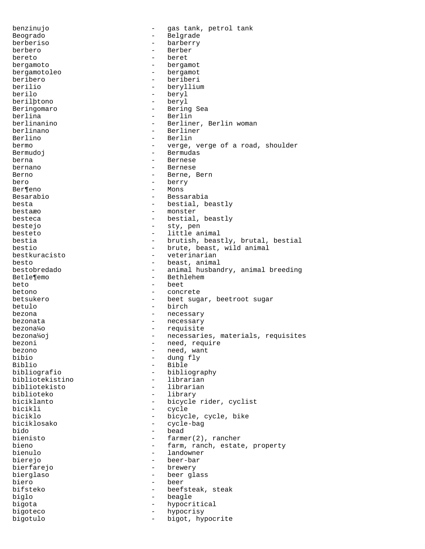benzinujo - gas tank, petrol tank Beogrado **- Belgrade** berberiso - barberry berbero - Berber bereto - beret bergamoto - bergamot bergamotoleo - bergamotoleo - bergamotoleo - beriberi beribero - beriberi berilio - beryllium<br>
berilo - bervl<br>
- bervl - beryl berilþtono - beryl Beringomaro - Bering Sea - Berlin berlinanino  $-$  Berliner, Berlin woman berlinano - Berliner Berlino - Berlin<br>bermo - verge bermo - verge, verge of a road, shoulder<br>Bermudoj - Bermudas - Bermudas berna - Bernese bernano - Bernese Berno - Berne, Berno - Berne, Berno - Berne, Berno - Berne, Berno - Berne, Berno - Berno - Berno - Berno - Berno - Berno - Berno - Berno - Berno - Berno - Berno - Berno - Berno - Berno - Berno - Berno - Berno - Berno - Ber - berry Ber¶eno - Mons Besarabio  $-$  Bessarabia besta  $-$  bestial, beastly bestaæo - monster besteca - bestial, beastly bestejo - sty, pen besteto - little animal bestia - brutish, beastly, brutal, bestial<br>bestio - brute, beast, wild animal - brute, beast, wild animal bestkuracisto - veterinarian besto  $-$  beast, animal bestobredado  $-$  animal husband - animal husbandry, animal breeding Betle¶emo - Bethlehem  $beta$  -  $beta$ betono - concrete betsukero - beet sugar, beetroot sugar betulo - birch bezona - necessary bezonata  $-$  necessary bezona¼o - requisite bezona¼oj en energia en la constructiona, materials, requisites bezoni - need, require bezono - need, want bibio - dung fly Biblio - Bible - bibliography<br>- librarian bibliotekistino - librarian bibliotekisto biblioteko - library biciklanto - bicycle rider, cyclist<br>bicikli - cycle - cycle bicikli - cycle biciklo - bicycle, cycle, bike biciklosako - cycle-bag bido - bead bienisto - farmer(2), rancher bieno - farm, ranch, estate, property<br>bienulo - landowner - landowner bierejo - beer-bar bierfarejo - brewery bierglaso - beer glass biero - beer bifsteko - beefsteak, steak biglo - beagle bigota - hypocritical bigoteco - hypocrisy bigotulo - bigot, hypocrite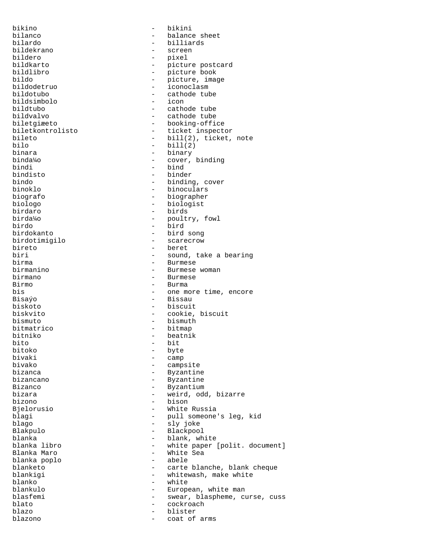bikino - bikini bilanco - balance sheet bilardo - billiards bildekrano - screen bildero - pixel bildkarto - picture postcard bildlibro - picture book bildo - picture, image bildodetruo - iconoclasm - cathode tube<br>- icon bildsimbolo<br>bildtubo bildtubo - cathode tube - cathode tube biletgiæeto - booking-office biletkontrolisto - ticket inspector bileto - bill(2), ticket, note<br>
bilo - bill(2) bilo - bill(2)<br>binara - binary - binary binara - binary binda¼o - cover, binding bindi - bind bindisto - binder bindo - binding, cover binoklo - binoculars<br>biografo - biographer - biographer biografo - biographer biologo - biologist - biologist<br>birdaro - birds - birds birda¼o - poultry, fowl birdo - bird birdokanto - bird song birdotimigilo - scarecrow bireto - beret - beret - beret - beret - beret - beret - beret - beret - beret - beret - beret - beret - beret - beret - beret - beret - beret - beret - beret - beret - beret - beret - beret - beret - beret - beret - beret biri - sound, take a bearing<br>hirma - Rurmese birma - Burmese birmanino - Burmese woman<br>birmano - Burmese birmano - Burmese<br>Birmo - Burmano - Burmano Birmo - Burma bis - one more time, encore Bisaýo - Bissau biskoto - biscuit biskvito - cookie, biscuit bismuto - bismuth bitmatrico - bitmap bitniko - beatnik - beatnik - beatnik - bit bito - bit bitoko - byte bivaki - camp<br>bivako - camp - campsite bizanca - Byzantine bizancano - Byzantine Bizanco - Byzantium bizara - weird, odd, bizarre bizono - bison Bjelorusio - White Russia blagi - pull someone's leg, kid<br>blago - sly joke blago - sly joke Blakpulo - Blackpool blanka - blank, white blanka libro - white paper [polit. document] - White Sea<br>- abele blanka poplo blanketo - carte blanche, blank cheque blankigi  $-$  whitewash, make white blanko - white blankulo - European, white man blasfemi - swear, blaspheme, curse, cuss blato - cockroach blazo - blister blazono - coat of arms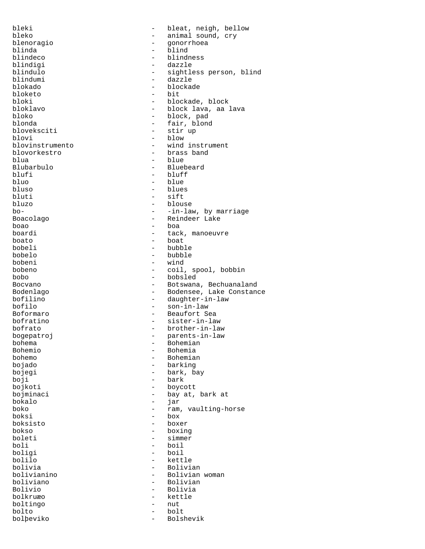bleki - bleat, neigh, bellow bleko - animal sound, cry<br>blenoragio - conorrhoea blenoragio - gonorrhoea blinda - blind - blindness<br>- dazzle blindigi - dazzle blindulo - sightless person, blind blindumi - dazzle - blockade<br>- bit bloketo<br>bloki bloki - blockade, block<br>bloklavo - block lava, aa i bloklavo - block lava, aa lava - block, pad blonda - fair, blond bloveksciti - stir up blovi - blow blovinstrumento - wind instrument blovorkestro - brass band blua - blue Blubarbulo - Bluebeard blufi - bluff - bluff - bluff - bluff - bluff - bluff - bluff - bluff - bluff - bluff - bluff - bluff - bluff - bluff - bluff - bluff - bluff - bluff - bluff - bluff - bluff - bluff - bluff - bluff - bluff - bluff - bluff bluo - blue bluso - blues<br>bluti - sift - sift bluti - sift<br>bluzo - blou bluzo - blouse - blouse - blouse - blouse - blouse - blouse - blouse - blouse - blouse - blouse - blouse - blouse - blouse - blouse - blouse - blouse - blouse - blouse - blouse - blouse - blouse - blouse - blouse - blouse - -in-law, by marriage Boacolago - Reindeer Lake boao - boa boardi - tack, manoeuvre boato - boat bobeli - bubble bobelo - bubble bobeni - wind - coil, spool, bobbin bobo - bobsled<br>Bocyano - Botswana - Botswana, Bechuanaland Bodenlago - Bodensee, Lake Constance<br>
bofilino - - daughter-in-law bofilino - daughter-in-law<br>bofilo - son-in-law - son-in-law Boformaro - Beaufort Sea bofratino - sister-in-law bofrato - brother-in-law bogepatroj - parents-in-law bohema - Bohemian - Bohemian - Bohemian - Bohemian - Bohemian - Bohemian - Bohemian - Bohemian - Bohemian - Bohemian - Bohemian - Bohemian - Bohemian - Bohemian - Bohemian - Bohemian - Bohemian - Bohemian - Bohemian - Bohe Bohemio - Bohemia bohemo - Bohemian - barking bojegi - bark, bay boji - bark bojkoti - boycott bojminaci - bay at, bark at bokalo - jar boko - ram, vaulting-horse<br>boksi - box - box box<br>boxer boksisto - boksisto - boksisto - boksisto - boksisto - boksisto - boksisto - boksisto - boksisto - boksisto - boksisto - boksisto - boksisto - boksisto - boksisto - boksisto - boksisto - boksisto - boksisto - boksisto - bo bokso - boxing<br>boleti - simmer boleti - simmer boli - boil boligi - boil bolilo - kettle bolivia - Bolivian<br>bolivianino - Bolivian bolivianino - Bolivian woman - Bolivian Bolivio - Bolivia bolkruæo - kettle boltingo - nut bolto - bolt bolþeviko - Bolshevik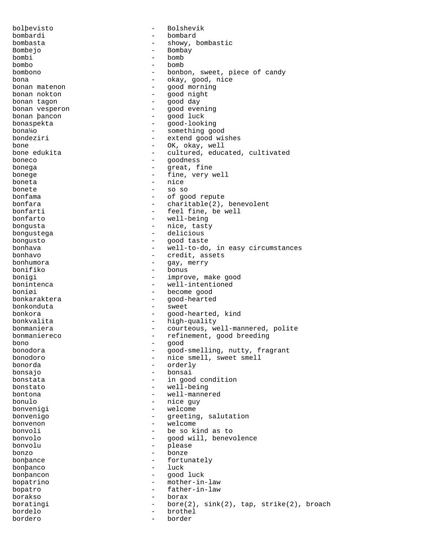bolþevisto - Bolshevik bombardi - bombard bombasta - showy, bombastic - Bombay bombi - bomb bombo - bomb bombono - bonbon, sweet, piece of candy bona - okay, good, nice - good morning bonan nokton - good night bonan tagon - good day bonan vesperon and the set of the set of the set of the set of the set of the set of the set of the set of the<br>bonan bancon and the set of the set of the set of the set of the set of the set of the set of the set of the s - good luck bonaspekta - good-looking bona¼o - something good bondeziri - extend good wishes bone  $\begin{array}{ccc} \text{bone} & \text{OK, okay, well} \\ \text{bone edukita} & \text{OK, body} & \text{cultured, educ} \end{array}$ - cultured, educated, cultivated boneco - goodness bonega - great, fine bonege  $-$  fine, very well boneta - nice bonete - so so bonfama - of good repute<br>
bonfara - of good repute<br>
- charitable(2). - charitable(2), benevolent bonfarti  $-$  feel fine, be well bonfarto - well-being bongusta  $-$  nice, tasty bongustega  $-$  delicious bongusto - good taste bonhava - well-to-do, in easy circumstances<br>
bonhavo - credit, assets bonhavo - credit, assets bonhumora - gay, merry - bonus bonigi - improve, make good bonintenca - well-intentioned boniøi - become good bonkaraktera - good-hearted bonkonduta - sweet bonkora - good-hearted, kind bonkvalita<br>
bonmaniera<br>
bonmaniera<br>
- courteous, we - courteous, well-mannered, polite bonmaniereco - refinement, good breeding bono - good bonodora - good-smelling, nutty, fragrant bonodoro - nice smell, sweet smell bonorda - orderly - bonsai bonstata - in good condition bonstato - well-being bontona - well-mannered bonulo - nice guy bonvenigi - welcome bonvenigo  $-$  greeting, salutation<br>honvenon bonvenon - welcome bonvoli - be so kind as to bonvolo - good will, benevolence bonvolu - please bonzo - bonze bonþance - fortunately bonþanco - luck bonþancon - good luck bopatrino - mother-in-law bopatro  $-$  father-in-law borakso - borax boratingi  $-$  bore(2), sink(2), tap, strike(2), broach bordelo - brothel bordero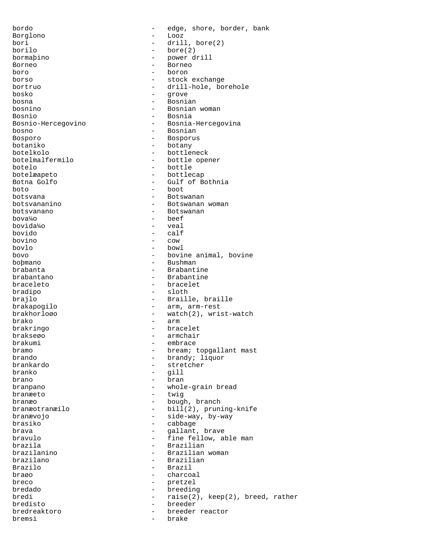bordo - edge, shore, border, bank Borglono - Looz bori - drill, bore(2)<br>borilo - bore(2)  $-$  bore(2) bormaþino - power drill Borneo - Borneo - Borneo<br>boro - boron boro - boron borso - stock exchange<br>
bortruo - stock exchange<br>
- drill-hole, bo: - drill-hole, borehole bosko - grove bosna - Bosnian bosnino - Bosnian woman Bosnio - Bosnia Bosnio-Hercegovino - Bosnia-Hercegovina bosno - Bosnian Bosporo - Bosporus botaniko - botany botelkolo - bottleneck - bottle opener botelo - bottle botelæapeto - bottlecap - Gulf of Bothnia  $boto$  - boot botsvana - Botswanan botsvananino - Botswanan woman botsvanano - Botswanan  $bova<sup>1</sup>/<sub>4</sub>o$   $beef$ <br>  $bovi<sup>1</sup>/<sub>4</sub>ol<sub>4</sub>$ bovida¼o - veal bovido - calf bovino - cow bovlo - bowl bovo - bovine animal, bovine bobmano - bovine animal, bovine bobmano - Bushman boþmano - Bushman - Brabantine brabantano - Brabantine braceleto - bracelet bradipo - sloth brajlo  $-$  Braille, braille brakapogilo - arm, arm-rest brakhorloøo - watch(2), wrist-watch brako - arm<br>brakringo - brac - brac - bracelet brakseøo - armchair embrace bramo - bream; topgallant mast<br>brando - brandy: lignor brando - brandy; liquor - stretcher branko - gill brano - bran branpano - whole-grain bread branæeto - twig branæo - bough, branch branæotranæilo - bill(2), pruning-knife branævojo - side-way, by-way brasiko - cabbage<br>brava - callant brava - gallant, brave bravulo - fine fellow, able man brazila - Brazilian<br>brazilanino - - - - - - - Brazilian - Brazilian woman brazilano - Brazilian Brazilo - Brazil braøo - charcoal breco - pretzel bredado - breeding bredi - raise(2), keep(2), breed, rather bredisto - breeder bredreaktoro - breeder reactor bremsi - brake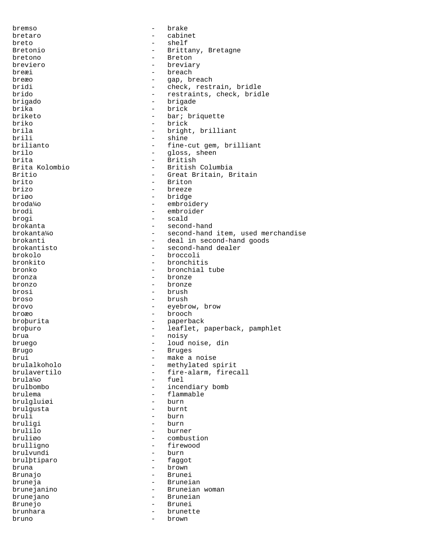bremso - brake bretaro - cabinet<br>breto - cabinet breto - shelf Bretonio  $-$  Brittany, Bretagne bretono - Breton - Bretono - Bretono - Bretono - Bretono - Bretono - Bretono - Bretono - Bretono - Bretono - Bretono - Bretono - Bretono - Bretono - Bretono - Bretono - Bretono - Bretono - Bretono - Bretono - Bretono - Bre breviero - breviary  $b$ reæi - breach - breach - breach - can b breæo - gap, breach<br>bridi - check rest: - check, restrain, bridle brido - restraints, check, bridle brigado - brigade brika - brick - bar; briquette briko - brick brila - bright, brilliant brili - shine - shine - shine - shine - shine - shine - shine - shine - shine - shine - shine - shine - shine - shine - shine - shine - shine - shine - shine - shine - shine - shine - shine - shine - shine - shine - shine brilianto - fine-cut gem, brilliant brilo - gloss, sheen<br>brita - gloss, sheen<br>- British brita - British - British - British - British - British - British - British - British - British - British - British - British - British - British - British - British - British - British - British - British - British - Brit Brita Kolombio - British Columbia Britio - Great Britain, Britain<br>
brito - Briton<br>
- Briton brito - Briton - Briton - Briton - Briton - Briton - Briton - Briton - Briton - Briton - Briton - Briton - Briton - Briton - Briton - Briton - Briton - Briton - Briton - Briton - Briton - Briton - Briton - Briton - Briton brizo - breeze<br>brigo - breeze<br>hridge - bridge briøo - bridge - bridge - bridge - bridge - bridge - bridge - bridge - bridge - bridge - bridge - bridge - bridge - bridge - bridge - bridge - bridge - bridge - bridge - bridge - bridge - bridge - bridge - bridge - bridge broda¼o - embroidery - embroider brogi - scald brokanta - second-hand brokanta¼o - second-hand item, used merchandise brokanti - deal in second-hand goods<br>brokantisto - second-hand dealer brokantisto - second-hand dealer brokolo - broccoli bronkito - bronchitis<br>bronko - bronchial - bronchial tube bronza - bronze bronzo - bronze brosi - brush broso - brush brovo - eyebrow, brow broæo - brooch broþurita - paperback broþuro - leaflet, paperback, pamphlet<br>brua - noisv - noisv brua - noisy loud noise, din Brugo - Bruges brui - make a noise brulalkoholo - methylated spirit<br>
brulavertilo - fire-alarm fired brulavertilo - fire-alarm, firecall<br>brula<sup>1</sup>/0 - fuel brula¼o - fuel - incendiary bomb brulema - flammable<br>bruleluiøi - burn - burn brulgluiøi - burn brulgusta bruli - burn - burn - burn - burn - burn - burn - burn - burn - burn - burn - burn - burn - burn - burn - burn - burn - burn - burn - burn - burn - burn - burn - burn - burn - burn - burn - burn - burn - burn - burn - burn bruligi - burn brulilo - burner bruliøo - combustion<br>brulligno - firewood - combustion - firewood<br>- burn brulvundi - burn brulþtiparo bruna - brown Brunajo - Brunei bruneja - Bruneian brunejanino - Bruneian woman brunejano - Bruneian Brunejo - Brunei brunhara  $-$  brunette bruno - brown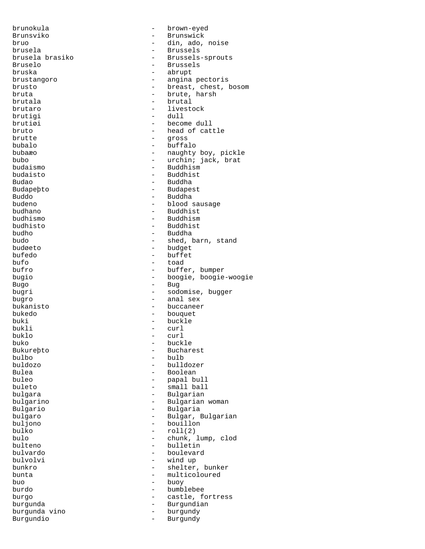brunokula - brown-eyed Brunsviko - Brunswick bruo - din, ado, noise brusela - Brussels<br>brusela brasiko - Brusselsbrusela brasiko  $-$  Brussels-sprouts<br>Bruselo  $-$  Brussels Bruselo - Brussels<br>bruska - Abrupt - abrupt bruska - abrupt brustangoro - angina pectoris brusto - breast, chest, bosom<br>
bruta - brute, harsh - brute, harsh brutala - brutal brutaro - livestock brutigi - dull brutiøi - become dull bruto - head of cattle brutte - gross bubalo - buffalo bubaæo - naughty boy, pickle<br>bubo - naughty boy, pickle<br>- urchin; jack, brat bubo - urchin; jack, brat<br>budaismo - Buddhism budaismo - Buddhism budaisto - Buddhist Budao - Buddha Budapeþto - Budapest Buddo - Buddha budeno - blood sausage - Buddhist budhismo - Buddhism budhisto - Buddhist budho - Buddha budo - shed, barn, stand<br>budøeto - - - - - - - - - budget budøeto - budget bufedo - buffet - buffet - buffet - buffet - buffet - buffet - buffet - buffet - buffet - buffet - buffet - buffet - buffet - buffet - buffet - buffet - buffet - buffet - buffet - buffet - buffet - buffet - buffet - buffet bufo - toad - buffer, bumper bugio - boogie, boogie-woogie Bugo - Bug bugri - sodomise, bugger bugro - anal sex bukanisto - buccaneer bukedo - bouquet buki - buckle<br>bukli - curl bukli - curl buklo - curl buko - buckle Bukureþto - Bucharest<br>bulbo - bulb bulbo - bulb buldozo - buldozer - buldozer - buldozer - buldozer - buldozer - buldozer - buldozer - buldozer - buldozer - buldozer - buldozer - buldozer - buldozer - buldozer - buldozer - buldozer - buldozer - buldozer - buldozer - bul Bulea - Boolean - Boolean - Boolean - Boolean - Boolean - Boolean - Boolean - Boolean - Boolean - Boolean - Boolean - Boolean - Boolean - Boolean - Boolean - Boolean - Boolean - Boolean - Boolean - Boolean - Boolean - Bool buleo - papal bull - small ball bulgara  $-$  Bulgarian bulgarino - Bulgarian woman Bulgario - Bulgaria bulgaro - Bulgar, Bulgarian buljono - bouillon bulko - roll(2) bulo - chunk, lump, clod bulteno - bulletin bulvardo - boulevard bulvolvi - wind up<br>bunkro - shelter bunkro - shelter, bunker<br>bunta - multicoloured bunta  $\begin{array}{ccc} - & \text{multicoloured} \\ \text{bu} & - & \text{bu} \\ \end{array}$ - buoy burdo - bumblebee burgo  $-$  castle, fortress burgunda - Burgundian - burgundy<br>- Burgundy Burgundio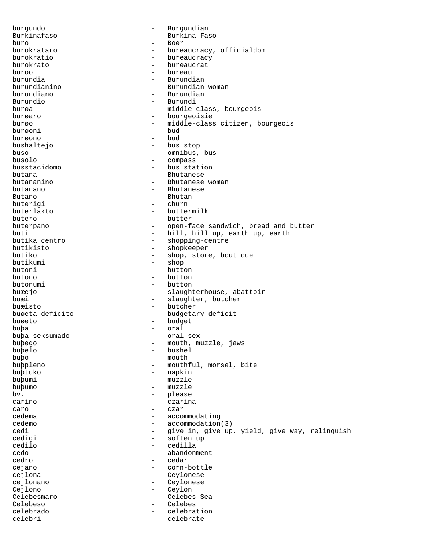burgundo - Burgundian Burkinafaso - Burkina Faso buro - Boer burokrataro  $-$  bureaucracy, officialdom burokratio - bureaucracy burokrato - bureaucrat buroo - bureau burundia - Burundian burundianino - Burundian woman - Burundian Burundio - Burundi burøa - middle-class, bourgeois burøaro - bourgeoisie burøo - middle-class citizen, bourgeois burøoni - bud burøono - bud bushaltejo - bus stop buso - omnibus, bus busolo - compass<br>busstacidomo - bus state - bus station butana - Bhutanese butananino - Bhutanese - Bhutanese - Bhutanese - Bhutanese - Bhutanese - Bhutanese - Bhutanese - Bhutanese - Bhutanese - Bhutanese - Bhutanese - Bhutanese - Bhutanese - Bhutanese - Bhutanese - Bhutanese - Bhutanese woman butanano - Bhutanese Butano - Bhutano - Bhutano buterigi - churn buterlakto - buttermilk butero - butter - butter<br>buterpano - open-f; buterpano - open-face sandwich, bread and butter buti - hill, hill up, earth up, earth<br>butika centro - shopping-centre butika centro  $-$  shopping-centre<br>butikisto - shopkeeper butikisto - shopkeeper butiko - shop, store, boutique<br>butikumi - shop - shop butikumi - shop - button butono - button butonumi - button buæejo - slaughterhouse, abattoir buæi  $-$  slaughter, butcher buæisto - butcher buøeta deficito - budgetary deficit buøeto - budget buþa - oral buþa seksumado buþego - mouth, muzzle, jaws buþelo - bushel buþo - mouth - mouthful, morsel, bite buþtuko - napkin buþumi - muzzle buþumo - muzzle bv. - please carino - czarina caro - czar cedema - accommodating cedemo - accommodation(3)<br>cedi - aive in give up cedi - give in, give up, yield, give way, relinquish<br>cedigi - soften up cedigi - soften up<br>cedilo - cedila - cedila cedilo - cedilla - abandonment cedro - cedar cejano - corn-bottle cejlona - Ceylonese cejlonano - Ceylonese Cejlono - Ceylon Celebesmaro - Celebes Sea Celebeso - Celebes celebrado - celebration celebri - celebrate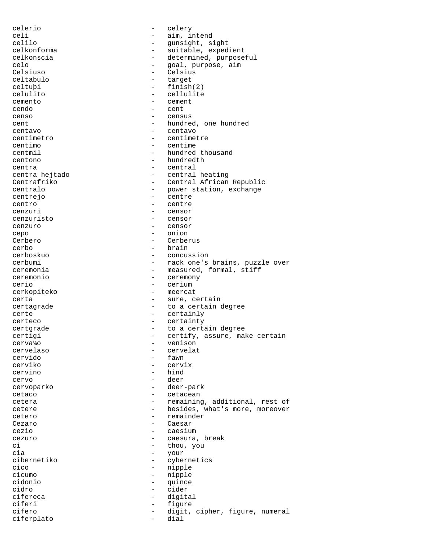celerio - celery celi - aim, intend<br>
celilo - qunsiqht, s celilo - gunsight, sight<br>celkonforma - suitable, exped - suitable, expedient celkonscia - determined, purposeful<br>celo - goal purpose aim celo - goal, purpose, aim<br>Celsiuso - Celsius - Celsius - Celsius<br>- target celtabulo<br>celtubi - finish(2) celulito - cellulite cemento - cemento - cemento - cemento - cemento - cemento - cemento - cemento - cemento - cemento - cemento - cemento - cemento - cemento - cemento - cemento - cemento - cemento - cemento - cemento - cemento - cemento - ce cendo - cent censo - census cent  $-$  hundred, one hundred centavo - centavo centimetro - centimetre - centimetre - centimetre - centimetre - centimetre - centimetre - centimetre - centimetre - centimetre - centimetre - centimetre - centimetre - centimetre - centimetre - centimetre - centimetre - c centimo - centime centmil - hundred thousand centono - hundredth centra - central centra hejtado - central heating Centrafriko - Central African Republic<br>
- Centralo - power station, exchange - power station, exchange centrejo - centre centro - centre - centre - centre - centre - centre - centre - centre - centre - centre - centre - centre - centre - centre - centre - centre - centre - centre - centre - centre - centre - centre - centre - centre - centre - censor cenzuristo - censor cenzuro - censor cepo - onion Cerbero - Cerberus cerbo - brain - brain - brain - brain - brain - brain - brain - brain - brain - brain - brain - brain - brain - concus cerboskuo - concussion cerbumi - rack one's brains, puzzle over<br>
ceremonia - measured, formal, stiff - measured, formal, stiff ceremonio - ceremony cerio - cerium cerkopiteko - meercat certa  $-$  sure, certain certagrade  $-$  to a certain degree certe - certainly certeco - certainty certgrade  $-$  to a certain degree certigi - certify, assure, make certain<br>
cerva<sup>1</sup>/0 cerva¼o - venison cervelaso - cervelat cervido - fawn cerviko - cervix cervino - hind cervo - deer cervoparko - deer-park cetaco - cetacean cetera - remaining, additional, rest of cetere - besides, what's more, moreover cetero - remainder Cezaro - Caesar cezio - caesium cezuro - caesura, break<br>ci - caesura, break<br>- thou, you ci - thou, you - cia - thou, you - cia - vour - your<br>- cyber cibernetiko - cybernetics cico - nipple - nipple - nipple - nipple - nipple - nipple - nipple - nipple - nipple - nipple - nipple - nipple - nipple - nipple - nipple - nipple - nipple - nipple - nipple - nipple - nipple - nipple - nipple - nipple -- nipple cidonio - quince cidro - cider cifereca - digital ciferi - figure cifero - digit, cipher, figure, numeral ciferplato - dial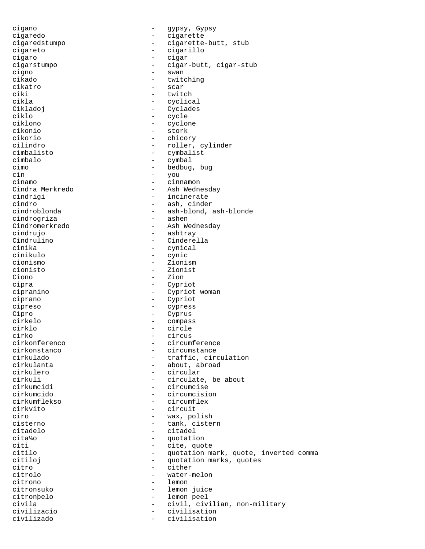cigano - gypsy, Gypsy cigaredo - cigarette cigaredstumpo - cigarette-butt, stub cigareto - cigarillo cigaro - cigar<br>cigarstumpo - cigar cigarstumpo - cigar-butt, cigar-stub cigno - swan - swan - swan - swan - swan - swan - swan - swan - swan - swan - swan - swan - swan - swan - swan cikado - twitching - scar ciki - twitch cikla - cyclical - Cyclades ciklo - cycle ciklono - cyclone cikonio - stork cikorio - chicory cilindro - roller, cylinder cimbalisto - cymbalist cimbalo - cymbal cimo - bedbug, bug cin - you<br>cinamo - cinr cinamo - cinnamon - Ash Wednesday cindrigi - incinerate<br>cindro - ash.cinde cindro - ash, cinder<br>
cindroblonda - ash-blond. - ash-blond, ash-blonde<br>- ashen cindrogriza Cindromerkredo - Ash Wednesday cindrujo - ashtray Cindrulino - Cinderella cinika - cynical cinikulo - cynic cionismo - Zionism - Zionist Ciono - Zion<br>cipra - Cypri - Cypriot cipranino - Cypriot woman ciprano - Cypriot cipreso - cypress Cipro - Cyprus cirkelo - compass cirklo - circle cirko - circus circumference cirkonstanco - circumstance cirkulado - traffic, circulation - about, abroad cirkulero - circular - circular<br>cirkuli - circulate cirkuli - circulate, be about<br>cirkumcidi - circumcise - circumcise cirkumcido - circumcision cirkumflekso - circumflex<br>cirkvito - circuit - circuit ciro - wax, polish<br>cisterno - tank cisterno cisterno - tank, cistern citadelo - citadelo - citadelo<br>cita<sup>1</sup>40 - citadelo - citadelo cita¼o - quotation citi - cite, quote<br>citilo - cite, quotation m - quotation mark, quote, inverted comma citiloj - quotation marks, quotes citro - cither - cither - cither - cither - cither - cither - cither - cither - cither - cither - cither - cither - cither - cither - cither - cither - cither - cither - cither - cither - cither - cither - cither - cither citrolo - water-melon citrono - lemon citronsuko - lemon juice citronþelo - lemon peel civila - civil, civilian, non-military civilizacio - civilisation civilizado - civilisation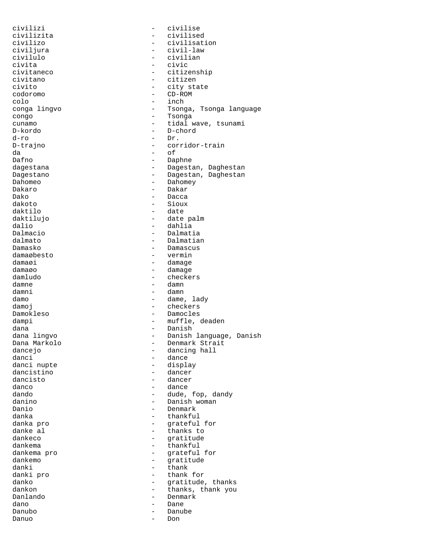civilizi - civilise civilizita - civilised civilizo - civilisation civiljura - civil-law civilulo - civilian civita - civic civitaneco - citizenship civitano - citizen - city state codoromo - CD-ROM colo - inch<br>
conga lingvo - Tsong - Tsonga, Tsonga language congo - Tsonga cunamo - tidal wave, tsunami D-kordo - D-chord  $d$ -ro  $-I$  Dr. D-trajno - corridor-train da - corridor-train da - corridor-train da - corridor-train da - corridor-train da - corridor-train da - corridor-train da - corridor-train da - corridor-train da - corridor-train da - corridor-tr da - of Dafno - Daphne - Daphne - Daphne - Daphne - Daphne - Daphne - Daphne - Daphne - Daphne - Daphne - Daphne - Daphne - Daphne - Daphne - Daphne - Daphne - Daphne - Daphne - Daphne - Daphne - Daphne - Daphne - Daphne - Daphne dagestana - Dagestan, Daghestan<br>Dagestano - Dagestan, Daghestan Dagestano - Dagestan, Daghestan<br>Dahomeo - Dahomeo - Dahomey Dahomeo - Dahomey - Dahomey - Dahomey - Dahomey - Dahomey - Dahomey - Dahomey - Dahomey - Dahomey - Dahomey - Dahomey - Dahomey - Dahomey - Dahomey - Dahomey - Dahomey - Dahomey - Dahomey - Dahomey - Dahomey - Dahomey - Da Dakaro - Dakaro - Dakaro - Dakaro - Dakaro - Dakaro - Dakaro - Dakaro - Dakaro - Dakaro - Dakaro - Dakaro - Dakaro - Dakaro - Dakaro - Dakaro - Dakaro - Dakaro - Dakaro - Dakaro - Dakaro - Dakaro - Dakaro - Dakaro - Dakaro Dako - Dacca<br>dakoto - Sioux - Sioux dakoto - Sioux - date daktilujo - date palm dalio - dahlia Dalmacio - Dalmatia dalmato - Dalmatian - Damascus<br>- vermin damaøbesto<br>damaøi damaøi - damage damage - damage - damage - damage - damage - damage - damage - damage - damage - damage - damage - damage - damage - damage - damage - damage - damage - damage - damage - damage - damage - damage - damage damaøo - damage - checkers damne - damn damni - damn - dame, lady damoj en energia damoj en energia damoj en energia da energia da energia da energia da energia da energia da e Damokleso - Damocles dampi - muffle, deaden dana - Danish - Danish - Danish - Danish - Danish - Danish - Danish - Danish - Danish - Danish - Danish - Danish - Danish - Danish - Danish - Danish - Danish - Danish - Danish - Danish - Danish - Danish - Danish - Danish dana lingvo - - - - - - - - - Danish language, Danish Dana Markolo - - - - - - - - - - Denmark Strait Dana Markolo - Denmark Strait dancejo - dancing hall - dance<br>- display danci nupte<br>dancistino dancistino - dancer<br>dancisto - dancer dancisto - dancer danco - dance dando - dude, fop, dandy danino - Danish woman - Danish woman - Danish woman - Danish woman - Danish woman - Danish woman - D Danio - Denmark danka - thankful danka pro - grateful for danke al  $\qquad \qquad \qquad$  - thanks to dankeco dankeco - gratitude dankema  $\qquad$  - thankful dankema pro  $\qquad$  - thankful - grateful for<br>- gratitude dankemo - gratitude danki - thank danki pro  $\qquad \qquad -$  thank for danko - gratitude, thanks dankon - thanks, thank you Danlando - Denmark dano - Dane Danubo - Danube Danuo - Danuo - Danuo - Danuo - Danuo - Danuo - Danuo - Danuo - Danuo - Danuo - Danuo - Danuo - Danuo - Danuo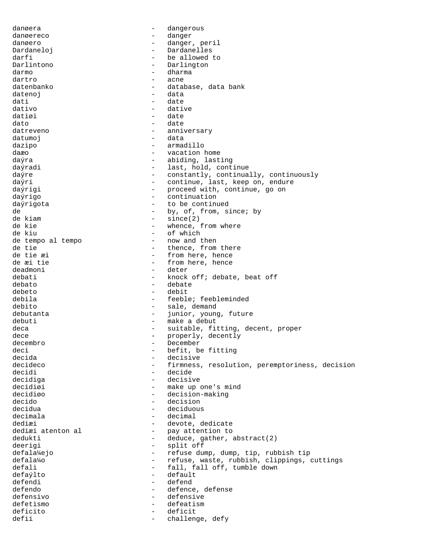danøera - dangerous danøereco - danger danøero - danger, peril Dardaneloj en la estado - Dardanelles darfi - be allowed to Darlintono - Darlington<br>darmo - dharma darmo - dharma - dharma - dharma - dharma - dharma - dharma - dharma - dharma - dharma - dharma - dharma - dha dartro - acne datenbanko  $-$  database, data bank datenoj - data dati - date dativo - dative datiøi - date dato - date datreveno  $-$  anniversary datumoj en la estas en la estas en la estas en la estas en la estas en la estas en la estas en la estas en la e dazipo - armadillo daæo - vacation home daýra - abiding, lasting daýradi - last, hold, continue daýre - constantly, continually, continuously<br>daýri - continue, last, keep on, endure daýri - continue, last, keep on, endure<br>daýrigi - continue, continue, go on - proceed with, continue, go on daýrigo - continuation daýrigota - to be continued de  $-$  by, of, from, since; by de kiam - since(2) de kie - whence, from where de kiu - of which<br>- now and then de tempo al tempo - - now and tempo - now and tempo - - now and tempo - -  $$ de tie  $\begin{array}{ccc}\n\text{de} & \text{the} \\
\text{de} & \text{the} \\
\text{de} & \text{the} \\
\text{de} & \text{the} \\
\text{the} & \text{the} \\
\text{the} & \text{the} \\
\text{the} & \text{the} \\
\text{the} & \text{the} \\
\text{the} & \text{the} \\
\text{the} & \text{the} \\
\text{the} & \text{the} \\
\text{the} & \text{the} \\
\text{the} & \text{the} \\
\text{the} & \text{the} \\
\text{the} & \text{the} \\
\text{the} & \text{the} \\
\text{the} & \text{the} \\
\text$ de tie æi  $\begin{array}{ccc} - &$  from here, hence de æi tie  $\begin{array}{ccc} - & & - \end{array}$  from here, hence de æi tie  $\begin{array}{ccc} - & - \\ - & - \end{array}$  from here, hence deadmoni - deter debati - knock off; debate, beat off<br>debato - debate - debate debato - debate debeto - debit debila - feeble; feebleminded debito - sale, demand<br>debutanta - sale, demand debutanta  $-$  junior, young, future debuti - make a debut deca  $\qquad \qquad -$  suitable, fitting, decent, proper dece - properly, decently<br>decembro - December - December - December<br>- befit.b deci<br>
decida<br>
decida<br>
- decisive decida - decisive - firmness, resolution, peremptoriness, decision decidi - decide decidiga - decisive - decisive decidiøi - make up one's mind decidiøo - decision-making decido - decision decidua - deciduous decimala - decimal dediæi - devote, dedicate<br>dediæi atenton al - pay attention to - pay attention to<br>- deduce, gather, dedukti - deduce, gather, abstract(2) deerigi - split off defala4ejo - refuse dump, dump, tip, rubbish tip defala¼o - refuse, waste, rubbish, clippings, cuttings defali  $-$  fall, fall off, tumble down defaýlto - default defendi - defend defendo - defence, defense defensivo - defensive defetismo - defeatism deficito - deficit defii - challenge, defy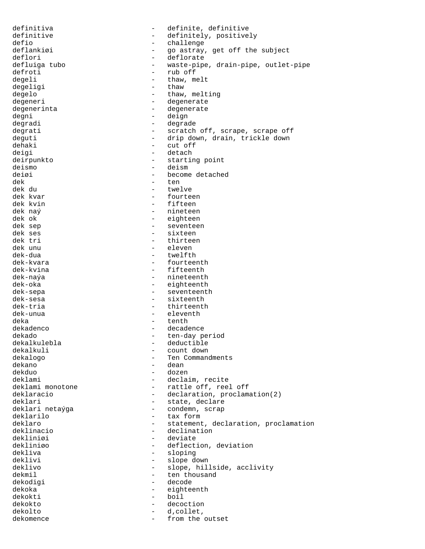definitiva  $\qquad \qquad -$  definite, definitive definitive - definitely, positively<br>definitely definitely<br>definitely<br>challenge defio - challenge<br>deflankiøi - go astray, - go astray, get off the subject deflori - deflorate<br>defluiga tubo - waste-pipe defluiga tubo - waste-pipe, drain-pipe, outlet-pipe<br>defroti - rub off defroti - rub off<br>degeli - thaw, m degeli - thaw, melt<br>degeligi - thaw - thaw - thaw degelo - thaw, melting degeneri - degenerate degenerinta - degenerate degni - deign degradi - degrade degrati - scratch off, scrape, scrape off deguti - drip down, drain, trickle down dehaki - cut off deigi - detach<br>deirpunkto - startil deirpunkto - starting point<br>deismo - deismo - deismo deismo - deismo - deismo - deismo - deismo - deismo - deismo - deismo - deismo - deismo - deismo - deismo - deismo - deismo - deismo - deismo - deismo - deismo - deismo - deismo - deismo - deismo - deismo - deismo - deismo deiøi - become detached<br>dek - ten dek - ten<br>dek du - twel - twel dek du - twelve dek kvar - fourteen dek kvin - fifteen - nineteen dek ok - eighteen dek sep - seventeen dek ses - sixteen dek tri - thirteen dek unu - eleven dek-dua - twelfth - twelfth<br>dek-kvara - tourteel - fourteel dek-kvara - fourteenth - fifteenth dek-naýa - nineteenth dek-oka - eighteenth dek-sepa - seventeenth dek-sesa - sixteenth dek-tria  $-$  thirteenth dek-unua - eleventh deka - tenth dekadenco - decadence dekado - ten-day period<br>dekalkulebla - ten-day period - deductible dekalkuli - count down<br>dekalogo - count down<br>- Ten Command dekalogo - Ten Commandments<br>dekano - Ten Commandments - dean dekduo - dozen deklami  $\qquad \qquad -$  declaim, recite<br>deklami monotone  $\qquad \qquad -$  rattle off, reel - rattle off, reel off deklaracio  $-$  declaration, proclamation(2) deklari - state, declare - condemn, scrap deklarilo - tax form deklaro - statement, declaration, proclamation<br>deklinacio - declination - declination<br>- deviate dekliniøi<br>dekliniøo dekliniøo - deflection, deviation dekliva - sloping<br>deklivi - slope de deklivi - slope down<br>deklivo - slope hil - slope, hillside, acclivity dekmil - ten thousand dekodigi - decode dekoka - eighteenth dekokti - boil dekokto - decoction - d, collet, dekomence - from the outset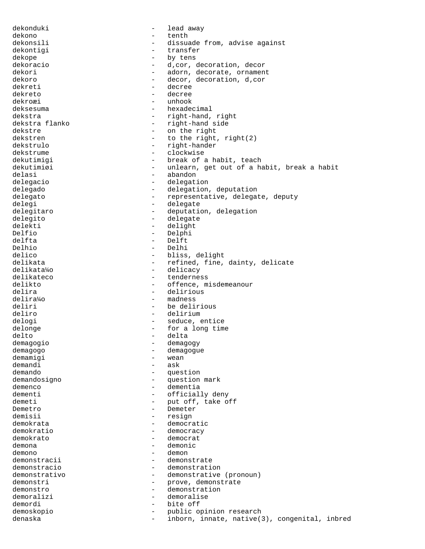dekonduki - lead away dekono - tenth dekonsili - dissuade from, advise against dekontigi - transfer dekope - by tens dekoracio - d'cor, decoration, decor dekori - adorn, decorate, ornament<br>dekoro - decoration d.cor dekoro - decor, decoration, d, cor<br>dekreti - decree - decree - decree<br>- decree dekreto dekroæi - unhook deksesuma - hexadecimal dekstra  $-$  right-hand, right dekstra flanko  $-$  right-hand side dekstre - on the right dekstren  $-$  to the right, right(2)<br>dekstrulo dekstrulo - right-hander<br>dekstrume - clockwise dekstrume - clockwise dekutimigi - break of a habit, teach<br>dekutimiøi - unlearn, qet out of a ha dekutimiøi - unlearn, get out of a habit, break a habit<br>delasi - abandon - abandon delasi - abandon - abandon - abandon - abandon - abandon - abandon - abandon - abandon - abandon - abandon - abandon - abandon - abandon - abandon - abandon - abandon - abandon - abandon - abandon - abandon - abandon - aba - delegation delegado - delegation, deputation delegato - representative, delegate, deputy delegi - delegate delegitaro  $-$  deputation, delegation delegito - delegate delekti - delight Delfio - Delphi delfta - Delft Delhio - Delhi - Delhi<br>delico - Hiss - bliss delico - bliss, delight<br>delikata - bliss, delight<br>- refined, fine, delikata - refined, fine, dainty, delicate<br>delikata<sup>1</sup>40 - delicacy - delicacy delikata¼o - delicacy delikateco - tenderness<br>delikto - tenderness delikto - offence, misdemeanour<br>delira - delirious - delirious delira - delirious<br>delira<sup>1</sup>40 - delira<sup>140</sup> - madness - madness deliri - be delirious deliro - delirium delogi - seduce, entice delonge  $\qquad \qquad -$  for a long time delto - delta<br>demagogio - demagogio - demagogio demagogio - demagogy - demagogue demamigi - wean<br>demandi - ask - ask demando - question demandosigno - question mark demenco - dementia dementi - officially deny demeti - put off, take off<br>Demetro - Demeter Demetro - Demeter demisii - resign<br>demokrata - resign - democra demokrata - democratic<br>demokratic - democracy - democracy demokratio  $-\text{demokratio}$  - democracy demokrato - democrat demona - demonic demono - demon demonstracii - demonstrate demonstracio - demonstration demonstrativo - demonstrative (pronoun) demonstri  $-$  prove, demonstrate demonstro - demonstration<br>demoralizi - demoralise demoralizi - demoralise demordi - bite off demoskopio - public opinion research denaska - inborn, innate, native(3), congenital, inbred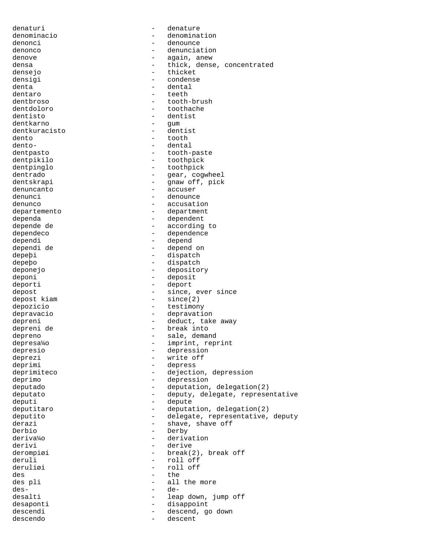denaturi - denature denominacio - denomination denonci - denounce denonco - denunciation denove - again, anew densa - thick, dense, concentrated<br>densejo densejo - thicket<br>densioi - condense densigi - condense dental dentaro - teeth dentbroso - tooth-brush dentdoloro - toothache dentisto - dentist dentkarno - gum dentkuracisto - dentist dento - tooth dento- - dental dentpasto - tooth-paste dentpikilo - toothpick dentpinglo - toothpick dentrado - gear, cogwheel<br>dentskrapi - gear, cogwheel<br>- gnaw off, pick - gnaw off, pick denuncanto - accuser denunci - denounce denunco - accusation departemento - department dependa en el estado en el esperador dependent depende de  $-$  according to dependeco - dependence dependi - depend depend on depeþi - dispatch depeþo - dispatch deponejo - depository deponi - deposit deporti - deport depost<br>depost kiam depost is the since of the since (2)  $-$  since(2) depozicio - testimony depravacio depravation depreni - deduct, take away depreni de  $-$  deduct, take away - break into depreno  $-$  sale, demand depresa¼o - imprint, reprint<br>depresio - depression - depression depresio - depression deprezi - write off<br>deprimi - depress depress deprimiteco - dejection, depression<br>deprimo - depression deprimo - depression deputado - deputation, delegation(2) deputato  $-$  deputy, delegate, representative deputi - depute - depute - depute - depute - depute - depute - depute - depute - depute - depute - depute - depute - depute - depute - depute - depute - depute - depute - depute - depute - depute - depute - depute - depute deputitaro  $-$  deputation, delegation(2) deputito - delegate, representative, deputy derazi - shave, shave off<br>
Derbio Derbio - Derby - Derby - Derby - Derby - Derby - Derby - Derby - Derby - Derby - Derby - Derby - Derby - Derby - Derby - Derby - Derby - Derby - Derby - Derby - Derby - Derby - Derby - Derby - Derby - Derby - Derby - Derby deriva¼o - derivation derivi - derive - derive - derive - derive - derive - derive - derive - derive - derive - derive - derive - der derompiøi - break(2), break off<br>deruli - roll off deruli - roll off<br>deruliøi - roll off - roll off des the the des pli - all the more des- - dedesalti - leap down, jump off desaponti - disappoint - descend, go down descendo - descent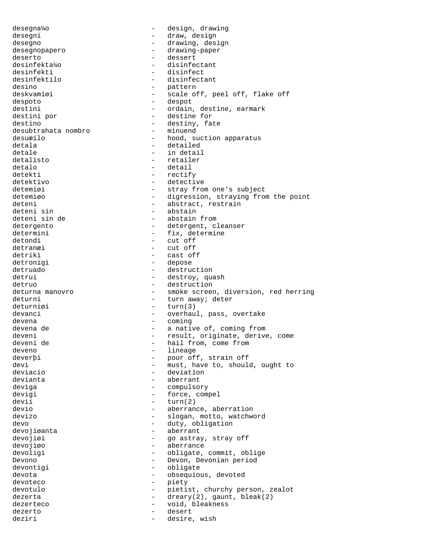desegna¼o - design, drawing desegni - draw, design desegno - drawing, design desegnopapero - drawing-paper deserto - dessert<br>desinfekta¼o - disinfe disinfectant desinfekti - disinfect desinfektilo  $\overline{\phantom{a}}$  - disinfectant desino - pattern deskvamiøi - scale off, peel off, flake off despoto - despot destini - ordain, destine, earmark destini por  $-$  destine for destino - destiny, fate<br>desubtrahata nombro - minuend - minuend desubtrahata nombro desuæilo - hood, suction apparatus detala - detailed detale  $-$  in detail detalisto - retailer detalo - detail detekti - rectify<br>detektivo - rectify<br>- detecti - detective detemiøi - stray from one's subject detemiøo - digression, straying from the point deteni - abstract, restrain<br>deteni sin - abstain<br>- abstain - abstain deteni sin de  $-$  abstain from detergento  $-$  detergent, cleanser determini - fix, determine detondi - cut off detranæi - cut off detriki - cast off<br>detroniqi - depose detronigi - depose - destruction detrui - destroy, quash detruo  $-$  destruction deturna manovro - smoke screen, diversion, red herring deturni - turn away; deter deturniøi - turn(3) devanci entry the contract overhaul, pass, overtake devena - coming - coming devena de  $-$  a native of, coming from deveni - result, originate, derive, come - hail from, come from deveno - lineage deverþi - pour off, strain off<br>
devi - must have to should devi - must, have to, should, ought to<br>deviacio - deviation - deviation devianta  $\qquad \qquad -$  aberrant deviga - compulsory devigi  $-$  force, compel devii - turn(2) devio - aberrance, aberration<br>devizo - aberration<br>- alogan, motto, watchw - slogan, motto, watchword devo devo - duty, obligation devojiøanta - aberrant devojiøi - go astray, stray off devojiøo - aberrance - obligate, commit, oblige Devono - Devon, Devonian period devontigi - obligate devota - obsequious, devoted devoteco - piety devotulo - pietist, churchy person, zealot<br>dezerta - drearv(2) caunt hleak(2) dezerta - dreary(2), gaunt, bleak(2) dezerteco - void, bleakness dezerto - desert deziri - desire, wish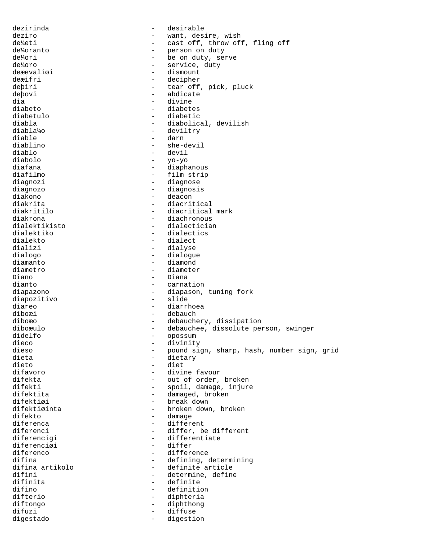dezirinda - desirable deziro - want, desire, wish de<sup>y</sup>/eti - cast off, throw off, fling off de¼oranto - person on duty de¼ori - be on duty, serve - service, duty<br>- dismount deæevaliøi<br>deæifri deæifri - decipher - tear off, pick, pluck deþovi - abdicate dia divine divine di altre divine di altre divine di altre di altre di altre di altre di altre di altre di alt<br>di altre di altre di altre di altre di altre di altre di altre di altre di altre di altre di altre di altre di diabeto - diabetes - diabetic diabla - diabolical, devilish diabla¼o - deviltry diable - darn diablino - she-devil diablo - devil diabolo - yo-yo diafana - diaphanous diafilmo - film strip<br>diagnozi - diagnose - diagnose - diagnose diagnozo - diagnosis diakono - deacon diakrita - diacritical - diacritical mark diakrona - diachronous dialektikisto - dialectician dialektiko - dialectics<br>dialekto - dialect dialekto - dialect dializi - dialyse<br>dialogo - dialogue - dialogue dialogo - dialogue diamanto - diamond - diameter Diano - Diana<br>dianto - Carnat - carnation diapazono - diapason, tuning fork<br>diapozitivo - slide - slide diapozitivo diareo - diarrhoea diboæi - debauch diboæo - debauchery, dissipation diboæulo - debauchee, dissolute person, swinger didelfo - opossum dieco - divinity dieso - pound sign, sharp, hash, number sign, grid<br>dieta - dietary - dietary dieta - dietary - diet difavoro - divine favour difekta - out of order, broken<br>difekti - spoil.damage.injure - spoil, damage, injure difektita  $-$  damaged, broken difektiøi - break down difektiøinta - broken down, broken difekto difekto - damage diferenca - different diferenci - differ, be different diferencial contracts and different different different different at  $\frac{1}{2}$  - differentiate - differentiate<br>- differ diferenciøi<br>diferenco diferenco - difference<br>difina - defining contracts - defining contracts difina - defining, determining difina artikolo  $\begin{array}{ccc} - & \text{definite article} \\ - & \text{definite article} \end{array}$ difini - determine, define<br>difinita - definite - definite - definite difino - definition difterio - diphteria diftongo - diphthong difuzi - diffuse<br>digestado - digestido - digestido digestado - digestion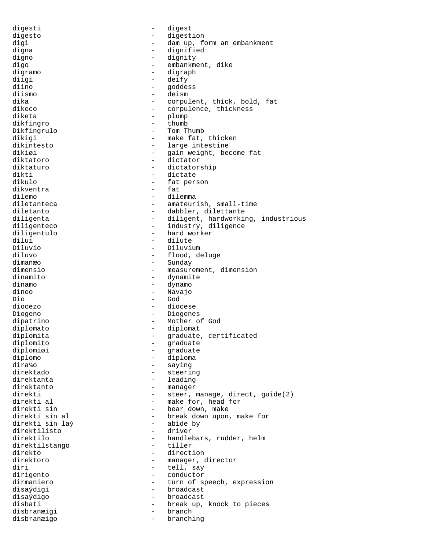digesti - digest digesto - digestion<br>digi digi - dam up, form an embankment digna - dignified digno - dignity<br>digo - dignity - dignity digo - embankment, dike<br>digramo - digramo - digramo digramo - digraph - digraph - digraph - digraph - digraph - digraph - digraph - digraph - digraph - digraph - digraph - digraph - digraph - digraph - digraph - digraph - digraph - digraph - digraph - digraph - digraph - di diigi - deify goddess diismo - deism dika - corpulent, thick, bold, fat<br>dikeco - corpulence, thickness - corpulence, thickness diketa - plump dikfingro - thumb Dikfingrulo - Tom Thumb dikigi  $-$  make fat, thicken dikintesto - large intestine dikiøi - gain weight, become fat<br>diktatoro - - - - - - - dictator diktatoro - dictator diktaturo - dictatorship dikti - dictate - fat person<br>- fat dikventra<br>dilemo - dilemma diletanteca - amateurish, small-time diletanto - dabbler, dilettante diligenta - diligent, hardworking, industrious diligenteco - industry, diligence<br>diligentulo - hard worker diligentulo - hard worker<br>dilui - dilute dilui - dilute Diluvio - Diluvium diluvo - flood, deluge dimanæo - Sunday dimensio - measurement, dimension - dynamite dinamo - dynamo dineo - Navajo<br>Dio - God Dio - God diocezo - diocese Diogeno - Diogenes dipatrino - Mother of God diplomato - diplomat diplomita  $-$  graduate, certificated diplomito - graduate diplomiøi - graduate diplomo - diploma - saying direktado - steering direktanta - leading direktanto - manager direkti - steer, manage, direct, guide(2)<br>direkti al - make for, head for direkti al  $\qquad \qquad \qquad -$  make for, head for direkti sin direkti sin - bear down, make - break down upon, make for<br>- abide by direkti sin laý - abide by direktilisto - driver direktilo - handlebars, rudder, helm direktilstango<br>direkto direkto - direction<br>direktoro - manager, e - manager, director diri - tell, say dirigento - conductor dirmaniero - turn of speech, expression disaýdigi - broadcast disaýdigo - broadcast disbati - break up, knock to pieces disbranæigi - branch disbranæigo - branching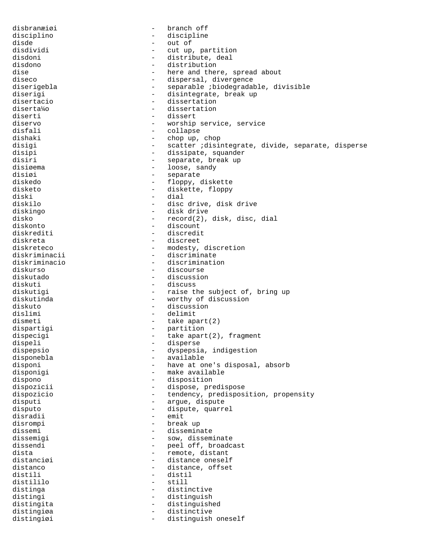disbranæiøi - branch off disciplino - discipline disde - out of<br>disdividi - cut up, disdividi - cut up, partition disdoni - distribute, deal<br>disdono - distribution - distribution disdono - distribution<br>dise - distribution<br>- here and the dise - here and there, spread about<br>diseco - here and there, spread about<br>diseco - dispersal, divergence diseco - dispersal, divergence<br>diserigebla - dispersal, divergence<br>- separable *i*biodegrada - separable ;biodegradable, divisible diserigi - disintegrate, break up<br>disertacio - dissertation disertacio  $\overline{a}$  - dissertation<br>diserta<sup>1</sup>40 - dissertation diserta¼o - dissertation<br>diserti - dissert diserti - dissert diservo - worship service, service disfali - collapse dishaki - chop up, chop disigi - scatter ;disintegrate, divide, separate, disperse disipi - dissipate, squander disiri - separate, break up disiøema - loose, sandy<br>disiøi - loose, sandy<br>- separate disiøi - separate<br>diskedo - - floppy. diskedo - floppy, diskette<br>disketo - floppy, diskette, floppy disketo - diskette, floppy<br>diski - dial - dial diski - dial<br>diskilo - dial - disc - disc drive, disk drive diskingo - disk drive disko  $-$  record(2), disk, disc, dial diskonto - discount diskrediti - discredit diskreta - discreet diskreteco - modesty, discretion<br>diskriminacii - discriminate diskriminacii - discriminate<br>diskriminacio - discriminatio diskriminacio - discrimination<br>diskurso - discourse diskurso - discourse diskutado - discussion diskuti - discuss<br>diskutigi - raise tl diskutigi - raise the subject of, bring up - worthy of discussion diskuto - discussion dislimi - delimit dismeti - take apart(2) dispartigi - partition<br>dispecigi - take apart dispecigi - take apart(2), fragment<br>dispeli - disperse dispeli - disperse<br>dispepsio - disperse dispepsio - dyspepsia, indigestion disponebla - available - have at one's disposal, absorb disponigi  $-$  make available dispono - disposition dispozicii  $-$  dispose, predispose dispozicio - tendency, predisposition, propensity disputi - argue, dispute disputo  $-$  dispute, quarrel disradii - emit disrompi - break up dissemi - disseminate<br>dissemiqi - sow, dissem dissemigi - sow, disseminate<br>dissendi - eel off, broadc dissendi<br>dista<br>dista<br>dista<br>distant<br>distant dista - remote, distant - distance oneself distanco - distance, offset<br>distili - distil distili - distil<br>distililo - still - still - still distinga  $-$  distinctive distingi - distinguish distingita - distinguished distingiøa - distinctive distingiøi - distinguish oneself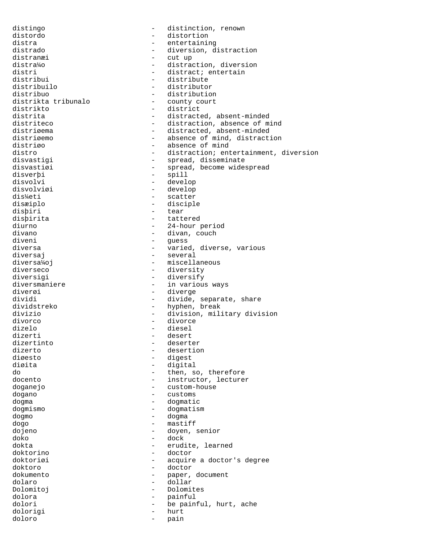distingo - distinction, renown distordo - distortion distra - entertaining distrado  $\begin{array}{ccc}\n\text{distrado} & - & \text{diversion, distortion} \\
\text{distran} & - & \text{cut up}\n\end{array}$ distranæi - cut up distra¼o - distraction, diversion<br>distri - distract; entertain distri - distract; entertain<br>distribui - distribute - distribute distribui - distribute<br>distribuilo - distributor - distributor distribuilo - distributor - distribution<br>- county court distrikta tribunalo<br>distrikto distrikto - district distrita - distracted, absent-minded<br>distriteco - distraction, absence of m - distraction, absence of mind distriøema - distracted, absent-minded distriøemo - absence of mind, distraction<br>distriøe - absence of mind distriøo - absence of mind<br>distro - - distraction; ent distro - distraction; entertainment, diversion<br>disvastigi - spread, disseminate disvastigi - spread, disseminate<br>disvastigi - spread, become wide: disvastiøi - spread, become widespread<br>disverbi - spill - spill disverþi - spill disvolvi - develop<br>disvolviøi - develop<br>- develop disvolviøi - develop<br>dis½eti - scatter - scatter disæiplo - disciple disþiri - tear disþirita - tattered diurno - 24-hour period<br>divano - 24-hour period divano - divano - divan, couch diveni - divano - divano - divano - divano - divano - divano - divano - divano - divano - divano - divano - divano - divano - divano - divano - divano - divano - divano - divano - divano - di diveni - guess - varied, diverse, various diversaj - several diversa¼oj<br>diverseco - miscellaneous<br>diverseco - diversity diverseco - diversity<br>diversigi - diversify - diversify - diversify diversmaniere - in various ways<br>divergi diverøi - diverge - divide, separate, share dividstreko - hyphen, break divizio - division, military division divorco - divorce dizelo - diesel dizerti - desert dizertinto - deserter dizerto  $\frac{1}{2}$  desertion divesto  $\frac{1}{2}$  desertion divesto  $\frac{1}{2}$  desertion diøesto - digest - digital do  $-$  then, so, therefore docento  $\qquad \qquad -$  instructor, lecturer doganejo - custom-house dogano - customs dogma - dogmatic dogmismo - dogmatism dogmo - dogma dogo - mastiff dojeno - doyen, senior doko - dock dokta - erudite, learned<br>doktorino - erudite, learned - doctor doktoriøi - acquire a doctor's degree doktoro - doctor dokumento  $-$  paper, document dolaro - dollar Dolomitoj - Dolomites dolora - painful dolori - be painful, hurt, ache<br>dolorigi - hurt - hurt dolorigi doloro - pain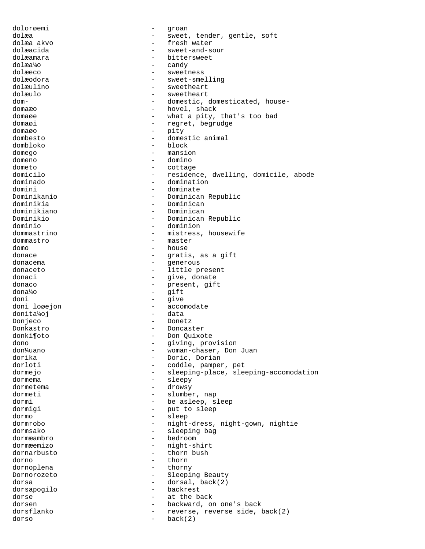dolorøemi - groan dolæa - sweet, tender, gentle, soft dolæa akvo  $-$  fresh water dolæacida - sweet-and-sour dolæamara - bittersweet dolæa¼o - candy dolæeco - sweetness<br>dolæodora - sweet-sme dolæodora - sweet-smelling<br>dolæulino - sweetheart - sweetheart dolæulo - sweetheart dom-  $\qquad \qquad -$  domestic, domesticated, housedomaæo - hovel, shack domaøe - what a pity, that's too bad domaøi - regret, begrudge domaøo - pity dombesto - domestic animal dombloko - block domego - mansion<br>domeno - domino - domino domeno - domino - domino - domino - domino - domino - domino - domino - domino - domino - domino - domino - domino - domino - domino - domino - domino - domino - domino - domino - domino - domino - domino - domino - domino dometo - cottage domicilo  $-$  residence, dwelling, domicile, abode<br>dominado  $-$  domination dominado - domination domini - dominate - Dominican Republic dominikia - Dominican dominikiano - Dominican Dominikio - Dominican Republic dominio - dominion dommastrino - mistress, housewife dommastro - master dommastro - mastero - mastero - mastero - mastero - mastero - mastero - mastero - mastero - mastero - mastero - mastero - mastero - mastero - mastero - mastero - mastero - mastero - mastero - mastero - mastero - mastero domo - house donace - house - house - house - house - house - house - house - house - house - house - house - - gratis, as a gift<br>- generous donacema - generous donaceto - little present donaci donaci e control donate donate donate donate donate donate donate donate donate donate donate donate do donaco - present, gift<br>dona<sup>1</sup>/0 - aift<br>aift dona¼o - gift doni - give doni loøejon en en accomodate donita¼oj - data Donjeco - Donetz Donkastro - Doncaster donki¶oto - Don Quixote dono - giving, provision woman-chaser, Don Juan dorika - Doric, Dorian - coddle, pamper, pet dormejo - sleeping-place, sleeping-accomodation<br>dormema - sleeping-place, sleeping-accomodation dormema - sleepy<br>dormetema - drowsv dormetema - drowsy dormeti - slumber, nap dormi - be asleep, sleep dormigi - put to sleep dormo - sleep dormrobo - night-dress, night-gown, nightie dormsako - sleeping bag<br>dormæambro - bedroom - bedroom dormæambro - bedroom dormæemizo - night-shirt<br>dornarbusto - thorn bush dornarbusto - thorn bushes - thorn bushes - thorn bushes - thorn bushes - thorn bushes - thorn bushes - thorn bushes - thorn bushes - thorn bushes - thorn bushes - thorn bushes - thorn bushes - thorn bushes - thorn bushes dorno - thorn<br>dornoplena - thorno - thorno dornoplena - thorny Dornorozeto - Sleeping Beauty<br>dorsa - dorsal back(2) dorsa  $-$  dorsal, back(2) dorsapogilo - backrest dorse - at the back - backward, on one's back dorsflanko - reverse, reverse side, back(2) dorso - back(2)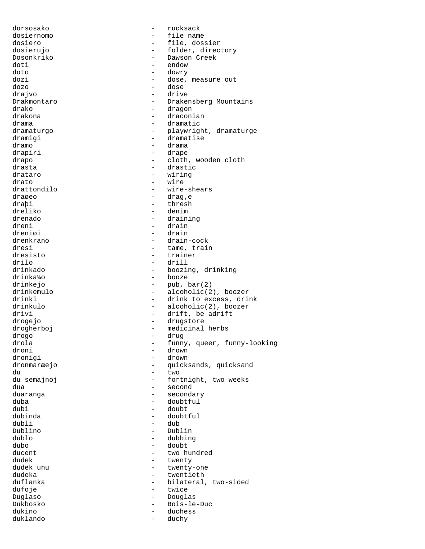dorsosako - rucksack dosiernomo - file name dosiero - file, dossier dosierujo  $-$  folder, directory Dosonkriko - Dawson Creek doti - endow<br>doto - downy doto - dowry dozi - dose, measure out dozo - dose drajvo - drive Drakmontaro - Drakensberg Mountains<br>
drako - dragon<br>
- dragon drako - dragon - draconian drama - dramatic dramaturgo  $-$  playwright, dramaturge dramigi - dramatise dramo - drama drapiri - drape drapo - cloth, wooden cloth<br>drasta - cloth, wooden cloth<br>- drastic drasta - drastic drataro - wiring<br>drato - wire - wire drato - wire<br>drattondilo - wire drattondilo - wire-shears<br>drageo - drag.e draøeo - drag'e draþi - thresh - thresh - thresh - thresh - thresh - thresh - thresh - thresh - thresh - thresh - thresh - thresh - thresh - thresh - thresh - thresh - thresh - thresh - thresh - thresh - thresh - thresh - thresh - thresh - denim drenado - draining dreni - drain dreniøi - drain - drain - drain - drain - drain - drain - drain - drain - drain - drain - drain - drain - drain drenkrano - drain-cock dresi - tame, train<br>dresisto - trainer - trainer dresisto - trainer drilo - drill drinkado - boozing, drinking drinka¼o - booze drinkejo - pub, bar(2)<br>drinkemulo - alcoholic(2) drinkemulo - alcoholic(2), boozer<br>drinki - drink to excess, drin - drink to excess, drink drinkulo - alcoholic(2), boozer drivi - drift, be adrift drogejo - drugstore drogherboj - medicinal herbs drogo - drug drola - funny, queer, funny-looking<br>droni - drown droni - drown - drown - drown - drown - drown - drown - drown - drown - drown - drown - drown - drown - drown - drown - drown - drown - drown - drown - drown - drown - drown - drown - drown - drown - drown - drown - drown dronigi - drown - quicksands, quicksand du - two du semajnoj  $-$  fortnight, two weeks dua - second duaranga - secondary - secondary duba - doubtful dubi - doubt - doubt - doubt - doubt - doubt - doubt - doubt - doubt - doubt - doubt - doubt - doubt - doubt dubinda - doubtful dubli - dub Dublino - Dublin dublo - dubbing dubo - doubt ducent - two hundred dudek - twenty - twenty - twenty - twenty - twenty - twenty - twenty - twenty - twenty - twenty - twenty - twenty - twenty - twenty - twenty - twenty - twenty - twenty - twenty - twenty - twenty - twenty - twenty - twenty - twenty-one dudeka - twentieth<br>duflanka - twentieth - twentieth - bilateral, two-sided dufoje - twice Duglaso - Douglas Dukbosko - Bois-le-Duc - duchess duklando - duchy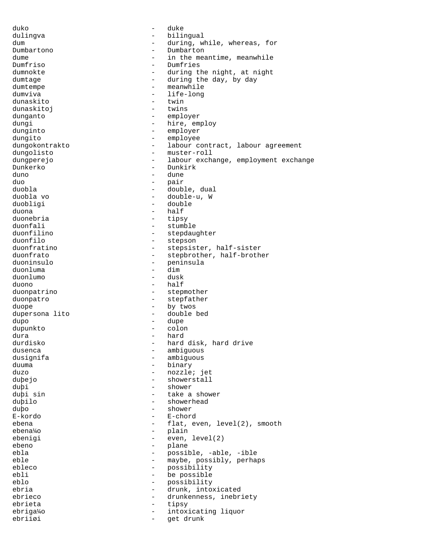duko - duke - duke - duke dulingva - bilingual dum  $\qquad \qquad -$  during, while, whereas, for Dumbartono - Dumbartono - Dumbartono - Dumbartono - Dumbartono - Dumbartono - Dumbartono - Dumbartono - Dumbartono - Dumbartono - Dumbartono - Dumbartono - Dumbartono - Dumbartono - Dumbartono - Dumbartono - Dumbartono - D dume - in the meantime, meanwhile<br>
Dumfriso - Dumfries Dumfriso - Dumfries dumnokte - during the night, at night dumtage  $\qquad \qquad -$  during the day, by day dumtempe - meanwhile<br>dumviva - life-long dumviva - life-long dunaskito - twin dunaskitoj dunganto - employer dungi - hire, employ dunginto - employer dungito - employee dungokontrakto - labour contract, labour agreement dungolisto - muster-roll dungperejo - labour exchange, employment exchange Dunkerko - Dunkirk duno - dune<br>duo - mair duo - pair duobla - double, dual - double-u, W duobligi - double duona - half duonebria - tipsy duonfali - stumble<br>duonfilino - stepdau duonfilino - stepdaughter<br>duonfilo - stepson - stepson duonfilo - stepson - stepson duonfratino - stepsist duonfratino  $\begin{array}{ccc} - & \text{stepsister}, \text{ half-sister} \\ - & \text{stepbrother}, \text{ half-broth} \end{array}$ duonfrato - stepbrother, half-brother<br>duoninsulo - eninsula - peninsula<br>- dim duonluma - dim duonlumo duono - half duonpatrino - stepmother duonpatro - stepfather duope - by twos dupersona lito - double bed<br>dupo - dupe dupo - dupe dupunkto - colon dura - hard - hard disk, hard drive dusenca - ambiguous dusignifa - ambiguous<br>duuma - ambiguous - ambiguous - binary duzo - nozzle; jet duþejo - showerstall duþi - shower duþi sin - take a shower duþilo - showerhead duþo - shower - shower - shower - shower - shower - shower - shower - shower - shower - shower - shower - shower - shower - shower - shower - shower - shower - shower - shower - shower - shower - shower - shower - shower -- E-chord<br>- flat e ebena  $-\text{flat}, \text{even}, \text{level}(2), \text{smooth}$ ebena¼o - plain ebenigi - even, level(2) ebeno - plane - plane - plane - plane - plane - plane - plane - plane - plane - plane - plane - plane - plane - plane - plane - plane - plane - plane - plane - plane - plane - plane - plane - plane - plane - plane - plane possible, -able, -ible eble  $\qquad \qquad -$  maybe, possibly, perhaps ebleco - possibility<br>
ebli - possible<br>
- be possible ebli - be possible possibility ebria  $-$  drunk, intoxicated ebrieco - arunkenness, inebriety - arunkenness, inebriety ebrieta - tipsy ebriga¼o - intoxicating liquor ebriiøi - get drunk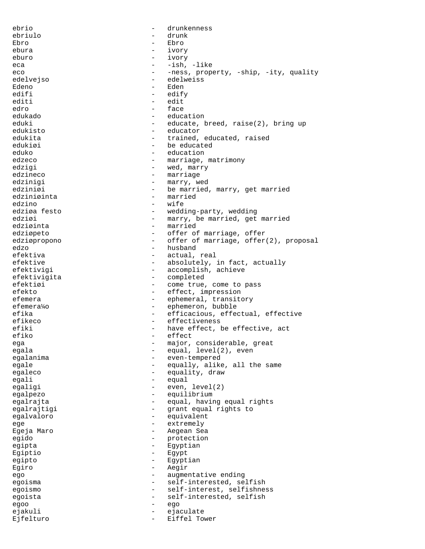ebrio - drunkenness ebriulo - drunk Ebro - Ebro - Ebro ebura - ivory eburo - ivory eca - -ish, -like eco - -ness, property, -ship, -ity, quality<br>edelvejso - edelweiss edelvejso - edelweiss - Eden<br>- edify edifi - edify<br>editi - edity<br>editi - edit editi - edit edro - face edukado - education eduki - educate, breed, raise(2), bring up edukisto - educator<br>edukita - trained edukita - trained, educated, raised edukiøi - be educated eduko - education<br>edzeco - education<br>edzeco - marriage edzeco - marriage, matrimony<br>edzigi - marry - wed.marry edzigi  $-$  wed, marry edzineco  $-$  marriage edzinigi  $-$  marry, wed edziniøi - be married, marry, get married edziniøinta - married<br>
edzino - vife edzino - wife - wedding-party, wedding edziøi  $-$  marry, be married, get married edziøinta - married edziøpeto - offer of marriage, offer edziøpropono  $\overline{a}$  - offer of marriage, offer(2), proposal<br>edzo edzo - husband actual, real efektive  $-$  absolutely, in fact, actually<br>efektivigi  $-$  accomplish, achieve - accomplish, achieve efektivigita - completed efektiøi - come true, come to pass efekto - effect, impression efemera - ephemeral, transitory efemera¼o - ephemeron, bubble efika - efficacious, effectual, effective - efficacious, effectual, effective efikeco - effectiveness - have effect, be effective, act efiko - effect<br>ega - major ega - major, considerable, great<br>egala - egual.level(2).even egala - equal, level(2), even<br>exalarima egalanima - even-tempered egale  $\qquad \qquad -$  equally, alike, all the same egaleco - equality, draw<br>equali egali - equal egaligi - even, level(2) egalpezo - equilibrium egalrajta - equal, having equal rights<br>eqalrajtiqi - equal rights to egalrajtigi - grant equal rights to egalvaloro - equivalent ege - extremely<br>Egeia Maro - extremely Egeja Maro - Aegean Sea egido - protection egipta - Egyptian Egiptio - Egypt egipto - Egyptian Egiro - Aegir ego - augmentative ending egoisma - self-interested, selfish egoismo - self-interest, selfishness egoista - self-interested, selfish egoo - ego ejakuli - ejaculate Ejfelturo - Eiffel Tower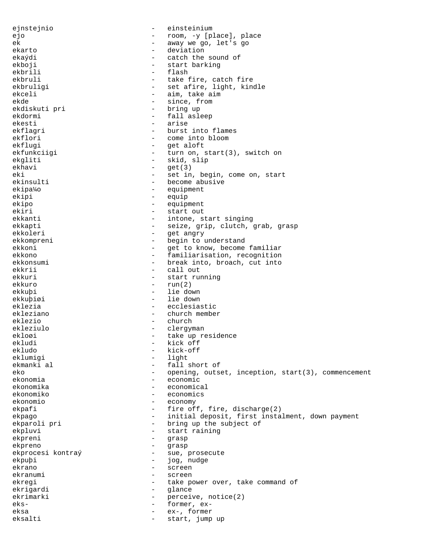ejnstejnio - einsteinium ejo - room, -y [place], place ek - away we go, let's go ekarto - deviation ekaýdi - catch the sound of<br>ekboji - catch the sound of ekboji - start barking ekbrili - flash - flash - flash - flash - flash - flash - flash - flash - flash - flash - flash - flash - flash ekbruli - take fire, catch fire<br>ekbruligi - set afire, light, kin - set afire, light, kindle ekceli - aim, take aim ekde - since, from<br>ekdiskuti pri - bring up - bring up ekdormi - fall asleep ekesti - arise ekflagri - burst into flames<br>ekflori - come into bloom - come into bloom ekflugi - get aloft ekfunkciigi - turn on, start(3), switch on ekgliti - skid, slip<br>ekhavi - skid, slip<br>- qet(3)  $-$  get(3) eki - set in, begin, come on, start<br>ekinsulti - become abusive - become abusive ekipa¼o - equipment ekipi - equip ekipo - equipment ekiri - start out ekkanti - intone, start singing ekkapti - seize, grip, clutch, grab, grasp<br>ekkoleri - set angry ekkoleri - get angry ekkompreni - begin to understand ekkoni - get to know, become familiar<br>ekkono ekkono - familiarisation, recognition<br>ekkonsumi - - - - - - - break into, broach, cut into ekkonsumi - break into, broach, cut into<br>ekkrij - call out ekkuri - start running ekkuro - run(2) ekkuþi - lie down ekkuþiøi - lie down eklezia - ecclesiastic ekleziano - church member eklezio - church ekleziulo - clergyman<br>eklogi - take up re ekloøi - take up residence<br>ekludi - take up residence ekludi - kick off<br>ekludo - kick-off ekludo - kick-off<br>eklumiqi - light - light eklumigi - light - fall short of eko - opening, outset, inception, start(3), commencement<br>ekonomia ekonomia - economic ekonomika - economical ekonomiko - economics ekonomio - economy ekpafi - fire off, fire, discharge(2) ekpago - initial deposit, first instalment, down payment ekparoli pri - bring up the subject of ekpluvi - start raining<br>ekpreni - start raining ekpreni - grasp ekpreno - grasp - sue, prosecute ekpuþi - jog, nudge ekrano - screen ekranumi - screen ekregi  $-$  take power over, take command of ekrigardi - glance ekrimarki - perceive, notice(2)<br>eks- - former, exeks- exeksa - ex-, former eksalti - start, jump up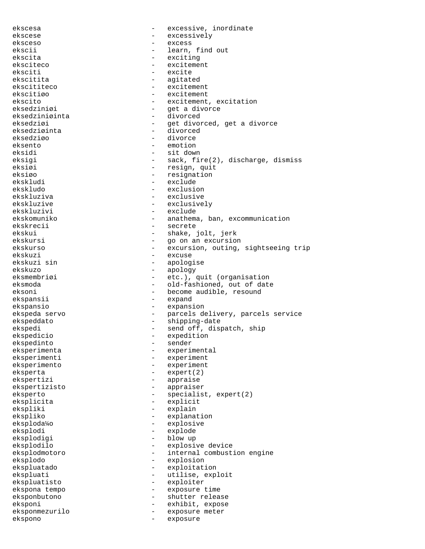ekscesa - excessive, inordinate ekscese - excessively eksceso - excess - learn, find out ekscita - exciting eksciteco - excitement<br>eksciti - excite eksciti - excite<br>ekscitita - excite - excite ekscitita - agitated - excitement ekscitiøo - excitement ekscito - excitement, excitation<br>eksedziniøi - et a divorce - get a divorce<br>- divorced eksedziniøinta eksedziøi - get divorced, get a divorce eksedziøinta - divorced eksedziøo eksento - emotion eksidi - sit down<br>eksigi - sack fi eksigi - sack, fire(2), discharge, dismiss<br>eksiøi - resign, quit eksiøi - resign, quit<br>eksiøo - resignation - resignation eksiøo - resignation<br>ekskludi - resignation - resignation - exclude ekskludo - exclusion ekskluziva - exclusive ekskluzive - exclusively ekskluzivi - exclude ekskomuniko - anathema, ban, excommunication ekskrecii - secrete ekskui - shake, jolt, jerk ekskursi - go on an excursion ekskurso - excursion, outing, sightseeing trip ekskuzi - excuse - excuse - excuse - excuse - excuse - excuse - excuse - excuse - excuse - excuse - excuse - excuse - excuse - excuse - excuse - excuse - excuse - excuse - excuse - excuse - excuse - excuse - excuse - excus ekskuzi sin - apologise - apology eksmembriøi - etc.), quit (organisation eksmoda - old-fashioned, out of date eksoni - become audible, resound ekspansii - expand ekspansio - expansion ekspeda servo - parcels delivery, parcels service ekspeddato - shipping-date ekspedi - send off, dispatch, ship<br>ekspedicio - expedition - expedition<br>- sender ekspedinto<br>eksperimenta - experimental eksperimenti - experiment<br>eksperimento - experiment - experiment eksperta - expert(2) ekspertizi - appraise<br>ekspertizisto - appraiser ekspertizisto – approximation – approximation – approximation – approximation – approximation – approximation – eksperto - specialist, expert(2) eksplicita - explicit ekspliki - explain ekspliko - explanation<br>eksploda¼o - explosive eksploda¼o - explosive eksplodi - explode eksplodigi - blow up = blow up = blow up = blow up = blow up = blow up = blow up = blow up = blow up = blow up = blow up = blow up = blow up = blow up = blow up = blow up = blow up = blow up = blow up = blow up = blow up = eksplodilo - explosive device - internal combustion engine eksplodo - explosion ekspluatado - exploitation ekspluati - utilise, exploit ekspluatisto - exploiter ekspona tempo - exposure time eksponbutono - shutter release<br>eksponi - shutter release eksponi - exhibit, expose eksponmezurilo - exposure meter ekspono - exposure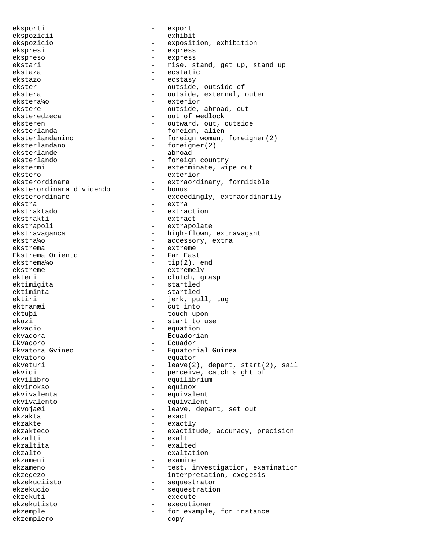eksporti - export ekspozicii - exhibit ekspozicio - exposition, exhibition ekspresi - express ekspreso - express ekstari - rise, stand, get up, stand up ekstaza – ecstatic<br>ekstazo – ecstatic ekstazo - ecstasy ekster - outside, outside of ekstera  $-$  outside, external, outer ekstera¼o - exterior ekstere  $\qquad \qquad -$  outside, abroad, out eksteredzeca - out of wedlock eksteren  $-$  outward, out, outside eksterlanda - foreign, alien<br>eksterlandanino - foreign woman, eksterlandanino - foreign woman, foreigner(2)<br>eksterlandano - foreigner(2) - foreigner(2)<br>- abroad eksterlande<br>eksterlando - foreign country ekstermi - exterminate, wipe out ekstero - exterior<br>eksterordinara - extraord: - extraordinary, formidable<br>- honus eksterordinara dividendo<br>eksterordinare - exceedingly, extraordinarily ekstra - extra - extraction ekstrakti - extract ekstrapoli - extrapolate ekstravaganca - high-flown, extravagant ekstra¼o - accessory, extra ekstrema - extreme Ekstrema Oriento ekstrema¼o - tip(2), end - extremely ekteni - clutch, grasp ektimigita - startled ektiminta - startled ektiri - jerk, pull, tug ektranæi - cut into ektuþi - touch upon ekuzi - start to use ekvacio - equation ekvadora - Ecuadorian Ekvadoro - Ecuador Ekvatora Gvineo - equatorial Guinea<br>ekvatoro - - equator ekvatoro - equator ekveturi - leave(2), depart, start(2), sail<br>ekvidi - perceive, catch sight of ekvidi - perceive, catch sight of<br>
exvilibro - equilibrium<br>
- equilibrium equilibrium ekvinokso - equinox ekvivalenta - equivalent ekvivalento - equivalent ekvojaøi - leave, depart, set out ekzakta - exact ekzakte - exactly<br>ekzakteco - exactitude - exactitude ekzakteco - exactitude, accuracy, precision<br>ekzalti ekzalti - exalt - exalt - exalt - exalted ekzaltita<br>ekzalto - exaltation ekzameni - examine ekzameno - test, investigation, examination ekzegezo - interpretation, exegesis ekzekuciisto - sequestrator ekzekucio - sequestration ekzekuti - execute ekzekutisto - executioner ekzemple  $-$  for example, for instance ekzemplero - copy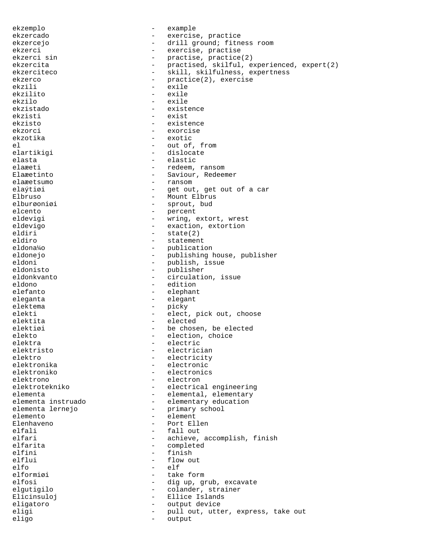ekzemplo - example ekzercado - exercise, practice ekzercejo - - drill ground; fitness room ekzerci - exercise, practise<br>ekzerci sin - exercise, practice ekzerci sin - practise, practice(2) ekzercita - practised, skilful, experienced, expert(2)<br>ekzerciteco - skill, skilfulness, expertness ekzerciteco - skill, skilfulness, expertness<br>ekzerco - practice(2), exercise ekzerco - practice(2), exercise<br>ekzili - exile - exile - exile<br>- exile ekzilito<br>ekzilo ekzilo - exile ekzistado - existence ekzisti - exist ekzisto - existence ekzorci - exorcise ekzotika - exotic - out of, from elartikigi - dislocate elasta - elastic elaæeti - redeem, ransom<br>Elaæetinto - redeem, ransom - redeem, ransom Elaæetinto - Saviour, Redeemer - ransom elaýtiøi  $-$  get out, get out of a car Elbruso - Mount Elbrus<br>
elburgonigi - Sprout, bud elburøoniøi - sprout, bud<br>elcento - percent elcento - percent<br>eldevigi - wring, e - wring, extort, wrest eldevigo - exaction, extortion<br>eldiri - state(2) eldiri - state(2)<br>eldiro - statemen eldiro - statement eldona¼o - publication eldonejo - publishing house, publisher eldoni - publish, issue eldonisto - publisher eldonkvanto - circulation, issue<br>eldono - edition eldono - edition - edition<br>elefanto - elephant - elephant eleganta - elegant elektema - picky elekti - elect, pick out, choose elektita - elected elektiøi - be chosen, be elected elekto - election, choice<br>elektra - electric elektra - electric elektristo - electrician elektro - electricity<br>elektronika - electronic elektronika - electronic - electronics elektrono - electrono - electrono - electrono - electrono - electrica - electrical engineering elementa - elemental, elementary elementa instruado  $\qquad \qquad -$  elementary education<br>elementa lernejo  $\qquad \qquad -$  primary school element<br>
- element elemento - element Elenhaveno - Port Ellen elfali - fall out elfari - fall out - fall out - fall out - fall out - fall out - fall out - fall out - fall out - fall out - fall out - fall out - fall out - fall out - fall out - fall out - fall out - fall out - fall out elfari - achieve, accomplish, finish<br>elfarita - completed elfarita - completed elfini - finish<br>elflui - flow of elflui - flow out<br>elfo - elf elfo - elf<br>elformiøi - take elformiøi - take form - dig up, grub, excavate elgutigilo  $\qquad \qquad -$  colander, strainer Elicinsuloj - Ellice Islands eligatoro - output device eligi - pull out, utter, express, take out eligo - output - output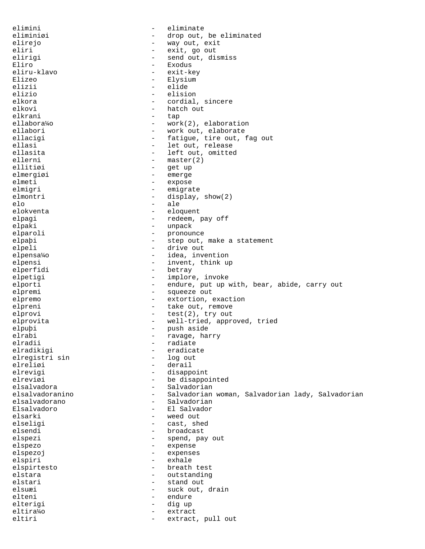elimini - eliminate eliminiøi - drop out, be eliminated elirejo  $-$  way out, exit eliri<br>
eliriqi - exit, go out<br>
eliriqi - send out, di elirigi - send out, dismiss<br>Eliro - - - - - - - Exodus - Exodus<br>- exit-key eliru-klavo<br>Elizeo Elizeo - Elysium - Elysium - Elysium - Elysium - Elysium - Elysium - Elysium - Elysium - Elysium - Elysium - Elysium - Elysium - Elysium - Elysium - Elysium - Elysium - Elysium - Elysium - Elysium - Elysium - Elysium - Ely elizii - elide<br>elizio - elisio - elisio - elision elkora - cordial, sincere elkovi - hatch out - tap ellabora¼o - work(2), elaboration ellabori - work out, elaborate<br>
ellacigi - fatigue, tire out, : ellacigi - fatigue, tire out, fag out<br>ellasi - let out, release ellasi - let out, release ellasita - left out, omitted<br>ellerni - master(2)  $-$  master(2)<br> $-$  get up ellitiøi - get up elmergiøi - emerge<br>elmeti - expose - expose elmigri - emigrate elmontri - display, show(2) elo - ale - eloquent elpagi - redeem, pay off elpaki - unpack elparoli - pronounce elpaþi - step out, make a statement elpeli - drive out elpensa¼o - idea, invention elpensi - invent, think up<br>elperfidi - betray - betray - betray elpetigi  $-$  implore, invoke elporti - endure, put up with, bear, abide, carry out elpremi - squeeze out elpremo - extortion, exaction elpreni - take out, remove elprovi - test(2), try out elprovita - well-tried, approved, tried elpuþi - push aside elrabi - ravage, harry elradii - radiate<br>elradikigi - radiate - radiate elradikigi - eradicate elregistri sin<br>elreliøi - derail elrevigi - disappoint elreviøi - be disappointed elsalvadora - Salvadorian elsalvadoranino <br />
- Salvadorian woman, Salvadorian lady, Salvadorian elsalvadorano  $-$  Salvadorian Elsalvadoro - El Salvador elsarki - weed out elseligi - cast, shed elsendi - broadcast<br>elspezi - spend, pa - spend, pay out elspezo - expense elspezoj - expenses elspiri - exhale elspirtesto - breath test elstara - outstanding elstari - stand out elsuæi - suck out, drain elteni - endure elterigi - dig up eltira¼o - extract eltiri - extract, pull out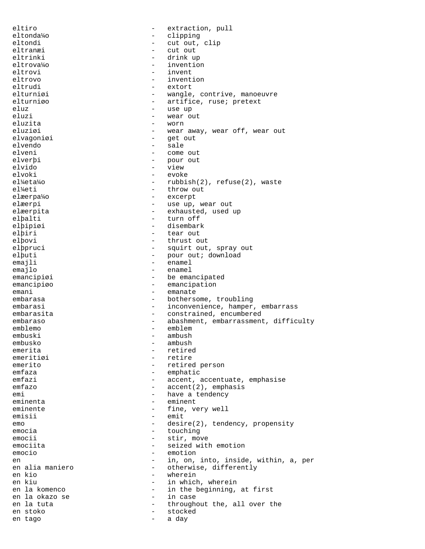eltiro  $-$  extraction, pull eltonda¼o - clipping eltondi - cut out, clip eltranæi - cut out eltrinki - drink up eltrova¼o - invention eltrovi - invent<br>eltrovo - invent eltrovo - invention eltrudi - extort elturniøi - wangle, contrive, manoeuvre<br>elturniøo - artifice, ruse; pretext - artifice, ruse; pretext eluz - use up - wear out eluzita - worn eluziøi - wear away, wear off, wear out elvagoniøi - get out elvendo - sale come out elverþi - pour out elvido<br>elvoki elvoki - evoke el¼eta¼o - rubbish(2), refuse(2), waste<br>el¼eti - throw out - throw out elæerpa¼o - excerpt elæerpi - use up, wear out elæerpita - exhausted, used up elþalti - turn off elþipiøi - disembark elþiri - tear out elþovi - thrust out elþpruci - squirt out - squirt out -- squirt out, spray out elþuti - pour out; download emajli - enamel emajlo - enamel emancipiøi - be emancipated emancipiøo - emancipation emani - emanate<br>embarasa - bothers - bothersome, troubling embarasi - inconvenience, hamper, embarrass embarasita - constrained, encumbered embaraso - abashment, embarrassment, difficulty<br>
- emblem<br>
- emblem emblemo - emblemo - emblemo - emblemo - emblemo - emblemo - emblemo - emblemo - emblemo - emblemo - emblemo embuski - ambush ambush emerita - retired<br>emeritiøi - retire emeritiøi – retire<br>emerito – retire - retired person emfaza - emphatic emfazi - accent, accentuate, emphasise emfazo - accent(2), emphasis emi - have a tendency eminenta - eminent eminente  $-$  fine, very well emisii - emit emo - desire(2), tendency, propensity<br>
- touching emocia - touching<br>
emocii - tir.mov emocii - stir, move<br>
emociita - seized with emociita - seized with emotion<br>
emocio<br>
- emotion<br>
- emotion emotion en 112 en 12 and 12 and 12 and 12 and 12 and 12 and 12 and 12 and 12 and 12 and 12 and 12 and 12 and 12 and 12 and 12 and 12 and 12 and 12 and 12 and 12 and 12 and 12 and 12 and 12 and 12 and 12 and 12 and 12 and 12 and 12 en alia maniero  $-$  otherwise, differently<br>en kio  $-$  wherein en kio - wherein en kiu - in which, wherein<br>
en la komenco - - - - - - - - - in the beginning, - in the beginning, at first<br>- in case en la okazo se<br>en la tuta - throughout the, all over the en stoko - stocked en tago and a day and a day and a day and a day and a day and a day of  $\sim$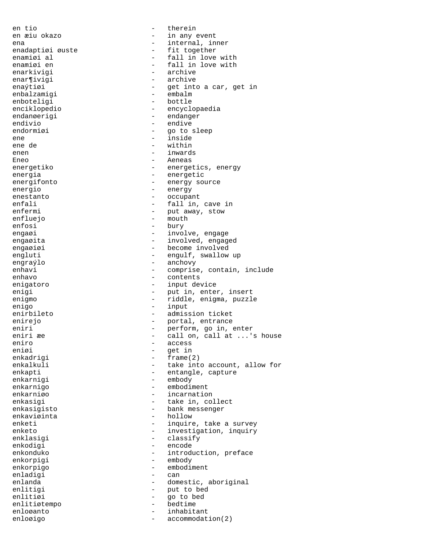en tio - therein enar¶ivigi - archive<br>enaýtiøi - get inte enbalzamigi - embalm enboteligi - bottle endanøerigi - endanger endivio - endive endormiøi - go to sleep ene - inside ene de  $-$  within enen - inwards<br>Eneo - inwards Eneo - Aeneas energia - energical - energifonto - energifonto - energy so energio - energy enestanto - occupant enfluejo - mouth enfosi - bury engraýlo - anchovy enigo - input eniro - access eniøi - get in enkadrigi - frame() enkadrigi - frame(2) enkarnigi - embody enkarnigo - embodiment enkarniøo - incarnation enkaviøinta - hollow enkodigi<br>enkonduko enkorpigi - embody enkorpigo - embodiment enladigi enlitigi - put to bed<br>enlitigi - qo to bed<br>- qo to bed enlitiøi - go to bed<br>enlitiøtempo - bedtime - bedtime enlitiøtempo – bedig – bedstaden – bedstaden – bedstaden – bedstaden – bedstaden – bedstaden – bedstaden – bed enloøigo  $-$  accommodation(2)

en æiu okazo  $-$  in any event ena - internal, inner<br>enadaptiøi øuste - fit together enadaptiøi øuste - fit together enamiøi al - fall in love with enamiøi en - fall in love with - archive - get into a car, get in enciklopedio - encyclopaedia energetiko  $-$  energetics, energy - energy source enfali - fall in, cave in<br>
enfermi - enfermi - put away, stow - put away, stow engaøi - involve, engage engaøita - involved, engaged engaøiøi - become involved engluti - engulf, swallow up enhavi - comprise, contain, include enhavo - contents - contents enigatoro - input device<br>
enigi - put in enter - put in, enter, insert enigmo - riddle, enigma, puzzle enirbileto  $-$  admission ticket enirejo  $-$  portal, entrance eniri - perform, go in, enter eniri æe - call on, call at ...'s house - take into account, allow for enkapti - entangle, capture enkasigi  $-$  take in, collect enkasigisto  $-$  bank messenger enketi - inquire, take a survey<br>enketo enketo - investigation, inquiry enklasigi - classify - classify<br>- encode - introduction, preface enlanda - domestic, aboriginal - inhabitant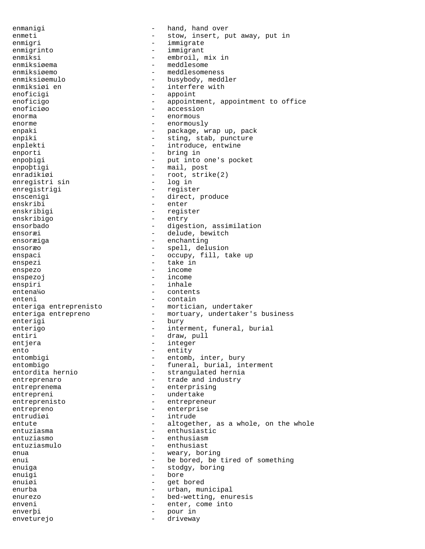enmanigi  $-$  hand, hand over enmeti - stow, insert, put away, put in<br>
- immigrate enmigri - immigrate enmigrinto - immigrant enmiksi - embroil, mix in<br>
enmiksiøema - meddlesome enmiksiøema - meddlesome<br>
enmiksiøemo - meddlesome enmiksiøemo - meddlesomeness<br>enmiksiøemulo - busybody, medd enmiksiøemulo - busybody, meddler - interfere with enoficigi - appoint enoficigo - appointment, appointment to office enoficiøo - accession enorma - enormous enorme - enormously enpaki - package, wrap up, pack<br>enpiki - sting stab puncture enpiki  $-$  sting, stab, puncture enplekti - introduce, entwine<br>enporti - hring in enporti - bring in enpoþigi - put into one's pocket enpoþtigi - mail, post enradikiøi - root, strike(2)<br>enreqistri sin - log in enregistri sin enregistrigi - register enscenigi - direct, produce enskribi - enter enskribigi - register enskribigo - entry ensorbado  $-$  digestion, assimilation ensoræi - delude, bewitch ensoræiga - enchanting ensoræo<sup>1</sup> ensoræo<sup>1</sup> ensoræo<sup>1</sup> ensoræo<sup>1</sup> enspaci - occupy, fill, take up enspezi - take in enspezo - income enspezoj - income enspiri - inhale entena¼o - contents enteni - contain enteriga entreprenisto  $-$  mortician, undertaker enteriga entrepreno  $-$  mortuary, undertaker's business enterigi - bury<br>enterigo - inter - interment, funeral, burial entiri - draw, pull entjera - integer ento - entity<br>entombigi - entomb entombigi - entomb, inter, bury<br>entombigo - funeral, burial, in entombigo - funeral, burial, interment<br>entordita hernio - strangulated hernia - strangulated hernia entreprenaro  $-$  trade and industry entreprenema - enterprising entrepreni - undertake entreprenisto - entrepreneur entrepreno - enterprise entrudiøi - intrude entute - altogether, as a whole, on the whole entuziasma - enthusiastic<br>entuziasmo entuziasmo - enthusiasm entuziasmulo - enthusiast enua  $-$  weary, boring enui - be bored, be tired of something enuiga - stodgy, boring enuigi - bore enuiøi - get bored enurba - urban, municipal enurezo - bed-wetting, enuresis<br>
enveni - enter, come into enveni - enter, come into<br>
enverbi - nour in enverþi - pour in enveturejo - driveway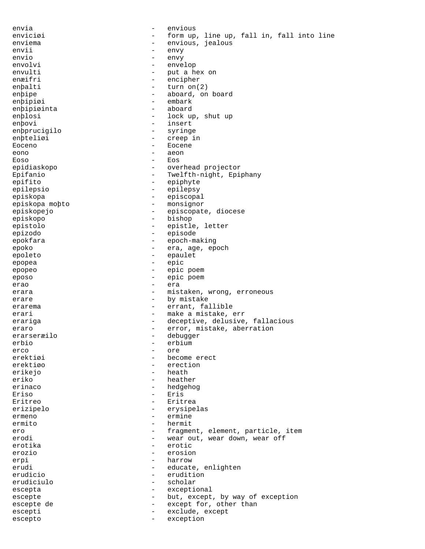envia - envious enviciøi - form up, line up, fall in, fall into line<br>enviema enviema - envious, jealous envii - envy envio - envy envolvi - envelop<br>envulti - envelop<br>- put a h envulti - put a hex on enaifri enæifri - encipher  $-$  turn on(2) enþipe - aboard, on board enþipiøi - embark enbipiøinta enþlosi - lock up, shut up enþovi - insert enþprucigilo - syringe enþteliøi - creep in - creep in - creep in - creep in - creep in - creep in - creep in - creep in - creep in - creep in - creep in - creep in - creep in - creep in - creep in - creep in - creep in - creep in - creep in - c Eoceno - Eocene eono - aeon Eoso - Eos epidiaskopo - - overhead projector<br>Epifanio - - Twelfth-night, Epi Epifanio - Twelfth-night, Epiphany<br>epifito - epiphyte - epiphyte - epiphyte epilepsio - epilepsy episkopa - episcopal episkopa moþto - monsignor episkopejo - episcopate, diocese episkopo - bishop - bishop - bishop<br>epistolo - epistle epistolo - epistle, letter epizodo - episode epokfara - epoch-making<br>epoko - era age epoko epoko - era, age, epoch<br>epoleto - era, age, epoch epoleto - epaulet - epaulet - epaulet - epaulet - epaulet - epaulet - epaulet - epaulet - epaulet - epaulet - epaulet - epaulet - epaulet - epaulet - epaulet - epaulet - epaulet - epaulet - epaulet - epaulet - epaulet - ep epopea - epic epopeo - epic poem eposo - epic poem - epic poem erao - era erara - mistaken, wrong, erroneous erare  $-$  by mistake erarema  $-$  errant, fallible erari  $-$  make a mistake, err erariga - deceptive, delusive, fallacious eraro  $-$  error, mistake, aberration erarseræilo  $-$  debugger erarseræilo - debugger<br>erbio erbio - erbium - erbium - erbium - erbium - erbium - erbium - erbium - erbium - erbium - erbium - erbium - erb erco - ore erektiøi - become erect<br>erektiøo - erection - erection - erection erikejo - heath - heath<br>eriko - heath - heather erinaco - hedgehog - hedgehog Eriso - Eris Eritreo - Eritrea erizipelo - erysipelas ermeno - ermine ermito - hermito - hermito - hermito - hermito - hermito - hermito - hermito - hermito - hermito - hermito - hermito - hermito - hermito - hermito - hermito - hermito - hermito - hermito - hermito - hermito - hermito - her ero - fragment, element, particle, item<br>erodi - wear out, wear down, wear off erodi - wear out, wear down, wear off<br>
erotika - erotic erozio - erosion erpi - harrow - harrow erudi - educate, enlighten<br>
erudicio<br>
- erudition - erudition<br>- scholar erudiciulo escepta - exceptional escepte - but, except, by way of exception escepte de  $-$  except for, other than escepti - exclude, except escepto - exception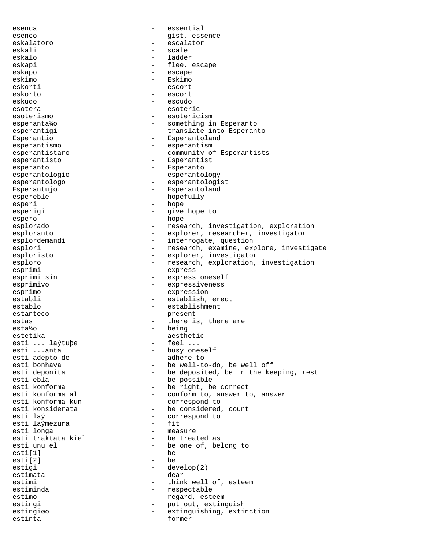esenca - essential esenco - gist, essence<br>eskalatoro - escalator eskalatoro - escalator eskali - scale eskalo - ladder - flee, escape<br>- escape eskapo - escape eskimo - Eskimo - escort eskorto - escort eskudo - escudo esotera - esoteric<br>esoterismo - esoteric - esotericism esperanta¼o - something in Esperanto esperantigi - translate into Esperanto Esperantio  $-$  Esperantoland esperantismo - esperantism esperantistaro  $-$  community of Esperantists esperantisto - Esperantist esperanto  $-$  Esperanto esperantologio - esperantology esperantologo - esperantologist Esperantujo - Esperantoland espereble - hopefully esperi - hope esperigi  $-$  give hope to espero - hope esplorado and the research, investigation, exploration esploranto - explorer, researcher, investigator esplordemandi - interrogate, question esplori esplori - research, examine, explore, investigate esploristo  $-$  explorer, investigator esploro - research, exploration, investigation<br>esprimi - express - express esprimi sin  $-$  express oneself esprimivo - expressiveness esprimo - expression establi - establish, erect establo - establishment estanteco - present<br>estas - there is estas  $\qquad \qquad -$  there is, there are esta¼o - being<br>estetika - aesthe estetika - aesthetic esti ... laýtuþe<br>esti ...anta - busy oneself<br>- adhere to esti adepto de<br>esti bonhava esti bonhava - be well-to-do, be well off<br>
esti deponita esti deponita - be deposited, be in the keeping, rest<br>esti ebla esti ebla<br>
esti konforma<br>
- be right, be esti konforma - be right, be correct esti konforma al  $\qquad \qquad -$  conform to, answer to, answer esti konforma kun esti konforma kun - correspond to esti konsiderata - be considered, count<br>esti laý - correspond to - correspond to<br>- fit esti laýmezura - fit esti longa - measure esti traktata kiel<br>esti unu el - be one of, belong to<br>- be  $\text{esti}[1]$  -<br>esti $\lceil 2 \rceil$  esti[2] - be estigi - develop(2) estimata - dear estimi - think well of, esteem estiminda - respectable estimo  $-$  regard, esteem estingi  $-$  put out, extinguish estingiøo - extinguishing, extinction estinta  $-$  former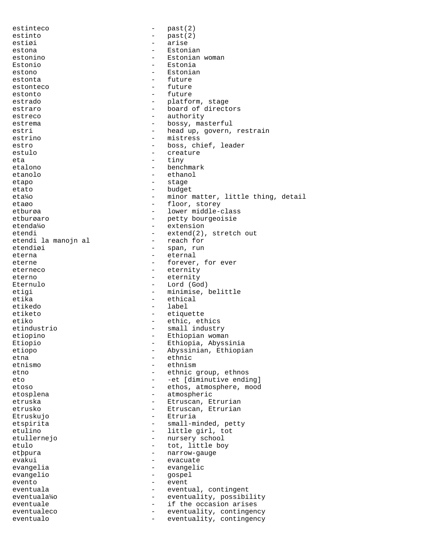| estinteco                 |                          | past(2)                            |
|---------------------------|--------------------------|------------------------------------|
| estinto                   | $\overline{\phantom{0}}$ | past(2)                            |
| estiøi                    |                          | arise                              |
| estona                    |                          | Estonian                           |
| estonino                  |                          | Estonian woman                     |
| Estonio                   | $\qquad \qquad -$        | Estonia                            |
| estono                    |                          | Estonian                           |
| estonta                   | $-$                      | future                             |
| estonteco                 |                          | future                             |
| estonto                   | $\overline{\phantom{0}}$ | future                             |
| estrado                   | $\overline{\phantom{a}}$ | platform, stage                    |
| estraro                   | $\overline{\phantom{0}}$ | board of directors                 |
| estreco                   |                          | authority                          |
| estrema                   | $\overline{\phantom{0}}$ | bossy, masterful                   |
| estri                     | $\overline{\phantom{a}}$ | head up, govern, restrain          |
| estrino                   |                          | mistress                           |
| estro                     | $\overline{\phantom{0}}$ | boss, chief, leader                |
| estulo                    | $\overline{\phantom{0}}$ | creature                           |
| eta                       | $\qquad \qquad -$        | tiny                               |
| etalono                   | $\overline{\phantom{0}}$ | benchmark                          |
| etanolo                   |                          | ethanol                            |
| etapo                     | $\overline{\phantom{0}}$ | stage                              |
| etato                     | $\equiv$                 | budget                             |
| eta¼o                     | $\equiv$                 | minor matter, little thing, detail |
| etaøo                     | $\overline{\phantom{0}}$ | floor, storey                      |
| etburøa                   | $\overline{\phantom{0}}$ | lower middle-class                 |
| etburgaro                 | $\equiv$                 | petty bourgeoisie                  |
| etenda¼o                  | $\overline{\phantom{0}}$ | extension                          |
| etendi                    | $-$                      | $extend(2)$ , stretch out          |
|                           |                          | reach for                          |
| etendi la manojn al       |                          |                                    |
| etendiøi                  | $\overline{\phantom{0}}$ | span, run                          |
| eterna                    | $\overline{\phantom{0}}$ | eternal                            |
| eterne                    | $\overline{\phantom{0}}$ | forever, for ever                  |
| eterneco                  | $\overline{\phantom{0}}$ | eternity                           |
| eterno                    | $\overline{\phantom{0}}$ | eternity                           |
| Eternulo                  | $\overline{\phantom{a}}$ | Lord (God)                         |
| etigi                     | $\overline{\phantom{0}}$ | minimise, belittle                 |
| etika                     |                          | ethical                            |
| etikedo                   | $\overline{\phantom{0}}$ | label                              |
| etiketo                   | $\overline{\phantom{a}}$ | etiquette                          |
| etiko                     | $\overline{\phantom{0}}$ | ethic, ethics                      |
| etindustrio               | $\qquad \qquad -$        | small industry                     |
| etiopino                  |                          | Ethiopian woman                    |
| Etiopio                   |                          | Ethiopia, Abyssinia                |
| etiopo                    |                          | Abyssinian, Ethiopian              |
| etna                      |                          | ethnic                             |
| etnismo                   | $\overline{\phantom{0}}$ | ethnism                            |
| etno                      | $-$                      | ethnic group, ethnos               |
| eto                       |                          | -et [diminutive ending]            |
| etoso                     |                          | ethos, atmosphere, mood            |
| etosplena                 |                          | atmospheric                        |
| etruska                   | $\overline{\phantom{0}}$ | Etruscan, Etrurian                 |
| etrusko                   |                          | Etruscan, Etrurian                 |
| Etruskujo                 |                          | Etruria                            |
| etspirita                 |                          | small-minded, petty                |
| etulino                   | $\overline{\phantom{0}}$ | little girl, tot                   |
| etullernejo               | $\qquad \qquad -$        | nursery school                     |
| etulo                     |                          | tot, little boy                    |
| etppura                   |                          | narrow-gauge                       |
| evakui                    |                          | evacuate                           |
| evangelia                 |                          | evangelic                          |
| evangelio                 |                          | qospel                             |
| evento                    |                          | event                              |
| eventuala                 |                          |                                    |
| eventuala <sup>1</sup> 40 | $\overline{\phantom{0}}$ | eventual, contingent               |
|                           | $\overline{\phantom{0}}$ | eventuality, possibility           |
| eventuale                 |                          | if the occasion arises             |
| eventualeco               |                          | eventuality, contingency           |
| eventualo                 |                          | eventuality, contingency           |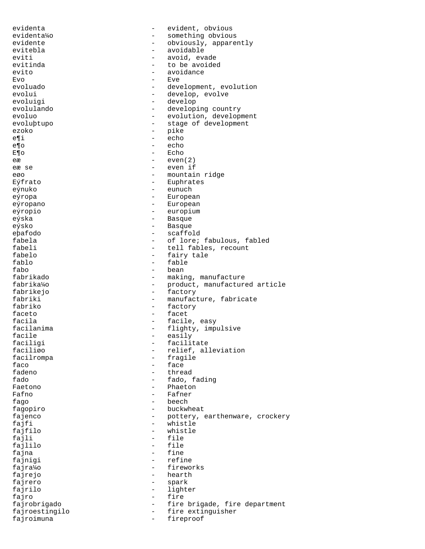evidenta - evident, obvious evidenta¼o - something obvious evidente - obviously, apparently evitebla - avoidable eviti - avoid, evade evitinda  $\begin{array}{ccc} - & + \text{to be avoided} \\ - & \text{avoidance} \end{array}$ evito - avoidance<br>
Evo - Eve Evo - Eve evoluado - development, evolution evolui - develop, evolve<br>
evoluigi - develop<br>
- develop evoluigi - develop<br>evolulando - develop: - developing country evoluo - evolution, development evoluþtupo - stage of development ezoko - pike e¶i - echo e¶o - echo - Echo  $e$ æ  $e$ ven $(2)$ eæ se  $-$  even if eøo - mountain ridge - mountain ridge - mountain ridge - mountain ridge - mountain ridge - mountain ridge - mo  $E\acute{\gamma}$ frato - Euphrates eýnuko - Euphrates - Euphrates - Euphrates - Euphrates - Euphrates - Europa - Europa eun - eunuch eýropa - European - European eýropio - europium eýska - Basque eýsko - Basque eþafodo - scaffold fabela - of lore; fabulous, fabled<br>fabeli - tell fables, recount fabeli - tell fables, recount<br>fabelo - fairy tale fabelo - fairy tale fablo - fable fabo - bean fabrikado - making, manufacture - product, manufactured article fabrikejo - factory fabriki - manufacture, fabricate<br>fabriko - factory - factory - factory faceto - facet facila - facile, easy<br>facilanima - facile, easy<br>facilanima - flighty, impu facilanima - flighty, impulsive<br>facile - easily facile - easily<br>faciligi - easily - facilit faciligi - facilitate faciliøo - relief, alleviation facilrompa - fragile<br>faco - face - face faco <sup>-</sup> face tartes - face tartes - face tartes - face tartes - face tartes - face tartes - face tartes - face tartes - face tartes - face tartes - face tartes - face tartes - face tartes - face tartes - face tartes - fac - thread fado - fado, fading Faetono - Phaetono - Phaetono Fafno - Fafner fago - beech - beech fagopiro - buckwheat fajenco - pottery, earthenware, crockery fajfi - whistle - whistle<br>- file fajli - file<br>faililo - file fajlilo<br>fajna - fine fajnigi  $-$  refine fajra¼o - fireworks fajrejo - hearth fajrero - spark fajrilo - lighter fajro - fire fajrobrigado - fire brigade, fire department fajroestingilo - fire extinguisher fajroimuna entre entre entre la fireproof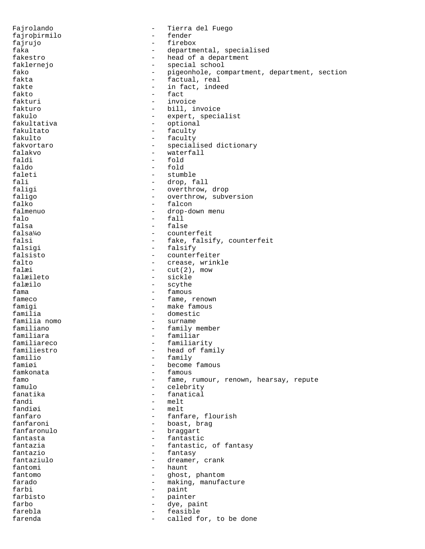Fajrolando - Tierra del Fuego fajroþirmilo - fender fajrujo - firebox faka  $-$  departmental, specialised fakestro  $-$  head of a department faklernejo - special school - special school fako - special school - special school - special school - special school - special school - special school - special school - special school - special school - special school fako - pigeonhole, compartment, department, section<br>fakta - factual, real fakta - factual, real - in fact, indeed fakto - fact fakturi - invoice fakturo - bill, invoice fakulo - expert, specialist fakultativa - optional fakultato - faculty fakulto - faculty fakvortaro  $-$  specialised dictionary falakvo - waterfall faldi - fold faldo - fold faleti - stumble<br>fali - drop, f fali - drop, fall<br>faligi - drop, fall<br>- overthrow. - overthrow, drop faligo  $-$  overthrow, subversion falko  $-$  falcon falmenuo - drop-down menu falo - fall falsa - false falsa¼o - counterfeit falsi  $-$  fake, falsify, counterfeit falsigi - falsify falsisto - counterfeiter falto  $\begin{array}{ccc} - & \text{create, wrinkle} \\ - & \text{cut}(2), \text{ mov} \end{array}$  $-$  cut(2), mow falæileto - sickle falæilo - scythe fama  $-$  famous fameco  $f$ ameco  $f$ ameco  $f$ ameco  $f$ ameco  $f$ ameco  $f$ ameco  $f$ ameco  $f$ ameco  $f$ ameco  $f$ ameco  $f$ ameco  $f$ ameco  $f$ ameco  $f$ ameco  $f$ ameco  $f$ ameco  $f$ ameco  $f$ ameco  $f$ ameco  $f$ ameco  $f$ ameco  $f$ ameco  $f$ ameco  $f$ ameco famigi - make famous familia  $-$  domestic familia nomo  $-$  surname familia nomo - surname familiano - family member familiara - familiar familiareco - familiarity familiestro - head of family<br>familio - familio - family familio - family - become famous famkonata - famous famo  $-$  fame, rumour, renown, hearsay, repute famulo  $-$  celebrity fanatika  $-$  fanatical fandi - melt - melt fanfaro - fanfare, flourish<br>fanfaroni - boast, braq - boast, brag fanfaronulo - braggart fantasta - fantastic fantazia - fantastic, of fantasy<br>fantazio - fantasy<br>- fantasy - fantasy fantaziulo  $\qquad \qquad -$  dreamer, crank fantomi - haunt fantomo - ghost, phantom farado  $-$  making, manufacture farbi - paint farbisto - painter farbo  $-$  dye, paint farebla - feasible farenda  $\qquad \qquad -$  called for, to be done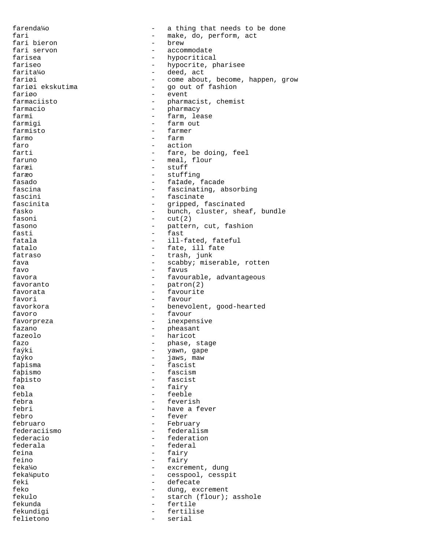farenda¼o - a thing that needs to be done fari  $-$  make, do, perform, act  $-$  here  $-$  here  $-$  here  $-$  here  $-$  here  $-$  here  $-$  here  $-$  here  $-$  here  $-$  here  $-$  here  $-$  here  $-$  here  $-$  here  $-$  here  $-$  here  $-$  here  $-$  here  $-$  here  $-$  here  $-$  here fari bieron - brew - accommodate farisea  $-$  hypocritical fariseo  $-$  hypocrite, pharisee farita¼o - deed, act fariøi - come about, become, happen, grow - go out of fashion fariøo - event farmaciisto - pharmacist, chemist farmacio  $-$  pharmacy farmi - farm, lease farmigi  $-$  farm out farmisto - farmer farmo - farm faro - action - fare, be doing, feel faruno - meal, flour faræi - stuff faræo - stuffing<br>fasado - stuffing - stuffing - fa‡ade, facade fascina  $-$  fascinating, absorbing fascini - fascinate fascinita - gripped, fascinated fasko  $-$  bunch, cluster, sheaf, bundle fasoni - cut(2) fasono - pattern, cut, fashion fasti - fast fatala  $-$  ill-fated, fateful fatalo  $-$  fate, ill fate fatraso - trash, junk fava  $-$  scabby; miserable, rotten<br>favo  $-$  favus - favus favora - favourable, advantageous favoranto - patron(2) - favourite favori - favour favorkora - benevolent, good-hearted favoro - favour favorpreza - inexpensive fazano  $-$  pheasant fazeolo - haricot fazo - phase, stage puase, sta<br>faýki - yawn, gape<br>faýko - jaws, maw faýko - jaws, maw - fascist faþismo - fascism faþisto - fascist fea - fairy febla - feeble febra - feverish febri - have a fever febro - fever februaro - February - February<br>federaciismo - federali federaciismo - federalism federacio  $\begin{array}{ccc} - & + & + \\ - & - & + \\ - & - & + \\ - & - & + \\ \end{array}$ federala - federal - federal<br>feina - fairv - fairy feino - fairy feka¼o - excrement, dung feka¼puto - cesspool, cesspit feki - defecate feko - dung, excrement fekulo - starch (flour); asshole fekunda - fertile fekundigi - fertilise - fertilise - fertilise - fertilise - fertilise - fertilise - fertilise - fertilise - fertilise - fertilise - fertilise - fertilise - fertilise - fertilise - fertilise - fertilise - fertilise - fertil felietono - serial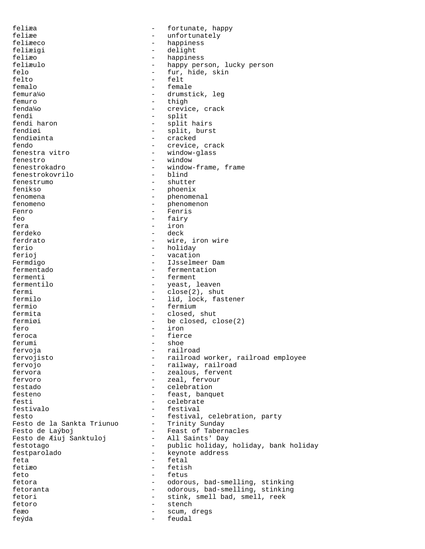feliæa - fortunate, happy feliæe - unfortunately feliæeco - happiness feliæigi - delight feliæo - happiness<br>feliæulo - happy per feliæulo - happy person, lucky person<br>felo - fur, hide, skin felo - fur, hide, skin felto - felt femalo - female femura¼o - drumstick, leg femuro - thigh<br>fendalo - crevic - crevice, crack fendi - split<br>fendi haron - split - split - split hairs fendiøi - split, burst - cracked fendo - crevice, crack - window-glass fenestro - window<br>fenestrokadro - window-- window-frame, frame<br>- blind fenestrokovrilo<br>fenestrumo - shutter fenikso - phoenix fenomena - phenomenal fenomeno - phenomenon Fenro - Fenris feo and a fairy and the fairy of the fairy of the fairy of the fairy of the fair  $\sim$  fairy of the fair  $\sim$  fair  $\sim$ fera - iron ferdeko - deck ferdrato  $-$  wire, iron wire ferio - holiday - holiday ferioj ferioj - vacation Fermdigo - IJsselmeer Dam<br>
fermentado - Fermentation - fermentation fermenti<br>fermentilo - fermentilo - veast fermentilo  $\overline{f}$  - yeast, leaven<br>fermi - close(2) shui fermi - close(2), shut<br>fermilo - lid. lock. fas: - lid, lock, fastener fermio - fermium fermita - closed, shut fermiøi - be closed, close(2) fero - iron - iron - iron - iron - iron - iron - iron - iron - iron - iron - iron - iron - iron - iron - iron - iron - iron - iron - iron - iron - iron - iron - iron - iron - iron - iron - iron - iron - iron - iron - iron feroca - fierce ferumi - shoe fervoja - railroad fervojisto - railroad worker, railroad employee - railway, railroad fervora  $\overline{\phantom{a}}$  - zealous, fervent fervoro - zeal, fervour festado - celebration festeno - feast, banquet festi - celebrate festivalo - festival festo<br>Festo de la Sankta Triunuo - festival, celebration, party<br>Festo de la Sankta Triunuo - Trinity Sunday resto de la Sankta Triunuo<br>Festo de Laýboj - Feast of Tabernacles<br>- All Saints' Day Festo de Æiuj Sanktuloj festotago <sup>-</sup> public holiday, holiday, bank holiday<br>festparolado - keynote address - keynote address feta - fetal - fetal - fetal - fetal - fetal - fetal - fetal - fetal - fetal - fetal - fetal - fetal - fetal - fetal - fetal - fetal - fetal - fetal - fetal - fetal - fetal - fetal - fetal - fetal - fetal - fetal - fetal fetiæo - fetish  $-Fetus$ fetora - odorous, bad-smelling, stinking fetoranta - odorous, bad-smelling, stinking fetori - stink, smell bad, smell, reek fetoro - stench feæo - scum, dregs feýda - feudal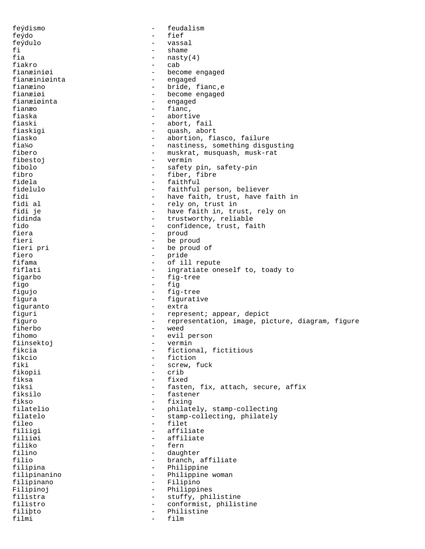feýdismo - feudalism feýdo - fief feýdulo - vassal fi - shame - shame - shame - shame - shame - shame - shame - shame - shame - shame - shame - shame - shame - shame - shame - shame - shame - shame - shame - shame - shame - shame - shame - shame - shame - shame - shame - s  $-$  nasty(4) fiakro - cab<br>fianæiniøi - bec fianæiniøi - become engaged fianæiniøinta - engaged<br>fianæino - bride, 1 fianæino - bride, fianc, e<br>fianæiøi - become engaged fianæiøi 1999 – become engaged<br>fianæiøinta 1999 – engaged fianæiøinta - engaged<br>fianæo - fianc fianæo - fianc,<br>fiaska - aborti - abortive fiaski - abort, fail fiaskigi - quash, abort fiasko - abortion, fiasco, failure fia¼o - nastiness, something disgusting - muskrat, musquash, musk-rat<br>- vermin fibestoj - vermin fibolo - safety pin, safety-pin fibro - fiber, fibre<br>fidela - faithful - faithful - faithful fidelulo - faithful person, believer<br>fidi fidi - have faith, trust, have faith in<br>fidi al - rely on, trust in fidi al - rely on, trust in - have faith in, trust, rely on fidinda  $-$  trustworthy, reliable fido - confidence, trust, faith fiera - proud fieri - be proud<br>fieri pri - be proud - be proud fieri pri - be proud of fiero - pride<br>fifama - cf il fifama - of ill repute<br>fiflati - ingratiate on - ingratiate oneself to, toady to figarbo - fig-tree figo - fig figujo - fig-tree figura  $-$  figurative figuranto - extra figuri - represent; appear, depict figuro - representation, image, picture, diagram, figure fiherbo - weed fihomo - evil person<br>fiinsektoj - vermin - vermin fiinsektoj – verministra – verministra – verministra – verministra – verministra – verministra – verministra –<br>También fikcia - fictional, fictitious<br>fikcio - fiction - fiction fikcio - fiction - screw, fuck fikopii - crib fiksa - fixed - fasten, fix, attach, secure, affix fiksilo - fastener fikso - fixing filatelio - philately, stamp-collecting filatelo - stamp-collecting, philately<br>fileo - filet - filet fileo - filet<br>filiigi - filet<br>- affil filiigi - affiliate<br>filii*a*i - affiliate - affiliate filiiøi - affiliate<br>filiko - fern - fern filiko - fern - daughter filio - branch, affiliate filipina - Philippine filipinanino - Philippine woman filipinano - Filipino Filipinoj - Philippines filistra  $-$  stuffy, philistine filistro - conformist, philistine filiþto - Philistine filmi - film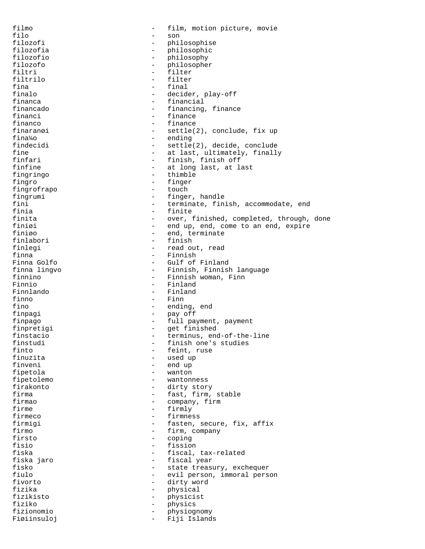filmo - film, motion picture, movie filo - son filozofi - philosophise filozofia - philosophic filozofio - philosophy filozofo - philosopher filtri - filter filtrilo - filter fina - final - final - final - final - final - final - final - final - final - final - final - final - final - final - final - final - final - final - final - final - final - final - final - final - final - final - final finalo - decider, play-off - financial financado - financing, finance - finance financo e e finance e finance finaranøi en en en mettle(2), conclude, fix up fina¼o - ending findecidi - settle(2), decide, conclude<br>fine - at last, ultimately, finally fine  $-$  at last, ultimately, finally<br>finfari  $-$  finish, finish off finfari - finish, finish off<br>finfine - finish at long last, at l - at long last, at last<br>- thimble fingringo - thinks the set of the set of the set of the set of the set of the set of the set of the set of the set of the set of the set of the set of the set of the set of the set of the set of the set of the set of the s fingro - finger fingrofrapo fingrumi - finger, handle<br>fini - finger, handle fini - terminate, finish, accommodate, end<br>finia - finite - finite finita  $-$  over, finished, completed, through, done finiøi  $-$  end up, end, come to an end, expire finiøo - end, terminate finlabori - end, terminate - end, terminate - end, terminate - end, terminate - end, terminate - end, terminate - end, terminate - end, terminate - end, terminate - end, terminate - end, terminate finlabori - finish finlegi - read out, read finna - Finnish - Finnish - Finnish - Gulf of Finna Golfo - Gulf of Finland - Finnish, Finnish language finnino - Finnish woman, Finn Finnio - Finland Finnlando - Finland - Finn fino  $-$  ending, end finpagi - pay off finpago - full payment, payment finpretigi - get finished finstacio - terminus, end-of-the-line finstudi - finish one's studies<br>finto - feint, ruse finto  $-$  feint, ruse<br>finuzita  $-$  used up finuzita - used up end up fipetola - wanton fipetolemo - wantonness firakonto - dirty story firma  $-$  fast, firm, stable firmao - company, firm firme  $-$  firmly firmeco - firmness firmigi - fasten, secure, fix, affix firmo - firm, company<br>firsto - coping firsto - coping fisio - fission - fiscal, tax-related fiska jaro - fiscal year fisko - state treasury, exchequer<br>fiulo - evil person immoral pers - evil person, immoral person fivorto - dirty word fizika - physical<br>fizikisto - hysicis fizikisto - physicist fiziko - physics fizionomio - physiognomy Fiøiinsuloj - Fiji Islands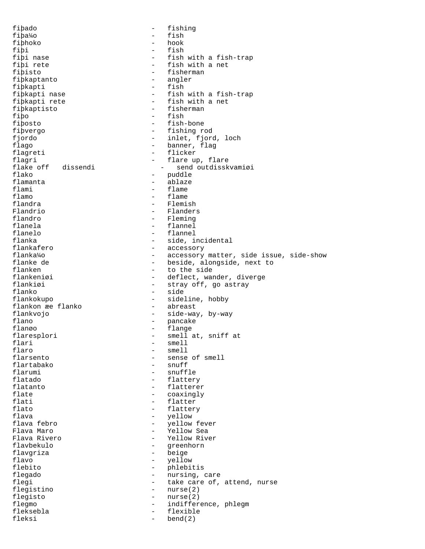fiþado - fishing fiþa¼o - fish fiþhoko<br>fiþi fiþi - fish<br>fiþi nase - fish - fish fiþi nase  $\begin{array}{ccc} - &$  fish with a fish-trap<br>fiþi rete  $\begin{array}{ccc} - &$  fish with a net fiþi rete - fish with a net<br>fiþisto - fisherman - fisherman<br>- angler fiþkaptanto - angle<br>fibkapti - fish fiþkapti<br>fiþkapti nase fiþkapti nase - fish with a fish-trap<br>fiþkapti rete - fish with a net - fish with a net<br>- fisherman fiþkaptisto<br>fibo fiþo - fish fiþosto - fish-bone fiþvergo - fishing rod<br>fjordo - finlet, fjord - inlet, fjord, loch flago - banner, flag flagreti - flicker<br>flagri - flare up flagri - flare up, flare<br>flake off dissendi - send outdissk flake off dissendi - send outdisskvamiøi<br>flako - puddle flako - puddle flamanta - ablaze flami - flame<br>flamo - flame flamo - flame - flame - flame - flame - flame - flame - flame - flame - flame - flame - flame - flame - flame - flame - flame - flame - flame - flame - flame - flame - flame - flame - flame - flame - flame - flame - flame flandra - Flemish - Flanders flandro - Fleming flanela - flannel flanelo - flannel flanka - side, incidental<br>flankafero - - - - - - accessory flankafero - accessory flanka¼o - accessory matter, side issue, side-show flanke de  $-$  beside, alongside, next to flanken  $-$  to the side flanken - to the side<br>flankeniøi - deflect, wa flankeniøi - deflect, wander, diverge<br>flankiøi - strav off, go astrav flankiøi - stray off, go astray<br>flanko - side flanko - side - side<br>flankokupo - - side - sideline, hobby<br>- abreast flankon æe flanko flankvojo - side-way, by-way flano - pancake -----<br>flanøo - flange<br>flaresplori - smella flaresplori - smell at, sniff at<br>flari - smell<br>- smell flari - smell<br>flaro - smell<br>- smell flaro - smell<br>flarsento - sense flarsento - sense of smell flartabako - snuff<br>flarumi - snuff flarumi - snuffle<br>flatado - flatter flatado - flattery - flatterer flate  $\qquad \qquad -$  coaxingly flati - flatter flato - flattery flava - yellow flava febro - yellow fever Flava Maro - Yellow Sea Flava Rivero - Yellow River flavbekulo - greenhorn - beige flavo - yellow - yellow<br>flebito - phlebii - phlebitis flegado  $-$  nursing, care flegi  $-$  take care of, attend, nurse flegistino - nurse(2) flegisto - nurse(2) flegmo - indifference, phlegm<br>fleksebla - flexible - flexible fleksebla - flexible bend(2)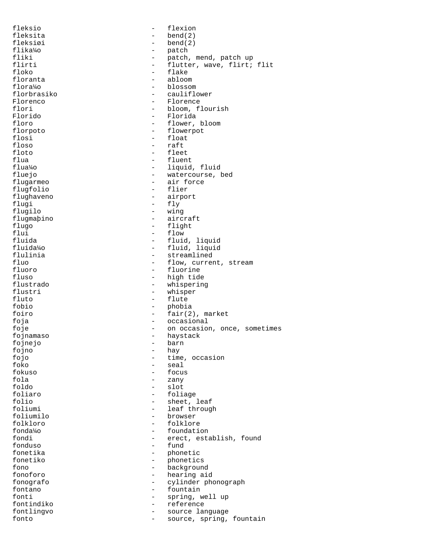fleksio - flexion fleksita - bend(2) fleksiøi - bend(2) flika¼o - patch fliki  $-$  patch, mend, patch up flirti - flutter, wave, flirt; flit floko - flake - flake - flake - flake - flake - flake - flake - flake - flake - flake - flake - flake - flake - flake - flake - flake - flake - flake - flake - flake - flake - flake - flake - flake - flake - flake - flake floranta - abloom flora¼o - blossom - cauliflower Florenco - Florence - Florence - Florence - Florence - Florence - Florence - Florence - Florence - Florence - Florence - Florence - Florence - Florence - Florence - Florence - Florence - Florence - Florence - Florence - Fl flori - bloom, flourish<br>Florido - Florida - Florida Florido - Florida floro - flower, bloom florpoto - flowerpot flosi - float<br>floso - float<br>- raft floso - raft - raft - raft - raft - raft - raft - raft - raft - raft - raft - raft - raft - raft - raft - raft - raft - raft - raft - raft - raft - raft - raft - raft - raft - raft - raft - raft - raft - raft - raft - raft floto - fleet flua - fluent - fluent - fluent - fluent - fluent - fluent - fluent - fluent - fluent - fluent - fluent - fluent - fluent - fluent - fluent - fluent - fluent - fluent - fluent - fluent - fluent - fluent - fluent - fluent flua¼o - liquid, fluid fluejo - watercourse, bed<br>flugarmeo - air force - air force flugfolio - flier flughaveno - airport flugi - fly - fly - fly - fly - fly - fly - fly - fly - fly - fly - fly - fly - fly - fly - fly - fly - fly - fly - fly - fly - fly - fly - fly - fly - fly - fly - fly - fly - fly - fly - fly - fly - fly - fly - fly - fly - wing flugmaþino - aircraft flugo - flight<br>flui - flow - flow flui - flow - flow - flow - flow - fluida fluida - fluid, liquid fluida¼o - fluid, liquid flulinia  $\begin{array}{ccc} - & + \\ - & + \end{array}$  streamlined<br>fluo  $\begin{array}{ccc} - & + \end{array}$  flow, curren fluo - flow, current, stream<br>fluoro - fluorine - fluorine fluoro - fluorine fluso - high tide<br>flustrado - high tide<br>exhistering - whispering flustrado - whispering flustri - whisper<br>fluto - flute - flute fluto - flute fobio - phobia foiro - fair(2), market foja - occasional foje - on occasion, once, sometimes<br>foinamaso - havetack - havetack fojnamaso - haystack fojnejo<br>fojno fojno - hay<br>fojo - hay<br>fojo - time fojo - time, occasion - time, occasion - time, occasion - time, occasion - time, occasion - time, occasion - time, occasion - time, occasion - time, occasion - time, occasion - time, occasion - time, occasion - time, occas foko - seal - seal - seal - seal - seal - seal - seal - seal - seal - seal - seal - seal - seal - seal - seal - seal - seal - seal - seal - seal - seal - seal - seal - seal - seal - seal - seal - seal - seal - seal - seal fokuso - focus<br>fola - form - focus fola - zany - slot foliaro - foliage folio - sheet, leaf<br>foliumi - sheet, leaf<br>leaf through - leaf through foliumi - leaf through<br>foliumilo - hrowser - hrowser - browser<br>- folklore folkloro - folklore fonda¼o - foundation fondi - erect, establish, found<br>fonduso - fund - fund fonduso - fund - phonetic fonetiko - phonetics fono - background - hearing aid fonografo - cylinder phonograph fontano - fountain<br>fonti - spring y fonti  $-$  spring, well up fontindiko - reference fontlingvo - source language fonto  $\qquad \qquad -$  source, spring, fountain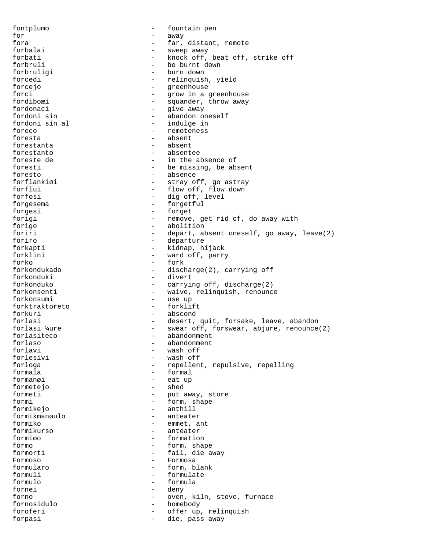fontplumo - fountain pen for  $-$  away fora - far, distant, remote<br>forbalai - sweep away forbalai - sweep away forbati - knock off, beat off, strike off - be burnt down forbruligi - burn down forcedi - relinquish, yield<br>forcejo - relinquish, yield - greenhouse forci - grow in a greenhouse<br>fordiboæi - squander. throw away - squander, throw away fordonaci - give away - abandon oneself fordoni sin al  $-$  indulge in foreco - remoteness foresta - absent forestanta - absented by the set of  $\sim$ forestanto - absentee foreste de  $\begin{array}{ccc} - & \text{in the absence of} \\ - & \text{be missing, be ab} \end{array}$ foresti - be missing, be absent<br>foresto - absence - absence foresto - absence - stray off, go astray forflui - flow off, flow down forfosi - dig off, level forgesema - forgetful forgesi - forget forigi  $-$  remove, get rid of, do away with forigo  $-$  abolition forigo - abolition foriri - depart, absent oneself, go away, leave(2) foriro - departure forkapti - kidnap, hijack<br>forklini - ward off parry forklini - ward off, parry<br>forke - fork forko - fork discharge(2), carrying off forkonduki - divert forkonduko - carrying off, discharge(2) forkonsenti - waive, relinquish, renounce forkonsumi - use up forktraktoreto - forklift forkuri - abscond forlasi - desert, quit, forsake, leave, abandon<br>forlasi  $\frac{1}{2}$  - swear off, forswear, abjure, renounce - swear off, forswear, abjure, renounce(2) forlasiteco - abandonment forlaso - abandonment forlavi - wash off forlesivi - wash off - repellent, repulsive, repelling formala - formal formanøi - eat up<br>formeteio - shed formetejo formeti - put away, store formi - form, shape formikejo - anthill formikmanøulo - anteater formiko - emmet, ant - anteater<br>- formation formiøo - formation formo - form, shape formorti - fail, die away Formoso - Formosa formularo - form, blank formuli - formulate formulo - formula fornei - deny forno - oven, kiln, stove, furnace<br>fornosidulo - homebody - homebody fornosidulo - homebody - homebody - homebody - homebody - homebody - homebody -  $\sim$ foroferi - offer up, relinquish forpasi - die, pass away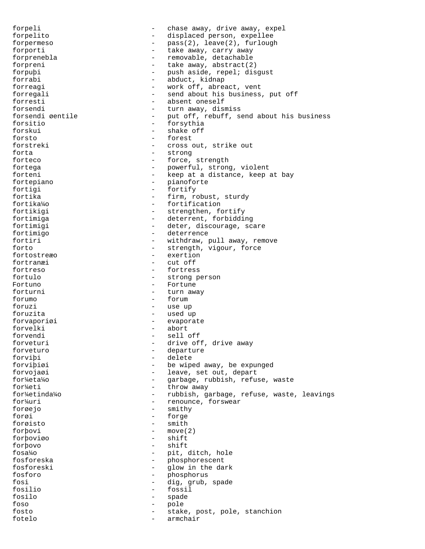forpeli - chase away, drive away, expel forpelito - displaced person, expellee forpermeso - pass(2), leave(2), furlough forporti - take away, carry away forprenebla - removable, detachable forpreni  $\qquad -$  take away, abstract(2) forpuþi - push aside, repel; disgust forrabi - abduct, kidnap - work off, abreact, vent forregali - send about his business, put off forresti - absent oneself forsendi<br>forsendi eentile  $\begin{array}{ccc} - &$  turn away, dismiss<br>forsendi eentile  $\begin{array}{ccc} - &$  put off, rebuff, s - put off, rebuff, send about his business forsitio - forsythia forskui - shake off<br>forsto - shake off<br>forsto - forest - forest forstreki - cross out, strike out<br>forta - strong - strong strong forteco - force, strength fortega - powerful, strong, violent forteni - keep at a distance, keep at bay fortepiano - pianoforte fortigi - fortify<br>fortika - firm.ro - firm, robust, sturdy fortika¼o - fortification fortikigi  $-$  strengthen, fortify fortimiga  $-$  deterrent, forbidding fortimigi - deter, discourage, scare fortimigo - deterrence fortiri  $-$  withdraw, pull away, remove forto  $-$  strength, vigour, force<br>fortostrexo  $-$  exertion - exertion fortranæi - cut off fortreso - fortress fortulo - strong person Fortuno - Fortune forturni - turn away forumo - forum foruzi - use up foruzita - used up forvaporiøi - evaporate forvelki - abort forvendi - sell off forveturi - drive off, drive away forveturo - departure forviþi - delete - be wiped away, be expunged forvojaøi - leave, set out, depart for¼eta¼o - garbage, rubbish, refuse, waste for\{eti - throw away for¼etinda¼o - rubbish, garbage, refuse, waste, leavings for¼uri - renounce, forswear forøejo - smithy forøi - forge forøisto – smitheling (\* 1930)<br>forbovi forþovi - move(2) forþoviøo forþovo - shift - shift - shift - shift - shift - shift - shift - shift - shift - shift - shift - shift - shift - shift - shift - shift - shift - shift - shift - shift - shift - shift - shift - shift - shift - shift - shif - pit, ditch, hole fosforeska - phosphorescent fosforeski - glow in the dark fosforo - phosphorus fosi - dig, grub, spade fosilio - fossil fosilo - spade foso - pole fosto - stake, post, pole, stanchion fotelo - armchair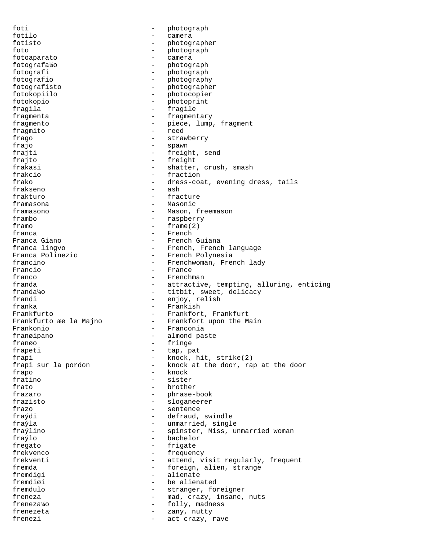foti - photograph fotilo - camera fotisto - photographer foto - photograph fotoaparato - camera fotografa¼o - photograph fotografi - photograph<br>fotografio - photograph fotografio - photography<br>fotografisto - photographe - photographer fotokopiilo - photocopier fotokopio - photoprint fragila - fragile fragmenta - fragmentary fragmento - piece, lump, fragment fragmito - reed frago  $-$  strawberry frajo  $-$  spawn frajti - freight, send<br>fraite - freight frajto - freight shatter, crush, smash frakcio - fraction - dress-coat, evening dress, tails<br>- ash frakseno frakturo - fracture framasona - Masonic - Mason, freemason frambo - raspberry framo - frame(2) franca - French - French Guiana franca lingvo - French, French language<br>Franca Polinezio - French Polynesia Franca Polinezio - French Polynesia francino - Frenchwoman, French lady<br>Francio - France - France - France franco - Frenchman franda - attractive, tempting, alluring, enticing<br>franda<sup>1</sup>/0 - titbit, sweet, delicacy - titbit, sweet, delicacy frandi - enjoy, relish franka - Frankish Frankfurto **-** Frankfort, Frankfurt Frankfurto æe la Majno  $-$  Frankfort upon the Main Frankonio - Franconia<br>- almond.na franøipano - almond paste<br>franøo - fringe franøo - fringe - fringe - fringe - fringe - fringe - fringe - fringe - fringe - fringe - fringe - fringe - fringe - fringe - fringe - fringe - fringe - fringe - fringe - fringe - fringe - fringe - fringe - fringe - fringe frapeti - tap, pat frapi  $-$  knock, hit, strike(2)<br>frapi sur la pordon  $-$  knock at the door, raj - knock at the door, rap at the door frapo - knock fratino - sister frato - brother frazaro - phrase-book frazisto - sloganeerer frazo - sentence fraýdi - defraud, swindle fraýla - unmarried, single<br>fraýlino - spinster Miss un fraýlino - spinster, Miss, unmarried woman fraýlo - bachelor fregato - frigate - frigate - frequence - frequence - frequence - frequence - frequence - frequence - frequence - frequence - frequence - frequence - frequence - frequence - frequence - frequence - frequence - frequence - - frequency frekventi - attend, visit regularly, frequent fremda - foreign, alien, strange fremdigi - alienate<br>fremdigi - be alienate fremdiøi - be alienated fremdulo - stranger, foreigner freneza  $-$  mad, crazy, insane, nuts freneza¼o - folly, madness frenezeta - zany, nutty frenezi  $-$  act crazy, rave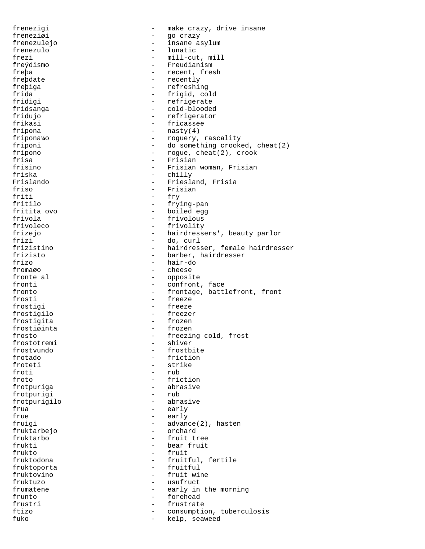frenezigi  $-$  make crazy, drive insane freneziøi - go crazy frenezulejo - insane asylum frenezulo - lunatic frezi - mill-cut, mill<br>fre $\sqrt{3}$  - mill-cut, mill<br>fre $\sqrt{3}$  - Freudianism - Freudianism freþa - recent, fresh - recent, fresh - recently - recently freþiga - refreshing frida - frigid, cold fridigi  $-$  refrigerate fridsanga - cold-blooded fridujo - refrigerator frikasi - fricassee fripona - nasty(4) fripona¼o - roguery, rascality friponi - do something crooked, cheat(2) fripono - rogue, cheat(2), crook<br>frisa - Frisian frisa - Frisian - Frisian<br>frisino - Frisian - Frisian frisino - Frisian woman, Frisian friska - chilly - Friesland, Frisia friso - Frisian - Frisian - Frisian - Frisian - Frisian - Frisian - Frisian - Frisian - Frisian - Frisian - Frisian - Frisian - Frisian - Frisian - Frisian - Frisian - Frisian - Frisian - Frisian - Frisian - Frisian - Fris friti - fry - fry - fry - fry - fry - fry - fry - fry - fry - fry - fry - fry - fry - fry - fry - fry - fry - fry - fry - fry - fry - fry - fry - fry - fry - fry - fry - fry - fry - fry - fry - fry - fry - fry - fry - fry - frying-pan fritita ovo  $-$  boiled egg frivola - frivolous frivoleco - frivolity frizejo - hairdressers', beauty parlor frizi - do, curl frizistino - hairdresser, female hairdresser frizisto - barber, hairdresser frizo - hair-do<br>fromago - hair-do - hair-do - cheese fronte al  $-$  opposite fronti  $\sim$  - confront, face fronto  $-$  frontage, battlefront, front frosti - freeze frostigi - freeze frostigilo - freezer frostigita - frozen frostiøinta - frozen frosto - freezing cold, frost - shiver frostvundo - frostbite frotado - friction - strike froti - rub froto - friction frotpuriga - abrasive frotpurigi frotpurigilo - abrasive frua - early frue  $-$  early fruigi - advance(2), hasten<br>fruktarbejo - - - - - - - - orchard fruktarbejo - orchard fruktarbo - fruit tree frukti - bear fruit<br>frukto - fruit - fruit - fruit fruktodona - fruitful, fertile fruktoporta fruktovino - fruit wine fruktuzo - usufruct frumatene  $-$  early in the morning frunto - forehead frustri - frustrate ftizo - consumption, tuberculosis fuko - kelp, seaweed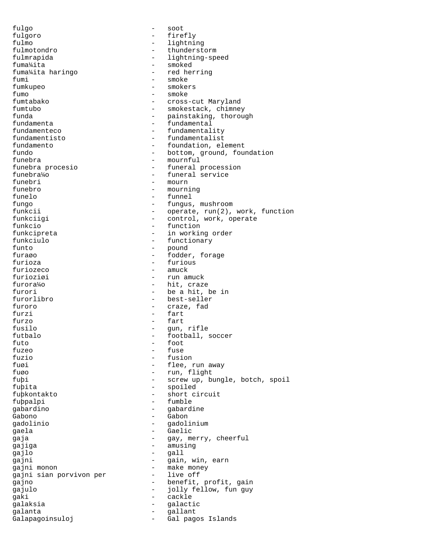fulgo - soot fulgoro - firefly fulmo - lightning fulmotondro - thunderstorm fulmrapida  $-$  lightning-speed fuma¼ita - smoked fuma¼ita haringo fumi - smoke - smokers fumo - smoke fumtabako - cross-cut Maryland fumtubo - smokestack, chimney funda - painstaking, thorough fundamenta  $-$  fundamental fundamenteco  $-$  fundamentality fundamentisto - fundamentalist fundamento  $\begin{array}{ccc} - & + & + \\ - & - & - \end{array}$  bottom, element fundo - bottom, ground, foundation funebra - mournful funebra procesio - funeral procession funebra¼o - funeral service<br>funebri - mourn - mourn - mourn funebro - mourning funelo - funnel fungo - fungus, mushroom funkcii - operate, run(2), work, function funkciigi - control, work, operate funkcio - function funkcipreta  $-$  in working order funkciulo - functionary<br>funto - pound - pound funto - pound - fodder, forage furioza - furious - amuck furioziøi - run amuck furora¼o - hit, craze furori - be a hit, be in furorlibro - best-seller furoro - craze, fad furzi - fart furzo - fart fusilo - gun, rifle futbalo - football, soccer<br>futo - foot<br>- foot  $f$ uto  $f$ uzeo  $f$ uzeo  $f$ uzeo  $f$ uzeo  $f$ uzeo  $f$ uzeo  $f$ uzeo  $f$ uzeo  $f$ uzeo  $f$ uzeo  $f$ uzeo  $f$ uzeo  $f$ uzeo  $f$ uzeo  $f$ uzeo  $f$ uzeo  $f$ uzeo  $f$ uzeo  $f$ uzeo  $f$ uzeo  $f$ uzeo  $f$ uzeo  $f$ uzeo  $f$ uzeo  $f$ uzeo  $f$ uzeo  $f$ uze fuzeo  $-$  fuse fuzio - fusion - flee, run away fuøo - run, flight fuþi - screw up, bungle, botch, spoil fuþita - spoiled fuþkontakto - short circuit fuþpalpi - fumble gabardino - gabardine Gabono - Gabon gadolinio - gadolinium - Jaela - Gaelic - Gaelic - Gaelic<br>gaia - Gay, me gaja  $-$  gay, merry, cheerful gajiga - amusing gajlo - gall gajni  $-$  gain, win, earn gajni monon - make money gajni sian porvivon per gajno - benefit, profit, gain gajulo - jolly fellow, fun guy gaki - cackle galaksia - galactic galanta - gallant Galapagoinsuloj - Gal pagos Islands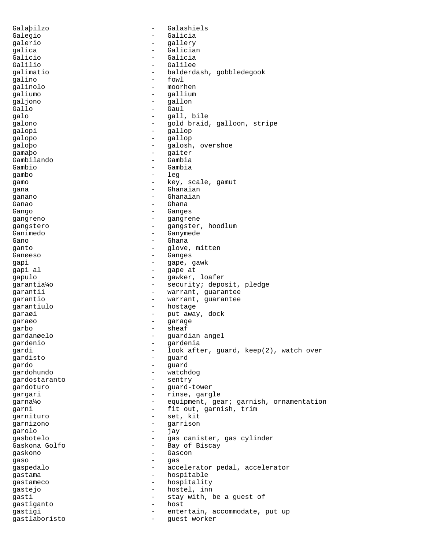Galaþilzo - Galashiels Galegio - Galicia galerio - gallery galica - Galician Galicio - Galicia Galilio - Galilee<br>Calimatio - Galilee galimatio - balderdash, gobbledegook<br>
- fowl - fowl galino - fowl galinolo - moorhen galiumo - galliumo - galliumo - galliumo - gallium galjono<br>Gallo Gallo - Gaul - gall, bile galono - gold braid, galloon, stripe galopi - gallop galopo - gallop galoþo - galosh, overshoe<br>gamaþo - gaiter - gaiter<br>- Gambia Gambilando - Gambia Gambio - Gambia<br>qambo - Leq gambo gamo  $-$  key, scale, gamut gana - Ghanaian ganano - Ghanaian<br>Ganao - Chana Ganao - Ghana Gango - Ganges gangreno - gangrene - gangrene - gangrene - gangrene - gangrene - gangrene - gangrene - gangrene - gangrene gangstero - gangster, hoodlum Ganimedo - Ganymede Gano - Ghana<br>  $G$ anto - Ghana<br>  $G$ anto - Glove ganto - glove, mitten Ganøeso - Ganges gapi - gape, gawk<br>gapi al - gape at - gape at gape at gapulo - gawker, loafer garantia¼o - security; deposit, pledge garantii - warrant, guarantee garantio  $-$  warrant, guarantee garantiulo - hostage garaøi - put away, dock garaøo - garage garbo - sheaf<br>gardangalo - sheaf gardanøelo - guardian angel<br>gardenio - gardenia gardenio - gardenia gardi - look after, guard, keep(2), watch over gardisto - guard gardo - guard gardohundo - watchdog gardostaranto gardoturo  $-$  guard-tower gargari - rinse, gargle garna¼o - equipment, gear; garnish, ornamentation garni - fit out, garnish, trim garnituro - set, kit garnizono - garrison garolo - jay gasbotelo - gas canister, gas cylinder<br>Gaskona Golfo - Bay of Biscay Gaskona Golfo - Bay of Biscay<br>Gaskono - Gascon gaskono - Gascon gaso - gas gaspedalo - accelerator pedal, accelerator qastama - hospitable gastameco - hospitality gastejo - hostel, inn gasti - stay with, be a guest of<br>qastiqanto - host gastiganto en el estado en el estado en el estado en el estado en el estado en el estado en el estado en el es gastigi - entertain, accommodate, put up gastlaboristo - guest worker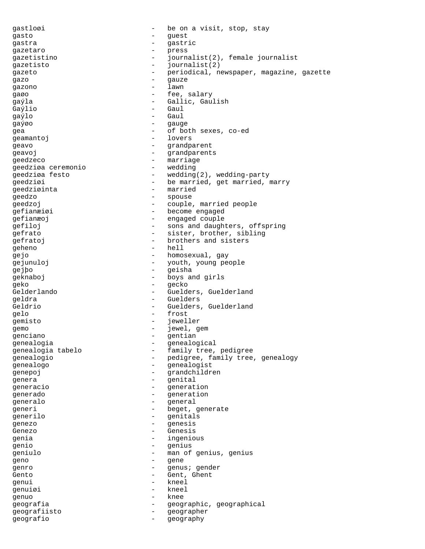gastloøi - be on a visit, stop, stay gasto - guest gastra - gastric gazetaro - press gazetistino  $-$  journalist(2), female journalist<br>gazetisto gazetisto - journalist(2)<br>gazeto - periodical n gazeto - periodical, newspaper, magazine, gazette gazo - gauze gazono gaøo - fee, salary gaýla - Gallic, Gaulish<br>Gavilo - Gaul Gaýlio - Gaul<br>Ga<sup>ýl</sup>o - Gaul gaýlo - Gaul gaýøo - gauge gea - of both sexes, co-ed geamantoj - lovers geavo - grandparent geavoj - grandparents -<br>geedzeco - marriage<br>geedziøa\_ceremonio - wedding geedziøa ceremonio - wedding geedziøa festo  $-$  wedding(2), wedding-party geedziøi - be married, get married, marry geedziøinta - married geedzo - spouse geedzoj - couple, married people gefianæiøi - become engaged gefianæoj - engaged couple gefiloj - sons and daughters, offspring gefrato  $-$  sister, brother, sibling gefratoj - brothers and sisters<br>
geheno - hell<br>
- hell geheno - hell - hell - hell - heno gejo  $-$  homosexual, gay gejunuloj - youth, young people<br>
saibo gejþo - geisha geknaboj - boys and girls geko - gecko - gecko - gecko - gecko - gecko - gecko - gecko - gecko - gecko - gecko - gecko - gecko - gecko -- Guelders, Guelderland geldra - Guelders Geldrio **- Guelders, Guelderland** gelo - frost gemisto - jeweller gemo - jewel, gemo<br>
genciano - dentian genciano - gentian<br>genealogia genealogia - genealogical genealogia tabelo - family tree, pedigree genealogio  $-$  pedigree, family tree, genealogy<br>genealogo genealogo - genealogist<br>
genealogist<br>
- grandchildr genepoj - grandchildren genera - genital generacio en el proponecemento de la generation generado - generation generalo - general generi - beget, generate generilo - genitals genezo - genesis Genezo - Genesis<br>genia - Genesis<br>- ingenio genia - ingenious<br>
canic genio - genius geniulo - man of genius, genius<br>
geno - cene geno – gene – gene – gene – gene – gene – gene – gene – gene – gene – gene – gene – gene – gene – gene – gene – gene – gene – gene – gene – gene – gene – gene – gene – gene – gene – gene – gene – gene – gene – gene – gene genro - genus; gender Gento - Gent, Ghent genui - kneel genuiøi - kneel genuo - knee geografia - geographic, geographical geografiisto - geographer geografio - geography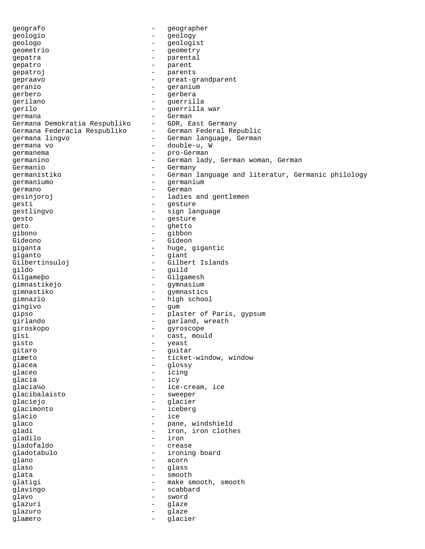geografo - geographer geologio - geology geologo - geologist geometrio - geometry gepatra  $\qquad \qquad -$  parental gepatro - parent gepatroj – parents<br>gepraavo – en ent-d gepraavo - great-grandparent geranio - geranium - geranium<br>
gerbero - gerbera gerbero - gerbera gerilano - guerrilla gerilo - guerrilla war germana<br>Germana Demokratia Respubliko - - GDR, East Germany Germana Demokratia Respubliko GDR, East Germany<br>Germana Federacia Respubliko German Federal Republic Germana Federacia Respubliko germana lingvo - German language, German germana vo - double-u, W germanema - pro-German germanino - German lady, German woman, German Germanio  $-$  Germany germanistiko - German language and literatur, Germanic philology germaniumo - germanium germano - German gesinjoroj - ladies and gentlemen gesti este estable estable estable estable estable estable estable estable estable estable estable estable est gestlingvo - sign language gesto - gesture - gesture - gesture - gesture - gesture - gesture - gesture - gesture - gesture - gesture - gesture - gesture - gesture - gesture - gesture - gesture - gesture - gesture - gesture - gesture - gesture - gest geto - ghetto gibono - gibbon Gideono - Gideon giganta - huge, gigantic<br>
giganto - diant giganto - giant Gilbertinsuloj - Gilbert Islands gildo - guild Gilgameþo - Gilgamesh gimnastikejo - gymnasium gimnastiko - gymnastics gimnazio - high school gingivo - gum gipso - plaster of Paris, gypsum<br>girlando - carland wreath girlando - garland, wreath giroskopo - gyroscope gisi - cast, mould<br>giste - veast - veast gisto - yeast<br>gitaro - yeast<br>- guitaro - guita gitaro - guitar giæeto - ticket-window, window<br>
alacea - clossy<br>
- clossy glacea - glossy qlaceo - icing glacia - icy - ice-cream, ice glacibalaisto - sweeper glaciejo - glacier glacimonto - iceberg qlacio internacionale de la contrada de la contrada de la contrada de la contrada de la contrada de la contrad glaco - pane, windshield gladi - iron, iron clothes gladilo - iron gladofaldo - crease gladotabulo - ironing board glano - acorn qlaso - glass qlata - smooth glatigi - make smooth, smooth glavingo - scabbard glavo - sword glazuri - glaze glazuro - glaze glaæero - glacier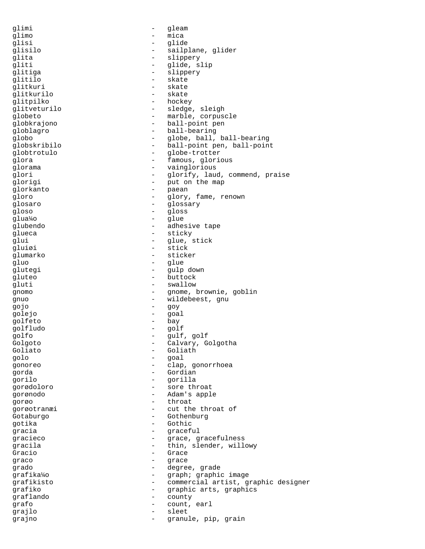qlimi - qleam glimo - mica glisi - glide glisilo - sailplane, glider glita - slippery gliti - glide, slip<br>glitica - slipperv glitiga - slippery glitilo - skate glitkuri - skate<br>qlitkurilo - skate glitkurilo glitpilko - hockey<br>glitveturilo - sledge - sledge, sleigh globeto - marble, corpuscle globkrajono - ball-point pen globlagro - ball-bearing<br>qlobo - qlobe, ball, globo - globe, ball, ball-bearing globskribilo - ball-point pen, ball-point globtrotulo - globe-trotter glora  $-$  famous, glorious glorama - vainglorious glori  $-$  glorify, laud, commend, praise glorigi - put on the map glorkanto - paean - paean - paean - paean - paean - paean - paean - paean - paean - paean - paean - paean - paean - paean - paean - paean - paean - paean - paean - paean - paean - paean - paean - paean - paean - paean - pa gloro - glory, fame, renown qlosaro - glossary - glossary gloso - gloss glua¼o - glue glubendo - adhesive tape glueca - sticky glui - glue, stick gluiøi - stick<br>glumarko - - sticker glumarko - sticker - sticker - sticker - sticker - sticker - sticker - sticker - sticker - sticker - sticker gluo - glue<br>alutegi - glue - glue glutegi - gulp down gluteo - buttock gluti - swallow gnomo - gnome, brownie, goblin gnuo - wildebeest, gnu gojo - goy golejo - goal golfeto - bay golfludo - golf golfo - gulf, golf - Calvary, Golgotha<br>Goliato - Calvary, Golgotha<br>- Goliath - Goliath Goliath golo - goal gonoreo - clap, gonorrhoea gorda - Gordian gorilo - gorilla gorødoloro - sore throat gorønodo - Adam's apple gorøo - throat gorøotranæi - cut the throat of Gotaburgo - Gothenburg gotika - Gothic gracia - graceful gracieco - Grace, gracefulness gracila  $-$  thin, slender, willowy Gracio - Grace<br>graco - Grace - Grace qraco - qrace - qrace grado - degree, grade grafika¼o - graph; graphic image grafikisto  $-$  commercial artist, graphic designer grafiko - graphic arts, graphics graflando - county grafo - count, earl grajlo - sleet grajno  $-$  granule, pip, grain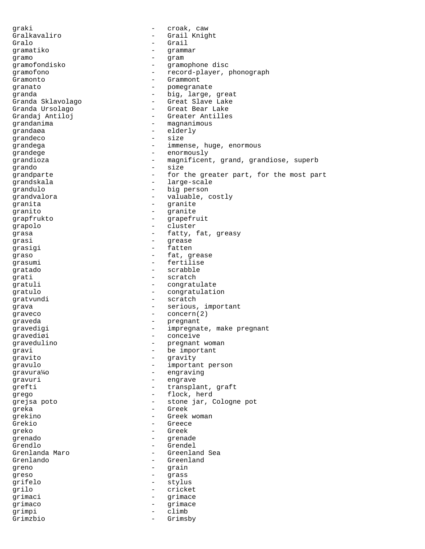graki  $\qquad \qquad - \qquad \text{crosk, caw}$ Gralkavaliro - Grail Knight Gralo - Grail gramatiko - grammar gramo - gram gramofondisko - gramophone disc gramofono - record-player, phonograph Gramonto - Grammont granato - pomegranate granda  $\qquad \qquad -$  big, large, great Granda Sklavolago - Great Slave Lake - Great Bear Lake Grandaj Antiloj (Greater Antilles grandanima - magnanimous grandaøa - elderly grandeco - size grandega - immense, huge, enormous grandege  $\qquad \qquad -$  enormously<br>
grandioza grandioza magnificent, grand, grandiose, superb<br>
qrando grando - size grandparte  $-$  for the greater part, for the most part grandskala - large-scale grandulo - big person qrandvalora - valuable, costly qranita - granite qranito - granite grapfrukto - grapefruit<br>grapolo - cluster - cluster grapolo - cluster grasa - fatty, fat, greasy grasi - grease<br>grasini - fatten grasigi - fatten<br>graso - fatten graso  $-$  fat, grease grasumi - fertilise gratado - scrabble grati - scratch qratuli - congratulate qratulo - congratulation gratvundi - scratch grava  $\qquad \qquad -$  serious, important graveco - concern(2)<br>graveda - concern(2) graveda - pregnant gravedigi - impregnate, make pregnant gravediøi - conceive<br>gravedulino - pregnant gravedulino  $\qquad \qquad -$  pregnant woman gravi - be important gravito - gravity gravulo - important person gravura¼o - engraving qravuri - engrave grefti - transplant, graft grego  $-$  flock, herd grejsa poto - stone jar, Cologne pot greka - Greek grekino - Greek woman Grekio - Greece greko - Greek - Greek<br>grenado - Greena grenado en el estado en el escrito de estado en el estado en el estado en el estado en el estado en el estado Grendlo - Grendel - Greenland Sea Grenlando - Greenland greno - grain - grain qreso - grass grifelo - stylus grilo - cricket<br>
grimaci - crimace - crimace grimaci - grimace grimaco - grimace - grimace - grimace - grimace - grimace - grimace - grimace - grimace - grimace - grimace grimpi Grimzbio - Grimsby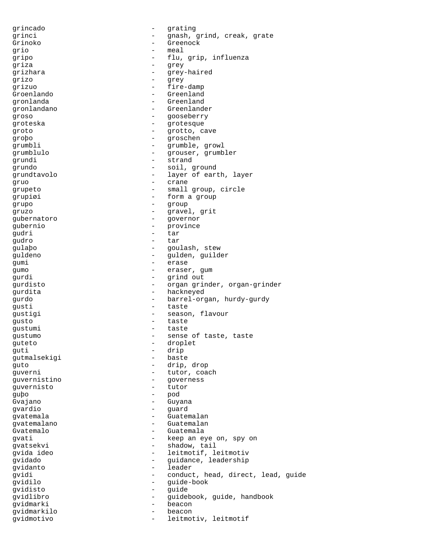grincado - grating grinci  $\qquad \qquad -$  gnash, grind, creak, grate Grinoko - Greenock grio - meal gripo - flu, grip, influenza griza - grey grizhara - grey-haired<br>
The grey-haired grizo - grey - fire-damp Groenlando - Greenland gronlanda - Greenland gronlandano - Greenlander groso - gooseberry groteska - grotesque - grotesque groto  $-$  grotto, cave groþo - groschen grumbli - grumble, growl grumblulo - grouser, grumbler grundi - strand grundo - soil, ground grundtavolo - layer of earth, layer gruo - crane grupeto - small group, circle grupiøi - form a group grupo - group gruzo - gravel, grit gubernatoro - governor gubernio - province gudri - tar gudro - tar<br>qulabo - cou gulaþo - goulash, stew guldeno - gulden, guilder gumi - erase gumo - eraser, gum gurdi - grind out gurdisto - organ grinder, organ-grinder gurdita - hackneyed gurdo - barrel-organ, hurdy-gurdy gusti - taste gustigi - season, flavour gusto - taste gustumi - taste gustumo - sense of taste, taste guteto - droplet guti - drip<br>qutmalsekiqi - baste gutmalsekigi guto - drip, drop quverni - tutor, coach guvernistino - governess<br>quvernisto - tutor - tutor guvernisto guþo - pod Gvajano - Guyana gvardio - guard youtemala<br>gvatemalano<br>gvatemalano<br>gvatemalano gvatemalano - Guatemalano - Guatemalano<br>Guatemalo - Guatemala Gvatemalo - Guatemala gvati - keep an eye on, spy on gvatsekvi - shadow, tail gvida ideo - leitmotif, leitmotiv gvidado - guidance, leadership<br>gvidanto - leader - leader gvidi - conduct, head, direct, lead, guide gvidilo - guide-book gvidisto - guide gvidlibro - guidebook, guide, handbook gvidmarki - beaconnair - beaconnair - beaconnair - beaconnair - beaconnair - beaconnair - beaconnair - beaconn gvidmarkilo - beacon gvidmotivo - leitmotiv, leitmotif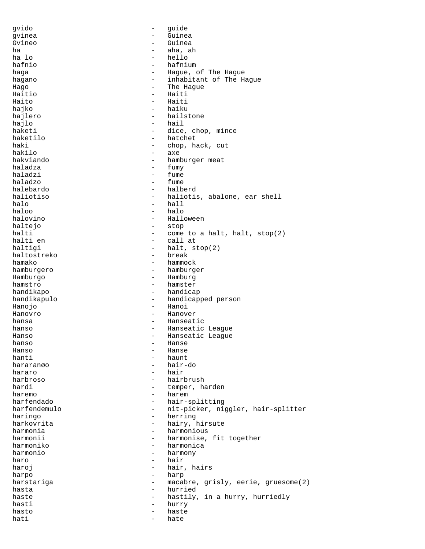gvido - guide gvinea - Guinea Guinea ha - aha, ah<br>ha lo - aha, ah ha lo - hello - hafnium haga haga - Hague, of The Hague hagano  $-$  inhabitant of The Hague Hago **-** The Hague Haitio - Haiti Haito - Haiti hajko - haiku hajlero - hailstone hajlo - hail haketi - dice, chop, mince haketilo - hatchet haki - chop, hack, cut<br>hakilo - axe hakilo - axe - hamburger meat<br>- fumy haladza<br>haladzi haladzi - fume - fume halebardo - halberd haliotiso - haliotis, abalone, ear shell<br>halo<br>- hall<br>- hall halo - hall - halo halovino - Halloween haltejo - stop halti - come to a halt, halt, stop(2) halti en  $\qquad \qquad -$  call at - call at haltigi - halt, stop(2)<br>haltostreko - break - break haltostreko<br>hamako hamako - hammock<br>hamburgero - hamburgi - hamburgi hamburgero - hamburger - Hamburg hamstro - hamster handikapo - handicap handikapulo - handicapped person Hanojo - Hanoi Hanovro - Hanover hansa - Hanseatic - Hanseatic League<br>- Hanseatic League Hanso - Hanseatic League<br>
Hanso - Hanseatic League hanso - Hanse Hanso - Hanse hanti - haunt<br>hararango - hair-- hair-do hararo - hair harbroso - hairbrush hardi  $-$  temper, harden haremo - haremo - haremo - haremo - haremo - hair-s - hair-splitting harfendemulo - nit-picker, niggler, hair-splitter<br>haringo - herring<br>- herring haringo - herring harkovrita - herring harkovrita - herring - herring - herring - herring - herring - herring -- hairy, hirsute<br>- harmonious harmonia - harmonious harmonii - harmonise, fit together<br>harmoniko - harmonica harmoniko - harmonica - harmony haro - hair haroj  $-$  hair, hairs harpo - harp harstariga - macabre, grisly, eerie, gruesome(2) hasta  $-$  hurried haste  $-$  hastily, in a hurry, hurriedly hasti - hurry hasto - haste hati - hate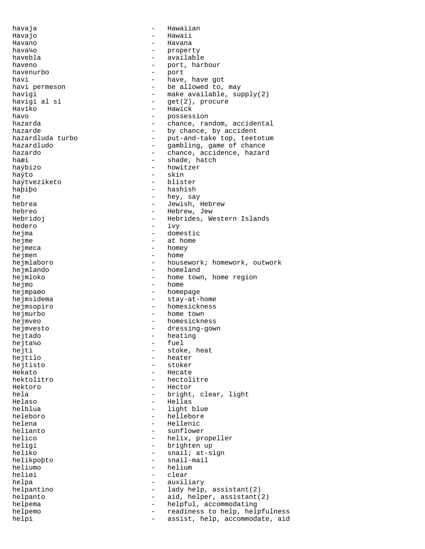havaja - Hawaiian Havajo - Hawaii Havano - Havana hava¼o - property havebla - available haveno - port, harbour havenurbo<br>havi havi - have, have got<br>havi permeson - - - - - - - - - be allowed to, - be allowed to, may havigi  $-$  make available, supply(2) havigi al si  $-$  qet(2), procure havigi al si  $-$  get(2), procure<br>Haviko - Hawick - Hawick havo  $-$  possession hazarda - chance, random, accidental hazarde - by chance, by accident<br>hazardluda turbo - put-and-take top, teet - put-and-take top, teetotum<br>- gambling, game of chance hazardludo - gambling, game of chance nazardo - chance, accidence, hazardo - chance, accidence, hazard<br>hazardo - chance, accidence, hazard<br>haxi - shade, hatch haæi - shade, hatch<br>haýbizo - shade, hatch<br>- howitzer haýbizo - howitzer - skin<br>- blister haýtveziketo<br>haþiþo - hashish he - hey, say<br>hebrea - hey, say<br>- Jewish. - Jewish, Hebrew hebreo - Hebrew, Jew Hebridoj - Hebrides, Western Islands<br>hedero - ivv hedero - ivy hejma - domestic hejme - at home<br>heimeca - homev hejmeca - homey<br>heimen - home hejmen<br>hejmlaboro - housework; homework, outwork hejmlando - homeland hejmloko - home town, home region hejmo - home hejmpaøo - homepage hejmsidema - stay-at-home hejmsopiro - homesickness hejmurbo - home town hejmveo - homesickness hejmvesto - dressing-gown<br>heitado - heating hejtado - heating hejta¼o hejti - stoke, heat<br>hejtilo - heater - heater hejtilo - heater - stoker Hekato - Hecate hektolitro - hectolitre Hektoro - Hector hela  $-$  bright, clear, light Helaso - Hellas helblua - light blue heleboro - hellebore - hellebore - hellebore - hellebore - hellebore - hellebore - hellenic helena - Hellenic<br>helianto - Hellenic helianto - sunflower helico - helix, propeller<br>heliqi - helix, propeller<br>- brighten up heligi - brighten up<br>heliko - snail; at-s - snail; at-sign helikpoþto - snail-mail heliumo - heliumo - heliumo - heliumo - helium - clear helpa - auxiliary - auxiliary helpantino  $-$  lady help, assistant(2) helpanto - aid, helper, assistant(2) helpema - helpful, accommodating helpemo - readiness to help, helpfulness helpi - assist, help, accommodate, aid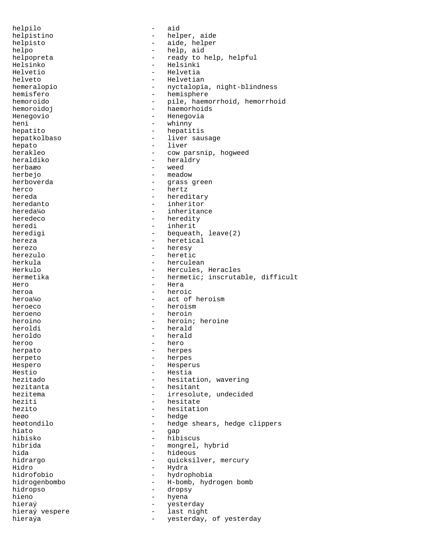helpilo - aid helpistino - helper, aide helpisto - aide, helper helpo - help, aid helpopreta - ready to help, helpful<br>Helsinko Helsinko - Helsinki Helvetio - Helvetia helveto - Helvetian<br>hemeralopio - Helvetian<br>- nyctalopi - nyctalopia, night-blindness hemisfero - hemisphere hemoroido - pile, haemorrhoid, hemorrhoid<br>hemoroidoj - haemorhoids - haemorhoids Henegovio - Henegovia heni - whinny hepatito - hepatitis<br>hepatkolbaso - liver sau hepatkolbaso - liver sausage hepato - liver herakleo - cow parsnip, hogweed heraldiko - cow parsnip, hogweed - cow parsnip, hogweed - cow parsnip and the m heraldry herbaæo - weed herbejo - meadow grass green herco - hertz hereda - hereditary - hereditary heredanto - inheritor hereda¼o - inheritance heredeco - heredity heredi - inherit heredigi  $-$  bequeath, leave(2) hereza - heretical<br>herezo - heresy herezo - heresy herezulo - heretic herkula - herculean - Hercules, Heracles hermetika - hermetic; inscrutable, difficult Hero - Hera heroa - heroic heroa¼o - act of heroism heroeco - heroism - heroism heroeno - heroin heroino - heroin; heroine heroldi - herald heroldo - herald heroo - hero herpato - herpes herpeto - herpes Hespero - Hesperus Hestio - Hestia<br>hezitado - hesital - hesitation, wavering hezitanta  $-$  hesitant hezitema - irresolute, undecided heziti - hesitate - hesitate - hesitate - hesitational - hesitation - hesitation - hesitation - hesitation - h - hesitation heøo - hedge - hedge - hedge - hedge - hedge - hedge - hedge - hedge - hedge - hedge - hedge - hedge - hedge - hedge - hedge - hedge - hedge - hedge - hedge - hedge - hedge - hedge - hedge - hedge - hedge - hedge - hedge heøtondilo - hedge shears, hedge clippers<br>hiato - gan hiato - gap hibisko - hibiscus<br>hibrida - mongrel. hibrida - mongrel, hybrid - hideous<br>- *m*uicksi hidrargo  $-$  quicksilver, mercury Hidro - Hydra hidrofobio - hydrophobia hidrogenbombo - H-bomb, hydrogen bomb hidropso - dropsy hieno - hyena hieraý  $-$  yesterday hieraý vespere  $-$  last night hieraýa  $-$  yesterday, of yesterday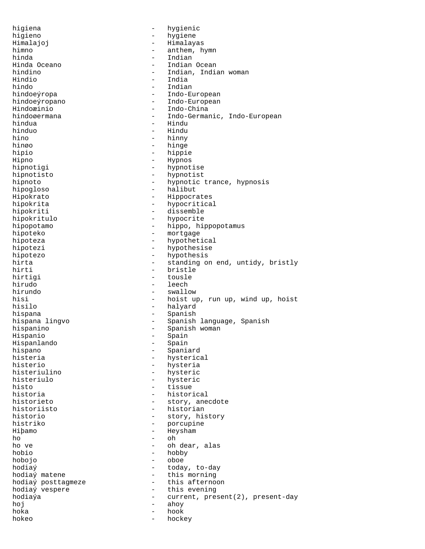higiena - hygienic higieno - hygiene Himalajoj - Himalayas himno - anthem, hymn hinda - Indian Hinda Oceano - Indian Ocean hindino - Indian, Indian woman Hindio - India - Indian hindoeýropa - Indo-European hindoeýropano - Indo-European Hindoæinio - Indo-China hindoøermana - Indo-Germanic, Indo-European hindua - Hindu hinduo - Hindu hino - hinny hinøo - hinge hipio - hippie Hipno - Hypnos<br>hipnotigi - Hypnot - hypnotise hipnotisto - hypnotisto<br>hipnoto - hypnotic -- hypnotic trance, hypnosis hipogloso - halibut Hipokrato - Hippocrates hipokrita - hypocritical hipokriti - dissemble hipokritulo - hypocrite hipopotamo - hippo, hippopotamus hipoteko - mortgage hipoteza  $-$  hypothetical hipotezi - hypothesise hipotezo - hypothesis hirta - standing on end, untidy, bristly<br>hirti - bristle - bristle hirtigi - tousle hirudo - leech hirundo - swallow - hoist up, run up, wind up, hoist hisilo - halyard hispana - Spanish - Spanish<br>hispana lingvo - - Spanish - Spanish - Spanish language, Spanish hispanino - Spanish woman Hispanio - Spain<br>Hispanlando - Spain - Spain Hispanlando hispano - Spaniard histeria - hysterical - hysteria histeriulino - hysteric histeriulo - hysteric<br>histo - tissue - tissue historia - historical historieto  $-$  story, anecdote historiisto - historian historio - story, history histriko - porcupine Hiþamo - Heysham - Heysham - Oh ho - oh ho ve - oh dear, alas - hobby hobojo - oboe hodiaý  $\begin{array}{cccc} \text{hodi} & - & \text{today}, \text{to-day} \\ \text{hodi} & - & \text{this morning} \end{array}$ - this morning<br>- this afternoon hodiaý posttagmeze<br>hodiaý vespere - this evening hodiaýa - current, present(2), present-day hoj - ahoy - hook hokeo - hockey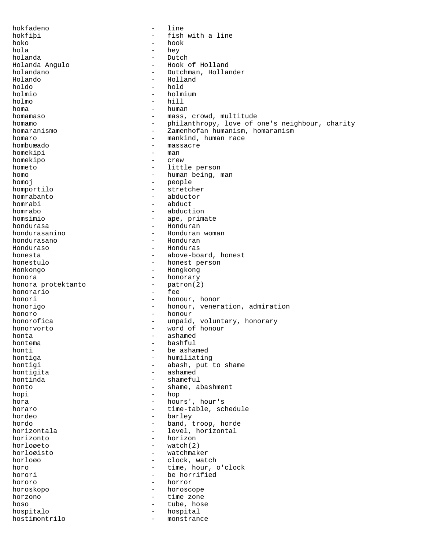hokfadeno - line - fish with a line<br>- hook hoko - hook hola - hey holanda - Dutch Holanda Angulo - Hook of Holland holandano - Dutchman, Hollander<br>Holando - Holland - Holland Holando - Holland holdo - hold holmio - holmium - holmium - hill - hill - hill - hill - hill - hill - hill - hill - hill - hill - hill - hill - hill - hill - hill - hill - hill - hill - hill - hill - hill - hill - hill - hill - hill - hill - hill - hill holmo - hill<br>homa - human<br>- human - human homamaso  $-$  mass, crowd, multitude homamo - philanthropy, love of one's neighbour, charity homaranismo - Zamenhofan humanism, homaranism homaro  $-$  mankind, human race hombuæado - massacre homekipi - manazin - manazin - manazin - manazin - manazin - manazin - manazin - manazin - manazin - manazin homekipo - crew hometo  $\begin{array}{ccc} - & \text{little person} \\ - & \text{human being} \\ \end{array}$ homo - human being, man homo i - human being, man homo i - human being, man homo i - human being and homo i - h - people homportilo - stretcher homrabanto - abductor homrabi - abduct<br>homrabo - abduct: - abduction homsimio - ape, primate hondurasa - Honduran hondurasanino - Honduran woman hondurasano - Honduran - Honduras honesta<br>
honestulo<br>
- above-board, honest<br>
person<br>
- honest<br>
person honestulo - honest person - Hongkong honora<br>
honora<br>
protektanto<br>
- patron(2) honora protektanto - patron(2) honorario<br>honori - honour, honor honorigo  $-$  honour, veneration, admiration honoro - honour - honour - honour - honour - honour - honour - honour - honour - honour - honour - honour - honour -  $\frac{1}{2}$ - unpaid, voluntary, honorary honorvorto - word of honour honta - ashamed hontema - bashful<br>honti - beasha honti - be ashamed hontiga - humiliating<br>hontiqi - abash, put - abash, put to shame hontigita - ashamed - shameful honto  $-$  shame, abashment hopi - hop hora - hours', hour's horaro  $-$  time-table, schedule hordeo - barley hordo - band, troop, horde horizontala - level, horizontal<br>horizonto - horizon horizonto - horizon horloøeto - watch(2) - watchmaker horloøo - clock, watch horo - time, hour, o'clock<br>horori - he horrified - be horrified hororo - horror horoskopo - horoscope - horoscope - horoscope - horoscope - horoscope - horoscope - horoscope - horoscope - horoscope - horoscope - horoscope - horoscope - horoscope - horoscope - horoscope - horoscope - horoscope - horosc horzono - time zone - tube, hose hospitalo - hospital hostimontrilo - monstrance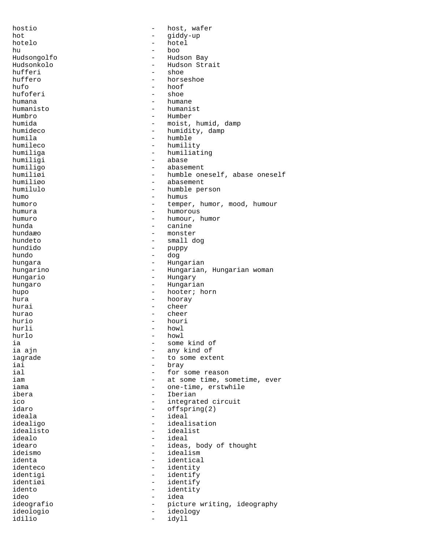hostio - host, wafer hot - giddy-up<br>hotelo - hotel - hotel hotelo - hotel hu - boo Hudsongolfo - Hudson Bay - Hudson Strait<br>- shoe hufferi - shoe - shoe - shoe - shoe - shoe - shoe - shoe - shoe - shoe - shoe - shoe - shoe - shoe - shoe - sho huffero - horseshoe<br>hufo - hoof - hoof - hoof<br>- shoe hufoferi humana - humane humanisto - humanist - Humber humida  $-$  moist, humid, damp humideco - humidity, damp humila - humble humileco - humility - humiliating<br>- abase humiligi - abase<br>humiligo - - abase humiligo - abasement humiliøi - humble oneself, abase oneself humiliøo - abasement - humble person humo - humus<br>humoro - tempe: - temper, humor, mood, humour<br>- humorous humura - humorous humuro - humour, humor hunda - canine hundaæo - monster hundeto - small dog hundido - puppy hundo - dog hungara - Hungarian - Hungarian<br>hungarino - Hungarian - Hungarian - Hungarian, Hungarian woman Hungario - Hungary hungaro  $-$  Hungarian hupo - hooter; horn hooray hurai - cheer hurao - cheer hurio - houri hurli - howl hurlo - howl ia in the some kind of the some kind of the some kind of the some kind of the some  $-$  some kind of - any kind of iagrade  $\qquad \qquad -$  to some extent iai iai - bray - bray - bray - bray - bray - bray - bray - bray - bray - bray - bray - bray - bray - bray - bray ial in the set of the set of the set of the set of the set of the set of the set of the set of the set of the set of the set of the set of the set of the set of the set of the set of the set of the set of the set of the se - at some time, sometime, ever iama  $-$  one-time, erstwhile ibera - Iberian ico - integrated circuit<br>idaro - integrated circuit idaro - offspring(2)<br>ideala - offspring(2) - ideal idealigo - idealisation<br>idealisto - idealist idealisto - idealist idealo - ideal idearo - ideas, body of thought<br>ideismo - idealism - idealism<br>- identica identa<br>identeco de control dentital<br>identeco de control dentity identeco - identity identigi - identify identify idento  $-$  identity ideo - idea ideografio - picture writing, ideography ideologio - ideology idilio - idyll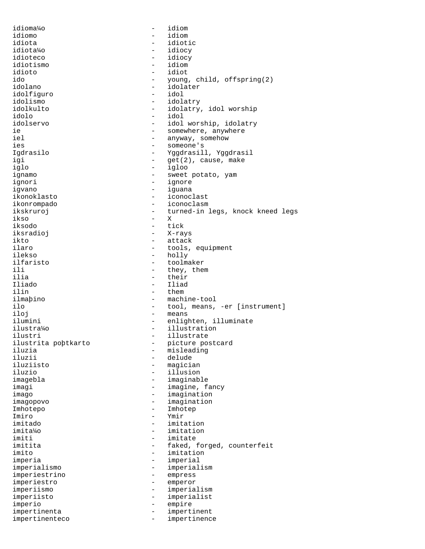| idioma¼o            | $\overline{\phantom{a}}$ | idiom                            |
|---------------------|--------------------------|----------------------------------|
| idiomo              |                          | idiom                            |
| idiota              |                          | idiotic                          |
| idiota%o            | $\overline{\phantom{0}}$ | idiocy                           |
| idioteco            | $\qquad \qquad -$        | idiocy                           |
| idiotismo           | $\overline{\phantom{0}}$ | idiom                            |
| idioto              | $\overline{\phantom{0}}$ | idiot                            |
| ido                 |                          | young, child, offspring(2)       |
| idolano             | $\overline{\phantom{0}}$ | idolater                         |
| idolfiguro          | $\qquad \qquad -$        | idol                             |
| idolismo            | $\overline{\phantom{0}}$ | idolatry                         |
| idolkulto           | $\overline{\phantom{0}}$ | idolatry, idol worship           |
| idolo               | $\overline{\phantom{0}}$ | idol                             |
| idolservo           | $\qquad \qquad -$        | idol worship, idolatry           |
| ie.                 |                          | somewhere, anywhere              |
| iel                 | $\overline{\phantom{0}}$ | anyway, somehow                  |
| ies                 |                          | someone's                        |
| Igdrasilo           | $\qquad \qquad -$        | Yggdrasill, Yggdrasil            |
| igi                 | -                        | get(2), cause, make              |
| iglo                | $\qquad \qquad -$        | igloo                            |
| ignamo              |                          | sweet potato, yam                |
| ignori              | $\overline{\phantom{m}}$ | ignore                           |
| iqvano              | $\overline{\phantom{0}}$ | iquana                           |
| ikonoklasto         |                          | iconoclast                       |
| ikonrompado         |                          | iconoclasm                       |
| ikskruroj           | $\qquad \qquad -$        | turned-in legs, knock kneed legs |
| ikso                | $-$                      | X                                |
| iksodo              |                          | tick                             |
| iksradioj           | $\overline{\phantom{0}}$ |                                  |
|                     |                          | X-rays                           |
| ikto                | $\overline{\phantom{0}}$ | attack                           |
| ilaro               | $\overline{\phantom{m}}$ | tools, equipment                 |
| ilekso              | $\overline{\phantom{m}}$ | holly                            |
| ilfaristo           | $\overline{\phantom{0}}$ | toolmaker                        |
| ili.                | $\overline{\phantom{0}}$ | they, them                       |
| ilia                | $\qquad \qquad -$        | their                            |
| Iliado              | $\overline{\phantom{0}}$ | Iliad                            |
| ilin                | $\overline{\phantom{0}}$ | them                             |
| ilmapino            | $\overline{\phantom{0}}$ | machine-tool                     |
| ilo                 | $\qquad \qquad -$        | tool, means, -er [instrument]    |
| iloj                | $\qquad \qquad -$        | means                            |
| ilumini             | $\qquad \qquad -$        | enlighten, illuminate            |
| ilustra%o           | $\qquad \qquad -$        | illustration                     |
| ilustri             |                          | illustrate                       |
| ilustrita pobtkarto |                          | picture postcard                 |
| iluzia              |                          | misleading                       |
| iluzii              |                          | delude                           |
| iluziisto           |                          | magician                         |
| iluzio              |                          | illusion                         |
| imagebla            |                          | imaginable                       |
| imagi               |                          | imagine, fancy                   |
| imago               | $\qquad \qquad -$        | imagination                      |
| imagopovo           | $\overline{\phantom{0}}$ | imagination                      |
| Imhotepo            |                          | Imhotep                          |
| Imiro               |                          | Ymir                             |
| imitado             |                          | imitation                        |
| imita¼o             | -                        | imitation                        |
| imiti               |                          | imitate                          |
| imitita             |                          | faked, forged, counterfeit       |
| imito               |                          | imitation                        |
| imperia             | -                        | imperial                         |
| imperialismo        |                          | imperialism                      |
| imperiestrino       |                          | empress                          |
| imperiestro         |                          | emperor                          |
| imperiismo          | -                        | imperialism                      |
| imperiisto          |                          | imperialist                      |
| imperio             | -                        | empire                           |
| impertinenta        |                          | impertinent                      |
| impertinenteco      | $\overline{\phantom{0}}$ | impertinence                     |
|                     |                          |                                  |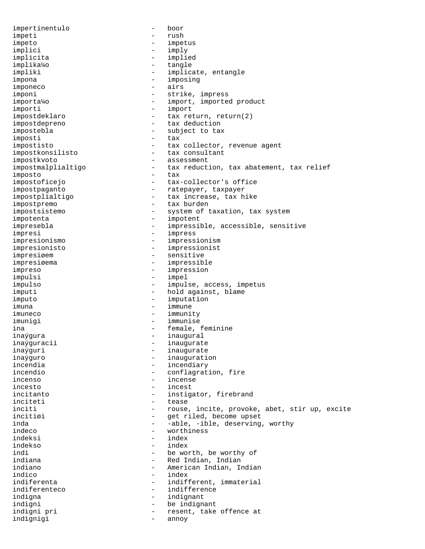impertinentulo - boor impeti - rush impeto - impetus implici - imply implicita - implied implika¼o - tangle impliki - implicate, entangle<br>impone impona - imposing imponeco - airs imponi - strike, impress importa¼o - import, imported product importi - import impostdeklaro - tax return, return(2) impostdepreno - tax deduction impostebla  $-$  subject to tax imposti - tax impostisto  $-$  tax collector, revenue agent impostkonsilisto - tax consultant impostkvoto - assessment<br>impostmalplialtigo - - tax reduct: - tax reduction, tax abatement, tax relief<br>- tax imposto<br>impostoficejo - tax-collector's office impostpaganto - ratepayer, taxpayer impostplialtigo - tax increase, tax hike impostpremo - tax burden impostsistemo - system of taxation, tax system impotenta - impotent impresebla - impressible, accessible, sensitive impresi<br>impresionismo<br>- impresionismo impresionismo - impressionism impresionisto - impressionist impresiøem - sensitive impresiøema - impressible impreso - impression<br>impulsi - impel - impel impulsi - impel impulso - impulse, access, impetus imputi  $-$  hold against, blame imputo - imputation imuna - immune imuneco - immunity imunigi - immunise ina - female, feminine<br>inavoura - feminine - inauoural inaýgura - inaugural inaýguracii - inaugurate<br>inaýguri - inaugurate inaýguri - inaugurate<br>inaýguro - inaugurati inaýguro - inauguration - incendiary incendio  $\qquad \qquad -$  conflagration, fire incenso - incense<br>incento - incense incesto - incest incitanto  $-$  instigator, firebrand inciteti - tease inciti - rouse, incite, provoke, abet, stir up, excite<br>incitisi - set riled become unset incitiøi - get riled, become upset inda - -able, -ible, deserving, worthy - worthiness<br>- index indeksi - index indekso<br>indi indi<br>
indiana<br>
- Red Indian, Indian<br>
- Red Indian, Indian - Red Indian, Indian indiano - American Indian, Indian indico - index<br>indiferenta - indiferenta indiferenta  $-$  indifferent, immaterial indiferenteco - indifference<br>indigna - indignant indigna - indignant indigni - be indignant - resent, take offence at<br>- annov indignigi - annoy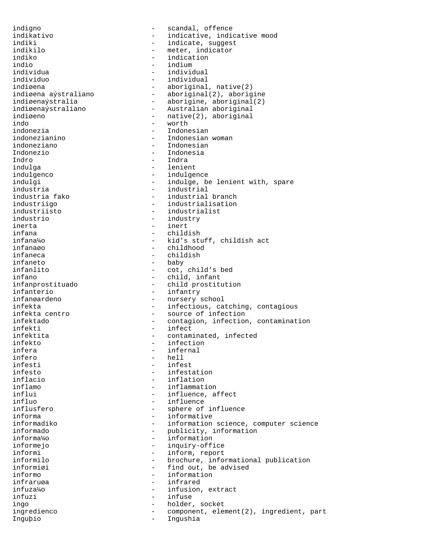indigno - scandal, offence<br>indikativo - indicative, indic - indicative, indicative mood indiki - indicate, suggest<br>indikilo - indicator - meter, indicator indikilo - meter, indicator indiko - indication - indication - indication - indication - indication - indication - indication - indication indio - indium individua - individual individuo - individual indiøena<br>indiøena aýstraliano - aboriginal(2), aboriginal(2), aboriginal(2), aboriginal(2), aboriginal(2), aboriginal(3), aboriginal(3), aboriginal(3), aboriginal(3), aboriginal(3), aboriginal(3), aboriginal(3), aboriginal - aboriginal(2), aborigine indiøenaýstralia - aborigine, aboriginal(2)<br>indiøenaýstraliano - Australian aboriginal indiøenaýstraliano - Australian aboriginal<br>indiøeno - native(2) aboriginal - native(2), aboriginal<br>- worth indo - worth indonezia - Indonesian indonezianino - Indonesian woman indoneziano - Indonesian<br>Indonezio - - Indonesia Indonezio - Indonesia<br>Indro - Indra - Indra Indro - Indra<br>indulga - Indra - Ienier indulga - lenient<br>indulgenco - lenient - lenient - lenient indulgenco - indulgence indulgi - indulge, be lenient with, spare industria - industrial - industrial branch industriigo - industrialisation industriisto - industrialist industrio - industry inerta - inert infana - childish infana¼o - kid's stuff, childish act infanaøo - childhood infaneca - childish - childish<br>infaneto - childish - baby infaneto - baby - cot, child's bed infano - child, infant infanprostituado - child prostitution infanterio - infantry - nursery school infekta - infectious, catching, contagious infekta centro  $\qquad \qquad -$  source of infection infektado - contagion, infection, contamination infekti - infect infektita  $\qquad \qquad -$  contaminated, infected infekto - infection<br>infera - infernal - infernal infera - infernal infero - hell - hell<br>infesti - infe - infest infesto - infestation inflacio - inflation inflamo - inflammation influi - influence, affect influo<br>
influsfero
influstero
influstero
influsterial entity and the sphere of - sphere of influence informa - informative informadiko  $-$  information science, computer science<br>informado  $-$  publicity, information informado - publicity, information informa¼o - information informejo - inquiry-office<br>informi - inform, report informi - inform, report<br>informilo - contractor - inform, report<br>- brochure, info: - brochure, informational publication informiøi - find out, be advised informo - information infraruøa - infrared infuza¼o - infusion, extract infuzi - infuse ingo  $-$  holder, socket ingredienco - component, element(2), ingredient, part Inguþio - Ingushia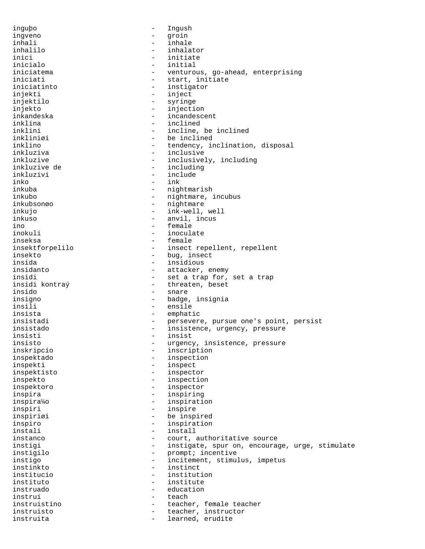inguþo - Ingush ingveno - groin inhali - inhale inhalilo - inhalator inici - initiate - initiate - initiate - initiate - initial - initial - initial - initial - initial - initial inicialo - initial iniciatema - venturous, go-ahead, enterprising<br>iniciati - start, initiate iniciati - start, initiate<br>iniciatinto - instigator - instigator injekti - inject injektilo - syringe injekto - injection inkandeska - incandescent inklina - inclined inklini  $-$  incline, be inclined inkliniøi - be inclined inklino - tendency, inclination, disposal inkluziva - inclusive inkluzive  $\begin{array}{ccc} - & i \text{including} \\ - & i \text{including} \end{array}$ inkluzive de - including inkluzivi - include - include - ink inko - ink - nightmarish inkubo - nightmare, incubus<br>inkubsongo - nightmare - nightmare inkubsonøo - nightmare - nightmare inkuio - nightmare - nightmare - nightmare - nightmare - nightmare - nightmare - nightmare - nightmare - nightmare - nightmare - nightmare - nightmare - nightmare - nightmare - nightmare - ink-well, well inkuso - anvil, incus ino - female inokuli - inoculate inseksa - female insektforpelilo  $-$  insect repellent, repellent insekto - bug, insect insida - insidious - insidious - insidious - insidious - insidious - insidious - insidious - insidious - insidious - insidious - insidious - insidious - insidious - insidious - insidious - insidious - insidious - insidious - attacker, enemy insidi - set a trap for, set a trap insidi kontra $\hat{v}$  - threaten, beset - threaten, beset insido - snare insigno - badge, insignia insili - ensile insista - emphatic<br>insistadi - persever insistadi - persevere, pursue one's point, persist insistado - insistence, urgency, pressure insisti - insist insisto - urgency, insistence, pressure<br>inskripcio - inscription - inscription inspektado - inspection inspekti - inspect inspektisto - inspector inspekto - inspection inspektoro - inspector inspira - inspiring inspira¼o - inspiration inspiri - inspire inspiriøi - be inspired inspiro  $-$  inspiration<br>instali  $-$  install instali - install instanco and the court, authoritative source instigi - instigate, spur on, encourage, urge, stimulate instigilo - prompt; incentive instigo - incitement, stimulus, impetus instinkto - instinct institucio - institution instituto - institute instruado - education instrui - teach instruistino - teacher, female teacher<br>instruisto - teacher, instructor instruisto - teacher, instructor instruita  $-$  learned, erudite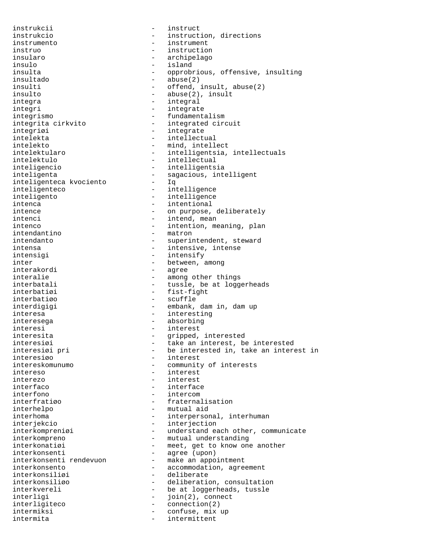instrukcii - instruct instrukcio - instruction, directions instrumento - instrument instruo - instruction insularo - archipelago insulo - island insultado - abuse(2) insulto - abuse(2), insult integra  $-$  integral integri - integrate integrismo - fundamentalism integrita cirkvito - integrated circuit integriøi - integrate intelekta - intellectual intelekto - mind, intellect intelektulo - intellectual inteligencio - intelligentsia inteligenta<br>inteligenteca kvociento - sagacious, intelligent<br>- Iq inteligenteca kvociento inteligenteco - intelligence inteligento - intelligence intenca  $-$  intentional intence  $\qquad \qquad -$  on purpose, deliberately intenci - intend, mean intenco  $-$  intention, meaning, plan intendantino - matron intendanto  $-$  superintendent, steward intensa  $-$  intensive, intense intensigi - intensify inter  $-$  between, among<br>interakordi  $-$  agree interalie - among other things<br>interbatali - tussle be at logge interbatiøi - fist-fight interbatiøo - scuffle interdigigi  $-$  embank, dam in, dam up interesa - interesting interesega - absorbing interesi - interest interesita - gripped, interested interesiøo - interest intereso - interest interezo - interest interfaco - interface interfono - intercom interfratiøo - fraternalisation interhelpo - mutual aid interjekcio - interjection interkompreno - mutual understanding interkonsenti rendevuon - make an appointment interkonsento - accommodation, agreement interkonsiliøi - deliberate interligi - join(2), connect interligiteco - connection(2) intermiksi - confuse, mix up intermita - intermittent

insulta - opprobrious, offensive, insulting<br>insultado - abuse(2) - offend, insult, abuse(2) intelektularo  $-$  intelligentsia, intellectuals - agree - tussle, be at loggerheads interesiøi - take an interest, be interested interesiøi pri 1992 - be interested in, take an interest in - community of interests interhoma - interpersonal, interhuman interkompreniøi - understand each other, communicate interkonatiøi - meet, get to know one another<br>interkonsenti - agree (upon) - agree (upon) interkonsiliøo - deliberation, consultation interkvereli - be at loggerheads, tussle<br>
interligi - ioin(2). connect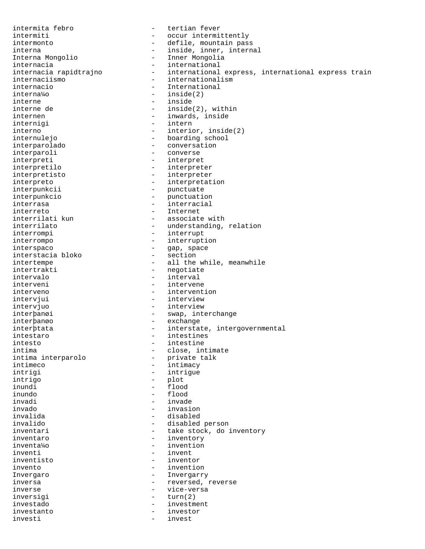intermita febro - tertian fever intermiti - occur intermittently intermonto  $-$  defile, mountain pass interna - inside, inner, internal - Inner Mongolia internacia<br>
internacia rapidtrajno international internacia rapidtrajno - international express, international express train internaciismo - internationalism<br>internacio - International - International interna¼o - inside(2) interne  $\frac{1}{2}$  inside  $\frac{1}{2}$  inside  $\frac{1}{2}$  inside  $-$  inside(2), within internen - inwards, inside internigi - intern interno - interior, inside(2) internulejo - boarding school interparolado - conversation - converse interpreti - interpret - interpreter interpretisto - interpreter interpreto  $\overline{\phantom{a}}$  - interpretation interpunkcii - punctuate interpunkcio - punctuation interrasa - interracial interreto - Internet interrilati kun - associate with interrilato  $-$  understanding, relation interrompi - interrupt interrompo - interruption interspaco - gap, space interstacia bloko intertempe - all the while, meanwhile<br>intertrakti - negotiate - negotiate intervalo - interval interveni - intervene interveno - intervention intervjui - interview intervjuo - interview interþanøi - swap, interchange interþanøo - exchange interþtata - interstate, intergovernmental intestaro  $-$  intestines intesto  $\begin{array}{ccc} - & \text{intestimate} \\ - & \text{cluster} \end{array}$ - close, intimate<br>- private talk intima interparolo<br>intimeco - intimacy intrigi - intrigue intrigo - plot inundi - flood inundo - flood invadi - invade invado - invasion invalida - disabled invalido - disabled person inventari  $\begin{array}{ccc} - & \text{take stock, do inventory} \\ - & \text{inventory} \end{array}$ inventaro  $\frac{1}{4}$  inventaro  $\frac{1}{4}$  inventaro  $\frac{1}{4}$  invention inventa¼o - invention - invent inventisto - inventor invento - invention Invergaro - Invergarry inversa - reversed, reverse inverse - vice-versa inversigi  $-$  turn(2) investado - investment investanto - investor investi - invest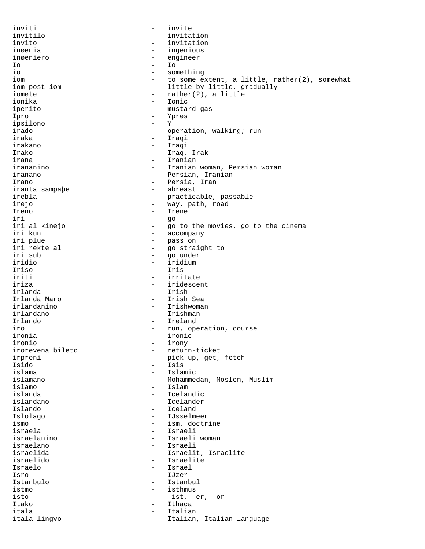inviti - invite - invite - invite - invite - invite - invite - invite - invite - invite - invite - invite - invite - invite - invite - invite - invite - invite - invite - invite - invite - invite - invite - invite - invite invitilo - invitation - invitation inøenia - ingenious inøeniero - engineer Io - Io io io entre expansion de la constanting de la constanting de la constanting de la constanting de la constanting<br>
in the some expansion of the some expansion of the some expansion of the some expansion of the some state of iom  $-$  to some extent, a little, rather(2), somewhat<br>iom post iom  $-$  little by little, gradually - little by little, gradually iomete - rather(2), a little ionika - Ionic iperito - mustard-gas Ipro - Ypres - Ypres - Ypres - Ypres - Ypres - Ypres - Ypres - Ypres - Ypres - Ypres - Y ipsilono irado - operation, walking; run iraka - Iraqi irakano - Iraqi Irako - Iraq, Irak irana - Iranian irananino - Iranian woman, Persian woman iranano - Persian, Iranian Irano - Persia, Iran<br>
iranta sampabe - 2008 - 2010 - 2010 abreast iranta sampaþe irebla - practicable, passable irejo - way, path, road Ireno - Irene iri - go iri al kinejo - go to the movies, go to the cinema iri kun - accompany iri plue - pass on iri rekte al - go straight to iri sub - go under iridio - iridium Iriso - Iris iriti - irritate<br>iriza - iridesce: - iridescent<br>- Irish irlanda<br>Irlanda Maro - Irish Sea irlandanino - Irishwoman irlandano - Irishman Irlando - Ireland iro  $\qquad \qquad -$  run, operation, course<br>ironia  $\qquad \qquad -$  ironic ironia - ironic ironio - irony - return-ticket irpreni - pick up, get, fetch<br>Isido - Isis Isido - Isis - Islamic islamano - Mohammedan, Moslem, Muslim islamo - Islam islanda - Icelandic islandano - Icelander Islando - Iceland Islolago - IJsselmeer ismo - ism, doctrine<br>israela - israeli - Israeli israela - Israeli - Israeli - Israeli - Israeli - Israeli - Israeli - Israeli - Israeli - Israeli - Israeli israelanino - Israeli woman israelano - Israeli - Israelit, Israelite israelido - Israelite Israelo - Israel Isro - IJzer<br>Istanbulo - Istanda - Istan - Istanbul istmo - isthmus isto - -ist, -er, -or Itako - Ithaca - Ithaca itala - Italian - Italian, Italian language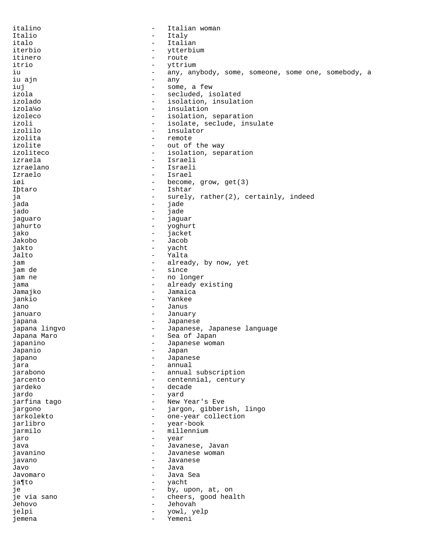italino - Italian woman Italio - Italy italo - Italian iterbio - ytterbium itinero - route itrio - yttrium - yttrium<br>iu - any an iu - any, anybody, some, someone, some one, somebody, a iu ain iu ajn iuj - some, a few izola - secluded, isolated izolado - isolation, insulation izola¼o - insulation izoleco - isolation, separation izoli - isolate, seclude, insulate izolilo - insulator izolita - remote izolite  $\qquad \qquad -$  out of the way izoliteco - isolation, separation<br>izraela - Israeli izraela - Israeli<br>izraelano - Israeli izraelano - Israeli<br>Izraelo - Israeli - Israeli Izraelo - Israel - become, grow, get(3) Iþtaro - Ishtar ja - surely, rather(2), certainly, indeed jada - jade jado - jade jaguaro - jaguar jahurto - yoghurt jako - jacket Jakobo - Jacob jakto - yacht Jalto - Yalta jam  $\qquad$  - already, by now, yet jam de jam de - since - no longer jama  $\qquad \qquad -$  already existing Jamajko - Jamaica<br>jankio - Yankee jankio - Yankee Jano - Janus januaro - January japana - Japanese<br>japana lingvo - - - - - - - - Japanese - Japanese, Japanese language<br>- Sea of Japan Japana Maro - Sea of Japan japanino - Japanese woman Japanio - Japan japano - Japanese jara - annual - annual - annual - annual - annual - annual - annual - annual - annual - annual - annual - annual - annual - annual - annual - annual - annual - annual - annual - annual - annual - annual - annual - annual jarabono - annual subscription - centennial, century jardeko - decade jardo - yard jarfina tago - New Year's Eve jargono - jargon, gibberish, lingo jarkolekto - one-year collection<br>iarlibro - vear-book jarlibro - year-book jarmilo - millennium<br>iaro - millennium - vear jaro - year java - Javanese, Javan javanino - Javanese woman javano - Javanese Javo - Java Javomaro - Java Sea ja¶to - yacht je  $-$  by, upon, at, on je via sano  $\sim$  - cheers, good health Jehovo - Jehovah jelpi - yowl, yelp jemena - Yemeni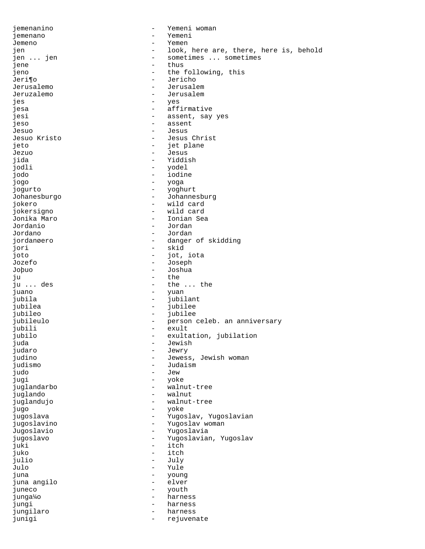jemenanino - Yemeni woman jemenano - Yemeni Jemeno - Yemen jen - look, here are, there, here is, behold<br>jen ... jen - sometimes ... sometimes jen ... jen  $\qquad \qquad$  - sometimes ... sometimes jene  $\qquad \qquad$  - thus jene - thus - thus jeno - the following, this - the following, this - the following, this - the following - the following - the following - the following - the following - the following - the following - the following - the following - the f Jeri¶o - Jericho - Jericho - Jericho - Jerusalemo - Jerusalemo - Jerusalemo - Jerusalemo - Jerusalemo - Jerusal Jerusalemo - Jerusalem - Jerusalem jes - yes jesa - affirmative - assent, say yes jeso - assent Jesuo - Jesus - Jesus - Jesus - Jesus<br>Jesuo Kristo - Jesus - Jesus - Jesus Christ jeto - jet plane Jezuo - Jesus jida - Yiddish jodli - yodel jodo - iodine jogo - yoga jogurto - yoghurt Johanesburgo - Johannesburg jokero - wild card jokersigno - wild card Jonika Maro - Ionian Sea - Jordan Jordano - Jordan jordanøero - danger of skidding<br>
iori - skid jori - skid jot, iota Jozefo - Joseph - Joshua ju  $-$  the ju  $\ldots$  des  $-$  the  $-$  the - the ... the juano - yuan jubila - jubilant jubilea - jubilee jubileo - jubilee - person celeb. an anniversary<br>- exult jubili - exult jubilo - exultation, jubilation juda - Jewish judaro - Jewry judino - Jewess, Jewish woman<br>judismo - Judaism - Judaism judo - Jew jugi - yoke juglandarbo - walnut-tree juglando - walnut juglandujo - walnut-tree jugo - yoke jugoslava - Yugoslav, Yugoslavian jugoslavino - Yugoslav woman Jugoslavio - Yugoslavia jugoslavo - Yugoslavian, Yugoslav juki - itch itch julio - July Julo - Yule juna - young juna angilo juneco - youth junga¼o - harness jungi - harness jungilaro - harness - harness junigi - rejuvenate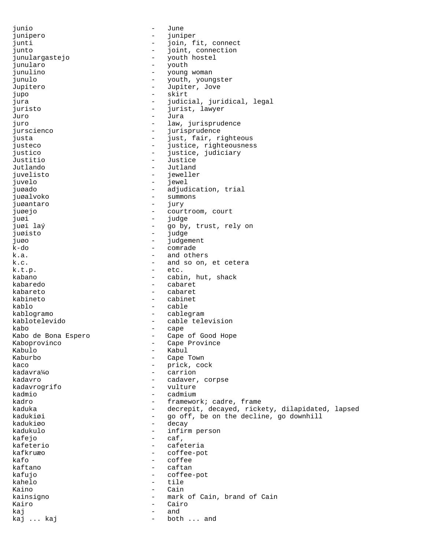junio - June junipero - juniper junti  $-$  join, fit, connect<br>iunto  $-$  ioint connection junto - joint, connection junulargastejo - youth hostel<br>iunularo - youth hostel junularo - youth - young woman<br>- youth, young junulo - youth, youngster Jupitero - Jupiter, Jove jupo - skirt jura - judicial, juridical, legal<br>iuristo - iurist lawyer juristo - jurist, lawyer Juro - Jura juro - law, jurisprudence jurscienco - jurisprudence<br>iusta - jurisprudence<br>extensive - just fair ri justa  $-$  just, fair, righteous justeco - iustice, righteousness<br>iustice - iustice iudiciary justico  $\overline{\phantom{a}}$  - justice, judiciary Justitio - Justice Jutlando - Jutland juvelisto - juvelo - juvelo - juvelo - juvelo - juvelo - juvelo - juvelo - juvelo - juvelo - juvelo - juvelo juvelo - jewel - adjudication, trial juøalvoko - summons<br>iugantaro - iury - iury juøantaro - jury juøejo - courtroom, court juøi - judge<br>juøi laý - roman - judge - juwi laý go by, trust, rely on juøisto - judge juøo - judgement k-do - comrade and others k.c.  $\qquad \qquad$  - and so on, et cetera  $k.t.p.$   $- etc.$ kabano - cabin, hut, shack kabaredo - cabaret kabareto - cabaret kabineto - cabinet kablo - cable kablogramo - cablegram kablotelevido - cable television kabo - cape Kabo de Bona Espero Cape of Good Hope Kaboprovinco Cape Province Kaboprovinco - Cape Province Kabulo - Kabul Kaburbo - Cape Town<br>kaco - The Cape Town - prick, cock kadavra¼o - carrion kadavro - cadaver, corpse kadavrogrifo kadmio - cadmium - cadmium kadro  $-$  framework; cadre, frame kaduka - decrepit, decayed, rickety, dilapidated, lapsed kadukiøi - go off, be on the decline, go downhill kadukiøo - decay kadukulo - infirm person kafejo - caf' kafeterio - cafeteria - coffee-pot kafo - coffee<br>kaftano - caftan kaftano - caftan kafujo - coffee-pot kahelo Kaino - Cain kainsigno  $-$  mark of Cain, brand of Cain Kairo - Cairo - Cairo kaj - and kaj ... kaj  $-$  both ... and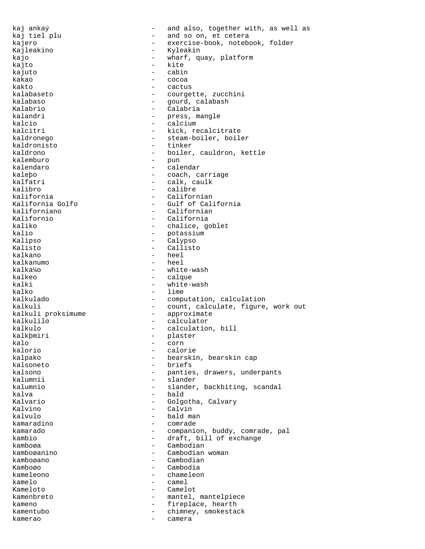kaj ankaý  $-$  and also, together with, as well as kaj tiel plu  $-$  and so on, et cetera kajero  $-$  exercise-book, notebook, folder Kajleakino - Kyleakin kajo - wharf, quay, platform<br>kajto - kite - kite - kite<br>- cabin kajuto<br>kakao kakao - cocoa - cactus kalabaseto - courgette, zucchini kalabaso - gourd, calabash - Calabria kalandri  $-$  press, mangle kalcio  $-$  calcium kalcitri  $-$  kick, recalcitrate kaldronego  $-$  steam-boiler, boiler kaldronisto - tinker kaldrono - boiler, cauldron, kettle kalemburo - pun kalendaro - calendar kaleþo - coach, carriage - coach, carriage - coach, carriage - coach, carriage - coach, carriage - coach, carriage - coach, carriage - coach, carriage - calk, caulk kalfatri - calk, caulk kalibro - calibre - calibre - calibre - calibre - calibre - calibre - caliform kalifornia - Californian Kalifornia Golfo - Gulf of California kaliforniano - Californian Kalifornio - California kaliko  $-$  chalice, goblet kalio  $-$  potassium Kalipso - Calypso Kalisto - Callisto<br>kalkano - - - - - - - - - - - - heel kalkano - heel kalkanumo<br>kalka¼o - white-wash kalkeo - calque - calque kalki - white-wash<br>kalko - lime kalko - lime<br>kalkulado - compu - computation, calculation kalkuli - count, calculate, figure, work out kalkuli proksimume - approximate kalkulilo - calculator kalkulo - calculation, bill<br>kalkþmiri - - - - - - - - - - - - plaster - plaster<br>- corn kalo - corn kalorio - calorie kalpako - bearskin, bearskin cap - briefs kalsono - panties, drawers, underpants<br>
kalumnii - slander kalumnii - slander<br>kalumnio - slander - slander, backbiting, scandal kalva - bald Kalvario  $-$  Golgotha, Calvary Kalvino - Calvin kalvulo - bald man kamaradino - comrade kamarado - companion, buddy, comrade, pal kambio - draft, bill of exchange<br>kamboøa - - - - - - - - - - - Cambodian kamboøa - Cambodian<br>kamboøanino - Cambodian Cambodian woman kamboøano - Cambodian Kamboøo - Cambodia kameleono - chameleon kamelo - camel Kameloto - Camelot kamenbreto - mantel, mantelpiece kameno  $-$  fireplace, hearth kamentubo - chimney, smokestack kamerao - camera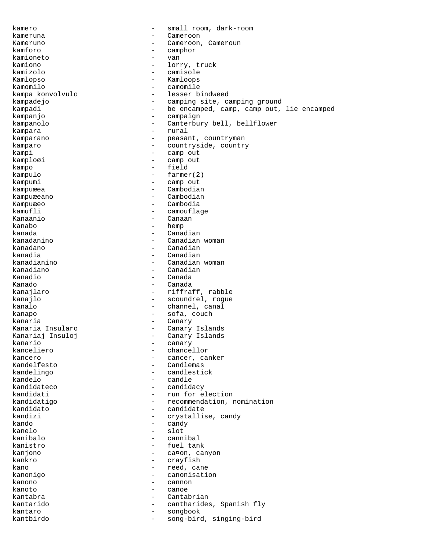kamero - small room, dark-room kameruna - Cameroon Kameruno - Cameroon, Cameroun kamforo - camphor kamioneto - van kamiono - lorry, truck kamizolo - camisole Kamlopso - Kamloops camomile kampa konvolvulo - lesser bindweed kampadejo - camping site, camping ground kampadi - be encamped, camp, camp out, lie encamped kampanjo - campaign kampanolo - Canterbury bell, bellflower kampara - rural - rural - rural - rural - rural - rural - rural - rural - rural - rural - rural - rural - rural - rural - rural - rural - rural - rural - rural - rural - rural - rural - rural - rural - rural - rural - rura kamparano - peasant, countryman<br>kamparo - countryside country kamparo - countryside, country kampi - camp out<br>kamplogi - camp out kamploøi - camp out kampo - field kampulo - farmer(2) - camp out kampuæea - Cambodian kampuæeano - Cambodian Kampuæeo - Cambodia - camouflage Kanaanio - Canaan kanabo - hemp kanada - Canadian - Canadian<br>kanadanino - Canadian - Canadian kanadanino - Canadian woman kanadano - Canadian kanadia - Canadian<br>kanadianino - Canadian - Canadian kanadianino - Canadian woman - Canadian Kanadio - Canada Kanado - Canada kanajlaro  $-$  riffraff, rabble kanajlo  $-$  scoundrel, rogue kanalo  $-$  channel, canal kanapo - sofa, couch kanaria - Canary Kanaria Insularo - Canary Islands Kanariaj Insuloj - Canary Islands kanario - canary kanceliero - chancellor<br>kancero - cancer, can kancero - cancer, canker<br>Kandelfesto - candlemas - Candlemas kandelingo - candlestick kandelo - candle - candidacy kandidati  $-$  run for election kandidatigo - recommendation, nomination kandidato - candidate kandizi - crystallise, candy<br>kando - candy - candy kando - candy kanelo - slot kanibalo - cannibal kanistro - fuel tank kanjono - ca¤on, canyon - crayfish kano - reed, cane<br>kanonigo - reed, canonisati - canonisation<br>- cannon kanono - cannon kanoto - canoe kantabra - Cantabrian kantarido - cantharides, Spanish fly kantaro - songbook kantbirdo - song-bird, singing-bird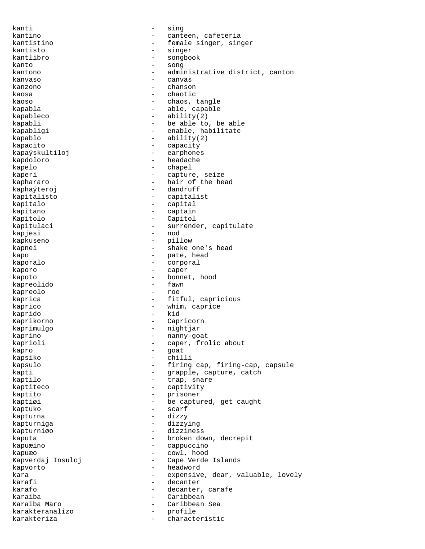kanti - sing kantino  $\sim$  - canteen, cafeteria kantistino - female singer, singer kantisto - singer kantlibro - songbook kanto - song<br>kantono - admi kantono - administrative district, canton kanvaso - canvas kanzono - chanson kaosa - chaotic kaoso  $-$  chaos, tangle kapabla - able, capable kapableco - ability(2) kapabli  $-$  be able to, be able kapabligi - enable, habilitate  $kapablo$  -  $ability(2)$ kapacito - capacity kapaýskultiloj - earphones kapdoloro - headache - headache kapelo - chapel kaperi - capture, seize<br>
kaphararo - hair of the head - hair of the head<br>- dandruff kaphaýteroj kapitalisto - capitalist kapitalo - capital kapitano - captain Kapitolo - Capitol kapitulaci - surrender, capitulate kapjesi - nod kapkuseno - pillow kapnei - shake one's head kapo - pate, head<br>kaporalo - pate, head<br>e corporal kaporalo - corporal kaporo - caper kapoto - bonnet, hood<br>
kapreolido - fawn - fawn kapreolido - fawn kapreolo kaprica  $-$  fitful, capricious kaprico  $-$  whim, caprice kaprido - kid Kaprikorno - Capricorn kaprimulgo - nightjar kaprino - nanny-goat kaprioli - caper, frolic about<br>
kapro - caper, frolic about<br>
- goat kapro - goat kapsiko kapsulo - firing cap, firing-cap, capsule kapti - grapple, capture, catch<br>kaptilo - trap, snare - trap, snare kaptiteco  $\overline{\phantom{a}}$  - captivity kaptito - prisoner kaptiøi - be captured, get caught kaptuko - scarf<br>kapturna - dizzy - dizzy kapturna - dizzy dan dizzy dan dizzy dan dizzy dan dizzy dan dizzy dan dizzy dan dizzy dan dizzy dan dizzy dan kapturniga - dizzying kapturniøo - dizziness kaputa  $-$  broken down, decrepit kapuæino - cappuccino kapuæo - cowl, hood Kapverdaj Insuloj - Cape Verde Islands kapvorto - headword kara  $-$  expensive, dear, valuable, lovely karafi - decanter karafo - decanter, carafe karaiba - Caribbean - Caribbean<br>Karaiba Maro - Caribbean - Caribbean Caribbean Sea karakteranalizo - profile karakteriza - characteristic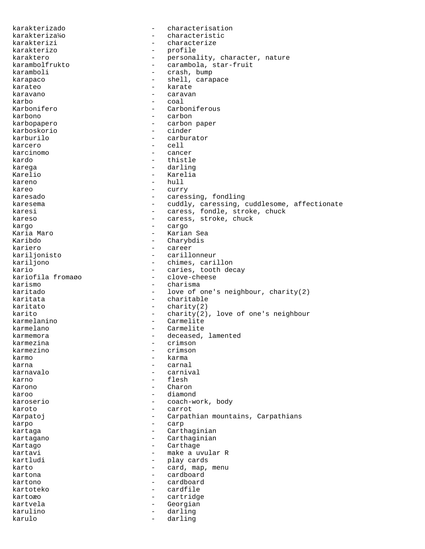karakterizado - characterisation - characteristic<br>- characterize karakterizi - characterize karakterizo - profile karaktero - personality, character, nature karambolfrukto - carambola, star-fruit<br>karamboli - crash.bump karamboli - crash, bump karapaco  $\qquad \qquad -$  shell, carapace karateo - karate karavano - caravan karbo - coal - Carboniferous karbono - carbon karbopapero - carbon paper karboskorio - cinder - carburator karcero - cell karcinomo - cancer<br>kardo - thistl kardo - thistle karega - darling - darling Karelio - Karelia - Karelia<br>kareno - Anull - hull  $-$  hull kareo - curry karesado - caressing, fondling karesema - cuddly, caressing, cuddlesome, affectionate karesi  $-$  caress, fondle, stroke, chuck kareso - caress, stroke, chuck kargo - cargo Karia Maro - Karian Sea - Charybdis kariero - career kariljonisto - carillonneur kariljono - chimes, carillon - caries, tooth decay<br>- clove-cheese kariofila fromaøo karismo - charisma<br>karitado - charisma<br>- love of d - love of one's neighbour, charity(2) karitata - charitable karitato - charity(2) karito - charity(2), love of one's neighbour<br>karmelanino - Carmelite karmelanino - Carmelite - Carmelite - Carmelite - Carmelite - Carmelite - Carmelite - Carmelite - Carmelite - C karmelano - Carmelite<br>karmemora - deceased karmemora entre entre entre deceased, lamented karmezina - crimson karmezino - crimson karmo - karma karna  $-$  carnal karnavalo - carnival karno - flesh Karono - Charono - Charono karoo - diamond karoserio - coach-work, body<br>karoto - carrot karoto - carrot Karpatoj **-** Carpathian mountains, Carpathians karpo - carp kartaga - Carthaginian<br>kartagano - Carthaginian kartagano - Carthaginian Kartago - Carthage kartavi - make a uvular R kartludi - play cards karto  $-$  card, map, menu kartona - cardboard kartono - cardboard kartoteko - cardfile kartoæo - cartridge kartvela - Georgian karulino - darling karulo - darling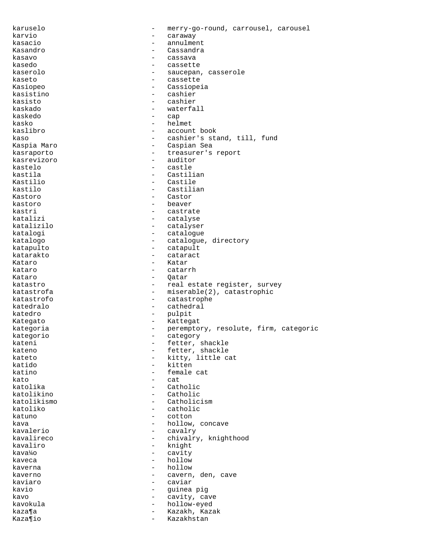karuselo - merry-go-round, carrousel, carousel karvio  $-$  caraway kasacio - annulment Kasandro - Cassandra kasavo - cassava kasedo - cassette kaserolo - saucepan, casserole<br>kaseto - saucepan, casserole kaseto - cassette - Cassiopeia kasistino - cashier kasisto - cashier<br>kaskado - cashier - waterfa - waterfall kaskedo - cap kasko - helmet kaslibro - account book kaso - cashier's stand, till, fund - Caspian Sea kasraporto - treasurer's report kasrevizoro - auditor kastelo - castle kastila - Castilian - Castile kastilo - Castilian Kastoro - Castor kastoro - beaver kastri  $-$  castrate katalizi - catalyse katalizilo - catalyser katalogi - catalogue katalogo - catalogue, directory<br>katapulto - catapult katapulto - catapult katarakto - cataract - cataract Kataro - Kataro - Kataro - Kataro - Kataro - Kataro - Kataro - Kataro - Kataro - Kataro - Kataro - Kataro - Kataro - Kataro - Kataro - Kataro - Kataro - Kataro - Kataro - Kataro - Kataro - Kataro - Kataro - Kataro - Kataro - catarrh Kataro - Qatar katastro  $-$  real estate register, survey katastrofa - miserable(2), catastrophic katastrofo - catastrophe katedralo - cathedral katedro - pulpit Kategato **-** Kattegat kategoria - peremptory, resolute, firm, categoric<br>kategoric kategorio - category kateni - fetter, shackle<br>kateno - fetter shackle kateno - fetter, shackle<br>kateto - kitty little c kateto - kitty, little cat<br>katido - kitten - kitten katino - female cat kato - cat<br>katolika - cat - cat - Catholic katolikino - Catholic katolikismo - Catholicism katoliko - catholic katuno - cotton kava - hollow, concave - hollow, concave - hollow, concave - hollow, concave - hollow, concave - hollow, concave -  $\sim$  cavalry kavalerio - cavalry kavalireco - chivalry, knighthood<br>
kavaliro - chivalry, knighthood<br>
- knight kavaliro - knight cavity kaveca - hollow kaverna  $\qquad \qquad -$  hollow kaverno - cavern, den, cave kaviaro - caviar kavio - guinea pig kavo  $-$  cavity, cave kavokula - hollow-eyed kaza¶a - Kazakh, Kazak<br>Kaza¶io - Kazakhstan Kaza¶io  $-$  Kazakhstan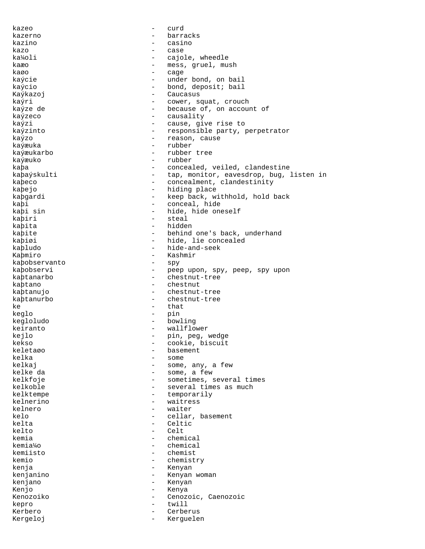kazeo - curd kazerno - barracks kazino - casino kazo - case - case - case ka¼oli - cajole, wheedle kaæo - mess, gruel, mush kaøo - cage - cage - cage - cage - cage - cage - cage - cage - cage - cage - cage - cage - cage - cage - cage - cage - cage - cage - cage - cage - cage - cage - cage - cage - cage - cage - cage - cage - cage - cage - cage kaýcie - under bond, on bail<br>kaýcio - - - - - - - - - - - - bond, deposit; bail - bond, deposit; bail Kaýkazoj – Caucasus kaýri  $-$  cower, squat, crouch kaýze de  $-$  because of, on account of kaýzeco  $-$  causality kaýzi  $-$  cause, give rise to kaýzinto  $-$  responsible party, perpetrator kaýzo - reason, cause kaýæuka - rubber kaýæukarbo - rubber tree kaýæuko - rubber kaþa - concealed, veiled, clandestine kaþaýskulti - tap, monitor, eavesdrop, bug, listen in kaþeco - concealment, clandestinity kabejo - hiding place kaþgardi - keep back, withhold, hold back kaþi - conceal, hide - hide, hide oneself kaþiri - steal kaþita - hidden kaþite - behind one's back, underhand kaþiøi - hide, lie concealed<br>kabludo - hide-and-seek kaþludo - hide-and-seek<br>Kabmiro - Kashmir Kaþmiro - Kashmir - Kashmir<br>kabobservanto - spy kaþobservanto - spy kaþobservi - peep upon, spy, peep, spy upon<br>kabtanarbo kaþtanarbo - chestnut-tree kaþtano - chestnut kaþtanujo - chestnut-tree kaþtanurbo - chestnut-tree  $ke$  - that keglo - pin kegloludo - bowling keiranto  $-$  wallflower kejlo - pin, peg, wedge - cookie, biscuit<br>- basement keletaøo - basement kelka - some - some - some - some - some - some - some - some - some - some - some - some - some - some - some - some - some - some - some - some - some - some - some - some - some - some - some - some - some - some - some - some, any, a few kelke da  $-$  some, a few kelkfoje  $-$  sometimes, several times kelkoble  $\qquad \qquad -$  several times as much kelktempe - temporarily kelnerino - waitress<br>kelnero - waiter - waiter kelnero - waiter kelo - cellar, basement kelta - Celtic kelto - Celt kemia - chemical<br>kemia¼o - chemical kemia¼o - chemical - chemist<br>- chemist kemio - chemistry kenja - Kenyan kenjanino - Kenyan woman kenjano - Kenyan Kenjo - Kenya Kenozoiko - Cenozoic, Caenozoic kepro - twill Kerbero - Cerberus Kergeloj - Kerguelen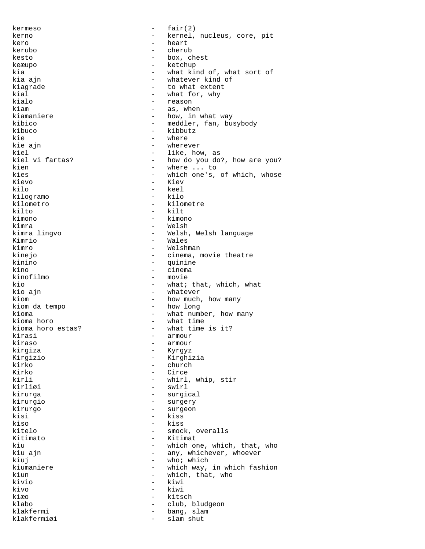$k$ ermeso  $-$  fair(2) kerno  $-$  kernel, nucleus, core, pit kero - heart kerubo - cherub kesto - box, chest keæupo - ketchup kia  $-$  what kind of, what sort of kia ajn kia ajn - whatever kind of kiagrade  $\begin{array}{ccc} kiagrade & - & kba \\ kiaL & - & kba \\ \end{array}$  what for, why kial - what for, why<br>kialo - reason kialo - reason - reason - reason - reason - reason - reason - reason - reason - reason - reason - reason - reason - reason - reason - reason - reason - reason - reason - reason - reason - reason - reason - reason - reason - as, when kiamaniere  $-$  how, in what way kibico - meddler, fan, busybody kibuco - kibbutz kie - where - where - where - where - where - where - where -  $\frac{1}{2}$ - wherever kiel  $\begin{array}{ccc} kie1 & - & 1ike, how, as \end{array}$ kiel vi fartas? - how do you do kiel vi fartas?  $\begin{array}{ccc} - & \text{how do you do?}, \text{ how are you?} \\ \text{when} & \text{when} & \text{when} & \text{then} \end{array}$ kien - where ... to<br>kies - which one's. kies - which one's, of which, whose<br>Kievo - Kiev Kievo - Kievo - Kievo - Kievo - Kievo - Kievo - Kievo - Kievo - Kievo - Kievo - Kievo - Kievo - Kievo - Kievo - Kievo - Kievo - Kievo - Kievo - Kievo - Kievo - Kievo - Kievo - Kievo - Kievo - Kievo - Kievo - Kievo - Kievo - keel<br>- kilo kilogramo<br>kilometro kilometro - kilometre - kilt kimono - kimono kimra - Welsh - Welsh - Welsh - Welsh - Welsh - Welsh - Welsh - Welsh - Welsh - Welsh - Welsh - Welsh - Welsh -- Welsh, Welsh language Kimrio - Wales<br>kimro - Welshr kimro - Welshman kinejo - cinema, movie theatre<br>kinino - cinema, movie theatre kinino - quinine - cinema kinofilmo - movie kio  $-$  what; that, which, what kio ain - whatever kiom  $-$  how much, how many kiom da tempo - how long kioma  $-$  what number, how many kioma horo  $-$  what time kioma horo  $-$  what time kioma horo estas?  $-$  what time kioma horo estas? - what time is it?<br>kirasi - armour kirasi - armour kiraso - armour - Kyrgyz Kirgizio - Kirghizia kirko - church - church - church - church - church - church - church - church - church - church - church - church - church - church - church - church - church - church - church - church - church - church - church - church Kirko - Circe<br>kirli - whirl kirli - whirl, whip, stir<br>kirliøi - swirl - swirl - swirl kirurga - surgical kirurgio - surgery kirurgo - surgeon kisi - kiss kiso - kiss - kiss - kiss - kiss - kiss - kiss - kiss - kiss - kiss - kiss - kiss - kiss - kiss - kiss - kiss - kiss - kiss - kiss - kiss - kiss - kiss - kiss - kiss - kiss - kiss - kiss - kiss - kiss - kiss - kiss - kiss kitelo - smock, overalls<br>Kitimato - Kitimat Kitimato - Kitimat kiu  $-$  which one, which, that, who kiu ajn  $-$  any, whichever, whoever - any, whichever, whoever kiuj - who; which<br>kiumaniere - which way, kiumaniere - which way, in which fashion<br>kiun<br>- which that who kiun - which, that, who<br>kivio - kiwi - kiwi kivo - kiwi kiæo - kitsch klabo - club, bludgeon klakfermi - bang, slam klakfermiøi - slam shut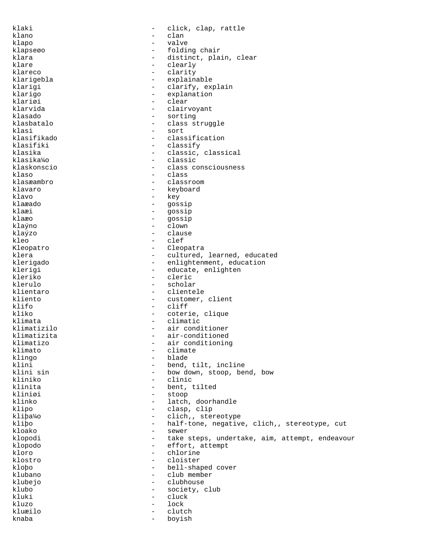klaki  $-$  click, clap, rattle klano - clan klapo - valve klapseøo - folding chair klara - distinct, plain, clear<br>klare - clearly - clearly klare - clearly - clearly<br>klareco - clarity - clarity klareco - clarity<br>klariqebla - charity - creplain klarigebla - explainable - clarify, explain klarigo - explanation klariøi - clear<br>klarvida - clair: - clair - clairvoyant klasado - sorting klasbatalo - class struggle klasi - sort klasifikado - classification klasifiki - classify - classify<br>klasika - classic. klasika - classic, classical<br>klasika¼o - classic - classic klasika¼o - classic klaskonscio - class consciousness klaso - class - class - class - class - class - class - class - class - class - class - class - class - class -- classroom klavaro - keyboard<br>klavo - key klavo - key klaæado - gossip - gossip klaæo - gossip<br>klaýno - clown - clown klaýno - clown klaýzo - clause kleo - clef Kleopatro - Cleopatra klera - cultured, learned, educated<br>klerigado - - enlightenment, education klerigado - enlightenment, education - educate, enlighten kleriko - cleric klerulo - scholar<br>klientaro - cliente klientaro - clientele<br>kliento - customer. - customer, client klifo - cliff kliko - coterie, clique klimata - climatic - climatic - climatic - climatic - climatic - climatic - climatic - climatic - climatic - climatic - climatic - climatic - climatic - climatic - climatic - climatic - climatic - climatic - climatic - cli klimatizilo - air conditioner klimatizita - air-conditioned klimatizo - air conditioning<br>klimato - climate - climate klimato - climate klingo - blade klini - bend, tilt, incline klini sin - bow down, stoop, bend, bow kliniko - clinic - bent, tilted kliniøi - stoop klinko - latch, doorhandle klipo - clasp, clip kliþa¼o - clich, stereotype kliþo - half-tone, negative, clich,, stereotype, cut kloako - sewer<br>klopodi - take klopodi - take steps, undertake, aim, attempt, endeavour<br>klopodo klopodo - effort, attempt - chlorine<br>- cloister klostro - cloister kloþo - bell-shaped cover klubano - club member klubejo - clubhouse klubo - society, club kluki - cluck kluzo - lock kluæilo - clutch knaba - boyish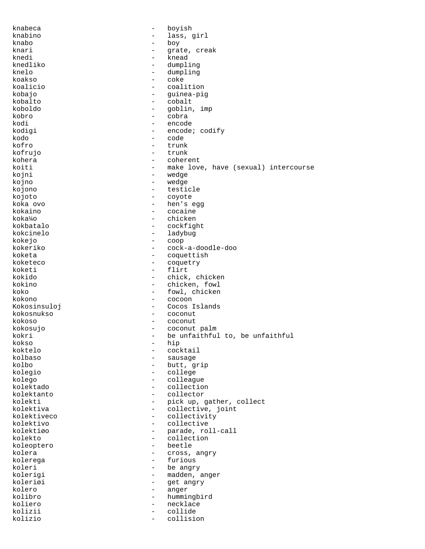knabeca - boyish knabino - lass, girl knabo - boy knari - grate, creak knedi - knead knedliko - dumpling - dumpling<br>- coke koakso<br>koalicio - coalition kobajo - guinea-pig kobalto - cobalt koboldo - goblin, imp kobro - cobra kodi - encode kodigi  $\qquad \qquad -$  encode; codify kodo - code kofro - trunk kofrujo - trunk kohera - coherent koiti - make love, have (sexual) intercourse<br>kojni - wedqe kojni - wedge<br>kojno - wedge - wedge - wedge kojono - testicle kojoto - coyote koka ovo - hen's egg - cocaine koka¼o - chicken<br>kokbatalo - cockfig kokbatalo - cockfight kokcinelo - ladybug kokejo - coop kokeriko - cock-a-doodle-doo koketa - coquettish - coquettish<br>koketeco - coquetry - coquetty koketeco - coquetry - flirt kokido - chick, chicken kokino - chicken, fowl koko - fowl, chicken<br>kokono - fowl, chicken<br>- cocoon - cocoon Kokosinsuloj - Cocos Islands kokosnukso - coconut kokoso - coconut kokosujo - coconut palm kokri - be unfaithful to, be unfaithful<br>kokso - hip kokso - hip - hip - hip - hip - hip - hip - hip - hip - hip - hip - hip - hip - hip - hip - hip - hip - hip - hip - hip - hip - hip - hip - hip - hip - hip - hip - hip - hip - hip - hip - hip - hip - hip - hip - hip - hip koktelo - cocktail<br>kolbaso - cocktail - cocktail kolbaso - sausage - butt, grip kolegio - college kolego - colleague kolektado - collection kolektanto - collector kolekti - pick up, gather, collect kolektiva - collective, joint kolektiveco - collectivity<br>kolektivo - collective - collective kolektivo - collective kolektiøo - parade, roll-call kolekto - collection koleoptero - beetle kolera  $\qquad \qquad -$  cross, angry kolerega - furious koleri - be angry kolerigi - madden, anger koleriøi - get angry kolero - anger kolibro - hummingbird koliero - necklace kolizii - collide kolizio - collision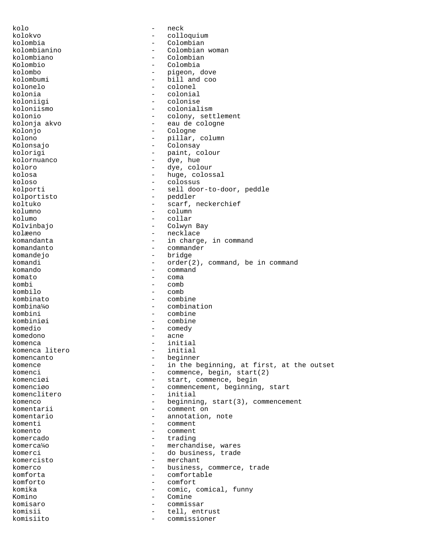kolo - neck kolokvo - colloquium kolombia - Colombian<br>kolombianino - Colombian - Colombian woman<br>- Colombian kolombiano - Colombiano - Colombiano - Colombiano - Colombiano - Colombiano - Colombiano - Colombiano - Colombiano - Colombiano - Colombiano - Colombiano - Colombiano - Colombiano - Colombiano - Colombiano - Colombiano - C Kolombio - Colombia kolombo - pigeon, dove kolombumi - bill and coo<br>kolonelo - colonel - colonel kolonia - colonial koloniigi - colonise<br>koloniismo - colonial - colonialism kolonio - colony, settlement kolonja akvo - eau de cologne Kolonjo - Cologne kolono - pillar, column<br>Kolonsaio - pillar, column Kolonsajo - Colonsay kolorigi - paint, colour<br>kolornuanco - dye, hue kolornuanco<br>koloro koloro - dye, colour kolosa - huge, colossal<br>koloso - colossus - colossus - colossus kolporti - sell door-to-door, peddle<br>kolportisto - peddler - peddler kolportisto koltuko - scarf, neckerchief<br>kolumno - column - column kolumo - collar Kolvinbajo - Colwyn Bay kolæeno - necklace komandanta - in charge, in command<br>komandanto komandanto - commander komandejo<br>komandi komandi - order(2), command, be in command - command komato - coma kombi<br>
kombi<br>
kombi<br>
comb kombilo - comb - combine kombina¼o - combination kombini - combine kombiniøi - combine komedio - comedy<br>komedono - acne komedono - acne<br>komenca - init komenca - initial komenca litero<br>komencanto komencanto - beginner - in the beginning, at first, at the outset komenci - commence, begin, start(2)<br>komenciøi - start.commence.hegin - start, commence, begin komenciøo - commencement, beginning, start komenclitero - initial komenco - beginning, start(3), commencement komentarii - comment on komentario - annotation, note komenti - comment komento - comment komercado - trading komerca¼o - merchandise, wares komerci - do business, trade komercisto - merchant komerco  $-$  business, commerce, trade komforta - comfortable komforto - comfort komika  $-$  comic, comical, funny Komino - Comine komisaro - commissar komisii - tell, entrust komisiito - commissioner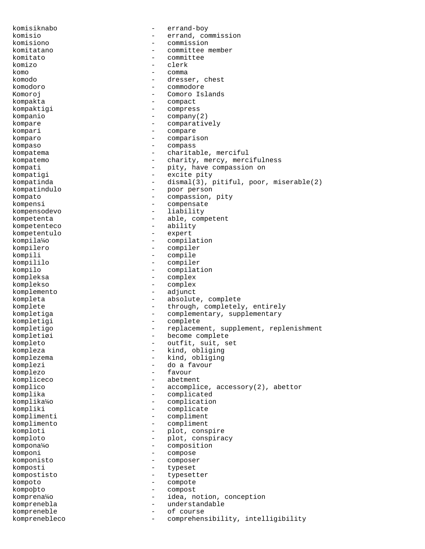komisiknabo - errand-boy komisio - errand, commission<br>komisiono - commission komisiono - commission komitatano - committee member komitato - committee komizo - clerk<br>komo - comma komo entre estado en el comma en el comma en el comma en el comma en el comma en el comma en el comma en el co komodo - dresser, chest<br>komodoro - dresser, chest - commodore Komoroj - Comoro Islands kompakta - compact kompaktigi - compress kompanio - company(2) kompare  $\qquad \qquad -$  comparatively kompari - compare - compare - compare - compare - compare - compare - compare - compare - compare - compare - compare - compare - compare - compare - compare - compare - compare - compare - compare - compare - compare - co komparo - comparison kompaso - compass kompatema - charitable, merciful<br>kompatemo - charity mercy mercy kompatemo - charity, mercy, mercifulness kompati - pity, have compassion on<br>
kompatigi - excite pity kompatigi - excite pity - dismal(3), pitiful, poor, miserable(2) kompatindulo - poor person kompato - compassion, pity kompensi - compensate<br>kompensodevo - 1iability kompensodevo kompetenta - able, competent kompetenteco - ability<br>kompetentulo - expert kompetentulo - expert<br>kompila¼o - compila kompila¼o - compilation kompilero - compiler kompili - compile kompililo - compiler kompilo - compilation<br>kompleksa - complex - complex komplekso - complex komplemento - adjunct kompleta - absolute, complete komplete  $-$  through, completely, entirely kompletiga - complementary, supplementary<br>
kompletigi - complete<br>
- complete kompletigi - complete<br>kompletigo - replacement kompletigo - replacement, supplement, replenishment kompletiøi - become complete<br>kompleto - outfit, suit, s kompleto - outfit, suit, set kompleza - kind, obliging<br>komplezema - kind, obliging komplezema - kind, obliging<br>komplezi - do a favour do a favour komplezo - favour kompliceco - abetment komplico - accomplice, accessory(2), abettor komplika - complicated komplika¼o - complication kompliki - complicate<br>komplimenti - complimenti komplimenti - complimenti - complimenti - complimenti - complimenti - complimenti - complimenti - complimenti - complimenti - complimenti - complimenti - complimenti - complimenti - complimenti - complimenti - complimenti komplimento - compliment komploti - plot, conspire<br>komploto - plot, conspira komploto - plot, conspiracy<br>kompone<sup>16</sup> kompona¼o - composition komponi - compose komponisto - composer komposti - typeset kompostisto - typesetter kompoto - compote kompoþto - compost - compost - compost - compost - compost - compost - compost - compost - compost - compost komprena¼o - idea, notion, conception komprenebla - understandable kompreneble - of course komprenebleco - comprehensibility, intelligibility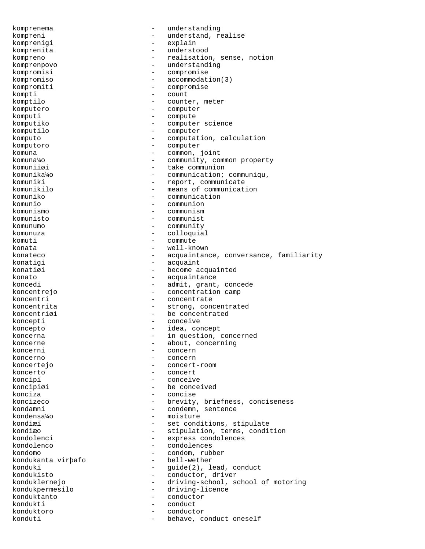komprenema - understanding kompreni - understand, realise<br>
komprenigi - explain komprenigi - explain komprenita - understood kompreno - realisation, sense, notion komprenpovo - understanding kompromisi - compromise<br>kompromiso - accommodat: - accommodation(3) kompromiti - compromise kompti - count komptilo - counter, meter komputero - computer komputi - compute komputiko - computer science komputilo - computer - computation, calculation komputoro - computer komuna - common, joint komuna¼o - community, common property<br>
komuniiøi - take communion komuniiøi - take communion<br>komunika¼o - communication; komunika¼o - communication; communiqu,<br>
komuniki - report, communicate komuniki - report, communicate - means of communication komuniko - communication komunio - communion komunismo - communism komunisto - communist komunumo - community komunuza - colloquial komuti - commute<br>konata - well-kn konata  $-$  well-known konateco - acquaintance, conversance, familiarity konatigi - acquaint<br>konatiøi - become a - become acquainted konato  $\overline{\phantom{a}}$  - acquaintance koncedi - admit, grant, concede koncentrejo  $\sim$  - concentration camp koncentri  $\qquad -$  concentrate koncentrita - strong, concentrated koncentriøi en andre andre be concentrated koncepti - conceive koncepto - idea, concept koncerna - in question, concerned<br>
koncerne koncerne - about, concerning<br>koncerni koncerni - concerni - concerni - concerni - concerni - concerni - concerni - concerni - concerni - concerni - concerni - concerni - concerni - concerni - concerni - concerni - concerni - concerni - concerni - concerni - co koncerno - concern koncertejo - concert-room koncerto - concert koncipi - conceive koncipiøi - be conceived konciza - concise koncizeco - brevity, briefness, conciseness kondamni - condemn, sentence kondensa¼o - moisture kondiæi - set conditions, stipulate<br>kondiæo - stipulation, terms, condit kondiæo - stipulation, terms, condition<br>
kondolenci - express condolences kondolenci - express condolences<br>
kondolenco - express condolences - condolences<br>- condom ruble kondomo - condom, rubber<br>kondukanta virbafo - bell-wether kondukanta virþafo konduki - guide(2), lead, conduct<br>kondukisto - conductor, driver - conductor, driver konduklernejo - driving-school, school of motoring kondukpermesilo - driving-licence konduktanto - conductor kondukti - conduct konduktoro - conductor konduti  $-$  behave, conduct oneself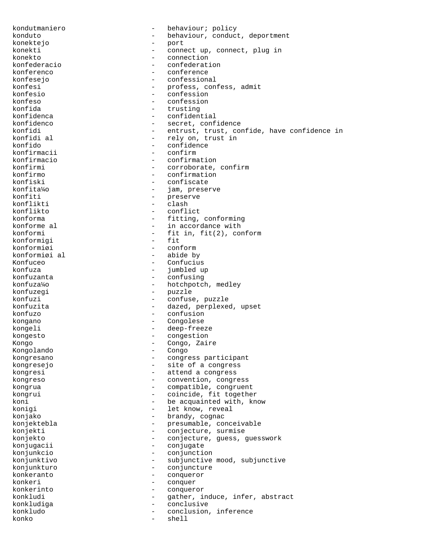kondutmaniero - behaviour; policy konduto - behaviour, conduct, deportment<br>
konektejo konektejo - port konekti - connect up, connect, plug in konekto - connection<br>
konfederacio - confederati konfederacio  $\begin{array}{ccc} - & \text{confection} \\ - & \text{conference} \end{array}$ konferenco - conference<br>konfesejo - confessiona konfesejo - confessional konfesi - profess, confess, admit<br>
konfesio<br>
- confession<br>
- confession konfesio - confession<br>
konfeso - confession<br>
- confession konfeso - confession<br>
konfida - confession<br>
- trusting konfida - trusting konfidenca - trusting - trusting - trusting - trusting - trusting - trusting - trusting - trusting - trusting - trusting - trusting - trusting - trusting - trusting - trusting - trusting - trusting - tru - confidential konfidenco  $\qquad \qquad -$  secret, confidence konfidi - entrust, trust, confide, have confidence in konfidi al - rely on, trust in konfidi al  $\begin{array}{ccc} - & \text{rely on, trust in} \\ - & \text{confidence} \end{array}$ - confidence<br>- confirm konfirmacii<br>konfirmacio konfirmacio  $\begin{array}{ccc} - & \text{confirmation} \\ \text{konfirmi} & - & \text{corroborate} \end{array}$ konfirmi - corroborate, confirm<br>
konfirmo - confirmation konfirmo - confirmation<br>konfiski - confiscate konfiski - confiscate<br>konfita%o - iam.prese: - jam, preserve konfiti - preserve - preserve - preserve - preserve - preserve - preserve - preserve - preserve - preserve - preserve - preserve - preserve - preserve - preserve - preserve - preserve - preserve - preserve - preserve - pre konflikti - clash<br>konflikto - confli - conflict konforma  $-$  fitting, conforming konforme al  $-$  in accordance with konformi - fit in, fit(2), conform<br>konformigi - fit - fit konformigi<br>konformiøi konformiøi - conformiøi - conformiøi al konformiøi al - abide by Konfuceo - Confucius<br>
konfuza - iumbledur konfuza - jumbled up<br>konfuzanta - industrial - confusing - confusing konfuza¼o - hotchpotch, medley konfuzegi - puzzle konfuzi - confuse, puzzle<br>konfuzita - confuse, puzzle - dazed, perplexed, upset konfuzo - confusion kongano - Congolese kongeli - deep-freeze<br>kongesto kongesto - congestion<br>Kongo - congestion<br>Congo <sup>741</sup> Kongo - Congo, Zaire<br>Kongolando - Congo - Congo Kongolando kongresano - congress participant kongresejo - site of a congress kongresi  $-$  attend a congress kongreso - convention, congress kongrua - compatible, congruent kongrui - coincide, fit together koni  $-$  be acquainted with, know konigi  $-$  let know, reveal konjako - brandy, cognac konjektebla - presumable, conceivable<br>
konjekti - conjecture, surmise konjekti - conjecture, surmise<br>
konjekto - conjecture, guess, s konjekto - conjecture, guess, guesswork<br>konjugacij konjugacii - conjugate konjunkcio - conjunction konjunktivo - subjunctive mood, subjunctive konjunkturo - conjuncture konkeranto - conqueror konkeri - conquer konkerinto - conqueror konkludi - gather, induce, infer, abstract konkludiga - conclusive konkludo - conclusion, inference konko - shell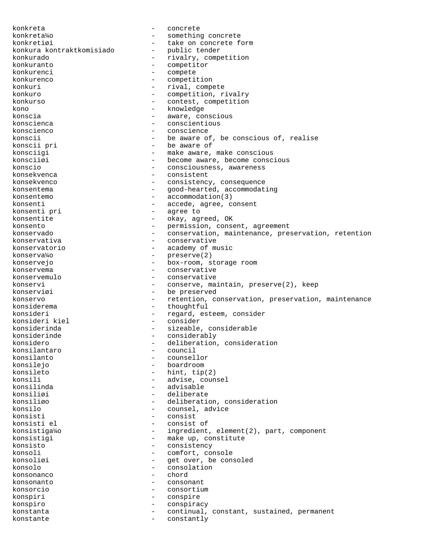konkreta - concrete konkreta¼o - something concrete konkretiøi - take on concrete form<br>konkura kontraktkomisiado - public tender konkura kontraktkomisiado konkurado  $-$  rivalry, competition konkuranto - competitor konkurenci - compete - compete konkurenco - competitive - competitive - competitive - competitive - competitiv konkurenco - competition<br>
konkuri - rival comp - rival, compete konkuro - competition, rivalry konkurso - contest, competition kono - knowledge - knowledge konscia  $-$  aware, conscious konscienca - conscientious konscienco - conscience konscii - be aware of, be conscious of, realise<br>konscii pri - be aware of - be aware of konsciigi - make aware, make conscious<br>konsciigi - - - - - - - - - become aware, become consc konsciiøi - become aware, become conscious<br>
konscio konscio - consciousness, awareness - consistent konsekvenco - consistency, consequence konsentema - Good-hearted, accommodating konsentemo - accommodation(3) konsenti - accede, agree, consent konsenti pri eta estatubatuarea eta estatubatuarea eta eginea eta ezazionaria eta eginea eta eta eta eginea eta konsentite - okay, agreed, OK konsento - permission, consent, agreement<br>
konservado - conservation, maintenance, pre konservado e conservation, maintenance, preservation, retention konservativa - conservative konservatorio - academy of music konserva¼o - preserve(2) konservejo - box-room, storage room konservema - conservative konservemulo - conservative konservi - conserve, maintain, preserve(2), keep konserviøi - be preserved konservo - retention, conservation, preservation, maintenance konsiderema - thoughtful konsideri - regard, esteem, consider<br>
konsideri kiel - consider<br>
- consider konsideri kiel - consider konsiderinda - sizeable, considerable<br>konsiderinde - - considerably konsiderinde - considerably<br>konsidero - deliberation - deliberation, consideration<br>- council konsilantaro - council e council and council and council and council and council and council and council and council and council and council and council and council and council and council and council and council and counc konsilanto - counsellor - boardroom konsileto - hint, tip(2) konsili - advise, counsel<br>konsilinda - advisable - advisable - advisable konsiliøi - deliberate konsiliøo - deliberation, consideration konsilo - counsel, advice konsisti - consist konsisti el  $-$  consist of konsistiga¼o - ingredient, element(2), part, component konsistigi - make up, constitute<br>
konsisto<br>
- consistency konsisto - consistency - comfort, console konsoliøi - get over, be consoled konsolo - consolation konsonanco - chord<br>konsonanto - consonanto konsonanto - consonant konsorcio - consortium konspiri - conspire konspiro - conspiracy konstanta - continual, constant, sustained, permanent konstante - constantly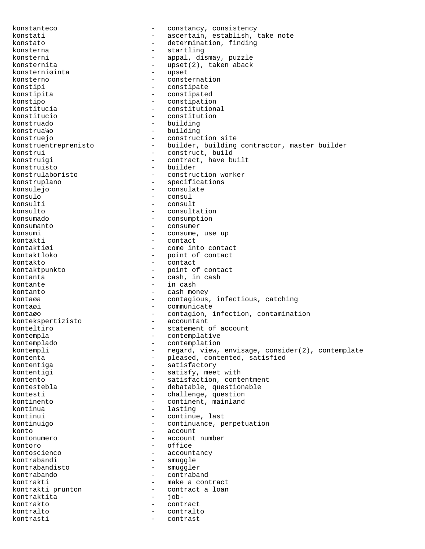konstanteco - constancy, consistency konstati - ascertain, establish, take note konstato  $-$  determination, finding konsterna  $-$  startling konsterni  $-$  appal, dismay, puzzle konsternita - upset(2), taken aback<br>konsterniøinta - upset - upset konsterniøinta<br>konsterno konsterno - consternation<br>
konstipi - constipate - constipate konstipita - constipated konstipo - constipation - constitutional konstitucio - constitution konstruado - building konstrua¼o - building konstruejo - construction site konstruentreprenisto - builder, building contractor, master builder konstrui - construct, build konstruigi - contract, have built<br>
konstruisto - builder konstruisto - builder<br>konstrulaboristo - construc konstrulaboristo - construction worker - specifications konsulejo - consulate konsulo - consul - consul<br>konsulti - consul konsulti - consult $\sim$  - consult $\sim$  - consulter - consulti - consulti - consulti - consulti - consulti - consulti - consulti - consulti - consulti - consulti - consulti - consulti - consulti - consulti - consulti - consul - consultation konsumado - consumption - consumer konsumi - consume, use up kontakti - contact - come into contact kontaktloko - point of contact kontakto - contact kontaktpunkto - point of contact kontanta  $\qquad \qquad -$  cash, in cash kontante  $\qquad \qquad -$  in cash kontanto  $-$  cash money kontaøa - contagious, infectious, catching kontaøi - communicate kontaøo - contagion, infection, contamination<br>kontekspertizisto - accountant kontekspertizisto konteltiro  $-$  statement of account kontempla - contemplative kontemplado - contemplation kontempli - regard, view, envisage, consider(2), contemplate<br>kontenta - pleased, contented, satisfied kontenta - pleased, contented, satisfied<br>
kontentiga - satisfactory kontentiga - satisfactory<br>kontentigi - satisfy, meer - satisfy, meet with kontento - satisfaction, contentment kontestebla - debatable, questionable kontesti  $-$  challenge, question kontinento  $\sim$  - continent, mainland kontinua - lasting - lasting kontinui - continue, last kontinuigo - continuance, perpetuation konto  $\overline{\phantom{a}}$  account  $\overline{\phantom{a}}$  account  $\overline{\phantom{a}}$  account  $\overline{\phantom{a}}$ - account number kontoro - office<br>kontoscienco - - office<br>- account - accountancy kontrabandi - smuggle<br>kontrabandisto - smuggle kontrabandisto - smuggler - contraband kontrakti - make a contract kontrakti prunton  $\overline{a}$  - contract a loan <br>kontraktita kontraktita - jobkontrakto - contract<br>kontralto - contralto kontralto - contralto kontrasti - contrast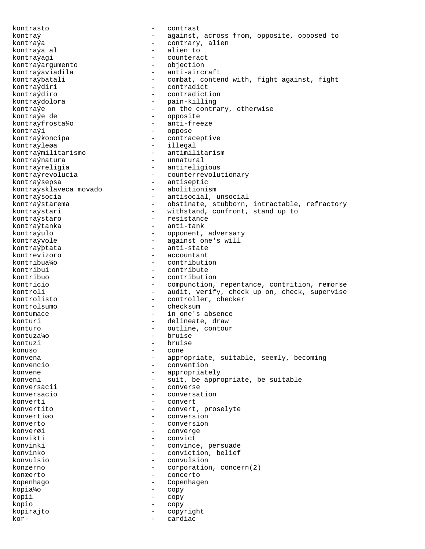kontrasto - contrast kontraý  $-$  against, across from, opposite, opposed to kontraýa  $-$  contrary, alien kontraýa al  $-$  alien to kontraýagi - counteract<br>kontraýargumento - - objection kontraýargumento<br>kontraýaviadila kontraýaviadila - anti-aircraft<br>kontraýbatali - combat, conte kontraýbatali - combat, contend with, fight against, fight<br>kontraýdiri - contradict - contradict kontraýdiro - contradiction kontraýdolora - pain-killing<br>kontraýe - - - - - - - - - - - on the contra - on the contrary, otherwise kontraýe de  $-$  opposite kontraýfrosta¼o - anti-freeze kontraýi - oppose kontraýkoncipa - contraceptive kontraýleøa - illegal kontraýmilitarismo - antimilitarism kontraýnatura - unnatural kontraýreligia - antireligious kontraýrevolucia - counterrevolutionary kontraýsepsa - antiseptic kontraýsklaveca movado kontraýsocia - antisocial, unsocial kontraýstarema - obstinate, stubborn, intractable, refractory kontraýstari - withstand, confront, stand up to kontraýstaro - resistance kontraýtanka - anti-tank kontraýulo - opponent, adversary kontraývole - against one's will kontraýþtata - anti-state kontrevizoro - accountant kontribua¼o - contribution kontribui - contribute kontribuo - contribution - compunction, repentance, contrition, remorse kontroli - audit, verify, check up on, check, supervise kontrolisto - controller, checker kontrolsumo - checksum kontumace  $\qquad \qquad -$  in one's absence konturi - delineate, draw konturo - outline, contour<br>kontuza¼o - bruise - bruise  $k$ ontuza¼o  $-$ <br> $k$ ontuzi  $$ kontuzi - bruise - bruise - bruise - bruise - bruise - bruise - bruise - cone - cone - cone - cone - cone - cone konuso - cone konvena - appropriate, suitable, seemly, becoming konvencio - convention konvene  $\qquad \qquad -$  appropriately konveni - suit, be appropriate, be suitable konversacii - converse konversacio - conversation konverti - convert konvertito - convert, proselyte konvertiøo - conversion konverto - conversion<br>konversi konverøi - converge konvikti - convict konvinki - convince, persuade konvinko - conviction, belief konvulsio - convulsion konzerno - corporation, concern(2) konæerto - concerto Kopenhago - Copenhagen kopia¼o - copy kopii - copy kopio - copy kopirajto - copyright kor- - cardiac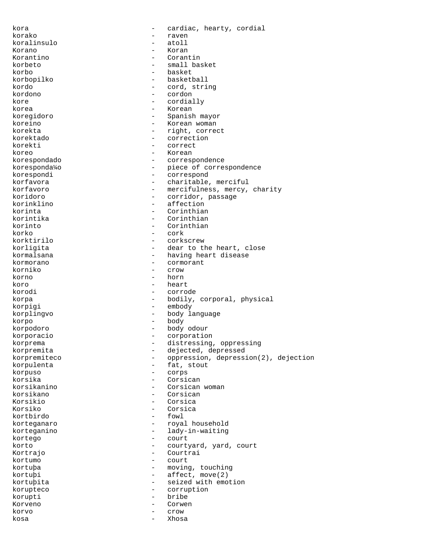kora  $\qquad \qquad -$  cardiac, hearty, cordial korako - raven koralinsulo - atoll Korano - Koran Korantino - Corantin korbeto - small basket korbo - basket - basketball kordo - cord, string kordono - cordon kore - cordially korea - Korean koregidoro - Spanish mayor koreino - Korean woman korekta - right, correct korektado - correction korekti - correct koreo - Korean - Korean - Korean - Korean - Korean - Korean - Korean - Korean - Korean - Korean - Korean - Korean - Korean - Korean - Korean - Korean - Korean - Korean - Korean - Korean - Korean - Korean - Korean - Korean korespondado - correspondence koresponda¼o - piece of correspondence<br>korespondi - correspond korespondi - correspond - charitable, merciful korfavoro - mercifulness, mercy, charity<br>
koridoro - corridor passage koridoro - corridor, passage<br>
korinklino - effection<br>
- affection - affection<br>- Corinthian korinta - Corinthian korintika - Corinthian<br>korinto - Corinthian korinto - Corinthian korko - cork - cork<br>korktirilo - corks korktirilo - corkscrew korligita - dear to the heart, close<br>kormalsana - - having heart disease - having heart disease kormorano - cormorant<br>korniko - crow - crow korno - horn koro - heart - heart - heart - heart - heart - heart - heart - heart - heart - heart - heart - heart - heart - heart - heart - heart - heart - heart - heart - heart - heart - heart - heart - heart - heart - heart - heart korodi - corrode korpa - bodily, corporal, physical korpigi - embody korplingvo - body language korpo - body korpodoro - body odour korporacio - corporation korprema - distressing, oppressing korpremita - dejected, depressed korpremiteco - oppression, depression(2), dejection korpulenta - fat, stout<br>korpuso - corps korpuso - corps korsika - Corsican - Corsican - Corsican - Corsican - Corsican - Corsican - Corsican - Corsican - Corsican - Corsican - Corsican - Corsican - Corsican - Corsican - Corsican - Corsican - Corsican - Corsican - Corsican - Cor - Corsican woman korsikano - Corsican Korsikio - Corsica<br>Korsiko - Corsica Korsiko - Corsica - Corsica<br>kortbirdo - fowl kortbirdo - fowl - fortbirdo - fortbirdo - fortbirdo - fortbirdo - fortbirdo - fortbirdo - fortbirdo - fortbir korteganaro - royal household<br>korteganino - ladv-in-waiting korteganino - lady-in-waiting<br>
kortego - court kortego - court<br>kortego - court korto - courtyard, yard, court<br>Kortrajo - Courtrai Courtrai kortumo - court kortuþa - moving, touching kortuþi - affect, move(2) kortuþita - seized with emotion korupteco - corruption korupti - bribe Korveno - Corwen korvo - crow kosa - Xhosa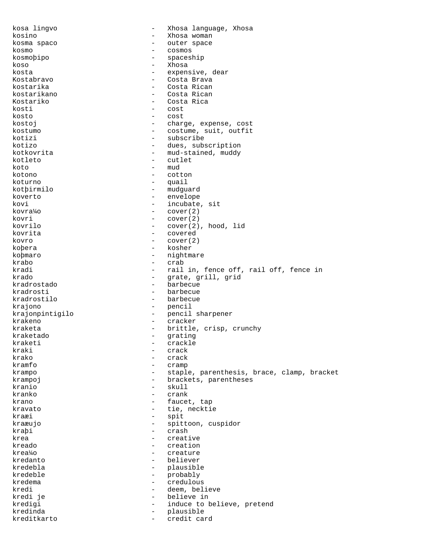kosa lingvo - Xhosa language, Xhosa kosino - Xhosa woman kosma spaco  $-$  outer space kosmo - cosmos kosmoþipo - spaceship koso - Xhosa kosta - expensive, dear<br>Kostabravo - expensive, dear Kostabravo - Costa Brava kostarika - Costa Rican - Costa Rican - Costa Rican - Costa Rican - Costa Rican - Costa Rican - Costa Rican - - Costa Rican Kostariko - Costa Rica<br>kosti - Costa Rica<br>- Cost kosti - cost kosto - cost kostoj  $-$  charge, expense, cost kostumo - costume, suit, outfit kotizi - subscribe kotizo - dues, subscription kotkovrita - mud-stained, muddy kotleto – cutlet – cutlet – cutlet – cutlet – cutlet – cutlet – cutlet – cutlet – cutlet – cutlet – cutlet – cutlet – cutlet – cutlet – cutlet – cutlet – cutlet – cutlet – cutlet – cutlet – cutlet – cutlet – cutlet – cutle  $koto$  - mud<br> $koto$  -  $col$ kotono - cotton - quail kotþirmilo - mudguard koverto - envelope kovi - incubate, sit<br>
kovra¼o - cover(2)  $\text{-} \quad \text{cover}(2)$ kovri - cover(2) kovrilo - cover(2), hood, lid kovrita - covered  $kovro$  - cover(2)<br> $kobera$  -  $kosher$ koþera - kosher koþmaro - nightmare - nightmare krabo - nightmare - nightmare - nightmare - nightmare - nightmare - nightmare - nightmare - nightmare - nightmare - nightmare - nightmare - nightmare - nightmare - nightmare - nightmare - ni krabo - crab - crab<br>kradi - rail kradi  $\begin{array}{ccc} - & \text{real in, fence off, rail off, fence in} \\ - & \text{area orill orid} \end{array}$ krado - grate, grill, grid kradrostado - barbecue kradrosti - barbecue - barbecue krajono - pencil krajonpintigilo - pencil sharpener krakeno - cracker kraketa - brittle, crisp, crunchy kraketado - grating - grating kraketi - crackle<br>kraki - crackle - crack kraki - crack - crack<br>krako - crack - crack krako - crack - crack<br>kramfo - cramp - cramp - cramp krampo - staple, parenthesis, brace, clamp, bracket krampoj  $-$  brackets, parentheses kranio - skull kranko - crank krano - faucet, tap kravato  $-$  tie, necktie kraæi - spit kraæujo - spittoon, cuspidor<br>krabi - spittoon, cuspidor kraþi - crash - crash - crash - crash - crash - crash - crash - crash - crash - crash - crash - crash - crash - crash - crash - crash - crash - crash - crash - crash - crash - crash - crash - crash - crash - crash - crash krea - creative - creative - creative - creative - creative - creative - creative - creative - creative - creative - creative - creative - creative - creative - creative - creative - creative - creative - creative - creati kreado - creation creature kredanto - believer kredebla - plausible kredeble - probably kredema - credulous kredi - deem, believe<br>kredi je - deem, believe in - believe in<br>- induce to h kredigi  $-$  induce to believe, pretend kredinda - plausible kreditkarto - credit card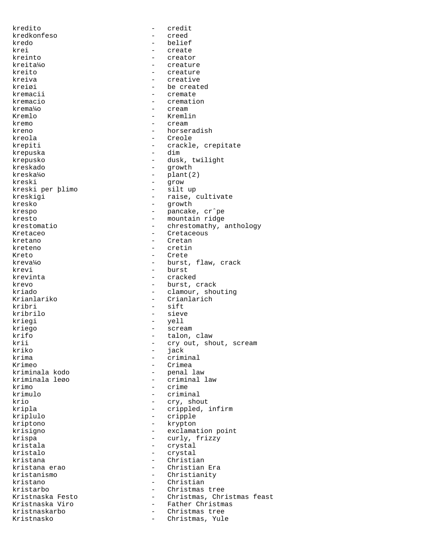kredito - credit kredkonfeso - creed kredo - belief krei - create - create - create - create - create - create - create - create - create - create - create - create - create - create - create - create - create - create - create - create - create - create - create - create kreinto - creator kreita¼o - creature kreito - creature kreiva - creative - creative<br>kreigi - he creat - be created kremacii - cremate kremacio  $-$  cremation krema¼o - cream Kremlo - Kremlin kremo - cream kreno - horseradish kreola - Creole krepiti - crackle, crepitate - crackle, crepitate - crackle - crackle - crackle - crackle - crackle - crackle krepuska krepusko - dusk, twilight<br>
kreskado - dusk, twilight<br>
- qrowth kreskado - growth - plant(2)<br>- grow kreski - grow kreski per þlimo kreskigi - raise, cultivate kresko - growth krespo - pancake, cr^pe kresto  $-$  mountain ridge krestomatio - chrestomathy, anthology Kretaceo - Cretaceous kretano - Cretano - Cretano - Cretano - Cretano - Cretano - Cretano - Cretano - Cretano - Cretano - Cretano - Cretano - Cretano - Cretano - Cretano - Cretano - Cretano - Cretano - Cretano - Cretano - Cretano - Cretano - Cr kreteno - cretin Kreto - Crete kreva¼o - burst, flaw, crack krevi - burst - burst - burst - burst - burst - burst - burst - burst - burst - burst - burst - burst - burst - burst - burst - burst - burst - burst - burst - burst - burst - burst - burst - burst - burst - burst - burst - cracked krevo - burst, crack<br>kriado - burst, crack<br>clamour shou kriado - clamour, shouting<br>Krianlariko - Crianlarich - Crianlarich kribri - sift kribrilo - sieve kriegi - yell kriego - scream - scream - scream - scream - scream - scream - scream - scream - scream - scream - scream - scream - scream - scream - scream - scream - scream - scream - scream - scream - scream - scream - scream - scream krifo - talon, claw - talon, claw - talon, claw - talon, claw - talon, claw - talon, claw - talon, claw - talon, claw - talon, claw - talon, claw - talon, claw - talon, claw - talon, claw - talon, claw - talon, claw - talo krii - cry out, shout, scream<br>
kriko - jack<br>
- jack kriko - jack krima - criminal - Crimea kriminala kodo - penal law - criminal law krimo - crime krimulo - criminal krio - cry, shout kripla - crippled, infirm<br>
kriplulo - cripple - cripple kriplulo - cripple kriptono - krypton krisigno - exclamation point krispa - curly, frizzy kristala - crystal - crystal<br>kristalo - crystal - crystal - crystal kristana - Christian kristana erao  $-$  Christian Era kristanismo - Christianity kristano - Christian kristarbo - Christmas tree<br>Kristnaska Festo - Christmas, Chr Kristnaska Festo - Christmas, Christmas feast - Father Christmas kristnaskarbo - Christmas tree<br>Kristnasko - Christmas Yule Kristnasko - Christmas, Yule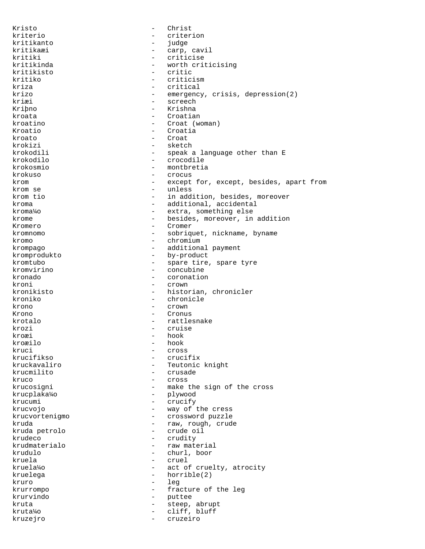Kristo - Christ kriterio - criterion kritikanto - judge kritikaæi - carp, cavil kritiki - criticise<br>kritikinda - - worth crit - worth criticising<br>- critic kritikisto – critical e critical e critical e critical e critical e critical e critical e critical e critical e<br>Tri critical e critical e critical e critical e critical e critical e critical e critical e critical e critica kritiko - criticism - criticism<br>kriza - critical - critical - critical krizo - emergency, crisis, depression(2) kriæi – screech<br>Kribno – <sup>Kribno</sup> – <sup>Krishna</sup> Kriþno - Krishna - Krishna - Krishna - Krishna - Krishna - Krishna - Krishna - Krishna - Krishna - Krishna - Krishna - Krishna - Krishna - Krishna - Krishna - Krishna - Krishna - Krishna - Krishna - Krishna - Krishna - Kri kroata - Croatian kroatino - Croat (woman) Kroatio - Croatia kroato - Croat krokizi - sketch krokodili - speak a language other than E<br>krokodilo - - crocodile - crocodile - crocodile<br>- montbretis krokosmio - montbretia krokuso - crocus - except for, except, besides, apart from krom se - unless krom tio - in addition, besides, moreover kroma  $\qquad \qquad -$  additional, accidental kroma¼o - extra, something else krome  $\qquad \qquad -$  besides, moreover, in addition Kromero - Cromer kromnomo - sobriquet, nickname, byname kromo - chromium krompago - additional payment kromprodukto - by-product kromtubo - spare tire, spare tyre<br>kromvirino - concubine kromvirino - concubine - concubine - concubine - concubine - concubine - concubine - concubine - concubine - concubine - concubine - concubine - concubine - concubine - concubine - concubine - concubine - concubing - concu - coronation kroni - crown - crown<br>kronikisto - histor - historian, chronicler kroniko - chronicle krono - crown Krono - Cronus - rattlesnake krozi - cruise kroæi – hook<br>kroæilo – hook kroæilo - hook kruci - cross - cross - cross - cross - cross - cross - cross - cross - cross - cross - cross - cross - cross <br>krucifikso - cruci: krucifikso - crucifix - Teutonic knight krucmilito - crusade kruco - cross krucosigni - make the sign of the cross krucplaka¼o - plywood krucumi - crucify krucvojo - way of the cress krucvortenigmo - crossword puzzle kruda - raw, rough, crude - crude oil<br>- crudity krudeco - crudity<br>krudmaterialo - crudity - crudity krudmaterialo - raw material - churl, boor kruela - cruel kruela¼o - act of cruelty, atrocity kruelega - horrible(2) kruro - leg krurrompo - fracture of the leg krurvindo - puttee - steep, abrupt kruta¼o - cliff, bluff kruzejro - cruzeiro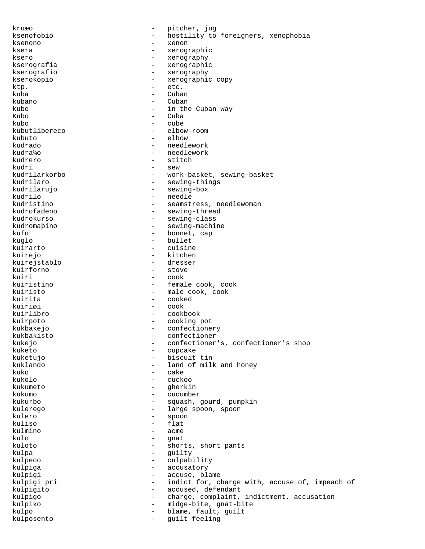kruæo - pitcher, jug ksenofobio - hostility to foreigners, xenophobia ksenono - xenon ksera - xerographic ksero - xerography kserografia - xerographic kserografio - xerography kserokopio - xerographic copy ktp. - etc. kuba - Cuban - Cuban - Cuban - Cuban - Cuban - Cuban - Cuban - Cuban - Cuban - Cuban - Cuban - Cuban - Cuban - Cuban - Cuban - Cuban - Cuban - Cuban - Cuban - Cuban - Cuban - Cuban - Cuban - Cuban - Cuban - Cuban - Cuban kubano - Cuban kube - in the Cuban way<br>Kubo - Cuba - Cuba kubo - cube kubutlibereco - elbow-room kubuto - elbow kudrado - needlework kudra¼o - needlework kudrero - stitch - stitch - stitch - stitch - stitch - stitch - stitch - stitch - stitch - sew - sew - sew - sew - sew - sew - sew - sew - sew - sew - sew - sew - sew - sew - sew - sew - sew - sew - sew - sew - sew - sew kudri - sew kudrilarkorbo - work-basket, sewing-basket - sewing-things kudrilarujo - sewing-box kudrilo - needle kudristino - seamstress, needlewoman<br>kudrofadeno - sewing-thread - sewing-thread kudrokurso - sewing-class kudromaþino - sewing-machine kufo - bonnet, cap kuglo - bullet<br>kuirarto - cuisine kuirarto - cuisine<br>kuiraio - cuisine<br>kitchen kuirejo - kitchen - kitchen - kitchen - kitchen - kitchen - kitchen - kitchen - kitchen - kitchen - kitchen kuirejstablo<br>kuirforno - stove kuiri - cook kuiristino - female cook, cook kuiristo - male cook, cook kuirita - cooked kuiriøi - cook kuirlibro - cookbook kuirpoto - cooking pot kukbakejo - confectionery kukbakisto - confectioner kukejo - confectioner's, confectioner's shop<br>kuketo - cupcake kuketo - cupcake kuketujo - biscuit tin - land of milk and honey  $kuko$  - cake<br> $kukolo$  - cucko - cuckoo kukumeto - gherkin kukumo - cucumber kukurbo - squash, gourd, pumpkin kulerego - large spoon, spoon kulero - spoon kuliso - flat<br>kulmino - acme kulmino - acme<br>kulo - anat kulo - gnat - shorts, short pants kulpa - guilty kulpeco - culpability kulpiga - accusatory kulpigi - accuse, blame kulpigi pri  $-$  indict for, charge with, accuse of, impeach of kulpigito - accused, defendant kulpigo - charge, complaint, indictment, accusation kulpiko - midge-bite, gnat-bite kulpo - blame, fault, guilt kulposento - guilt feeling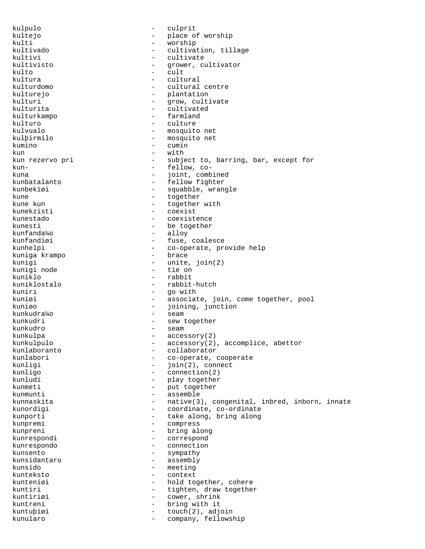kulpulo - culprit kultejo - place of worship<br>kulti - worship<br>- worship kulti - worship - worship - worship - worship - worship - worship - worship - worship - worship - worship - wo - cultivation, tillage kultivi - cultivate kultivisto - grower, cultivator kulto - cult kultura - cultural - cultural centre kulturejo - plantation kulturi - grow, cultivate<br>kulturita - cultivated - cultivated<br>- farmland kulturkampo kulturo - culture kulvualo - mosquito net kulþirmilo - mosquito net kumino - cumin  $kun$  - with kun rezervo pri - subject to, barring, bar, except for kun- - fellow, cokuna - joint, combined - fellow fighter kunbekiøi - squabble, wrangle kune - together - together<br>kune kun - together - together - together with kunekzisti - coexist kunestado - coexistence kunesti - be together kunfanda¼o - alloy kunfandiøi - fuse, coalesce kunhelpi - co-operate, provide help<br>kuniga krampo - - brace - brace kuniga krampo kunigi - unite, join(2) kunigi node kuniklo - rabbit kuniklostalo - rabbit-hutch kuniri - go with - associate, join, come together, pool kuniøo - joining, junction kunkudra¼o - seam kunkudri - sew together kunkudro - seam kunkulpa - accessory(2) kunkulpulo - accessory(2), accomplice, abettor kunlaboranto - collaborator kunlabori - co-operate, cooperate<br>kunligi - join(2), connect - join(2), connect kunligo - connection(2) kunludi - play together kunmeti - put together kunmunti - assemble kunnaskita - native(3), congenital, inbred, inborn, innate<br>
kunordigi - coordinate co-ordinate kunordigi  $\qquad \qquad -$  coordinate, co-ordinate kunporti - take along, bring along<br>
kunpremi - compress kunpremi - compress<br>kunprepi - bring al kunpreni - bring along kunrespondi - correspond kunrespondo - connection kunsento - sympathy kunsidantaro - assembly kunsido - meeting kunteksto - context kunteniøi - hold together, cohere kuntiri  $-$  tighten, draw together kuntiriøi - cower, shrink kuntreni - bring with it kuntuþiøi - touch(2), adjoin kunularo - company, fellowship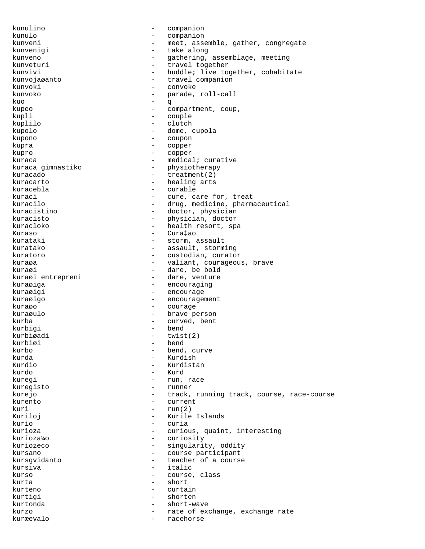kunulino - companion kunulo - companion kunveni - meet, assemble, gather, congregate<br>kunvenigi - take along - take along kunveno - gathering, assemblage, meeting<br>
kunveturi - travel together kunveturi - travel together kunvivi - huddle; live together, cohabitate<br>kunvojaøanto - travel companion - travel companion kunvoki - convoke kunvoko  $-$  parade, roll-call  $\overline{a}$ kuo - q kupeo  $\qquad \qquad -$  compartment, coup, kupli - couple kuplilo - clutch kupolo - dome, cupola kupono - coupon kupra - copper kupro - copper kuraca - medical; curative<br>kuraca gimnastiko - - - - - - physiotherapy - physiotherapy<br>- treatment(2) kuracado - treatment(2) - healing arts kuracebla - curable kuraci - cure, care for, treat<br>
kuracilo - cure, care for, treat<br>
- drug, medicine, pharma - drug, medicine, pharmaceutical kuracistino - doctor, physician kuracisto - physician, doctor kuracloko - health resort, spa Kuraso - Cura‡ao kurataki - storm, assault kuratako  $-$  assault, storming kuratoro - custodian, curator kuraøa - valiant, courageous, brave<br>
kuraøi - - - - - - - - dare, be bold kuraøi - dare, be bold<br>kuraøi entrepreni - dare, venture - dare, venture kuraøiga - encouraging kuraøigi - encourage kuraøigo - encouragement kuraøo - courage kuraøulo - brave person kurba - curved, bent kurbigi kurbiøadi - twist(2)<br>kurbiøi - bend - bend kurbo - bend, curve<br>kurda - kurdish - kurdish kurda - Kurdish - Kurdish - Kurdish - Kurdish - Kurdish - Kurdish - Kurdish - Kurdish - Kurdish - Kurdish - Ku - Kurdistan kurdo - Kurd kuregi - run, race kuregisto - runner kurejo  $-$  track, running track, course, race-course kurento - current kuri  $-$  run $(2)$ Kuriloj - Kurile Islands kurio - curia kurioza - curious, quaint, interesting<br>
kurioza¼o - curiosity - curiosity - curiosity kuriozeco  $-$  singularity, oddity kursano  $-$  course participant kursgvidanto - teacher of a course kursiva - italic kurso  $-$  course, class kurta - short kurteno - curtain kurtigi - shorten kurtonda - short-wave kurzo  $-$  rate of exchange, exchange rate kuræevalo - racehorse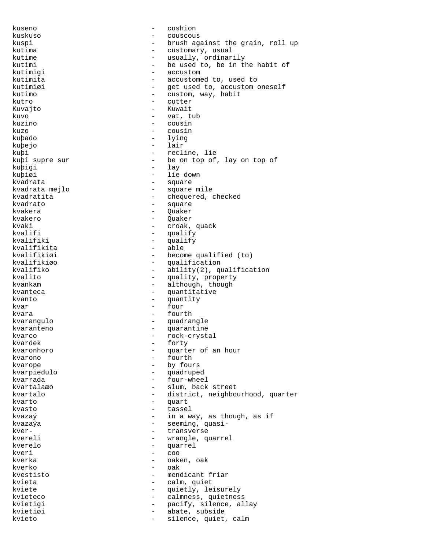kuseno - cushion kuskuso - couscous kuspi - brush against the grain, roll up kutima  $-$  customary, usual kutime - usually, ordinarily<br>kutimi - be used to, be in tl kutimi - be used to, be in the habit of<br>
kutimiqi - accustom - accustom kutimigi - accustom - accustom - accustom - accustom - accustom - accustom - accustom - accustom - accustom kutimita  $\begin{array}{ccc} - & - & - \\ - & - & - \end{array}$  accustomed to, used to kutimizi - get used to, accustom oneself kutimo - custom, way, habit kutro - cutter Kuvajto - Kuwait kuvo - vat, tub kuzino - cousin kuzo - cousin kuþado - lying kuþejo - lair - lair - lair - lair - lair - lair - lair - lair - lair - lair - lair - lair - lair - lair - la kuþi  $\begin{array}{ccc} \text{kupi} & - & \text{recline, lie} \\ \text{kupi super sur} & - & \text{be on top of} \end{array}$ be on top of, lay on top of kuþigi - lay<br>kuþiøi - lie kuþiøi - lie down - square kvadrata mejlo - square mile kvadratita - chequered, checked<br>kvadrato - square - square kvadrato - square - Quaker kvakero - Quaker kvaki - croak, quack kvalifi - qualify - qualify<br>kvalifiki - - qualify - qualify - qualify<br>- able kvalifikita<br>kvalifikiøi kvalifikiøi - become qualified (to)<br>kvalifikiøo - - - - - - - - - qualification kvalifikiøo - qualification - ability(2), qualification kvalito  $-$  quality, property kvankam - although, though kvanteca - quantitative kvanto - quantity kvar - four kvara - fourth kvarangulo - quadrangle kvaranteno - quarantine kvarco - rock-crystal<br>kvardek - forty - forty kvardek - forty<br>kvaronhoro - enarte kvaronhoro - quarter of an hour kvarono - fourth kvarope - by fours<br>kvarniedulo kvarpiedulo - quadruped kvarrada - four-wheel kvartalaæo - slum, back street kvartalo - district, neighbourhood, quarter kvarto - quart kvasto - tassel kvazaý  $-$  in a way, as though, as if kvazaýa - seeming, quasikver- - transverse kvereli - wrangle, quarrel<br>kverelo kverelo - quarrel kveri - coo kverka - oaken, oak $\sim$  - oaken, oak $\sim$ kverko - oak kvestisto - mendicant friar kvieta  $-$  calm, quiet kviete - quietly, leisurely kvieteco - calmness, quietness<br>
kvietigi - calmness, quietness kvietigi - pacify, silence, allay kvietiøi - abate, subside kvieto  $-$  silence, quiet, calm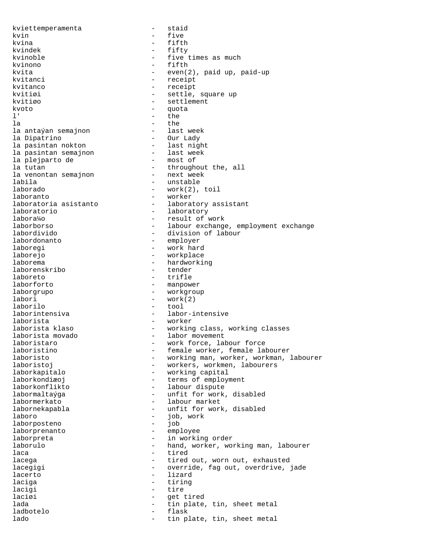kviettemperamenta - staid kvin - five kvina - fifth kvindek - fifty kvinoble  $-$  five times as much kvinono - fifth kvita - even(2), paid up, paid-up<br>kvitanci - even(2), paid up, paid-up kvitanci - receipt<br>
kvitanco - receipt<br>
- receipt kvitanco - receipt<br>
kvitiøi - settle. - settle, square up kvitiøo - settlement  $k$ voto - quota  $\frac{1}{k}$  - quota  $\frac{1}{k}$  - the l' - the la - the la antaýan semajnon la Dipatrino - Our Lady la pasintan nokton last nigh<br>la pasintan semajnon last week la pasintan semajnon - last week end a plant week is a semajnon - last week is a semajnon semajn of the semajn<br>
la plejparto de semajnon - most of la plejparto de<br>la tutan - throughout the, all<br>- next week la venontan semajnon<br>labila - unstable laborado - work(2), toil laboranto - worker laboratoria asistanto  $\qquad \qquad -$  laboratory assistant<br>laboratorio  $\qquad \qquad -$  laboratory - laboratory labora¼o - result of work laborborso - labour exchange, employment exchange labordivido - division of labour labordonanto - employer laboregi - work hard laborejo - workplace laborema - hardworking<br>laborenskribo - tender laborenskribo laboreto - trifle laborforto - manpower laborgrupo - workgroup labori - work(2) laborilo - tool laborintensiva - labor-intensive laborista - worker - working class, working classes laborista movado  $\begin{array}{ccc} - & 1$ abor movement<br>laboristaro - vork force, la laboristaro - work force, labour force laboristino - female worker, female labourer laboristo - working man, worker, workman, labourer - workers, workmen, labourers laborkapitalo - working capital laborkondiæoj - terms of employment laborkonflikto - labour dispute labormaltaýga <br/> - unfit for work, disabled labormerkato - labour market labornekapabla - unfit for work, disabled laboro - job, work laborposteno - job laborprenanto - employee laborpreta  $-$  in working order laborulo - hand, worker, working man, labourer<br>lace laca - tired<br>lacega - tired - tired - tired out, worn out, exhausted lacegigi - override, fag out, overdrive, jade lacerto - lizard laciga  $-$  tiring lacigi - tire laciøi - get tired lada - tin plate, tin, sheet metal<br>ladbotelo - flask - flask ladbotelo - flash - flash - flash - flash - flash - flash - flash - flash - flash - flash - flash - flash - fla lado  $-$  tin plate, tin, sheet metal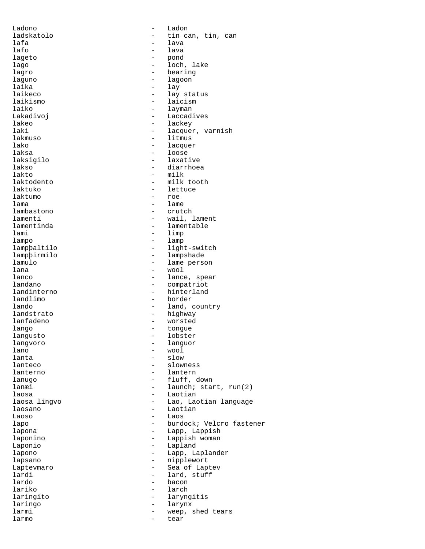laksigilo - laxative lambastono

Ladono - Ladon - tin can, tin, can<br>- lava lafa - lava lafo - lava lageto - pond lago - loch, lake<br>lagro - loch, lake lagro - bearing - bearing<br>laguno - lagoon - lagoon laguno - lagoon laika - lay - lay - lay - lay - lay - lay - lay - lay - lay - lay - lay - lay - lay - lay - lay - lay - lay - - lay status laikismo - laicism laiko - layman Lakadivoj - Laccadives lakeo - lackey laki - lacquer, varnish<br>lakmuso - litmus - litmus lakmuso - litmus lako - lacquer - lacquer - lacquer - lacquer - lacquer - lacquer - lacquer - lacquer - lacquer - lacquer - lacquer - lacquer - lacquer - lacquer - lacquer - lacquer - lacquer - lacquer - lacquer - lacquer - lacquer - lacqu - loose<br>- laxative lakso - diarrhoea lakto - milk - milk tooth laktuko - lettuce laktuko - lettuce laktumo - lettuce - lettuce - lettuce - lettuce - lettuce - lettuce - lettuce - lettuce - lettuce - lettuce - lettuce - lettuce - lettuce - lettuce - lettuce - lettuce - lettuce - lettuc - roe lama - lame - lame - lame - lame - lame - lame - lame - lame - lame - lame - lame - lame - lame - lame - lame lamenti  $-$  wail, lament lamentinda - lamentable - lamentable<br>lami - limp lami - limp<br>lampo - lampo - lamp lampo - lamp lampþaltilo - light-switch lampþirmilo - lampshade lamulo - lame person lana - wool lanco - lance, spear<br>
landano - lance, spear<br>
- compatriot landano - compatriot<br>
landinterno - hinterland landinterno - hinterland<br>
landlimo - border - border lando  $-$  land, country landstrato - highway lanfadeno - worsted<br>
lango - worsted - worsted lango - tongue - tongue - tongue - tongue - tongue - tongue - tongue - tongue - tongue - tongue - tongue - tongue - tongue - tongue - tongue - tongue - tongue - tongue - tongue - tongue - tongue - tongue - tongue - tongue langusto - lobster langvoro - languor lano - wool lanta - slow - slowness lanterno - lantern lanugo  $-$  fluff, down lanæi - launch; start, run(2) laosa - Laotian laosa lingvo - Lao, Laotian language laosano - Laotian Laoso - Laoso - Laoso - Laoso - Laoso - Laoso - Laoso - Laoso - Laoso - Laoso - Laoso - Laoso - Laoso - Laoso - Laoso - Laoso - Laoso - Laoso - Laoso - Laoso - Laoso - Laoso - Laoso - Laoso - Laoso - Laoso - Laoso - Laoso lapo - burdock; Velcro fastener lapona - Lapp, Lappish laponino - Lappish woman Laponio - Lapland - Lapp, Laplander lapsano - nipplewort Laptevmaro  $-$  Sea of Laptev lardi - lard, stuff<br>lardo - hacon lardo - bacon lariko - larch - larch<br>laringito - larvno laringito - laryngitis laringo - larynx larmi  $-$  weep, shed tears larmo - tear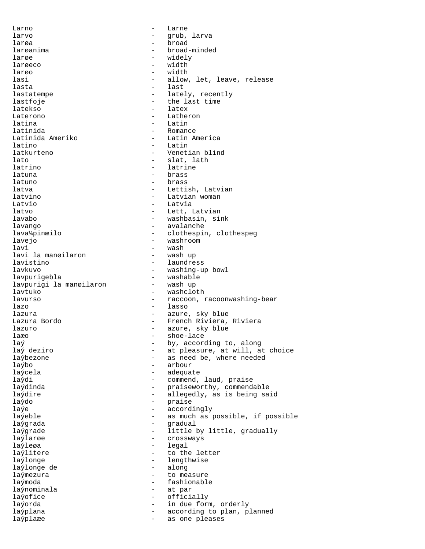Larno - Larne - Larne - Larne - Larne - Larne - Larne - Larne - Larne - Larne - Larne - Larne - Larne - Larne - Larne - Larne - Larne - Larne - Larne - Larne - Larne - Larne - Larne - Larne - Larne - Larne - Larne - Larne larvo - grub, larva larøa - broad larøanima <br/> - broad-minded<br/> - broad-minded larøe - widely - widely<br>larøeco - - - - width larøeco - width - width - width - width - width - width - width - width - width - width - width - width - width larøo – width – width – width – width – width – width – width – width – width – width – width – width – width lasi - allow, let, leave, release - last lastatempe - lately, recently lastfoje  $-$  the last time latekso - latex Laterono - Latheron latina - Latin latinida - Romance Latinida Ameriko - Latin America latino - Latin latkurteno - Venetian blind lato - slat, lath latrino - latrine - latrine latuna - brass latuno - brass latva  $-$  Lettish, Latvian latvino - Latvian woman Latvio - Latvia latvo  $-$  Lett, Latvian lavabo - washbasin, sink lavango estable avalanche e avalanche e avalanche e avalanche e avalanche e avalanche e avalanche e avalanche lava¼pinæilo - clothespin, clothespeg lavejo - washroom lavi - wash lavi la manøilaron lavistino - laundress - washing-up bowl<br>- washable lavpurigebla - washable lavpurigi la manøilaron lavtuko - washcloth lavurso - raccoon, racoonwashing-bear lazo - lasso lazura  $\qquad \qquad$  - azure, sky blue Lazura Bordo - French Riviera, Riviera lazuro  $-$  azure, sky blue laæo - shoe-lace laý  $\frac{1}{2}$  laý deziro  $\frac{1}{2}$  external to  $\frac{1}{2}$  by, according to, along laý deziro laý deziro  $-$  at pleasure, at will, at choice<br>laýbezone  $-$  as need be, where needed laýbezone - as need be, where needed - arbour laýcela - adequate laýdi - commend, laud, praise laýdinda - praiseworthy, commendable laýdire  $-$  allegedly, as is being said laýdo - praise laýe - accordingly laýeble - as much as possible, if possible laýgrada - gradual laýgrade - little by little, gradually<br>laýlarge - crossways laýlarøe - crossways laýleøa laýlitere  $-$  to the letter laýlonge - lengthwise laýlonge de laýmezura  $-$  to measure laýmoda - fashionable laýnominala  $-$  at par laýofice - officially laýorda  $-$  in due form, orderly laýplana - according to plan, planned laýplaæe - as one pleases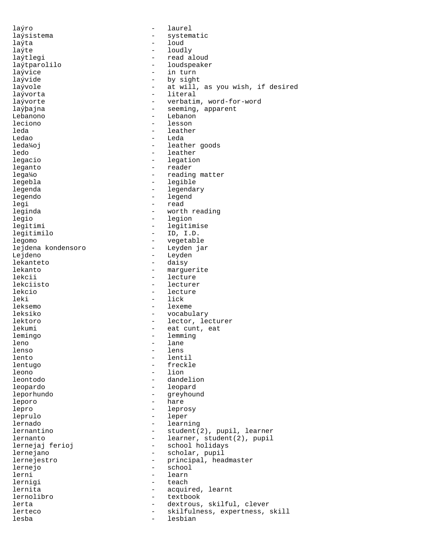laýro - laurel laýsistema - systematic laýta - loud laýte - loudly - read aloud laýtparolilo - loudspeaker laývice - in turn<br>laývide - in turn - in turn laývide - by sight - at will, as you wish, if desired laývorta - literal - verbatim, word-for-word laýþajna - seeming, apparent Lebanono <sup>-</sup> Lebanono leciono - lesson leda - leather - leather Ledao - Leda leda¼oj - leather goods ledo - leather legacio  $-$  legation leganto - reader - reading matter legebla - legible - legendary legendo - legend legi - read leginda - worth reading legio - legion legitimi - legitimise legitimilo - ID, I.D. legomo - vegetable lejdena kondensoro Lejdeno - Leyden - Leyden<br>1ekanteto - Alexandre - Alexandre - Alexandre - Alexandre - Alexandre - Alexandre - Alexandre - Alexandre - A lekanteto - daisy<br>lekanto - marque - marguerite lekcii - lecture lekciisto - lecturer lekcio - lecture - lecture - lecture - lecture - lecture - lecture - lecture - lecture - lecture - lecture - l - lick leksemo - lexeme leksiko - vocabulary lektoro - lector, lecturer lekumi - eat cunt, eat lemingo - eat cunt, eat leming lemingo - lemming - lemming - lemming - lemming - lemming - lemming - lemming - lemming - lemming - lemming - <br>
- lane leno - lane<br>lenso - lens lenso - lens - lentil lentugo - freckle leono - lion leontodo - dandelion leopardo - leopard leporhundo - greyhound leporo - hare lepro - leprosy leprulo - leper lernado - learning - student(2), pupil, learner lernanto - learner, student(2), pupil - school holidays lernejano - scholar, pupil lernejestro  $-$  principal, headmaster lernejo - school lerni - learn lerniqi - teach lernita - acquired, learnt lernolibro - textbook lerta - dextrous, skilful, clever<br>lerteco - skilfulness expertises lerteco - skilfulness, expertness, skill lesba - lesbian - lesbian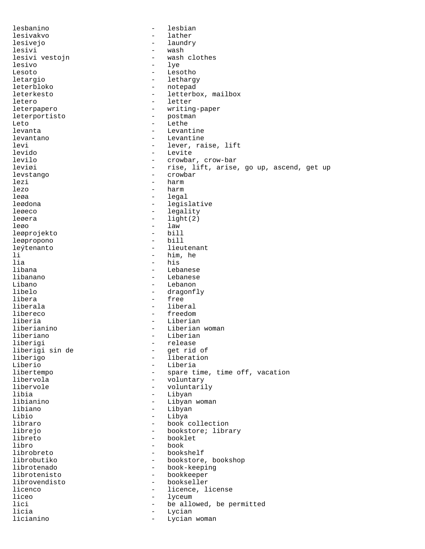lesbanino - lesbian lesivakvo – lather die van die van die van die van die van die van die van die van die van die van die van die<br>Die van die van die van die van die van die van die van die van die van die van die van die van die van die va lesivejo - laundry lesivi - wash lesivi vestojn - wash care vestojn lesivo - lye - lye - lye - lesoto - lesoto - lesoto - lesoto - lesoto - lesoto - lesoto - lesoto - les - les - Lesoto - Lesotho letargio - lethargy<br>leterbloko - lethargy<br>- notepad - notepad leterkesto - letterbox, mailbox letero - letter leterpapero - writing-paper<br>leterportisto - postman leterportisto Leto - Lethe levanta - Levantine levantano - Levantine levi - lever, raise, lift<br>levido - levite levido - Levite levilo - crowbar, crow-bar - rise, lift, arise, go up, ascend, get up levstango - crowbar - harm lezo - harm - harm - harm - harm - harm - harm - harm - harm - harm - harm - harm - harm - harm - harm - harm - harm - harm - harm - harm - harm - harm - harm - harm - harm - harm - harm - harm - harm - harm - harm - harm leøa - legal leødona - legislative leøeco - legality leøera - light(2) leøo - law - law - law - law - law - law - law - law - law - law - law - law - law - law - law - law - law - la leøprojekto - bill leøpropono leýtenanto - lieutenant li - him, he - him, he - him, he - him, he - him, he - him, he - him, he - him, he - him, he - him, he - him, he - him, he - him, he - him, he - him, he - him, he - him, he - him, he - him, he - him, he - him, he - him, he lia - his<br>libana - his - his - his libana - Lebanese libanano - Lebanese Libano - Lebanon - Lebanon - Lebanon - Lebanon - Lebanon - Lebanon - Lebanon - Lebanon - Lebanon - Lebanon - Lebanon - Lebanon - Lebanon - Lebanon - Lebanon - Lebanon - Lebanon - Lebanon - Lebanon - Lebanon - Lebanon - Leb libelo - dragonfly<br>libera - free - free - free liberala - liberal libereco - freedom liberia - Liberian - Liberian - Liberian - Liberian - Liberian - Liberian - Liberian - Liberian - Liberian - Liberian - Liberian - Liberian - Liberian - Liberian - Liberian - Liberian - Liberian - Liberian - Liberian - Lib liberianino - Liberian woman liberiano - Liberiano - Liberiano - Liberiano - Liberiano - Liberiano - Liberiano - Liberiano - Liberiano - Li<br>1999 - Liberiano - Liberiano - Liberiano - Liberiano - Liberiano - Liberiano - Liberiano - Liberiano - Liberia liberigi - release liberigi sin de - get rid of liberigo - liberation Liberio - Liberia libertempo - spare time, time off, vacation libervola - voluntary - voluntarily libia - Libyan libianino - Libyan woman libiano - Libyan - Libya libraro - book collection librejo - bookstore; library - bookstore; library - booklet libreto - booklet libro - book librobreto - bookshelf - bookstore, bookshop librotenado - book-keeping librotenisto - bookkeeper - bookseller licenco - licence, license liceo  $-$  lyceum lici  $-$  be allowed, be permitted licia de la contradicción de la contradicción de la contradicción de la contradicción de la contradicción de l licianino - Lycian woman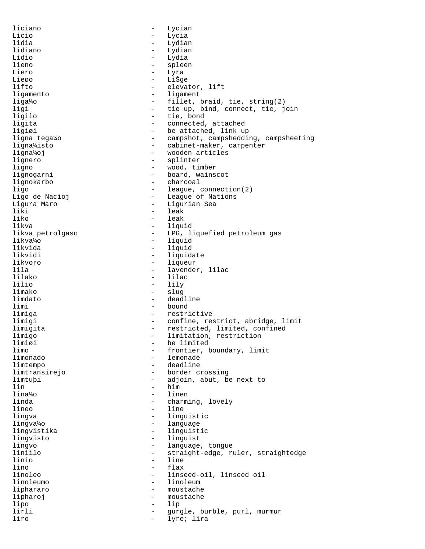liciano - Lycian Licio - Lycia - Lycia<br>1idia - Lydian - Lydia - Lydian lidiano - Lydian Lidio - Lydia - Lydia<br>1ieno - Splee lieno - spleen Liero - Lyra<br>Liego - Liša Lieøo - Lišge - Lišge<br>lifto - Leva - elevator, lift ligamento - ligament liga¼o - fillet, braid, tie, string(2)<br>ligi - tie up, bind, connect, tie, j - tie up, bind, connect, tie, join ligilo - tie, bond ligita - connected, attached ligiøi - be attached, link up<br>ligna tega¼o - - - - - - - - - - - - campshot, campsheddi - campshot, campshedding, campsheeting ligna¼isto - cabinet-maker, carpenter ligna¼oj - wooden articles lignero<br>lignero - splinter<br>ligno - wood, tir ligno - wood, timber<br>lignogarni - - - - - - - - - - - - board, wains lignogarni - board, wainscot - charcoal ligo - league, connection(2)<br>Ligo de Nacioj - - League of Nations Ligo de Nacioj - League of Nations Ligura Maro - Ligurian Sea - leak liko - leak likva - liquid - LPG, liquefied petroleum gas likva¼o - liquid likvida - liquid likvidi - liquidate<br>likvoro - liquidate - liqueur likvoro - liqueur lila - lavender, lilac<br>1ilako - lilac lilako - lilac lilio - lily - slug limdato - deadline limi - bound limiga - restrictive limigi - confine, restrict, abridge, limit limigita - restricted, limited, confined limigo - limitation, restriction<br>limigi - limitation, restriction limiøi - be limited<br>limo - frontier, k limo - frontier, boundary, limit limonado - lemonade - deadline limtransirejo - border crossing limtuþi - adjoin, abut, be next to  $\ln$  - him - him lina¼o - linen linda  $-$  charming, lovely lineo - line lingva - linguistic lingva¼o - language - linguistic lingvisto - linguist lingvo - language, tongue - straight-edge, ruler, straightedge linio - line lino - flax<br>linoleo - flax - flax - linseed-oil, linseed oil linoleumo - linoleum liphararo  $-$  moustache lipharoj - moustache lipo - lip lirli - gurgle, burble, purl, murmur liro - lyre; lira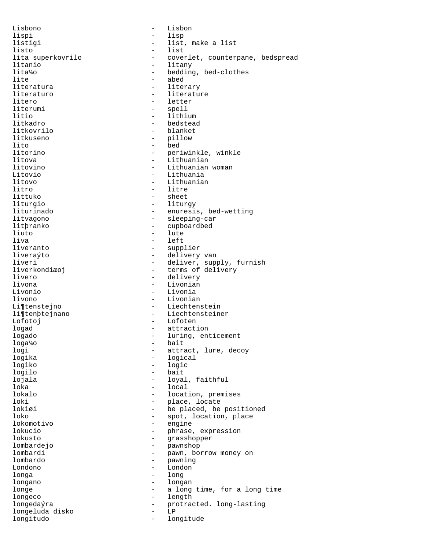Lisbono - Lisbon lispi - lisp listigi  $-$  list, make a list listo - list<br>lita superkovrilo - cover lita superkovrilo  $-$  coverlet, counterpane, bedspread<br>litanio  $-$  litany litanio - litany lita¼o - bedding, bed-clothes<br>lite - abed lite - abed - literary literaturo - literature litero - letter<br>literumi - spell literumi - spell<br>litio - lithi - lithium litkadro - bedstead litkovrilo - blanket litkuseno - pillow lito - bed litorino - periwinkle, winkle<br>litova - Lithuanian litova - Lithuanian litovino - Lithuanian woman Litovio - Lithuania litovo - Lithuanian<br>litro - Lithuanian<br>- litre litro - litre - litre - litre - litre - litre - litre - litre - litre - litre - litre - litre - litre - litre - litre - litre - litre - litre - litre - litre - litre - litre - litre - litre - litre - litre - litre - litre - sheet liturgio - liturgy liturinado  $-$  enuresis, bed-wetting litvagono - sleeping-car litþranko - cupboardbed liuto - lute liva - left<br>liveranto - supp<sup>-</sup> - supp<sup>-</sup> - supplier liveraýto - delivery van liveri<br>
liverkondiæoj<br>
- deliver, supply, furnish<br>
- terms of delivery - terms of delivery livero <sup>-</sup> delivery delivery<br>livona - Livonian livona - Livonian Livonio - Livonia livono - Livonian Li¶tenstejno - Liechtenstein li¶tenþtejnano - Liechtensteiner Lofotoj - Lofoten logad - attraction logado  $-$  luring, enticement loga¼o - bait logi - attract, lure, decoy<br>logika - logical - logical logika - logical - logic logilo - bait lojala  $-$  loyal, faithful loka - local lokalo - location, premises<br>loki - locate - place.locate loki - place, locate lokiøi - be placed, be positioned loko - spot, location, place <br>
10komotivo - engine lokomotivo lokucio - phrase, expression<br>lokusto - phrase, expression<br>- grasshopper lokusto - grasshopper lombardejo - pawnshop - pawn, borrow money on lombardo - pawning Londono - London longa - long longano - longan longe  $\qquad \qquad -$  a long time, for a long time longeco - length longedaýra - protracted. long-lasting<br>longeluda disko - - T.P longeluda disko - LP longitudo - longitude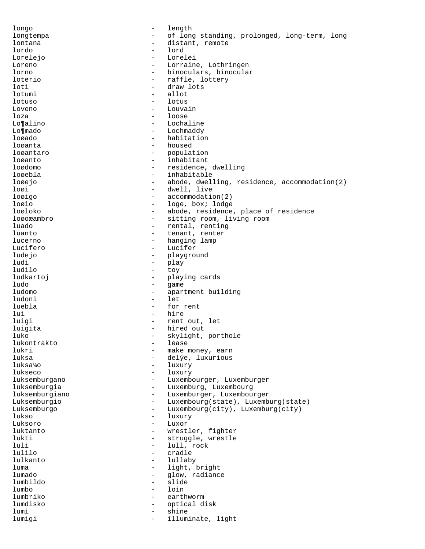longo - length longtempa - of long standing, prolonged, long-term, long lontana  $-$  distant, remote lordo - lord Lorelejo - Lorelei Loreno - Lorraine, Lothringen - binoculars, binocular loterio - raffle, lottery - draw lots lotumi - allot lotuso - lotus Loveno - Louvain  $\log a$  - loose Lo¶alino - Lochaline Lo¶mado - Lochmaddy loøado - habitation loøanta - housed loøantaro - population loøanto - inhabitant loødomo - residence, dwelling loøebla - inhabitable - abode, dwelling, residence, accommodation(2) loøi - dwell, live loøigo - accommodation(2) loøio - loge, box; lodge loøloko - abode, residence, place of residence loøoæambro - sitting room, living room luado - rental, renting luanto  $-$  tenant, renter lucerno - hanging lamp Lucifero - Lucifer ludejo - playground - play<br>- tow ludilo - toy - playing cards<br>- came ludo - game ludomo - apartment building ludoni - let luebla - for rent lui - hire - hire - hire - hire - hire - hire - hire - hire - hire - hire - hire - hire - hire - hire - hire - hire - hire - hire - hire - hire - hire - hire - hire - hire - hire - hire - hire - hire - hire - hire - hire luigi - rent out, let luigita - hired out luko  $-$  skylight, porthole lukontrakto  $-$  lease lukontrakto<br>lukri lukri - make money, earn luksa - delýe, luxurious - luxury lukseco - luxury luksemburgano - Luxembourger, Luxemburger luksemburgia - Luxemburg, Luxembourg luksemburgiano - Luxemburger, Luxembourger Luksemburgio - Luxembourg(state), Luxemburg(state) Luksemburgo - Luxembourg(city), Luxemburg(city) lukso - luxury Luksoro - Luxor - Luxor<br>luktanto - wrest luktanto - wrestler, fighter lukti - struggle, wrestle luli - lull, rock<br>
lulilo - cradle - cradle - cradle lulkanto - lullaby luma - light, bright lumado  $-$  qlow, radiance lumbildo - slide lumbo - loin lumbriko - earthworm lumdisko - optical disk lumi - shine lumigi - illuminate, light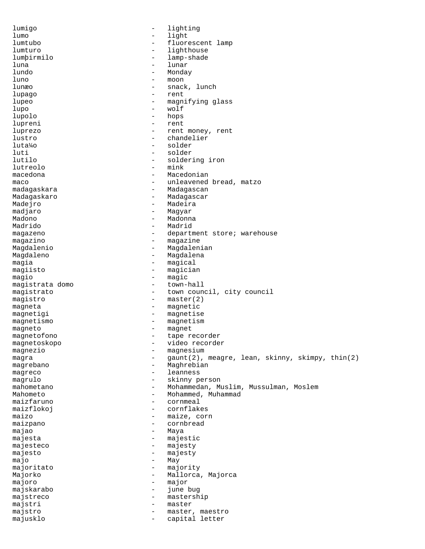lumigo - lighting lumo - light<br>lumtubo - fluore lumtubo - fluorescent lamp lumturo - lighthouse lumþirmilo - lamp-shade luna - lunar lundo - Monday  $\begin{array}{ccc}\n\text{luno} & - & \text{moon} \\
\text{luno} & - & \text{moon}\n\end{array}$ lunæo - snack, lunch lupago - rent lupeo - magnifying glass lupo - wolf lupolo - hops lupreni - rent luprezo - rent money, rent lustro - chandelier luta¼o - solder luti - solder - soldering iron<br>- mink lutreolo macedona - Macedonian maco  $-$  unleavened bread, matzo madagaskara - Madagascan Madagaskaro **- Madagascar** Madejro - Madeira<br>madjaro - Magyar - Magyar madjaro - Magyar Madono - Madonna Madrido - Madrid magazeno - component - department store; warehouse magazino - magazine Magdalenio - Magdalenian Magdaleno **- Magdalena** magia - magical<br>magiisto - magicia - magician magio - magic<br>magistrata domo - - town-hall magistrata domo magistrato - town council, city council magistro - master(2) magneta - magnetic magnetigi - magnetise<br>magnetismo - magnetismo magnetismo - magnetismo - magnetismo<br>magneto - magnet magneto - magnet magnetofono  $\qquad \qquad -$  tape recorder<br>magnetoskopo  $\qquad \qquad -$  video recorder magnetoskopo - video recorder magnezio  $\overline{\hspace{1cm}}$  - magnesium  $\overline{\hspace{1cm}}$  - magnesium  $\overline{\hspace{1cm}}$  - agunt (2). magra - gaunt(2), meagre, lean, skinny, skimpy, thin(2) magrebano - Maghrebian magreco - leanness<br>magrulo - skinny p magrulo - skinny person mahometano - Mohammedan, Muslim, Mussulman, Moslem Mahometo **- Mohammed, Muhammad** maizfaruno - cornmeal<br>maizflokoi - cornflak maizflokoj - cornflakes maizo - maize, corn maizpano - cornbread majao - Maya majesta - majestic<br>majesteco - - majesty majesteco - majesty<br>majesto - majesty<br>- majesty majesto - majesty<br>majo - May - May majo - May majoritato - majority Majorko - Mallorca, Majorca majoro - major majskarabo - june bug majstreco - mastership majstri - master majstro  $-$  master, maestro majusklo - capital letter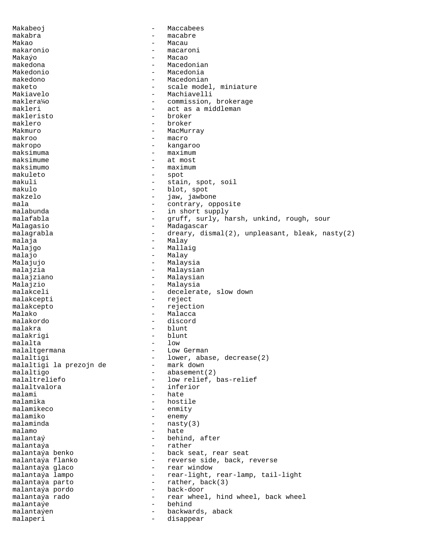Makabeoj - Maccabees makabra - macabre Makao **- Macau** makaronio - macaroni Makaýo - Macao makedona - Macedonian Makedonio - Macedonia makedono - Macedonian - scale model, miniature Makiavelo - Machiavelli maklera¼o - commission, brokerage makleri - act as a middleman<br>makleristo - broker makleristo maklero - broker Makmuro **- MacMurray** makroo - macro makropo - kangaroo - maximum maksimume - at most maksimumo - maximum makuleto - spot - stain, spot, soil makulo - blot, spot makzelo  $-$  jaw, jawbone mala - contrary, opposite - in short supply malafabla - 1999 - gruff, surly, harsh, unkind, rough, sour Malagasio - Madagascar malagrabla - dreary, dismal(2), unpleasant, bleak, nasty(2)<br>malaja - Malay malaja - Malay Malajgo  $-$  Mallaig malajo - Malay - Malay Malajujo - Malaysia malajzia  $-$  Malaysian malajziano - Malaysian Malajzio - Malaysia malakceli - decelerate, slow down malakcepti - reject malakcepto - rejection Malako 1999 - Malacca malakordo - discord malakra - blunt<br>malakrigi - blunt - blunt malakrigi - blunt malalta malaltgermana - Low German malaltigi - lower, abase, decrease(2)<br>malaltigi la prezojn de - mark down malaltigi la prezojn de malaltigo  $-$  abasement(2) malaltreliefo - low relief, bas-relief malaltvalora - inferior malami - hate malamika - hostile malamikeco - enmity malamiko - enemy malaminda  $\begin{array}{ccc} - & \text{nasty}(3) \\ - & \text{haite} \end{array}$ malamo - hate<br>malanta $\acute{y}$  - hehii behind, after malantaýa - rather - back seat, rear seat malantaýa flanko  $-$  reverse side, back, reverse malantaýa glaco  $\begin{array}{ccc} 1 & - & - & - \\ - & - & - & - \\ - & - & - & - \end{array}$  window - rear-light, rear-lamp, tail-light malantaýa parto - rather, back(3) malantaýa pordo - back-door malantaýa rado  $-$  rear wheel, hind wheel, back wheel malantaýe - behind malantaýen - backwards, aback malaperi - disappear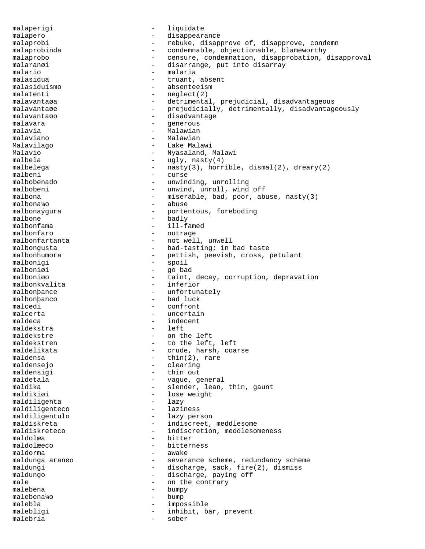malaperigi - liquidate malapero - disappearance malaprobi - rebuke, disapprove of, disapprove, condemn malaprobinda - condemnable, objectionable, blameworthy malaprobo - censure, condemnation, disapprobation, disapproval malaranøi - disarrange, put into disarray malario - malaria malasidua - truant, absent<br>malasiduismo - https://www.example.com/www.example.com/www.example.com/www.example.com/www.example.com/www.exa - absenteeism malatenti - neglect(2) malavantaøa - - detrimental, prejudicial, disadvantageous malavantaøe en andrede - prejudicially, detrimentally, disadvantageously malavantaøo - disadvantage malavara  $-$  generous malavia - Malawian malaviano Malavilago - Lake Malawi Malavio - Nyasaland, Malawi malbela - ugly, nasty(4) malbelega  $-$  nasty(3), horrible, dismal(2), dreary(2) malbeni malbeni - curse malbobenado - unwinding, unrolling<br>malbobeni - unwind.unroll.wind malbobeni - unwind, unroll, wind off malbona malbona - miserable, bad, poor, abuse, nasty(3)<br>malbona<sup>1</sup>40 - abuse - abuse malbonaýgura - portentous, foreboding malbone - badly<br>malbonfama - ill-f malbonfama - ill-famed<br>malbonfaro - outrage malbonfaro - outrage<br>malbonfartanta - not well - not well, unwell malbongusta - bad-tasting; in bad taste malbonhumora - pettish, peevish, cross, petulant<br>malbonigi - spoil - spoil malbonigi - spoil<br>malbonigi - qo ba - go bad malboniøo - taint, decay, corruption, depravation malbonkvalita - inferior malbonþance - unfortunately<br>malbonbanco - bad luck malbonþanco malcedi - confront malcerta - uncertain<br>maldeca - indecent maldeca - indecent<br>maldekstra - left<br>- left maldekstra maldekstre - on the left maldekstren - to the left, left<br>maldelikata - to the left, left maldelikata - crude, harsh, coarse<br>maldensa - - thin(2), rare maldensa - thin(2), rare<br>maldensejo - clearing - clearing maldensigi - thin out<br>maldetala - vaque qu maldetala - vague, general<br>maldika - vague, general<br>- slender.lean. - slender, lean, thin, gaunt maldikiøi - lose weight<br>maldiligenta - lazy - lazy maldiligenta - lazy maldiligenteco maldiligentulo - lazy person<br>maldiskreta - indiscreet. maldiskreta - indiscreet, meddlesome<br>maldiskreteco - - indiscretion, meddlesome - indiscretion, meddlesomeness<br>- bitter maldolæa - bitter andre andre andre andre andre andre andre andre andre andre andre andre andre andre andre an<br>- bitter andre andre andre andre andre andre andre andre andre andre andre andre andre andre andre andre andre maldolæeco - bitterness maldorma - bitterness - bitterness - bitterness - bitterness - bitterness - bitterness - bitterness - bitterness - bitterness - bitterness - bitterness - bitterness - bitterness - bitterness - bitte - awake maldunga aranøo - severance scheme, redundancy scheme maldungi - discharge, sack, fire(2), dismiss<br>maldungo - discharge, paying off - discharge, paying off male  $\qquad \qquad$  - on the contrary malebena  $-\frac{1}{2}$  bumpy malebena  $-\frac{1}{2}$  bump malebena¼o - bump malebla - impossible malebligi  $-$  inhibit, bar, prevent malebria - sober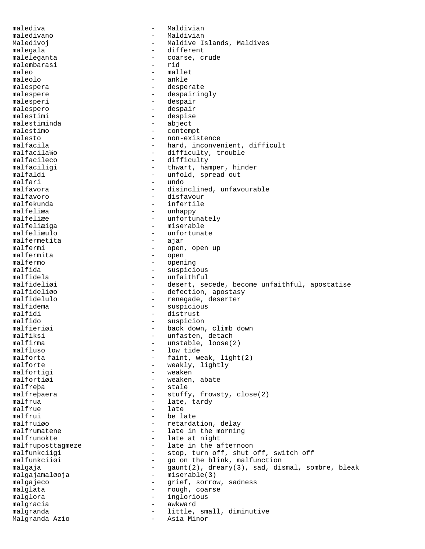malediva - Maldivian maledivano - Maldivian Maledivoj **-** Maldive Islands, Maldives malegala - different maleleganta - coarse, crude<br>malembarasi - rid malembarasi<br>maleo maleo - mallet naleo - mallet naleolo - mallet naleolo - mallet naleolo - mallet naleolo - mallet na mallet na maleolo - ankle - desperate malespere  $\qquad \qquad -$  despairingly malesperi - despair malespero - despair malestimi - despise malestiminda - abject malestimo - contempt malesto - non-existence malfacila - hard, inconvenient, difficult<br>malfacila<sup>1</sup>/<sub>2</sub> - difficulty, trouble malfacila<sup>y</sup>o - difficulty, trouble<br>malfacileco - - difficulty malfacileco - difficulty<br>malfaciligi - difficulty<br>- thwart, har malfaciligi - thwart, hamper, hinder<br>malfaldi - unfold, spread out malfaldi - unfold, spread out malfari - unfold, spread out malfari - undo malfavora - disinclined, unfavourable<br>malfavoro - disfavour malfavoro - disfavour malfekunda - infertile malfeliæa - unhappy - unhappy - unhappy - unhappy - unhappy - unhappy - unfortu - unfortunately malfeliæiga - miserable malfeliæulo - unfortunate malfermetita<br>malfermi - open, open up<br>- open malfermita<br>malfermo malfermo - opening malfida - suspicious - suspicious - suspicious - suspicious - suspicious - suspicious - suspicious - suspicious malfidela - unfaithful<br>malfideliøi - desert se malfideliøi - desert, secede, become unfaithful, apostatise<br>malfideliøo - defection. apostasv malfideliøo - defection, apostasy<br>malfidelulo - renegade.deserter - renegade, deserter malfidema - suspicious malfidi - distrust<br>malfido - - distrust<br>- suspicio malfido - suspicion<br>malfieriøi - back down, malfieriøi - back down, climb down<br>malfiksi - - - - - - - - - unfasten, detach malfiksi - unfasten, detach<br>malfirma - unstable, loose( malfirma - unstable, loose(2)<br>malfluso - low tide malfluso - low tide malforta - faint, weak, light(2)<br>malforte - weakly, lightly - weakly, lightly malfortigi - weaken malfortiøi en moderne veaken, abate malfreþa - stale malfreþaera - stuffy, frowsty, close(2) malfrua - late, tardy malfrue - late malfrui - be late<br>malfruiøo - chardain - malfruiøo malfruiøo - retardation, delay<br>malfrumatene - late in the morning - late in the morning malfrunokte - late at night malfruposttagmeze - late in the afternoon<br>malfunkciigi - stop, turn off, shut - stop, turn off, shut off, switch off malfunkciiøi - go on the blink, malfunction malgaja  $-$  gaunt(2), dreary(3), sad, dismal, sombre, bleak malgajamaløoja - miserable(3) malgajeco  $\qquad \qquad -$  grief, sorrow, sadness malglata  $-$  rough, coarse malglora - inglorious malgracia  $-$  awkward malgranda - little, small, diminutive Malgranda Azio - - little, small, diminutive Malgranda Azio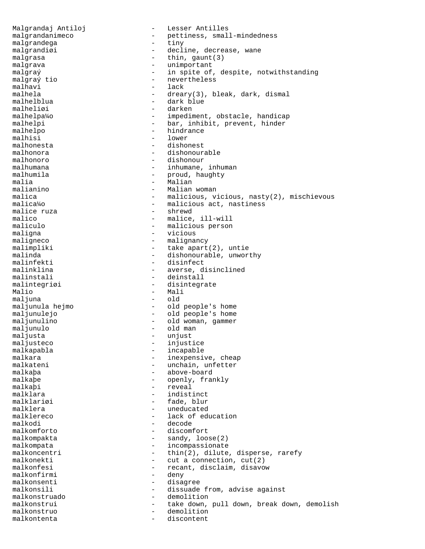Malgrandaj Antiloj  $-$  Lesser Antilles malgrandanimeco - pettiness, small-mindedness<br>malgrandega<br>- tiny<br>- tiny malgrandega  $-$  tiny malgrandiøi - decline, decrease, wane malgrasa  $-$  thin, gaunt(3) malgrava  $\qquad \qquad -$  unimportant malgraý - in spite of, despite, notwithstanding<br>malgraý tio - hevertheless malgraý tio  $\overline{a}$  - nevertheless malhavi - lack malhavi - lack<br>malhela - dream malhela - dreary(3), bleak, dark, dismal<br>malhelblua - dark blue - dark blue<br>- darken malheliøi malhelpa¼o - impediment, obstacle, handicap malhelpi - bar, inhibit, prevent, hinder malhelpo - hindrance malhisi - lower - lower - lower - lower - lower - lower - lower - lower - lower - lower - lower - lower - lower malhonesta - dishonest malhonora - dishonourable malhonoro - dishonour malhumana - inhumane, inhuman malhumila - proud, haughty<br>malia - Malian - Malian malia - Malian - Malian - Malian - Malian - Malian - Malian - Malian - Malian - Malian - Malian - Malian - Malian - Malian - Malian - Malian - Malian - Malian - Malian - Malian - Malian - Malian - Malian - Malian - Malian malianino - Malian woman<br>malica - malicious view - malicious view malica - malicious, vicious, nasty(2), mischievous<br>malica<sup>1</sup>40 - malicious act. nastiness - malicious act, nastiness<br>- shrewd malice ruza malico  $-$  malice, ill-will maliculo - malicious person<br>maliculo - malicious person<br>- vicious maligna - vicious maligneco - malignancy malimpliki - take apart(2), untie malinda - take apart(2), untie malinda - dishonourable, unworthy<br>malinfekti - disinfect malinfekti - disinfect - averse, disinclined malinstali - deinstall malintegriøi - disintegrate<br>Malio - Mali - Mali<br>- old maljuna maljunula hejmo - old people's home maljunulejo<br>maljunulejo - old people's home<br>maljunulino - old woman, gammer maljunulino - old woman, gammer maljunulo - old man - old man<br>- unjust maljusta<br>maljusteco maljusteco - injustice<br>malkapabla - incapable malkapabla - incapable malkara - inexpensive, cheap<br>malkateni - inexpensive, cheap - unchain, unfetter malkaþa - above-board malkaþe - openly, frankly<br>malkaþi - reveal - reveal malklara  $-$  indistinct malklariøi - fade, blur malklera  $-$  uneducated malklereco - lack of education<br>malkodi - decode malkodi - decode malkomforto - discomfort malkompakta - sandy, loose(2)<br>malkompata - incompassionate malkompata - incompassionate - thin(2), dilute, disperse, rarefy malkonekti - cut a connection, cut(2)<br>malkonfesi - recant disclaim disavo malkonfesi - recant, disclaim, disavow<br>malkonfirmi - deny - deny - deny malkonsenti - disagree malkonsili - dissuade from, advise against malkonstruado - demolition malkonstrui - take down, pull down, break down, demolish malkonstruo - demolition malkontenta - discontent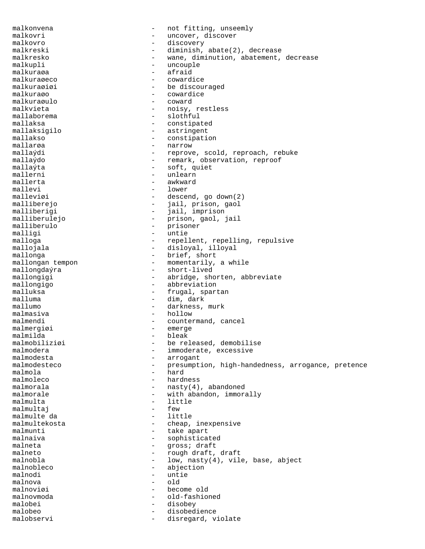malkonvena extensive the motifitting, unseemly malkovri - uncover, discover<br>malkovro - discovery - discovery malkovro - discovery malkreski - diminish, abate(2), decrease malkresko - wane, diminution, abatement, decrease malkupli - uncouple malkuraga - uncouple - uncouple - uncouple - uncouple - uncouple - uncouple - uncouple - uncouple - uncouple - uncouple - uncouple - uncouple - uncouple - uncouple - uncouple - uncouple - uncouple - unc afraid<br>cowardice malkuraøeco<br>malkuraøiøi - be discouraged malkuraøo - cowardice malkuraøulo<br>malkvieta malkvieta - noisy, restless - slothful mallaksa - constipated mallaksigilo - astringent mallakso - constipation mallarøa - narrow mallaýdi - reprove, scold, reproach, rebuke<br>mallaýdo - remark, observation, reproof mallaýdo - remark, observation, reproof mallaýta - soft, quiet mallerni - unlearn<br>mallerta - awkward mallerta - awkward<br>mallevi - lower mallevi - lower<br>malleviøi - descen - descend, go down(2) malliberejo - jail, prison, gaol malliberigi - jail, imprison malliberulejo - prison, gaol, jail<br>malliberulo - prisoner - prisoner malliberulo - prisoner<br>malligi - untie malligi - untie malloga - repellent, repelling, repulsive mallojala - disloyal, illoyal mallonga - brief, short mallongan tempon - momentarily, a while mallongdaýra - - momentarily, a while - short-lived mallongigi - abridge, shorten, abbreviate mallongigo - abbreviation malluksa - frugal, spartan - dim, dark mallumo - darkness, murk malmasiva - hollow<br>malmendi - counter malmendi - countermand, cancel<br>malmerqiai - emerge malmergiøi – emergiøi – emergency – emergency – emergency – emergency – emergency – emergency – emergency – emergency – emergency – emergency – emergency – emergency – emergency – emergency – emergency – emergency – emerge malmilda - bleak malmobiliziøi - be released, demobilise<br>malmodera - immoderate, excessive malmodera - immoderate, excessive<br>malmodesta - immoderate, excessive<br>- arrogant malmodesta - arrogant - presumption, high-handedness, arrogance, pretence malmola - hard malmoleco - hardness malmorala  $-$  nasty(4), abandoned malmorale  $\qquad \qquad \qquad -$  with abandon, immorally malmulta - little malmultaj - few malmulte da - little malmultekosta - cheap, inexpensive<br>malmunti - take apart malmunti - take apart<br>malnaiva - sophistica malnaiva - sophisticated malneta - gross; draft - rough draft, draft malnobla - low, nasty(4), vile, base, abject<br>malnobleco - abjection<br>- abjection - abjection malnodi – untie<br>malnova – untie malnova - old malnoviøi - become old malnovmoda - old-fashioned malobei - disobey malobeo - disobedience malobservi - disregard, violate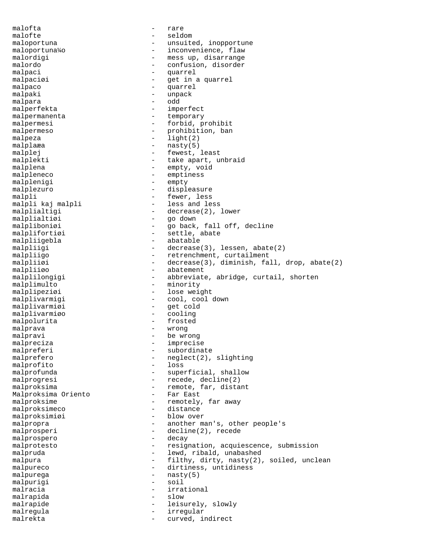malofta - rare malofte - seldom maloportuna - unsuited, inopportune maloportuna¼o - inconvenience, flaw malordigi  $-$  mess up, disarrange malordo - confusion, disorder malpaci - quarrel malpaciøi - get in a quarrel<br>malpaco - control - control malpaco - quarrel malpaki - unpack<br>malpara - odd malpara malperfekta - imperfect malpermanenta - temporary malpermesi - forbid, prohibit<br>malpermeso - prohibition, ban malpermeso - prohibition, ban malpeza - light(2) malplaæa - nasty(5) malplej - fewest, least malplekti - take apart, unbraid malplena - empty, void malpleneco - emptiness<br>malpleniqi - empty - empty malplenigi malplezuro - displeasure malpli - fewer, less<br>malpli kaj malpli - less and le - less and less malplialtigi - decrease(2), lower malplialtiøi - go down malpliboniøi - go back, fall off, decline malplifortiøi - settle, abate malpliigebla - abatable malpliigi - decrease(3), lessen, abate(2) malpliigo  $-$  retrenchment, curtailment malpliiøi - decrease(3), diminish, fall, drop, abate(2) malpliiøo - abatement malplilongigi - abbreviate, abridge, curtail, shorten malplimulto - minority malplipeziøi - lose weight malplivarmigi - cool, cool down malplivarmiøi - get cold malplivarmiøo - cooling malpolurita - frosted malprava - wrong malpravi - be wrong malpreciza - imprecise malpreferi - subordinate malprefero - neglect(2), slighting<br>malprofito - loss malprofito malprofunda - superficial, shallow malprogresi - recede, decline(2) malproksima - remote, far, distant<br>Malproksima Oriento - Far East Malproksima Oriento malproksime  $-$  remotely, far away malproksimeco - distance malproksimiøi - blow over malpropra  $-$  another man's, other people's malprosperi - decline(2), recede malprospero - decay malprospero malprotesto  $-$  resignation, acquiescence, submission malpruda - lewd, ribald, unabashed malpura  $-$  filthy, dirty, nasty(2), soiled, unclean malpureco - dirtiness, untidiness malpurega - nasty(5)<br>malpurigi - soil - soil malpurigi malracia  $-$  irrational malrapida - slow malrapide  $\qquad \qquad -$  leisurely, slowly malregula - irregular malrekta - curved, indirect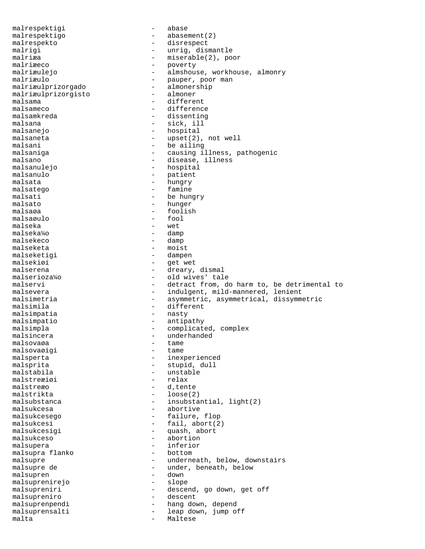malrespektigi - abase malrespektigo - abasement(2) malrespekto - disrespect malrigi - unrig, dismantle malriæa - miserable(2), poor<br>malriæeco - - poverty malriæeco - poverty<br>malriæulejo - almshous malriæulejo - almshouse, workhouse, almonry<br>malriæulo - pauper, poor man - pauper, poor man<br>- almonership malriæulprizorgado - almonership - almonership - almonership - almonership - almoner malriæulprizorgisto malsama - different<br>malsameco - differenc malsameco - difference<br>malsamkreda - dissenting - dissenting malsana  $-$  sick, ill malsanejo - hospital malsaneta  $-$  upset(2), not well malsani - be ailing - causing illness, pathogenic malsano - disease, illness malsanulejo - hospital malsanulo - patient<br>malsata - hungry - hungry - hungry malsatego - famine malsati - be hungry<br>malsato - hunger<br>- hunger malsato - hunger<br>malsaøa - foolis - foolish<br>- fool malsaøulo malseka - wet malseka¼o - damp malsekeco malseketa - moist malseketigi - dampen<br>malsekiøi - get we malsekiøi - get wet<br>malserena - - drearv. - dreary, dismal malserioza¼o - old wives' tale malservi **-** detract from, do harm to, be detrimental to malsevera - indulgent, mild-mannered, lenient malsimetria - asymmetric, asymmetrical, dissymmetric malsimila - different - different - masty malsimpatia malsimpatio - antipathy malsimpla - complicated, complex malsincera  $\begin{array}{ccc}\n-\n\end{array}$  underhanded malsovaøa malsovaøa - tame malsovaøigi<br>malsperta malsperta - inexperienced - stupid, dull malstabila - unstable<br>malstreæiøi - relax<br>- relax malstreæiøi malstreæo - d'tente malstrikta - loose(2) malsubstanca - insubstantial, light(2) malsukcesa - abortive malsukcesego - failure, flop malsukcesi - fail, abort(2) malsukcesigi - quash, abort<br>malsukceso - - abortion malsukceso - abortion malsupera - inferior - inferior - inferior - inferior - inferior - inferior - inferior - inferior - inferior malsupra flanko malsupre - underneath, below, downstairs malsupre de  $\begin{array}{ccc}\n-\n\end{array}$  ander, beneath, below malsupren malsupren - down malsuprenirejo malsupreniri - descend, go down, get off malsupreniro - descent malsuprenpendi - hang down, depend malsuprensalti - leap down, jump off malta - Maltese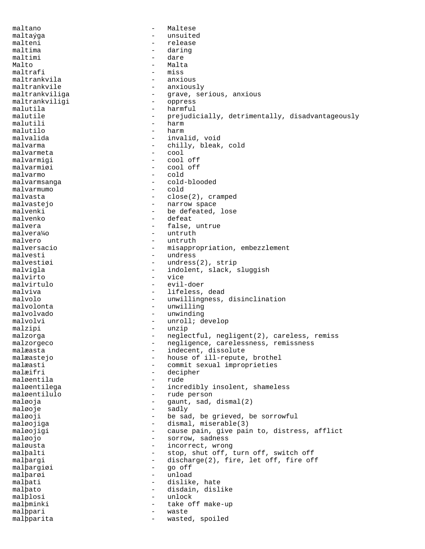maltano - Maltese maltaýga - unsuited malteni - release maltima - daring<br>maltimi - dare maltimi - dare - dare - dare - dare - dare - dare - dare - dare - dare - dare - dare - dare - dare - dare - da Malto - Malta maltrafi - miss<br>maltrankvila - anxi maltrankvila - anxious - anxiously maltrankviliga - grave, serious, anxious<br>maltrankviligi - oppress maltrankviligi malutila  $-$  harmful malutile  $-$  prejudicially, detrimentally, disadvantageously malutili - harm malutilo - harm - invalid, void malvarma - chilly, bleak, cold<br>malvarmeta malvarmeta - cool malvarmigi<br>malvarmiøi - cool off<br>- cold malvarmo malvarmsanga - cold-blooded malvarmumo malvasta - close(2), cramped - narrow space malvenki - be defeated, lose malvenko - defeat malvera  $-$  false, untrue malvera¼o - untruth malvero - untruth malversacio  $-$  misappropriation, embezzlement malvesti<br>malvestiøi - undress malvestiøi - undress malvestiøi - undress(2), strip<br>malvigla - indolent, slack, s - indolent, slack, sluggish malvirto - vice<br>malvirtulo - vice<br>evilmalvirtulo - evil-doer malviva  $-$  lifeless, dead malvolo - unwillingness, disinclination malvolonta - unwilling malvolvado - unwinding malvolvi - unroll; develop malzipi - unzip malzorga - meglectful, negligent(2), careless, remiss malzorgeco - - negligence, carelessness, remissness malæasta - indecent, dissolute malæastejo - house of ill-repute, brothel - commit sexual improprieties malæifri - decipher<br>maløentila - rude - rude maløentila maløentilega - incredibly insolent, shameless maløentilulo - rude person maløoja - gaunt, sad, dismal(2) maløoje - sadly maløoji - be sad, be grieved, be sorrowful maløojiga  $-$  dismal, miserable(3) maløojigi en andredsmed - cause pain, give pain to, distress, afflict maløojo - sorrow, sadness maløusta - incorrect, wrong<br>malþalti - stop, shut off, - stop, shut off, turn off, switch off malþargi - discharge(2), fire, let off, fire off malþargiøi - go off malþarøi - unload<br>malþati - dislike - dislike, hate malþato - disdain, dislike malþlosi - unlock malþminki - take off make-up malþpari - waste malþparita - wasted, spoiled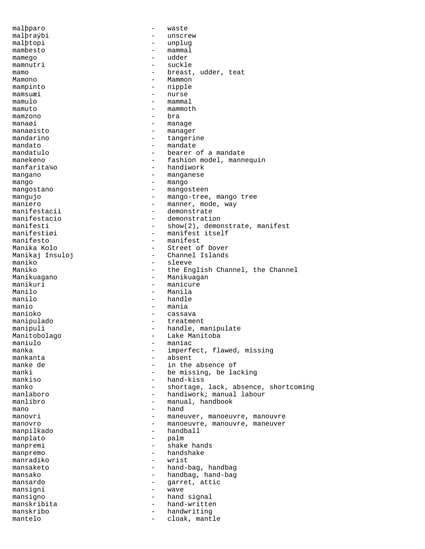malþparo - waste malþraýbi - unscrew<br>malbtoni - unplug malþtopi - unplug mambesto - mammal mamego - udder mamnutri mamo - breast, udder, teat Mamono - Mammon - nipple mamsuæi - nurse mamulo - mammal  $m = 0$  mamuto mamzono e bra manaøi - manage manaøisto - manager mandarino - tangerine<br>mandato - mandate - mandate mandato - mandate mandatulo - bearer of a mandate manekeno - fashion model, mannequin<br>manfarita¼o - handiwork - handiwork mangano  $-$  manganese mango<br>mangostano - mangostano - mangostano - mangostano - mangostano - mangostano - mangostano - mangostano - mangos - mangosteen mangujo - mango-tree, mango tree maniero - manner, mode, way<br>manifestacii - - demonstrate - demonstrate manifestacio - demonstration manifesti - show(2), demonstrate, manifest<br>manifestizi - manifest itself manifestiøi - manifest itself<br>manifesto - manifest manifesto - manifest Manika Kolo - Street of Dover Manikaj Insuloj - Channel Islands maniko - sleeve Maniko - the English Channel, the Channel<br>Manikuaqano - Manikuagan - Manikuagan Manikuagano - Manikuagan manikuri - manicure<br>Manilo - Manila Manilo - Manila - handle manio  $-$  mania manioko - cassava - cassava - cassava - cassava - cassava - cassava - cassava - cassava - cassava - cassava manipulado - treatment - handle, manipulate Manitobolago - Lake Manitoba maniulo - maniac<br>manka - imperfe manka - imperfect, flawed, missing<br>mankanta - - absent mankanta - absent - in the absence of manki - be missing, be lacking<br>mankiso - hand-kiss - hand-kiss manko - shortage, lack, absence, shortcoming manlaboro - handiwork; manual labour manlibro - manual, handbook mano - hand<br>manovri - manev manovri - maneuver, manoeuvre, manouvre<br>manovro - manoeuvre manouvre, manouvre manovro - manoeuvre, manouvre, maneuver<br>mannilkado - handball - handball manpilkado - handball manplato - palm manpremi - shake hands manpremo - handshake<br>manradiko - wrist manradiko - wrist mansaketo - hand-bag, handbag mansako  $-$  handbag, hand-bag mansardo  $-$  garret, attic mansigni - wave<br>mansigno - hand mansigno - hand signal<br>manskribita - hand-writte manskribita - hand-written manskribo - handwriting mantelo  $-$  cloak, mantle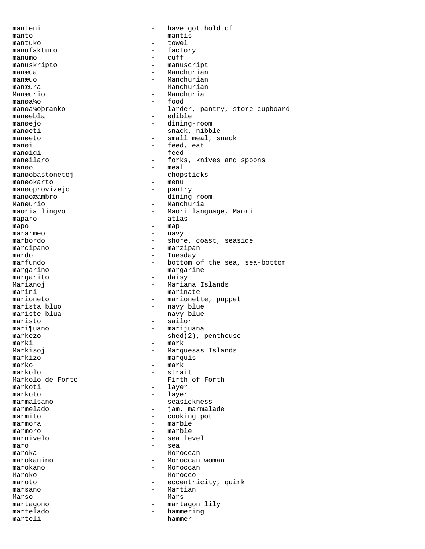manteni - have got hold of manto  $-$  mantis<br>mantuko  $-$  towel mantuko - towel manufakturo - factory manumo  $-$  cuff<br>manuskripto  $-$  manus manuskripto - manuscript manæua - Manchurian manæuo - Manchurian manæura - Manchurian Manæurio - Manchuria manøa¼o - food manøa¼oþranko - larder, pantry, store-cupboard manøebla - edible manøejo - dining-room manøeti - snack, nibble manøeto - small meal, snack<br>manøi - feed eat manøi - feed, eat<br>manøigi - feed - feed manøigi - feedball - feedball - feedball - feedball - feedball - feedball - feedball - feedball - feedball - feedball - feedball - feedball - feedball - feedball - feedball - feedball - feedball - feedball - feedball - fee manøilaro - forks, knives and spoons manøo – meal<br>manøobastonetoj – chop - chopsticks<br>- menu manøokarto - menu<br>manøoprovizejo - pantry - pantry manøoprovizejo manøoæambro - dining-room Manøurio - Manchuria maoria lingvo - Maori language, Maori maparo  $-$  atlas  $\frac{1}{2}$  atlas  $\frac{1}{2}$  and  $\frac{1}{2}$  and  $\frac{1}{2}$  and  $\frac{1}{2}$  and  $\frac{1}{2}$  and  $\frac{1}{2}$  and  $\frac{1}{2}$  and  $\frac{1}{2}$  and  $\frac{1}{2}$  and  $\frac{1}{2}$  and  $\frac{1}{2}$  and  $\frac{1}{2}$  and  $\frac{1}{2}$  and  $\frac{1}{$ mapo - map mararmeo - 1999 - 1999 - 1999 - 1999 - 1999 - 1999 - 1999 - 1999 - 1999 - 1999 - 1999 - 1999 - 1999 - 1999 - 1 marbordo - shore, coast, seaside<br>marcipano marcipano - marzipan mardo - Tuesday marfundo  $-$  bottom of the sea, sea-bottom margarino margarino - margarine margarito - daisy Marianoj **-** Mariana Islands marini - marinate<br>marioneto - marionett - marionette, puppet marista bluo  $-$  navy blue mariste blua and the navy blue maristo - sailor mari¶uano - marijuana markezo - shed(2), penthouse marki - mark Markisoj - Marquesas Islands markizo - marquis<br>marko - marki - marki marko - mark markolo - strait - Firth of Forth markoti - layer markoto - layer marmalsano - seasickness marmelado  $-$  jam, marmalade marmito - cooking pot  $\begin{array}{ccc}\n \text{maxmora} & - & \text{marble} \\
 \text{maxmora} & - & \text{marble} \\
 \end{array}$ marmoro - marble marnivelo - sea level maro - sea - Moroccan marokanino - Moroccan woman marokano - Moroccan Maroko - Morocco maroto - eccentricity, quirk marsano - Martian Marso - Marso - Marso - Marso - Marso - Marso - Marso - Marso - Marso - Marso - Marso - Marso - Marso - Marso martagono - martagon lily hammering marteli - hammer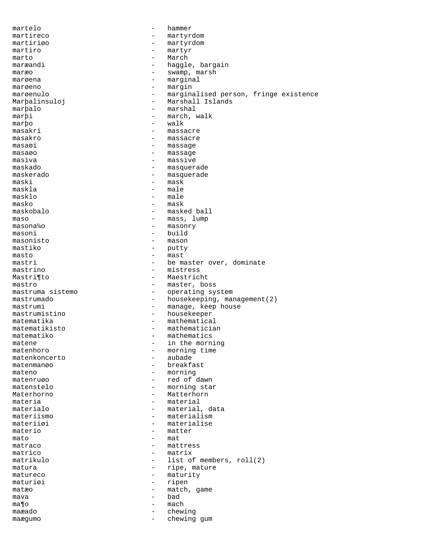martelo - hammer martireco - martyrdom<br>martirizo - martyrdom martiriøo - martyrdom martiro - martyr  $\begin{array}{ccc}\n\text{marto} & - & \text{March} \\
\text{maramal} & - & \text{hacola}\n\end{array}$ maræandi - haggle, bargain<br>maræo - swamp, maræo maræo - swamp, maræo - swamp, maræo - swamp, maræo - swamp, maræo - swamp, maræo - swamp, maræo - sw marøena - marginal marøeno - margin marøenulo - marginalised person, fringe existence Marþalinsuloj - Marshall Islands marþalo - marshal marþi - march, walk marþo - walk masakri - massacre masakro - massacre  $\begin{array}{ccc}\n \text{masa} \varnothing \text{ i} & \text{masa} \varnothing\n \end{array}$ masaøo – massage – massage – massage – massage – massage – massage – massage – massage – massage – massage – massage – massage – massage – massage – massage – massage – massage – massage – massage – massage – massage – mas masiva - massive maskado - masquerade maskerado - masquerade - mask maskla - male  $-$  male masko – masko – masko – masko – masko – masko – masko – masko – masko – masko – masko – masko – masko – masko - masked ball maso  $-$  mass, lump masona¼o - masonry masoni - build masonisto - mason mastiko - putty masto – mast<br>mastri – be m mastri - be master over, dominate<br>mastrino - mistress - mistress Mastri¶to - Maestricht mastro - master, boss<br>mastruma sistemo - operating sv mastruma sistemo  $-$  operating system<br>mastrumado  $-$  housekeeping man - housekeeping, management(2) mastrumi - manage, keep house mastrumistino - housekeeper matematika - mathematical matematikisto - mathematician matematiko  $-$  mathematics matene  $-$  in the morning matenhoro - morning time<br>matenkoncerto - aubade - aubade matenkoncerto<br>matenmanøo - breakfast mateno - morning matenruøo - red of dawn matenstelo - morning star Materhorno - Matterhorn materia  $-$  material materialo  $-$  material, data materiismo - materialismo - materialismo - materialismo - materialismo - materialismo - materialismo - materialismo - materialismo - materialismo - materialismo - materialismo - materialismo - materialismo - materialismo materiiøi - materialise<br>materio - materio materio - matter<br>mato - mat mato - mat matraco  $\begin{array}{ccc}\n\text{matraco} & - & \text{matrress} \\
\text{matrico} & - & \text{matrix}\n\end{array}$ - matrix matrikulo - list of members, roll(2) matura  $-$  ripe, mature matureco - maturity<br>maturi*o*i - maturity<br>- ripen maturiøi - ripen matæo - match, game<br>mava - bad - bad mava - bad ma¶o - mach maæado - chewing maægumo - chewing gum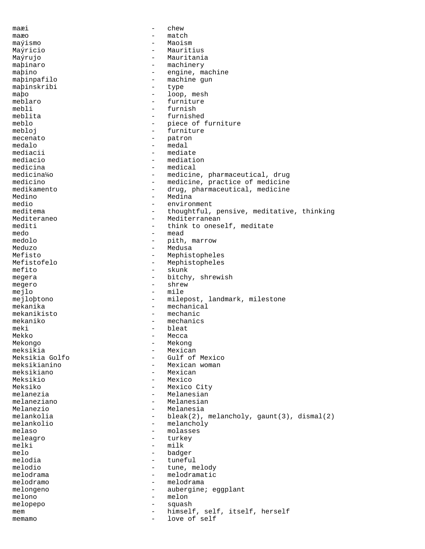maæi - chew maæo - match maýismo - Maoism Maýricio - Mauritius Maýrujo - Mauritania maþinaro - machinery<br>mabino - engine.m maþino - engine, machine<br>maþinpafilo - machine gun - machine gun<br>- type maþinskribi - type maþo - loop, mesh meblaro - furniture<br>mebli - furnish mebli - furnish<br>meblita - furnish furnished meblo  $-$  piece of furniture mebloj - furniture<br>mecenato - patron mecenato - patron - patron - patron - patron - patron - patron - patron - patron - patron - patron - patron - patron - patron - patron - patron - patron - patron - patron - patron - patron - patron - patron - patron - patr medalo - medal mediacii - mediacio<br>mediacio - mediati - mediation<br>- medical medicina<br>medicina¼o medicina¼o - medicine, pharmaceutical, drug<br>medicino - medicine, practice of medicine medicino - medicine, practice of medicine<br>medikamento - drug, pharmaceutical, medicine medikamento - drug, pharmaceutical, medicine<br>Medino - Medina Medino - Medina medio - environment<br>meditema - thoughtful. meditema - thoughtful, pensive, meditative, thinking<br>Mediteraneo - Mediterranean - Mediterranean mediti  $-$  think to oneself, meditate medo - mead medolo - pith, marrow Meduzo - Medusa Mefisto - Mephistopheles<br>Mefistofelo - Mephistopheles<br>American - Mephistopheles - Mephistopheles<br>- skunk  $m$ efito -  $s$ megera - bitchy, shrewish megero - shrew - shrew mejlo - mile mejloþtono - milepost, landmark, milestone mekanika - mechanical mekanikisto - mechanic mekaniko - mechanics meki - bleat<br>Mekko - - bleat<br>- Mecca - Mecca<br>- Mekong Mekongo - Mekong meksikia - Mexican - Mexican - Mexican - Mexican - Mexican - Mexican - Mexican - Mexican - Mexican -Meksikia Golfo - Gulf of Mexico - Mexican woman<br>- Mexican meksikiano Meksikio - Mexico Meksiko - Mexico City melanezia  $-$  Melanesian melaneziano - Melanesian<br>Melanezio - Melanesia Melanezio - Melanesia melankolia  $\begin{array}{ccc} - & \text{black}(2), \text{melancholy}, \text{gount}(3), \text{dismal}(2) \\ \text{melancholy} \end{array}$ melankolio - melancholy<br>melaso - molasses melaso - molasses meleagro - turkey - turkey - turkey - turkey - turkey - turkey - turkey - turkey - turkey - turkey - turkey - turkey - turkey - turkey - turkey - turkey - turkey - turkey - turkey - turkey - turkey - turkey - turkey - turk melki - milk<br>melo - badg melo<br>melodia - badger<br>- tunefu melodia - tuneful<br>melodio - tune.m - tune, melody melodrama - melodramatic<br>melodramo - melodrama melodramo - melodrama melongeno - aubergine; eggplant melono - melon melopepo - squash mem - himself, self, itself, herself memamo - love of self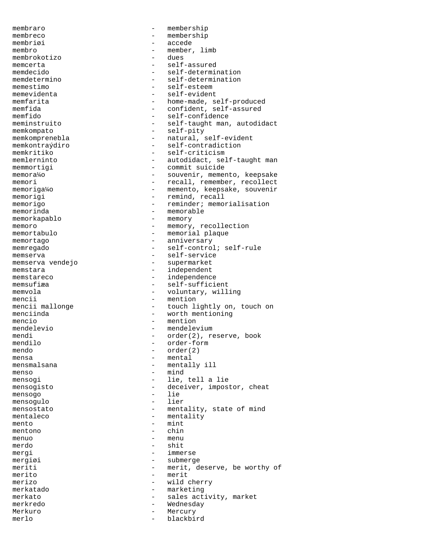membraro - membership membreco - membership<br>membriai - accede membriøi - accede membro - member, limb<br>membrokotizo - dues membrokotizo - dues memcerta - self-assured<br>memdecido - self-determi memdecido - self-determination<br>memdetermino - self-determination memdetermino - self-determination<br>memestimo - self-esteem memestimo - self-esteem<br>memevidenta - self-evident memfida - confident, self-assured<br>memfido - self-confidence memkompato - self-pity memkomprenebla - natural, self-evident<br>memkontraýdiro - self-contradiction memkontraýdiro - self-contradiction<br>memkritiko - self-criticism memkritiko - self-criticism<br>memlerninto - autodidact, sel memorigi  $-$  remind, recall memorinda - memorable - memorable - memorable - memorable - memorable - memorable - memorable - memorable - memorable - memorable - memorable - memorable - memorable - memorable - memorable - memorable - memorable - memora memorkapablo memoro - memory, recollection memortabulo - memorial plaque memortago  $-$  anniversary memregado - self-control; self-rule memserva<br>memserva vendejo<br>- supermarket<br>- supermarket memserva vendejo memstara  $-$  independent memstareco - independence memsufiæa - self-sufficient memvola  $-$  voluntary, willing mencii - mention menciinda - worth mentioning mencio - mention mendelevio - mendelevium<br>mendi - order(2), re mendi - order(2), reserve, book<br>mendilo - order-form mendilo - order-form mendo  $-\text{order}(2)$ <br>mensa  $-\text{mental}$ mensmalsana - mentally ill menso - mind mensogi - lie, tell a lie mensogo - lie mensogulo mentaleco - mentality<br>mento - mint mento - mint mentono - china e china e china e china e china e china e china e china e china e china e china e china e china e china e china e china e china e china e china e china e china e china e china e china e china e china e chin menuo - menu merdo - shit mergi - immerse mergiøi - submerge merito - merit merizo - wild cherry merkatado - marketing merkato  $-$  sales activity, market merkredo - Wednesday Merkuro - Mercury merlo - blackbird

- self-evident memfarita - home-made, self-produced<br>memfida - confident self-assured - self-confidence meminstruito - self-taught man, autodidact memlerninto - autodidact, self-taught man<br>memmortiqi - commit suicide - commit suicide memora¼o - souvenir, memento, keepsake<br>memori - recall, remember, recollect - recall, remember, recollect memoriga¼o - memento, keepsake, souvenir memorigo - reminder; memorialisation mencii mallonge  $\qquad \qquad$  - touch lightly on, touch on - mental mensogisto - deceiver, impostor, cheat<br>mensogo - lie<br>- lie mensostato  $-$  mentality, state of mind meriti - merit, deserve, be worthy of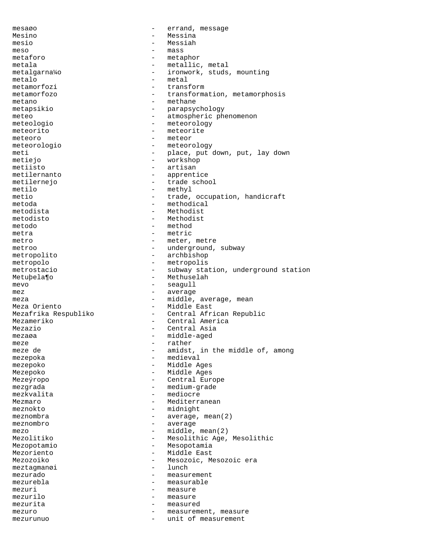mesaøo - errand, message Mesino - Messina mesio - Messiah meso - mass metaforo - metaphor - metaphor<br>metala - metallic metala - metallic, metal - ironwork, studs, mounting<br>- metal metalo - metalo - metalo - metalo - metalo - metalo - metalo - metalo - metalo - metalo - metalo - metalo - metalo - metalo - metalo - metalo - metalo - metalo - metalo - metalo - metalo - metalo - metalo - metalo - metalo metamorfozi metamorfozo - transformation, metamorphosis metano - methane - methane - methane - methane - methane - methane - methane - methane - methane - methane - methane - methane - methane - methane - methane - methane - methane - methane - methane - methane - methane - met - parapsychology meteo - atmospheric phenomenon meteologio - meteorology meteorito - meteorite meteoro - meteor meteorologio - meteorology meti - place, put down, put, lay down metiejo - workshop<br>metiisto - artisan metiisto - artisan<br>metilernanto - apprent metilernanto - apprentice<br>metilernejo - trade scho - trade school metilo - methyl<br>metio - trade - trade, occupation, handicraft metoda - methodical<br>metodista - Methodista<br>- Methodista metodista - Methodist metodisto - Methodisto<br>metodo - method - method metodo - method metra - metric metro - meter, metre<br>
metroo - underground metroo - underground, subway metropolito - archbishop metropolo - metropolis metrostacio  $-$  subway station, underground station Metubela¶o - Methuselah mevo - seagull mez - average meza  $-$  middle, average, mean Meza Oriento **- Middle East** Mezafrika Respubliko - Central African Republic Mezameriko - Central America<br>Mezazio - Central Asia Mezazio - Central Asia mezaøa - middle-aged<br>meze - middle-aged meze - rather - amidst, in the middle of, among mezepoka - medieval mezepoko - Middle Ages Mezepoko - Middle Ages Mezeýropo - Central Europe mezgrada - medium-grade mezkvalita - mediocre Mezmaro - Mediterranean meznokto - midnight meznombra - average, mean(2) meznombro - average<br>mezo - middle mezo - middle, mean(2)<br>Mezolitiko - Mesolithic Age, Mesolithic Age, Mesolithic Mezopotamio - Mesopotamia - Middle East Mezozoiko - Mesozoic, Mesozoic era<br>meztagmanøi - lunch - lunch meztagmanøi<br>mezurado - measurement mezurebla - measurable mezuri - measure mezurilo  $-$  measure mezurita - measured mezuro - measurement, measure mezurunuo - unit of measurement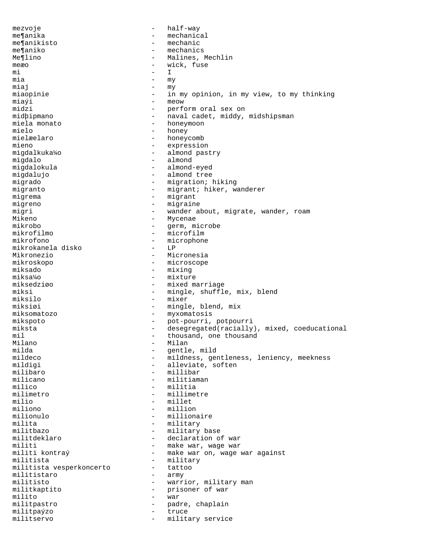mezvoje - half-way me¶anika - mechanical me¶anikisto - mechanic - mechanics Me¶lino - Malines, Mechlin meæo – wick, fuse – mi mi - I mia - my  $miaj$  -  $my$ miaopinie - in my opinion, in my view, to my thinking  $\begin{array}{ccc}\n\text{min} & \text{min} & \text{min} \\
\text{min} & \text{min} & \text{min} \\
\text{min} & \text{min} & \text{min} \\
\text{min} & \text{min} & \text{min} \\
\text{min} & \text{min} & \text{min} & \text{min}\n\end{array}$ - perform oral sex on midþipmano - naval cadet, middy, midshipsman miela monato - honeymoon mielo - honey mielæelaro - honeycomb<br>mieno - expressio mieno - expression<br>migdalkuka¼o - - almond pas - almond pastry migdalo - almond - almond - almond - almond - almond - almond - almond - almond -- almond-eyed migdalujo - almond tree - migration; hiking migranto - migrant; hiker, wanderer migrema - migrant migreno - migraine migri - wander about, migrate, wander, roam Mikeno - Mycenae - Mycenae - Mycenae - Mycenae - Mycenae - Mycenae - Mycenae - Mycenae - Mycenae - Mycenae - Mycenae - Mycenae - Mycenae - Mycenae - Mycenae - Mycenae - Mycenae - Mycenae - Mycenae - Mycenae - Mycenae - Myc mikrobo - germ, microbe mikrofilmo - microfilmo - microfilmo - microphone - microphone - microphone - microphone - microphone - microphone - microphone - microphone - microphone - microphone - microphone - microphone - microphone - microphone - m - microphone<br>- LP mikrokanela disko<br>Mikronezio Mikronezio - Micronesia mikroskopo - microscope - mixing miksa¼o - mixture miksedziøo - mixed marriage<br>miksi - mingle shuffle miksi - mingle, shuffle, mix, blend<br>miksilo - mixer - mixer miksiøi - mingle, blend, mix miksomatozo - myxomatosis mikspoto - pot-pourri, potpourri miksta - desegregated(racially), mixed, coeducational mil  $-$  thousand, one thousand Milano Milano - Milan milda - gentle, mild mildeco - mildness, gentleness, leniency, meekness<br>mildigi - alleviate, soften - alleviate, soften milibaro - millibar<br>milicano - militiama milicano - militiaman<br>milico - militia - militia milimetro - millimetre milio - millet miliono - milliono - milliono - milliono - milliono - milliono - milliono - milliono - milliono - milliono - mi milionulo - millionaire milita - military militbazo - military base militdeklaro - declaration of war<br>militi - make war, wage war militi - make war, wage war<br>militi kontraý - make war on, wage - make war on, wage war against militista - military<br>militista vesperkoncerto - tattoo militista vesperkoncerto - tattoo militistaro militisto - warrior, military man militkaptito - prisoner of war<br>milito - war milito - war militpastro - padre, chaplain militpaýzo - truce militservo - military service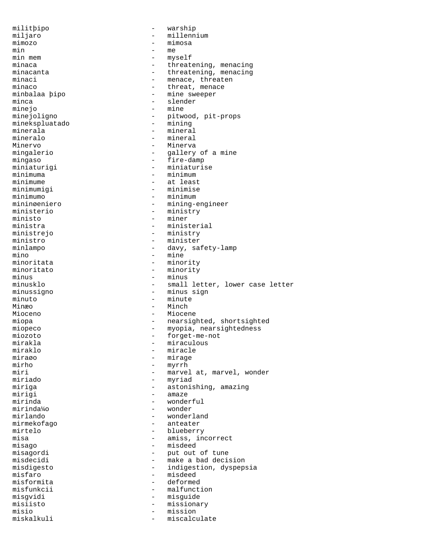militþipo - warship miljaro - millennium<br>mimozo - mimosa - mimosa mimozo - mimosa min - me min mem - myself minaca - threatening, menacing<br>minacanta - threatening, menacing minacanta - threatening, menacing<br>minaci<br>- menace threaten minaci - menace, threaten - threat, menace minbalaa þipo - mine sweeper minca - slender<br>mineio - mine minejo<br>minejoligno - pitwood, pit-props<br>- mining minekspluatado minerala - mineral mineralo - mineral - Minerva<br>- gallery mingalerio  $-$  gallery of a mine mingaso - fire-damp<br>miniaturigi - miniaturis miniaturigi - miniaturise<br>minimuma - minimum minimuma - minimum - minimum - minimum - minimum - minimum - minimum - minimum - minimum - minimum - minimum minimume - at least - minimise minimumo - minimum - minimum - minimum - minimum - minimum - minimum - minimum - minimum - minimum - minimum mininøeniero - mining-engineer<br>ministerio - ministry - ministry - ministry ministo - miner ministra - ministerial<br>ministrejo - ministry - ministry ministrejo - ministry ministro - minister<br>minlampo - davy sa minlampo - davy, safety-lamp mino - mine minoritata - minority - minority minus - minus minusklo - small letter, lower case letter minussigno - minus sign minuto - minute Minæo - Minch Mioceno - Miocene miopa - nearsighted, shortsighted miopeco - myopia, nearsightedness<br>miozoto - forget-me-not miozoto - forget-me-not mirakla - miraculous miraklo - miracle miraøo - mirage mirho - myrrh - myrrh - myrrh - marve miri<br>  $minid$  - marvel at, marvel, wonder<br>
- myriad myriad miriga - astonishing, amazing mirigi - amaze mirinda - wonderful<br>mirinda - wonder - wonder mirinda¼o - wonder wonderland mirmekofago - anteater mirtelo - blueberry<br>misa - amiss.in misa - amiss, incorrect<br>
misago - amissed - misdeed misago - misdeed - misdeed - misdeed - misdeed - misdeed - misdeed - misdeed - misdeed - misdeed - misdeed - misdeed - misdeed - misdeed - misdeed - misdeed - misdeed - misdeed - misdeed - misdeed - misdeed - misdeed - mis misagordi - put out of tune - make a bad decision misdigesto - indigestion, dyspepsia<br>misfaro - misdeed - misdeed - misdeed<br>- deformed misformita<br>misfunkcii - malfunction<br>- misquide misgvidi - misguide misiisto - missionary misio - mission - mission - mission - mission - mission - mission - mission - mission - mission - mission - mission - mission - mission - mission - mission - mission - mission - mission - mission - mission - mission - miss miscalculate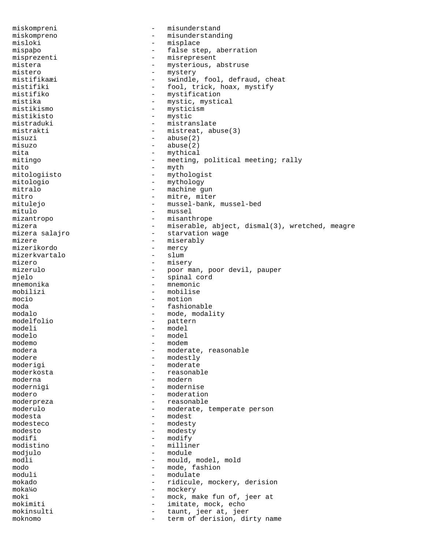miskompreni - misunderstand miskompreno - misunderstanding misloki - misplace mispaþo - false step, aberration misprezenti - misrepresent<br>mistera - mysterious, mistera - mysterious, abstruse<br>mistero - mystery - mystery mistero - mystery<br>mistifikaæi - swindle mistifikaæi - swindle, fool, defraud, cheat<br>mistifiki - fool, trick, hoax, mystify mistifiki - fool, trick, hoax, mystify<br>mistifiko - mystification mistifiko - mystification mistika - mystic, mystical<br>mistikismo - mysticism mistikismo - mysticism<br>mistikisto - mystic - mystic mistraduki - mistranslate mistrakti - mistreat, abuse(3) misuzi - abuse(2) misuzo - abuse(2)<br>mita - mythical<br>- mythical mita - mythical mitingo - meeting, political meeting; rally<br>mito - myth mito - myth mitologiisto - mythologist<br>mitologio - mythology - mythology mitologio - mythology<br>mitralo - machine q mitralo - machine gun<br>mitro - mitre mitre ite mitro - mitre, miter<br>mituleio - mussel-bank. - mussel-bank, mussel-bed mitulo - mussel mizantropo - misanthrope mizera - miserable, abject, dismal(3), wretched, meagre<br>mizera salajro - starvation wage mizera salajro  $\overline{a}$  - starvation wage<br>mizere  $\overline{a}$  - miserably mizere - miserably<br>mizerikordo - mercy - mercy - mercy<br>- slum mizerkvartalo<br>mizero mizero - misery - poor man, poor devil, pauper mjelo - spinal cord mnemonika - mnemonic mobilizi - mobilise<br>mocio - motion - motion - motion moda - fashionable modalo - mode, modality<br>modelfolio - pattern<br>- pattern modelfolio - pattern modeli - model<br>modelo - model - model modelo<br>modemo modemo - modem modera - moderate, reasonable modere - modestly - moderate moderkosta  $-$  reasonable moderna - modern modernigi - modernise modero  $-$  moderation moderpreza - reasonable moderulo - moderate, temperate person<br>modesta - modest - modest - modest modesteco - modesty modesto - modesty modifi - modify<br>modistino - millin modistino - milliner - module modli - mould, model, mold modo - mode, fashion<br>moduli - modulate - modulate mokado - ridicule, mockery, derision moka¼o - mockery moki - mock, make fun of, jeer at mokimiti - imitate, mock, echo mokinsulti - taunt, jeer at, jeer<br>moknomo moknomo - term of derision, dirty name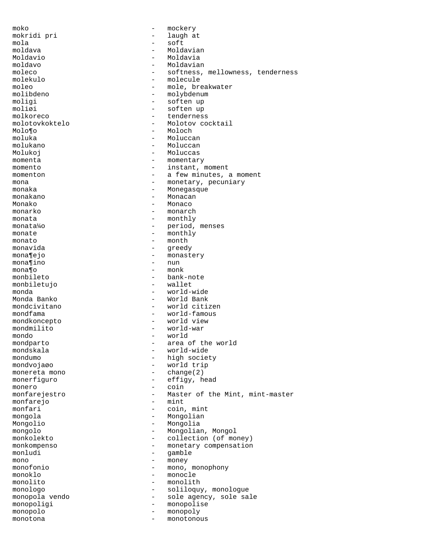moko - mockery mokridi pri - laugh at mola - soft moldava - Moldavian Moldavio - Moldavia moldavo - Moldavian moleco - softness, mellowness, tenderness<br>molekulo - molecule - molecule molekulo - molecule moleo - mole, breakwater<br>molibdeno - molybdenum - molybdenum - molybdenum moligi - soften up<br>moliøi - soften up moliøi - soften up - tenderness molotovkoktelo - Molotov cocktail Molo¶o - Moloch moluka - Moluccan molukano - Moluccan Molukoj – Moluccas momenta - momentary momento  $-$  instant, moment momenton  $-$  a few minutes, a moment mona  $-$  monetary, pecuniary monaka - Monegasque monakano - Monacan Monako - Monaco monarko - monarch  $\begin{tabular}{lllll} \hline \texttt{monata} & - & \texttt{monthly} \end{tabular}$ monata¼o - period, menses monate  $-\qquad-\qquad-\qquad$  monthly  $-\qquad-\qquad$  month  $\frac{1}{2}$  monato  $\frac{1}{2}$  monato  $\frac{1}{2}$  monato  $\frac{1}{2}$  monato  $\frac{1}{2}$  monato  $\frac{1}{2}$  monato  $\frac{1}{2}$  monato  $\frac{1}{2}$  monato  $\frac{1}{2}$  monato  $\frac{1}{2}$  monato  $\frac{1}{2}$  monato  $\frac{1}{2}$  monato  $\frac{1}{2}$  monato monavida - greedy mona¶ejo - monastery monastery monastery - monastery mona¶ino<br>mona¶o mona¶o - monk - bank-note<br>- wallet monbiletujo monda - world-wide - World Bank mondcivitano - world citizen mondfama - world-famous mondkoncepto - world view mondmilito - world-war mondo - world mondparto - area of the world mondskala - world-wide mondumo - high society - world trip monereta mono - change(2) monerfiguro - effigy, head monero - coin monfarejestro  $-$  Master of the Mint, mint-master monfarejo - mint monfari - coin, mint mongola - Mongolian Mongolio - Mongolia mongolo - Mongolian, Mongolo<br>monkolekto - collection (of mo monkolekto - collection (of money) monkompenso - monetary compensation<br>monludi - qamble<br>- qamble gamble mono - money<br>monofonio - mono, - mono, - mono, monophony monoklo - monocle monolito - monolith monologo - soliloquy, monologue monopola vendo establece a contra sole agency, sole sale monopoligi - monopolise monopolo - monopoly monotona - monotonous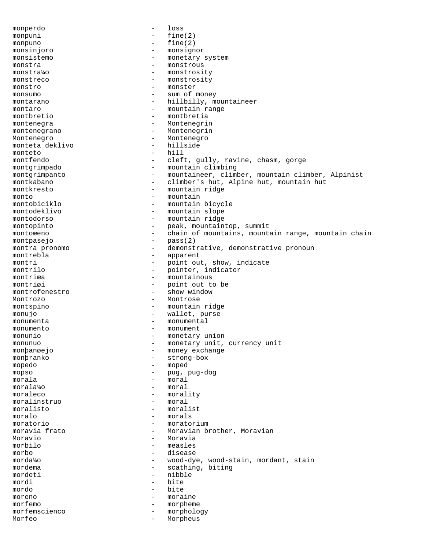monperdo - loss monpuni - fine(2) monpuno - fine(2) monsinjoro - monsignor monsistemo - monetary system monstra - monstrous monstra¼o - monstrosity monstreco - monstrosity monstro - monster monsumo - sum of money montarano - hillbilly, mountaineer montaro  $-$  mountain range montbretio - montbretia montenegra - Montenegrin montenegrano - Montenegrin Montenegro - Montenegro<br>monteta deklivo - hillside monteta deklivo - hillside monteto<br>montfendo - cleft, gully, ravine, chasm, gorge montgrimpado - mountain climbing montgrimpanto mountaineer, climber, mountain climber, Alpinist<br>
- climber's hut, Alpine hut, mountain hut - climber's hut, Alpine hut, mountain hut montkresto - mountain ridge monto<br>montobiciklo<br>- mountain<br>- mountain montobiciklo - mountain bicycle<br>montodeklivo - mountain slope - mountain slope montodorso - mountain ridge montopinto  $\begin{array}{cccc} - &$  peak, mountaintop, summit<br>montoæeno - chain of mountains, mount montoæeno - chain of mountains, mountain range, mountain chain montpasejo - pass(2)<br>montra propomo - demonsti montra pronomo  $-$  demonstrative, demonstrative pronoun<br>montrebla  $-$  apparent - apparent montri - point out, show, indicate<br>montrilo - pointer, indicator montrilo  $\begin{array}{cccc} - &$  pointer, indicator montriza montriæa - mountainous<br>montriøi - point out t - point out to be<br>- show window montrofenestro Montrozo - Montrose montspino - mountain ridge<br>monujo - mountain ridge<br>- wallet purse monujo - wallet, purse monumenta - monumental monumento - monument monunio - monetary union monunuo - monetary unit, currency unit monþanøejo - money exchange monþranko - strong-box mopedo - moped mopso - pug, pug-dog morala - moral morala¼o - moral moraleco - morality<br>moralinstruo - moral moralinstruo - moral moralisto - moralist moralo - morals moratorio - moratorium moravia frato  $-$  Moravian brother, Moravian Moravio - Moravia - measles<br>- disease morbo - disease morda¼o  $-$  wood-dye, wood-stain, mordant, stain<br>mordema  $-$  scathing, biting - scathing, biting mordeti - nibble<br>mordi - hite<br>- hite mordi - bite mordo - bite moreno - moraine morfemo - morpheme morfemscienco - morphology Morfeo - Morpheus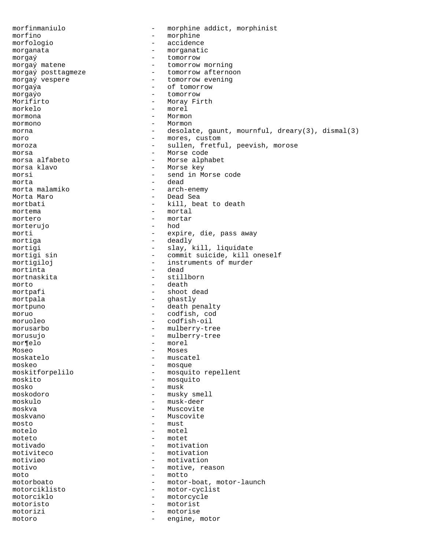morfinmaniulo - morphine addict, morphinist morfino - morphine morfologio - accidence morganata - morganatic morgaý matene  $\frac{1}{2}$  - tomorrow  $\frac{1}{2}$  - tomorrow morgaý matene  $\overline{p}$  morgaý posttagmeze  $\overline{p}$  - tomorrow morning morgaý posttagmeze - tomorrow afternoon<br>morgaý vespere - - tomorrow evening - tomorrow evening morgaýa - cf tomorrow morgaýo - tomorrow Morifirto  $-$  Moray Firth morkelo - morel mormona - Mormon mormono - Mormon morna  $\qquad \qquad -$  desolate, gaunt, mournful, dreary(3), dismal(3) moro - mores, custom moroza - sullen, fretful, peevish, morose morsa - Morse code morsa alfabeto - Morse alphabet morsa klavo - Morse key morsi - send in Morse code morta - dead morta malamiko  $-$  arch-enemy<br>Morta Maro  $-$  Dead Sea - Dead Sea mortbati - kill, beat to death mortema - mortal mortero - mortar - mortar - mortar - mortar - mortar - mortar - mortar - mortar - mortar - mortar - mortar - mo morterujo morti - expire, die, pass away mortiga - deadly mortigi - slay, kill, liquidate<br>mortigi sin - commit suicide, kill mortigi sin  $\overline{a}$  - commit suicide, kill oneself<br>mortigiloj - instruments of murder mortigiloj - instruments of murder<br>mortinta - dead - dead mortnaskita - stillborn morto - death mortpafi - shoot dead mortpala - ghastly mortpuno - death penalty moruo - codfish, cod moruoleo - codfish-oil morusarbo - mulberry-tree morusujo - mulberry-tree mor¶elo - morel - morel - morel - morel - morel - morel - morel - morel - morel - morel - morel - morel - morel - morel - morel - morel - morel - morel - morel - morel - morel - morel - morel - morel - morel - morel - more Moseo - Moses<br>moskatelo - Moses - Moses - muscatel moskeo - mosque moskitforpelilo - mosquito repellent moskito - mosquito mosko - musk moskodoro - musky smell moskulo - musk-deer moskva - Muscovite<br>moskvano - Muscovite - Muscovite mosto - must motelo - motel moteto - motet motivado - motivation - motivation motiviøo - motivation motivo - motive, reason moto - motto motorboato - motor-boat, motor-launch motorciklisto - motor-cyclist motorciklo - motorcycle motoristo - motorist motorizi - motorise motoro - engine, motor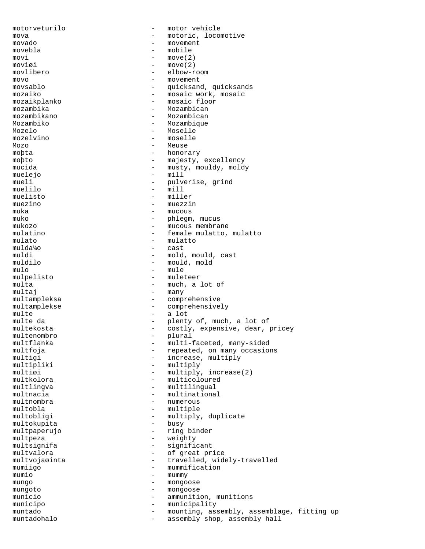motorveturilo - motor vehicle mova - motoric, locomotive<br>movado - movement movado - movement movebla - mobile  $\text{movi}$  - move(2)<br>moviøi - move(2) moviøi - move(2)<br>movlibero - elbow-r - elbow-room movo - movement - quicksand, quicksands mozaiko - mosaic work, mosaic mozaikplanko - mosaic floor<br>mozambika - Mozambican mozambika - Mozambican<br>mozambikano - Mozambican - Mozambican Mozambiko - Mozambique Mozelo - Moselle mozelvino - moselle Mozo – Meuse moþta - honorary moþto - majesty, excellency<br>mucida - musty, mouldy, mold mucida - musty, mouldy, moldy<br>muelejo - mill - mill muelejo – mill<br>mueli – pulve mueli - pulverise, grind<br>muelilo - mill - mill muelilo - mill - miller muezino - muezin<br>muka - mucous - mucous muko  $-$  phlegm, mucus mukozo – mucous membrane mulatino  $-$  female mulatto, mulatto mulato  $-\text{mulative}\atop{\text{muldal}}$ mulda¼o - cast muldi - mold, mould, cast muldilo - mould, mold mulo - mule - muleteer multa - much, a lot of multai - many multampleksa - comprehensive multamplekse - comprehensively multe - a lot multe da - plenty of, much, a lot of multekosta<br>- costly, expensive, dear, i multekosta - costly, expensive, dear, pricey<br>multenombro - plural multenombro - plural multflanka - multi-faceted, many-sided<br>multfoja - - repeated, on many occasio multfoja - repeated, on many occasions<br>multiqi - - - - - - - - increase, multiply multigi - increase, multiply<br>multipliki - multiply<br>- multiply multipliki - multiply<br>multiøi - multiply<br>- multiply. multiøi - multiply, increase(2)<br>multkolora - multicoloured - multicoloured multlingva - multilingual multnacia  $-$  multinational multnombra - numerous multobla - multiple multobligi - multiply, duplicate<br>multokupita - busy - busy multokupita multpaperujo - ring binder multpeza - weighty<br>multsignifa - signific multsignifa - significant<br>multvalora - of great pr - of great price multvojaøinta - travelled, widely-travelled mumiigo  $-$  mummification mumio - mummy mungo - mongoose mungoto - mongoose municio - ammunition, munitions municipo - municipality muntado - mounting, assembly, assemblage, fitting up<br>muntadobalo - assembly shop assembly ball muntadohalo - assembly shop, assembly hall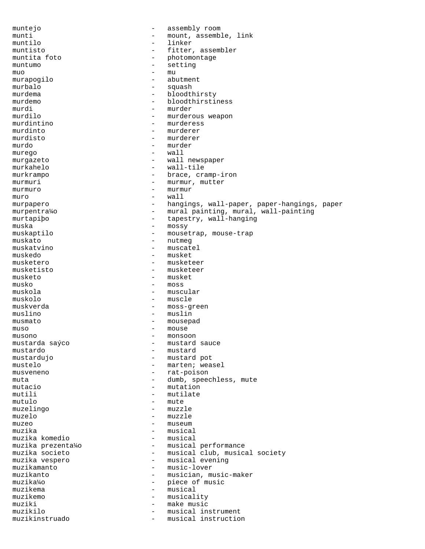muntejo - assembly room munti - mount, assemble, link<br>muntilo - linker muntilo - linker muntisto  $-$  fitter, assembler muntita foto  $\overline{ }$  - photomontage muntumo muntumo - setting muo - mu muo - mu murapogilo - abutment murbalo - squash<br>murdema - bloodtl - bloodthirsty murdemo - bloodthirstiness<br>murdi - murder murdi - murder<br>murdilo - murderc - murderous weapon murdintino - murderess murdinto - murderer murdisto - murderer - murderer - murderer - murderer - murderer - murder - murder - murder - murder - murder murdo - murder murego  $-$ <br>murgazeto  $$ murgazeto - wall newspaper murkahelo - wall-tile - brace, cramp-iron murmuri - murmur, mutter murmuro - murmuro - murmur<br>muro - wall muro - wall murpapero - hangings, wall-paper, paper-hangings, paper<br>murpentra<sup>1</sup>io - mural painting, mural, wall-painting murpentra¼o - mural painting, mural, wall-painting murtapiþo - tapestry, wall-hanging<br>muska - mossv muska - mossy - mousetrap, mouse-trap<br>- nutmed muskato - nutmeg muskatvino - muscatel muskedo - musket musketero - musketeer - musketeer musketo - musket  $musk<sub>O</sub>$  - moss muskola - muscular muskolo - muscle muskverda - moss-green muslino - muslin musmato - mousepad  $muso$  - mouse<br> $musono$  - monson musono - monsoon - mustard sauce mustardo - mustard mustardujo - mustard pot - marten; weasel musveneno - rat-poison muta  $\qquad \qquad -$  dumb, speechless, mute mutacio  $-$  mutation mutili - mutilate mutulo - mute muzelingo - muzzle muzelo - muzzle muzeo  $-$  museum muzika - musical muzika komedio<br>muzika prezenta¼o muzika prezenta¼o - musical performance muzika societo - musical club, musical society<br>muzika vespero - - musical evening muzika vespero - musical evening - music-lover muzikanto - musician, music-maker - piece of music muzikema - musical<br>muzikemo - musical<br>- musical muzikemo – musicality<br>muziki – make music muziki - make music - musical instrument<br>- musical instruction muzikinstruado - musical instruction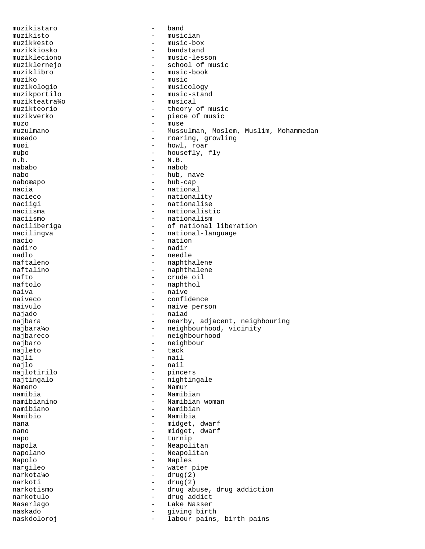muzikistaro - band muzikisto - musician muzikkesto - music-box - bandstand muzikleciono - music-lesson muziklernejo - school of music muziklibro - music-book<br>muziko - music - music muziko - music muzikologio - musicology muzikportilo - music-stand muzikteatra¼o - musical muzikteorio - theory of music - piece of music muzo - muse muzulmano - Mussulman, Moslem, Muslim, Mohammedan muøado - roaring, growling muøi – howl, roar<br>mubo – housefly – housefly – muþo - housefly, fly<br>n.b. - N.B. n.b. - N.B. nababo - nabob nabo - hub, nave naboæapo - hub - hub-cap - hub-cap - hub-cap - hub-cap - hub-cap - hub-cap - hub-cap - hub-cap - hub-cap - hub-cap - hub-cap - hub-cap - hub-cap - hub-cap - hub-cap - hub-cap - hub-cap - hub-cap - hub-cap - hub-cap nacia de contra de la contra de la contra de la contra de la contra de la contra de la contra de la contra de<br>La contra de la contra de la contra de la contra de la contra de la contra de la contra de la contra de la con nacieco - nationality<br>
naciigi - nationalise<br>
- nationalise naciigi - nationalise<br>naciisma - nationalist - nationalistic naciismo - nationalism naciliberiga  $-$  of national liberation nacilingva entries and the national-language nacio - nation nadiro - nadir nadlo - needle naftaleno - naphthalene<br>
naftalino - naphthalene naftalino - naphthalene<br>nafto - naphthalene nafto - crude oil - naphthol naiva - naive - naive - naive - naive - naive - naive - naive - naive - naive - naive - naive - naive - naive - naive - naive - naive - naive - naive - naive - naive - naive - naive - naive - naive - naive - naive - naive - confidence naivulo - naive person najado - naiad najbara - nearby, adjacent, neighbouring najbara¼o - neighbourhood, vicinity<br>najbara¼o - neighbourhood, vicinity najbareco - neighbourhood<br>najbaro - neighbourhood najbaro - neighbour<br>naileto - tack - tack najleto<br>najli najli - nail<br>najlo - nail - nail - nail najlotirilo - pincers najtingalo  $-$  nightingale Nameno - Namur namibia - Namibian namibianino - Namibian woman namibiano - Namibian Namibio - Namibia<br>nana - midget nana - midget, dwarf<br>nano - midget dwarf nano - midget, dwarf<br>nano - midget, dwarf napo - turnip napola - Neapolitan - Neapolitan Napolo - Naples nargileo  $-$  water pipe narkota¼o - drug(2)  $-$  drug(2) narkotismo - drug abuse, drug addiction narkotulo - drug addict - Lake Nasser naskado - giving birth naskdoloroj - labour pains, birth pains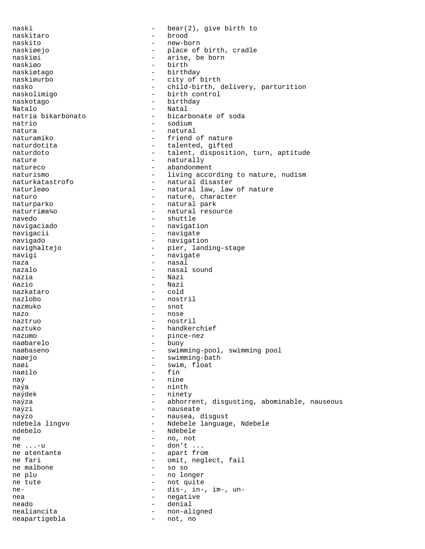naski  $-$  bear(2), give birth to naskitaro - brood naskito - new-born naskiøejo – place of birth, cradle<br>naskiøi – arise he born naskiøi - arise, be born naskiøo - birth naskiøtago - birthday - city of birth nasko - child-birth, delivery, parturition naskolimigo - birth control naskotago - birthday Natalo - Natal<br>natria bikarbonato - hicarl - bicarbonate of soda natrio - sodium natura - natural naturamiko - friend of nature naturdotita - talented, gifted<br>naturdoto - talent, disposit - talent, disposition, turn, aptitude nature - naturally natureco - abandonment naturismo  $-$  living according to nature, nudism naturkatastrofo - natural disaster naturleøo - 1999 - natural law, law of nature naturo - nature, character<br>naturparko - natural park - natural park naturriæa¼o - natural resource navedo - shuttle navigaciado - navigation navigacii - navigate navigado - navigation navighaltejo  $-$  pier, landing-stage navigi - navigate - navigate naza - nasal nazalo - nasal sound - Nazi nazio - Nazi nazkataro - cold nazlobo - nostril nazmuko - snot nazo - nose naztruo - nostril naztuko - handkerchief nazumo - pince-nez naøbarelo - buoy naøbaseno - swimming-pool, swimming pool naøejo - swimming-bath naøi - swim, float naøilo - fin  $na\acute{y}$  - nine naýa - ninth naýdek - ninety naýza **- abhorrent, disgusting, abominable, nauseous**  $na\acute{y}zi$  - nauseate naýzo - nausea, disgust - Ndebele language, Ndebele ndebelo - Ndebele ne - no, not  $-$  don't ... ne atentante  $\begin{array}{ccc} 1 & - & - & - \\ 1 & - & - & - \\ 1 & - & - & - \end{array}$  apart from ne fari - omit, neglect, fail ne malbone - so so ne plu - no longer ne tute - not quite ne- - dis-, in-, im-, unnea - negative neado - denial nealiancita - non-aligned<br>neapartigebla - not, no neapartigebla - not, no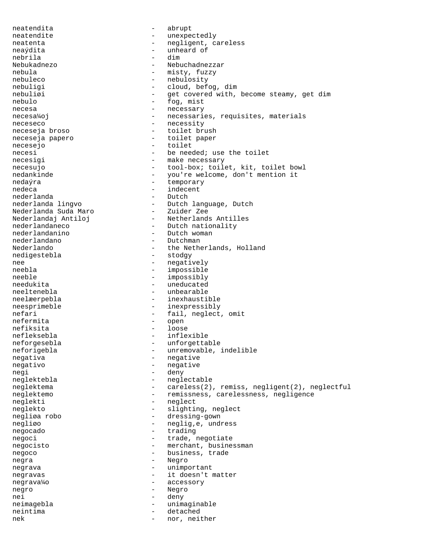neatendita - abrupt neatendite - unexpectedly neatenta - negligent, careless neaýdita - unheard of nebrila<br>Nebukadnezo Nebuchadnezzar nebula - misty, fuzzy<br>
nebuleco - metalogic - nebulosity<br>
- nebulosity nebuleco - nebulosity<br>
nebuligi - cloud, bef - cloud, befog, dim nebuliøi - get covered with, become steamy, get dim nebulo - fog, mist necesa - necessary - necessary necesa¼oj energia en energia en energia en energia en energia en energia en energia en energia en en neceseco - necessity neceseja broso - toilet brush neceseja papero - toilet paper necesejo - toilet necesi - be needed; use the toilet necesigi - make necessary necesujo - tool-box; toilet, kit, toilet bowl<br>nedankinde - you're welcome, don't mention it nedankinde - you're welcome, don't mention it<br>
nedaýra - temporary - temporary nedeca - indecent<br>nederlanda - indecent<br>- Dutch nederlanda<br>nederlanda lingvo - Dutch language, Dutch Nederlanda Suda Maro<br>Nederlandaj Antiloj - 2000<br>- Zuider Zee<br>- Netherlands Antilles nederlandaneco - Dutch nationality<br>nederlandanino - Dutch woman nederlandanino - Dutch woman nederlandano - Dutchman - the Netherlands, Holland<br>- stodgy nedigestebla nee - negatively<br>neebla - negatively<br>- impossible - impossible neeble - impossibly<br>
needukita - impossibly<br>
- uneducated - uneducated neeltenebla - unbearable neelæerpebla - inexhaustible neesprimeble - inexpressibly nefari - fail, neglect, omit<br>
nefermita - open nefermita - open nefiksita - loose nefleksebla - inflexible - unforgettable neforigebla - unremovable, indelible negativa - negative negativo - negative negi - deny neglektebla - neglectable<br>neqlektema - careless(2) - careless(2), remiss, negligent(2), neglectful neglektemo - remissness, carelessness, negligence neglekti - neglect neglekto - slighting, neglect negliøa robo - dressing-gown negliøo - neglig, e, undress negocado  $-$  trading negoci - trade, negotiate negocisto - merchant, businessman<br>negoco - business, trade - business, trade negra - Negro negrava - unimportant negravas - it doesn't matter negrava¼o - accessory negro - Negro<br>nei - denv nei - deny neimagebla - unimaginable neintima - detached nek - nor, neither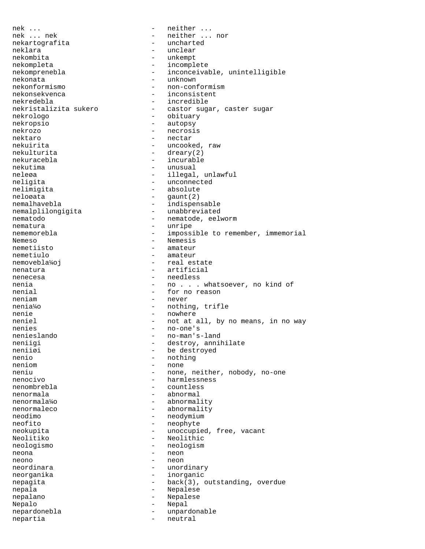nek ... - neither ... nek ... nek - neither ... nor nekartografita - uncharted neklara - unclear nekombita - unkempt nekompleta - incomplete nekomprenebla - inconceivable, unintelligible nekonata nekonata - unknown - non-conformism nekonsekvenca - inconsistent nekredebla - incredible nekristalizita sukero - castor sugar, caster sugar nekrologo - obituary nekropsio - autopsy nekrozo - necrosis nektaro - nectar nekuirita - uncooked, raw nekulturita - dreary(2) nekuracebla - incurable nekutima - unusual neleøa - illegal, unlawful<br>neligita - illegal, unlawful<br>- unconnected - unconnected nelimigita - absolute neloøata - gaunt(2) nemalhavebla<br>
nemalplilonqigita<br>
- unabbreviated<br>
nemalplilongigita nematodo - nematode, eelworm<br>nematura - nematura - nematode, eelworm nematura - unripe nememorebla - impossible to remember, immemorial Nemeso - Nemesis<br>nemetiisto - Americano - Americano - Americano - Americano - Americano - Americano - Americano - Americano - Nemesis<br>nemetiisto - Americano - Americano - Americano - Americano - Americano - Americano - Ame - amateur nemetiulo - amateur - amateur nemovebla¼oj - real es - real estate nenatura - artificial nenecesa - needless nenia  $\qquad \qquad \qquad -$  no . . . whatsoever, no kind of nenial  $-$  for no reason neniam - never nenia¼o - nothing, trifle nenie - nowhere - nowhere neniel - not at all, by no means, in no way nenies - no-one's nenieslando - no-man's-land neniigi - destroy, annihilate<br>
neniigi - be destroyed neniiøi - be destroyed<br>nenio - hothing - hothing nenio - nothing<br>neniom - none - none neniom - none neniu - none, neither, nobody, no-one<br>
nenocivo - harmlessness - harmlessness nenombrebla - countless nenormala - abnormal nenormala¼o - abnormality nenormaleco - abnormality neodimo - neodymium neofito - neophyte<br>neokupita - unoccupie neokupita - unoccupied, free, vacant Neolitiko - Neolithic neologismo - neologism neona - neon neono di contra l'altres della contra della contra della contra della contra della contra della contra della contra della contra della contra della contra della contra della contra della contra della contra della contra de neordinara  $-$  unordinary neorganika - inorganic nepagita - back(3), outstanding, overdue nepala - Nepalese nepalano - Nepalese Nepalo - Nepal nepardonebla - unpardonable nepartia - neutral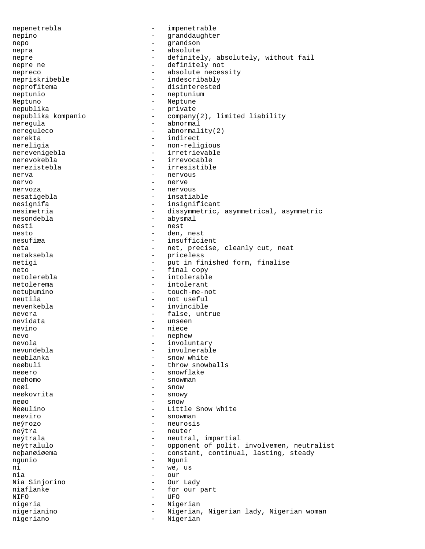nepenetrebla - impenetrable nepino - granddaughter<br>nepo - grandson<br>- grandson nepo - grandson nepra - absolute nepre  $-$  definitely, absolutely, without fail nepre ne  $-$  definitely not nepreco - absolute necessity<br>nepriskribeble - indescribably - indescribably neprofitema - disinterested neptunio - neptunium Neptuno - Neptune nepublika - private - company(2), limited liability neregula - abnormal - abnormal nereguleco - abnormality(2) nerekta - indirect<br>nereligia - indirect<br>- non-relig - non-religious nerevenigebla - irretrievable<br>nerevokebla - irrevocable nerevokebla - irrevocable - irresistible nerva - nervous nervo - nerve nervoza - nervous - insatiable nesignifa - insignificant<br>nesimetria - dissummetric. - dissymmetric, asymmetrical, asymmetric nesondebla - abysmal nesti - nest nesto - den, nest nesufiæa - insufficient neta - net, precise, cleanly cut, neat<br>netaksebla - priceless - priceless netigi - put in finished form, finalise neto - final copy netolerebla - intolerable netolerema - intolerant netuþumino - touch-me-not neutila - not useful nevenkebla - invincible nevera - false, untrue nevidata - unseen - unseen nevino - niece nevo - nephew nevola - involuntary nevundebla - invulnerable neøblanka - snow white<br>neøbuli - throw snow - throw snowballs neøero - snowflake neøhomo - snowman neøi – snow – snow – snow – snow – snow – snow – snow – snow – snow – snow – snow – snow – snow – snow – snow neøkovrita neøo - snow Neøulino - Little Snow White neøviro - snowman neýrozo - neurosis neýtra - neuter - neutral, impartial neýtralulo  $-$  opponent of polit. involvemen, neutralist neþanøiøema - constant, continual, lasting, steady ngunio - Nguni<br>ni - we us - we, us nia - our Nia Sinjorino niaflanke - for our part NIFO - UFO nigeria - Nigerian nigerianino - Nigerian, Nigerian lady, Nigerian woman nigeriano - Nigerian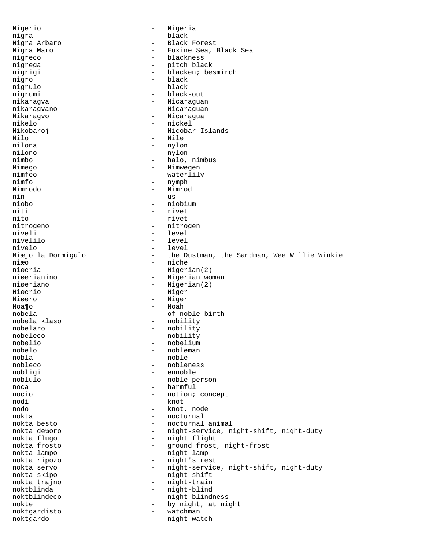Nigerio - Nigeria nigra - black - Black Forest Nigra Maro **- Euxine Sea**, Black Sea nigreco - blackness nigrega - pitch black nigrigi - blacken; besmirch nigro - black - black<br>nigrulo - black - black - black nigrumi - black-out nikaragva - Nicaraguan nikaragvano - Nicaraguan Nikaragvo - Nicaragua nikelo - nickel Nikobaroj - Nicobar Islands Nilo - Nile<br>nilona - Nile<br>- nylor nilona - nylon<br>nilono - nylon - nylon nilono - nylon<br>nimbo - nylon<br>- halo, nimbo - halo, nimbus<br>Nimego - Nimwegen - Nimwegen Nimego - Nimwegen<br>
nimfeo - waterlil nimfeo - waterlily<br>nimfo - waterlily<br>- nymph - nymph Nimrodo - Nimrod nin - us<br>niobo - nic niobo - niobium - niobium - niobium - niobium - niobium - niobium - niobium - niobium - niobium - niobium - niobium - niobium - niobium - niobium - niobium - niobium - niobium - niobium - niobium - niobium - niobium - niob - rivet nito - rivet nitrogeno - nitrogen niveli - level - level - level - level - level - level - level - level - level - level - level - level - level - level nivelo - level Niæjo la Dormigulo the Dustman, the Sandman, Wee Willie Winkie niæo niæo - niche - niche - niche - niche - niche - niche - niche - niche - niche - niche - niche - niche - niche niøeria - Nigerian(2)<br>niøerianino - Nigerian wo niøerianino - Nigerian woman<br>niøeriano - Nigerian(2) niøeriano - Nigerian(2)<br>Niøerio - Nigerian(2) Niøerio - Niger<br>Niøero - Niger - Niger Noa¶o - Noah nobela - of noble birth - nobility nobelaro - nobility nobeleco - nobility nobelio - nobelium - nobelium - nobelium - nobelium - nobelium - nobelium - nobelium - nobelium - nobelium - nobelium - nobelium - nobelium - nobelium - nobelium - nobelium - nobelium - nobelium - nobelium - nobelium - nob nobelo - nobleman nobla - noble - nobleness nobligi - ennoble noblulo - noble person noca - harmful nocio - notion; concept nodi - knot nodo - knot, node nokta - nocturnal nokta besto - nocturnal animal nokta de¼oro - night-service, night-shift, night-duty nokta flugo - night flight nokta frosto - ground frost, night-frost - night-lamp nokta ripozo - night's rest nokta servo - night-service, night-shift, night-duty nokta skipo - night-shift nokta trajno  $-$  night-train noktblinda - night-blind<br>noktblindeco - - night-hlind noktblindeco - night-blindness nokte - by night, at night<br>noktgardisto - watchman noktgardisto - watchman noktgardo - night-watch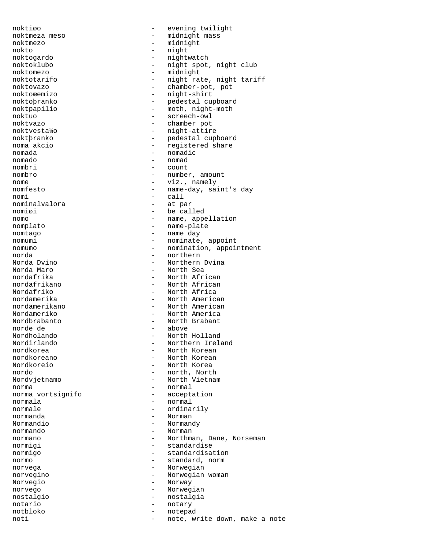noktmezo - midnight nokto - night<br>noktogardo - - night noktogardo - nightwatch noktomezo - midnight<br>
noktotarifo - midni - midni rat noktoæemizo - night-shirt noktuo - screech-owl noktvazo - chamber pot noktvesta¼o - night-attire nomada - nomadic - nomadic - nomadic - nomadic - nomadic - nomadic - nomadic - nomadic - nomadic - nomadic - nomadic - nomadic - nomadic - nomadic - nomadic - nomadic - nomadic - nomadic - nomadic - nomadic - nomadic - nom nombri<br>nombro nomi - call<br>nominalvalora - et par nominalvalora<br>nomiøi nomplato - name-plate norda - northern Norda Maro - North Sea Nordafriko - North Africa<br>nordamerika - - North America norde de - above nordkoreano - North Korean Nordkoreio - North Korea<br>
nordo - north North<br>
- north North norma - normal norma vortsignifo - acceptation normala - normal<br>normale - normale - normale normale - ordinarily normanda - Norman Normandio - Normandy normigi - standardise norvega - Norwegian Norvegio - Norway norvego - Norwegian nostalgio - nostalgia notario - notary notbloko - notepad

noktiøo - evening twilight noktmeza meso  $-$  midnight mass noktmezo  $-$  midnight mass noktoklubo - night spot, night club<br>noktomezo - midnight noktotarifo - night rate, night tariff<br>
noktovazo - chamber-pot, pot - chamber-pot, pot noktoþranko - pedestal cupboard noktpapilio - moth, night-moth noktþranko - pedestal cupboard noma akcio  $-$  registered share<br>nomada  $-$  nomadic nomad<br>count nombro - number, amount<br>nome - viz namely - viz., namely nomfesto - name-day, saint's day - be called nomo  $-$  name, appellation - name day nomumi - nominate, appoint nomumo - nomination, appointment Norda Dvino - Northern Dvina - North African nordafrikano - North African - North American nordamerikano - North American Nordameriko - North America Nordbrabanto - North Brabant Nordholando - North Holland Nordirlando - Northern Ireland nordkorea - North Korean - North Korean - North Korean - North Korean - North Korean - North Korean - North Korean - North Korean - North Korean - North Korean - North Korean - North Korean - North Korean - North Korean - - north, North Nordvjetnamo - North Vietnam - Norman normano  $-$  Northman, Dane, Norseman normigo - standardisation normo - standard, norm norvegino - Norwegian woman noti - note, write down, make a note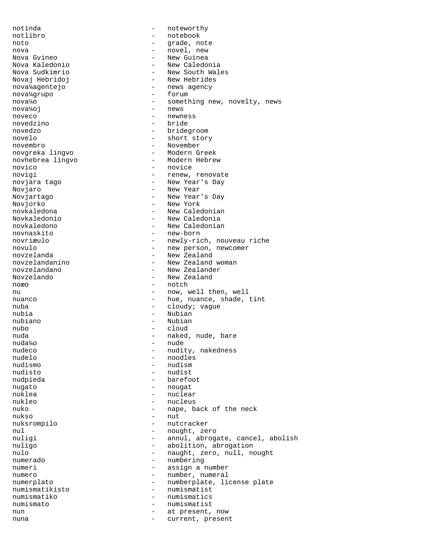notinda - noteworthy notlibro - notebook<br>noto - notebook<br>- grade no noto  $-$  grade, note nova - novel, new Nova Gvineo<br>Nova Kaledonio - New Caledo Nova Kaledonio - New Caledonia Nova Sudkimrio - New South Wales Novaj Hebridoj (1992) - New Hebrides<br>nova¼agentejo (1992) - news agency - news agency<br>- forum nova¼grupo nova¼o - something new, novelty, news nova¼oj - news noveco - newness novedzino - bride novedzo - bridegroom novelo - short story novembro - November<br>novereka lingvo - - Modern Greek novgreka lingvo - Modern Greek novhebrea lingvo<br>novico novico - novice - novice - novice - novice - novice - novice - novice - novice - novice - novice - novice - novice - novice - novice - novice - novice - novice - novice - novice - novice - novice - novice - novice - novice novigi - renew, renovate<br>novjara tago - - New Year's Day - New Year's Day Novjaro - New Year Novjartago - New Year's Day Novjorko - New York novkaledona - New Caledonian Novkaledonio - New Caledonia novkaledono - New Caledonian novnaskito - new-born novriæulo  $-$  newly-rich, nouveau riche novulo - new person, newcomer<br>novzelanda - New Zealand novzelanda<br>
novzelandanino<br>
- New Zealand novzelandanino - New Zealand woman - New Zealander Novzelando - New Zealand noæo - notch nu  $-$  now, well then, well nuanco  $\qquad \qquad -$  hue, nuance, shade, tint nuba - cloudy; vague nubia - Nubian nubiano - Nubian nubo - cloud nuda - naked, nude, bare nuda¼o - nude nudeco - nudity, nakedness<br>
nudelo - noodles nudelo - noodles - nudism nudisto - nudist nudpieda - barefoot nugato - nougat nuklea - nuclear - nuclear nukleo - nucleus nuko  $-$  nape, back of the neck nukso - nut nuksrompilo - nutcracker nul - nought, zero<br>
nuligi - annul, abroq nuligi - annul, abrogate, cancel, abolish<br>nuligo - abolition, abrogation nuligo - abolition, abrogation<br>
nulo - and - naught, zero, null, no nulo - naught, zero, null, nought<br>
numerado - numbering<br>
- numbering - numbering numeri - assign a number numero  $-$  number, numeral numerplato  $-$  numberplate, license plate numismatikisto - numismatist numismatiko - numismatics numismato - numismatist nun - at present, now nuna  $-$  current, present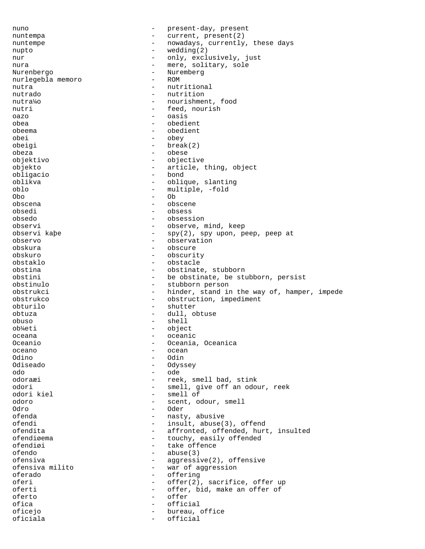nuno  $-$  present-day, present nuntempa - current, present(2) nuntempe - nowadays, currently, these days nupto - wedding(2) nur - only, exclusively, just nura - mere, solitary, sole - Nuremberg<br>- ROM nurlegebla memoro nutra - nutritional - nutritional - nutritional - nutritional - nutritional - nutrition - nutrition nutra¼o - nourishment, food nutri - feed, nourish oazo - oasis obea - obedient obeema - obedient obei - obey obeigi - break(2) obeza - obese objektivo - objective objekto - article, thing, object obligacio - bond oblique, slanting oblo - multiple, -fold Obo - Ob obscena - obscene obsedi - obsess obsedo - obsession observi - observe, mind, keep observi kaþe - spy(2), spy upon, peep, peep at observo - observation<br>
observation<br>
observation<br>
- obscure obskura - obscure obskuro - obscurity obstaklo - obstacle obstina - obstinate, stubborn obstini - be obstinate, be stubborn, persist obstinulo - stubborn person obstrukci - hinder, stand in the way of, hamper, impede obstrukco - obstruction, impediment obturilo - shutter obtuza - dull, obtuse obuso - shell ob¼eti - object oceana - oceanic<br>Oceanic - oceanic - oceanic Oceanio - Oceania, Oceanica<br>Oceano - Oceanica oceano - ocean Odino - Odin Odiseado - Odyssey odo - ode odoraæi - reek, smell bad, stink odori - smell, give off an odour, reek<br>odori kiel - smell of - smell of odoro - scent, odour, smell Odro - Oder ofenda - nasty, abusive ofendi - insult, abuse(3), offend<br>
ofendita - affronted, offended, hurt - affronted, offended, hurt, insulted<br>- touchy easily offended ofendiøema - touchy, easily offended<br>
ofendiøi<br>
- take offence ofendiøi - take offence<br>ofendo - abuse(3) - abuse(3)<br>- aggressi ofensiva - aggressive(2), offensive<br>
ofensiva milito - war of aggression ofensiva milito - war of aggression<br>oferado - offering oferado - offering<br>
oferi - offeri oferi - offer(2), sacrifice, offer up oferti - offer, bid, make an offer of oferto - offer ofica - official oficejo - bureau, office oficiala - official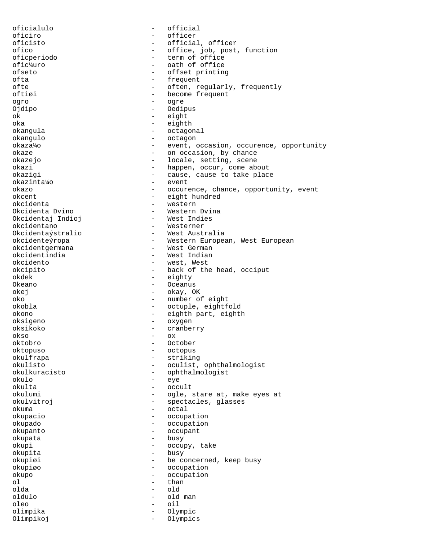oficialulo - official oficiro - officer<br>oficisto - official oficisto - official, officer ofico - office, job, post, function oficperiodo - term of office<br>
ofic<sup>y</sup>uro - oath of office - oath of office<br>- offset printing ofseto - offset printing<br>
ofta - offset printing<br>
- frequent ofta - frequent - often, regularly, frequently oftiøi - become frequent<br>
ogro ogro - ogre Ojdipo - Oedipus ok - eight oka - eighth okangula - octagonal okangulo - octagon okaza¼o - event, occasion, occurence, opportunity okaze  $\qquad \qquad \qquad -$  on occasion, by chance okazejo - locale, setting, scene okazi - happen, occur, come about<br>okazigi - cause, cause to take plac - cause, cause to take place<br>- event okazinta¼o okazo - occurence, chance, opportunity, event - eight hundred okcidenta - western - Western Dvina<br>- West Indies Okcidentaj Indioj okcidentano - Westerner Okcidentaýstralio - West Australia okcidenteýropa - Western European, West European okcidentgermana - West German<br>okcidentindia - - West Indian okcidentindia - West Indian - Contractor - West Indian - West Indian - West Indian - West Indian - West Indian okcidento - west, West - back of the head, occiput<br>- eighty okdek - eighty Okeano - Oceanus - Oceanus<br>
okej - Okay, O - okay, OK oko - number of eight okobla - octuple, eightfold okono - eighth part, eighth part, eighth oksigeno - eighth part, eighth oksigeno - eighth oksigeno - eighth oksigeno - eighth oksigeno - eighth oksigeno - eighth oksigeno - eighth oksigeno - eighth oksigeno - eighth oksige oksigeno - oxygen oksikoko - cranberry<br>okso - cranberry okso - ox oktobro - October oktopuso - octopus okulfrapa - striking - striking<br>okulisto - oculist. okulisto - oculist, ophthalmologist - ophthalmologist<br>- eve okulo - eye okulta - occult okulumi - ogle, stare at, make eyes at okulvitroj - spectacles, glasses<br>okuma okuma - octal okupacio - occupation okupado - occupation okupanto - occupant okupata - busy okupi - occupy, take - okupi - okupi - okupi - okupi - okupi - okupi - okupi - okupi - okupi - okupi - okupi okupita okupiøi - be concerned, keep busy okupiøo - occupation okupo - occupation - occupation - occupation - occupation ol - than olda - old oldulo - old man oleo - oil olimpika - Olympic<br>Olimpikoj - Olympic Olimpikoj - Olympics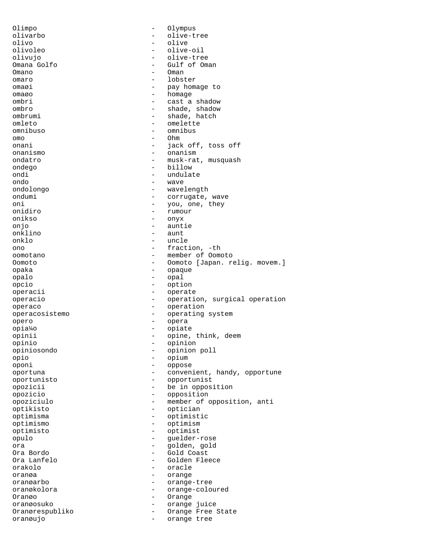Olimpo - Olympus olivarbo - olive-tree<br>olivo - olive - olive olivo - olive - olive-oil olivujo - olive-tree Omana Golfo - Gulf of Oman Omano - Omano - Omano - Oman omaro - lobster omaøi - pay homage to omaøo - homage ombri - cast a shadow ombro - shade, shadow<br>
ombrumi - shade, hatch ombrumi - shade, hatch omleto - omelette omnibuso - omnibus omo - Ohm onani - jack off, toss off<br>
onanismo<br>
- onanismo onanismo - onanismo<br>ondatro - musk-rat ondatro - musk-rat, musquash<br>
ondego - billow<br>
- billow ondego - billow - billow<br>
ondi - undulat ondi - undulate ondo - wave ondolongo - wavelength ondumi - corrugate, wave oni - you, one, they onidiro - you, one, they onidiro - rumour onikso - onyx onjo - auntie - auntie - auntie - auntie - auntie - auntie - auntie - auntie - auntie - auntie - auntie - aunt onklino - aunt - aunt - aunt - aunt - aunt - aunt - aunt - aunt - aunt - aunt - aunt - aunt - aunt - aunt - au onklo - uncle<br>
one - fract ono - fraction, -th<br>
- fraction, -th<br>
- member of Oom oomotano - member of Oomoto Oomoto - Oomoto [Japan. relig. movem.]<br>
opaka opaka - opaque opalo - opal opcio - option operacii - operate operacio - operation, surgical operation operaco - operation operacosistemo - operating system<br>
opero - opera opero - opera opia¼o - opiate opinii - opine, think, deem opinio - opinion opiniosondo - opinion poll opio - opium - oppose<br>- conveni oportuna - convenient, handy, opportune oportunisto - opportunist opozicii - be in opposition<br>opozicio<br>- opposition<br>- opposition opozicio - opposition opoziciulo - member of opposition, anti optikisto - optician optimisma - optimistic optimismo - optimismo - optimismo<br>optimisto - optimist optimisto - optimist opulo - guelder-rose ora - golden, gold - Gold Coast<br>- Golden Fle Ora Lanfelo - Golden Fleece<br>
orakolo - Carache orakolo - oracle oranøa - orange oranøarbo - orange-tree oranøkolora - orange-coloured<br>Oranøo - Orange Oranøo - Orange oranøosuko - orange juice Oranørespubliko - Orange Free State oranøujo - orange tree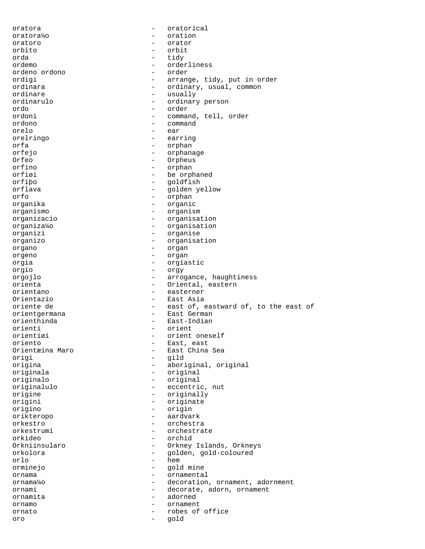oratora - oratorical oratora¼o - oration oratoro - orator orbito - orbit orda - tidy - orderliness<br>- order ordeno ordono<br>ordigi ordigi - arrange, tidy, put in order<br>
ordinara - ordinary, usual, common ordinara - ordinary, usual, common ordinare - usually ordinarulo - ordinary person<br>
ordo - order ordo - order - order - order - order - order - order - order - order - order - order - order - order - order -- command, tell, order ordono - command orelo - ear orelringo - earring orfa - orphan orfejo - orphanage - orphanage - orphanage - orphanage - orphanage - orphanage - orphanage - orphanage - orphanage - orphanage - orphanage - orphanage - orphanage - orphanage - orphanage - orphanage - orphanage - orphanage Orfeo - Orpheus<br>
orfino - Orpheus<br>
- Orphan<br>
- Orphan orfino - orphan - orphan - orphan - orphan - orphan - orphan - orphan - orphan - orphan - orphan - orphan - orp orfiøi - be orphaned orfibo - be orphaned - be orphaned - be orphaned - be orphaned - be orphaned -- goldfish orflava - golden yellow orfo - orphan organika - organic organismo - organism organizacio - organisation organiza¼o - organisation organizi - organise organizo - organisation organo - organ orgeno - organ orgia - orgiastic orgio - orgy orgojlo - arrogance, haughtiness orienta - Oriental, eastern - easterner Orientazio - East Asia oriente de  $-$  east of, eastward of, to the east of orientgermana - East German orienthinda - East-Indian<br>
orienti - orient orienti - orienti - orienti - orienti - orienti - orienti - orienti - orienti - orienti - orienti - orienti - orienti - orienti - orienti - orienti - orienti - orienti - orienti - orienti - orienti - orienti - orienti - or orientiøi - orient oneself<br>
oriento<br>
- East, east oriento - East, east Orientæina Maro - East China Sea origi - gild - aboriginal, original originala - original originalo - original originalulo - eccentric, nut origine - originally origini - originate origino - origin orikteropo - aardvark orkestro - orchestra - orchestra - orchestra - orchestra - orchestra - orchestra - orchestra - orchestra - orchestra - orchestra - orchestra - orchestra - orchestra - orchestra - orchestra - orchestra - orchestra - orchest orkestrumi - orchestrate<br>
orkideo - orchid orkideo - orchid<br>Orkniinsularo - orkney - orkney Orkniinsularo - Orkney Islands, Orkneys<br>
orkolora - Golden, qold-coloured - golden, gold-coloured orlo - hem orminejo - gold mine ornama - ornamental ornama¼o - decoration, ornament, adornment ornami - decorate, adorn, ornament ornamita - adorned ornamo - ornament ornato - robes of office oro - gold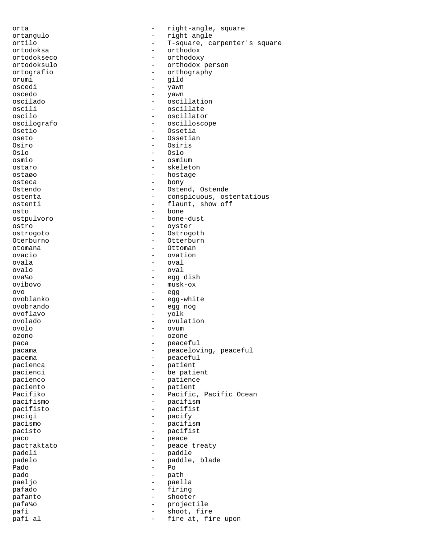orta  $-$  right-angle, square ortangulo - right angle ortilo - T-square, carpenter's square<br>ortodoksa - T-square - crimodox - orthodox<br>- orthodoxy ortodokseco - ortodokseco - ortodoksulo - ortodoxy - ortodoxy - ortodoxy - ortodoxy - ortodoxy - ortodoxy - or - orthodox person<br>- orthography ortografio - orthography<br>
orumi - orid orumi - gild yawn oscedo - yawn oscilado - oscillation oscili - oscillate<br>
oscilo - oscillato - oscillator oscilografo - oscilloscope Osetio - Ossetia oseto - Ossetian Osiro - Osiris Oslo - Oslo osmio - osmium ostaro - skeleton ostaøo - hostage osteca - bony - Ostend, Ostende ostenta - conspicuous, ostentatious ostenti - flaunt, show off osto - bone ostpulvoro - bone-dust ostro - oyster ostrogoto - Ostrogoth Oterburno - Otterburno - Otterburno - Otterburno - Otterburno - Otterburno - Otterburno - Ottenburno - Ottenburno - Ottenburno - Ottenburno - Ottenburno - Ottenburno - Ottenburno - Ottenburno - Ottenburno - Ottenburno - Ot otomana - Ottoman ovacio - ovation ovala - oval - oval ova¼o - egg dish  $\overline{\text{ow}}$ ovibovo - musk-ox ovo - egg ovoblanko - egg-white ovobrando - egg nog ovoflavo - yolk ovolado - ovulation ovolo - ovum ozono - ozone paca - peaceful pacama  $-$  peaceloving, peaceful pacema - peaceful<br>pacienca - patient - patient patient pacienci  $-$  be patient pacienco - patience - patience paciento - patient Pacifiko - Pacific, Pacific Ocean pacifismo - pacifismo - pacifismo - pacifismo - pacifismo - pacifismo - pacifismo - pacifismo - pacifismo - pacifismo - pacifismo - pacifismo - pacifismo - pacifismo - pacifismo - pacifismo - pacifismo - pacifismo - pacifi pacifisto - pacifist pacigi - pacify pacismo - pacifism<br>
pacisto - pacifist pacisto  $\overline{a}$  - pacifist<br>paco - peace - peace paco - peace - peace - peace - peace - peace - peace - peace - peace - peace - peace - peace - peace - peace pactraktato - peace treaty padeli - paddle padelo - paddle, blade  $-PQ$ pado - path paeljo - paella pafado - firing pafanto - shooter pafa¼o - projectile pafi - shoot, fire<br>pafi al - fire at, fi: - fire at, fire upon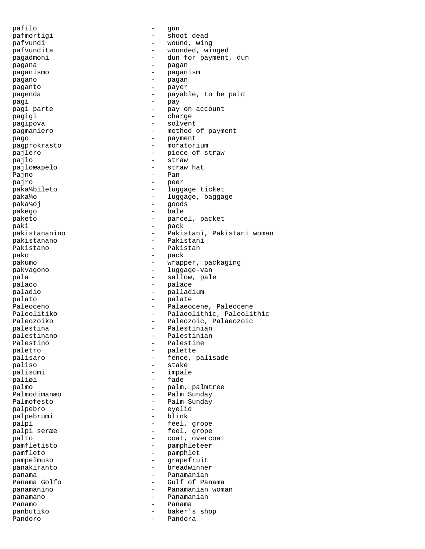pafilo  $-$  qun pafmortigi - shoot dead pafvundi - wound, wing pafvundita <br/> - wounded, winged pagadmoni - dun for payment, dun pagana - pagan paganismo - paganism pagano - pagan paganto - payer pagenda - payable, to be paid<br>naqi pagi - pay pagi parte  $-$  pay on account pagigi  $-$  charge pagipova - solvent pagmaniero - method of payment<br>pago - method of payment pago - payment pagprokrasto - moratorium<br>
paglero - piece of st pajlero - piece of straw<br>pajlo - straw - straw pajlo - straw pajloæapelo Pajno - Pan pajro - peer paka¼bileto - luggage ticket paka¼o  $-$  luggage, baggage paka¼oj - goods pakego - bale - bale paketo - parcel, packet paki - pack pakistananino - Pakistani, Pakistani woman pakistanano - Pakistani Pakistano - Pakistano - Pakistano - Pakistano - Pakistano - Pakistano - Pakistano - Pakistano - Pakistano - Pakistano - Pakistano - Pakistano - Pakistano - Pakistano - Pakistano - Pakistano - Pakistano - Pakistano - Pakist pako - pack pakumo  $-$  wrapper, packaging pakvagono - luggage-van pala  $-$  sallow, pale palaco - palace paladio - palladium palato - palate Paleoceno - Palaeocene, Paleocene Paleolitiko - Palaeolithic, Paleolithic Paleozoiko - Paleozoic, Palaeozoic<br>palestina - Palestinian - Palestinian - Palestinian<br>- Palestinian palestinano - Palestiniano - Palestiniano - Palestiniano - Palestiniano - Palestiniano - Palestiniano - Palestiniano - Palestiniano - Palestiniano - Palestiniano - Palestiniano - Palestiniano - Palestiniano - Palestiniano Palestino - Palestine<br>
paletro - palette paletro - palette palisaro - fence, palisade - stake palisumi - impale paliøi - fade palmo - palm, palmtree Palmodimanæo - Palm Sunday Palmofesto - Palm Sunday<br>
palpebro - evelid palpebro - eyelid palpebrumi - blinks i blinks i blinks i blinks i blinks i blinks i blinks i blinks i blinks i blinks i blinks <br>Den blinks i blinks i blinks i blinks i blinks i blinks i blinks i blinks i blinks i blinks i blinks i blinks palpi - feel, grope<br>
palpi serxe - feel grope palpi seræe  $-$  feel, grope palto  $\qquad \qquad -$  coat, overcoat pamfletisto - pamphleteer pamfleto - pamphlet pampelmuso - grapefruit panakiranto - breadwinners - breadwinners - breadwinners - breadwinners - breadwinners - breadwinners - breadw<br>panama - Panamanian Gulf of Panama panamanino - Panamanian woman panamano - Panamanian Panamo - Panama - Panama - Panama - Panama - Panama - Panama - Panama - Panama - Panama - Panama - Panama - Panama - Panama - Panama - Panama - Panama - Panama - Panama - Panama - Panama - Panama - Panama - Panama - Panama baker's shop Pandoro - Pandora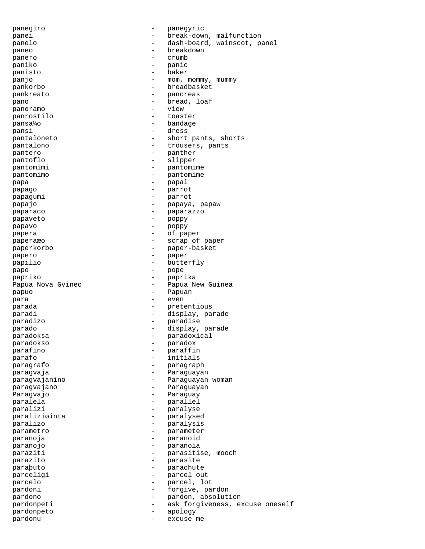panegiro - panegyric panei - break-down, malfunction panelo - dash-board, wainscot, panel paneo - breakdown panero - crumb paniko - panic - panic - panic - panic - panic - panic - panic - panic - panic - panic - panic - panic - panic - panic - panic - panic - panic - panic - panic - panic - panic - panic - panic - panic - panic - panic - panic panisto - baker panjo  $-$  mom, mommy, mummy pankorbo - breadbasket pankreato - pancreas pano  $-$  bread, loaf panoramo - view panrostilo - toaster pansa¼o - bandage pansi - dress pantaloneto - short pants, shorts pantalono  $-$  trousers, pants pantero  $-$  panther pantoflo - slipper pantomimi - pantomime - pantomime - pantomime - pantomime pantomimo - pantomime - pantomime - pantomime - pantomime - pantomime - pantomime - pantomime - pantomime - pantomime - pantomime - pantomime - pantomime - pantomime - pantomime - pantomime - pantomime - pantomime - pantom papa - papal papago - parrot papagumi - parrot papajo  $-$  papaya, papaw paparaco e e e e paparazzo papaveto - poppy papavo - poppy papera - of paper paperaæo - scrap of paper paperkorbo - paper-basket<br>
papero - paper papero - paper papilio - butterfly papo - pope papriko - paprika - -<br>Papua Nova Gvineo - - - - - - - - Papua New Guinea papuo - Papuan para  $-$  even parada  $-$  pretentious paradi  $-$  display, parade paradizo - paradise parado  $-$  display, parade paradoksa - paradoxical paradokso - paradox parafino - paraffin .<br>parafo - initials paragrafo - paragraph - Paraguayan - Paraguayan - Paraguayan paragvajanino  $-$  Paraguayan woman paragvajano - Paraguayan Paragvajo - Paraguay paralela - parallel paralizi - paralyse paraliziøinta - paralysed<br>paralizo - paralysis - paralysis paralizo - paralysis parametro - parameter paranoja - paranoid paranojo - paranoia paraziti  $-$  parasitise, mooch .<br>parazito - parasite paraþuto - parachute parceligi  $-$  parcel out parcelo  $-$  parcel, lot pardoni  $\qquad \qquad -$  forgive, pardon pardono - pardon, absolution pardonpeti - ask forgiveness, excuse oneself pardonpeto - apology pardonu  $\qquad$  - excuse me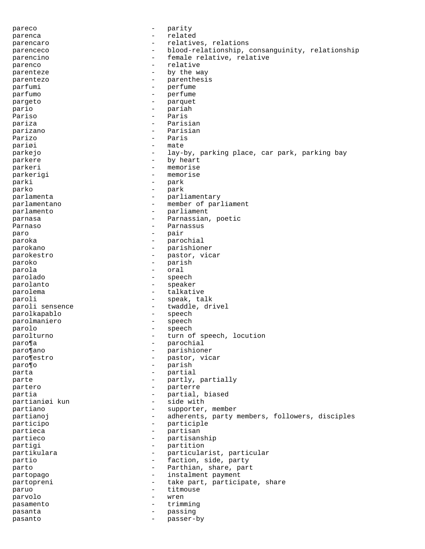pareco  $-$  parity parenca - related parencaro  $-$  relatives, relations parenceco - blood-relationship, consanguinity, relationship parencino - female relative, relative parenco - relative parenteze  $-$  by the way parentezo - parenthesis<br>
parfumi - parfume parfumi - perfume - perfume - perfume - perfume - perfume - perfume - perfume - perfume - perfume - perfume parfumo - perfume pargeto - parquet - parquet - parquet - parquet - parquet - parquet - parquet - parquet - parquet - particle i pario - pariah Pariso - Paris pariza  $-$  Parisian parizano - Parisian Parizo - Paris pariøi - mate parkejo - lay-by, parking place, car park, parking bay<br>
- by heart<br>
- by heart parkere by heart<br>
parkeri – memorise parkeri - memorise parkerigi - memorise parki - park parko - park parlamenta  $-$  parliamentary parlamentano - member of parliament parlamento  $-$  parliament parnasa - Parnassian, poetic Parnaso **- Parnassus** - Parnassus paro - pair paroka - parochial parokano - parishioner parokestro - pastor, vicar<br>paroko - parish paroko - parish parola - oral parolado - speech parolanto - speaker parolema - talkative paroli  $-$  speak, talk paroli sensence  $\qquad \qquad -$  twaddle, drivel parolkapablo - speech parolmaniero - speech parolo - speech parolturno - turn of speech, locution<br>
parola paro¶a - parochial - parochial - parochial - parochial - parochial - parochial - parochial - parochial - parochial - parochial - parochial - parochial - parochial - parochial - parochial - parochial - parochial - parochial paro¶ano - parishioner paro¶estro - pastor, vicar paro¶o - parish parta  $-$  partial parte  $-$  partly, partially partero  $-$  parterre partia  $-$  partial, biased partianiøi kun - side with partiano  $-$  supporter, member partianoj entre entre entre entre de la adherents, party members, followers, disciples participo - participle partieca - partisan - partisan - partisan - partisan - partisan - partisan - partisan - partisan - partisan - partisan - partisan - partisan - partisan - partisan - partisan - partisan - partisan - partisan - partisan - pa partieco - partisanship<br>
partici - partition<br>
- partition partigi - partition<br>
partikulara - particular partikulara - particularist, particular<br>
partio - faction side party partio  $-$  faction, side, party parto  $-$  Parthian, share, part partopago - instalment payment partopreni - take part, participate, share paruo - titmouse parvolo - wren pasamento - trimming pasanta  $-$  passing pasanto - passer-by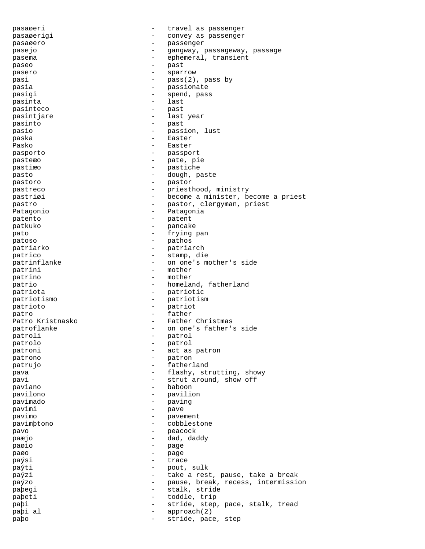pasaøeri - travel as passenger pasaøerigi  $\sim$  - convey as passenger pasaøero - passenger pasejo - gangway, passageway, passage pasema - ephemeral, transient paseo - past pasero  $-$  sparrow pasi  $-$  pass(2), pass by<br>
pasia pasia - passionate pasigi  $-$  spend, pass pasinta - last pasinteco - past pasintjare  $-$  last year pasinto - past pasio - passion, lust -<br>paska - Easter Pasko - Easter pasporto - passport pasteæo - pate, pie<br>pastiæo - pate, pie pastiæo - pastiche pasto  $-$  dough, paste pastoro – pastoro – pastoro – pastoro – pastoro – pastoro – pastoro – pastoro – pastoro – pastoro – pastoro – pastoro – pastoro – pastoro – pastoro – pastoro – pastoro – pastoro – pastoro – pastoro – pastoro – pastoro – pa pastreco - priesthood, ministry pastriøi - become a minister, become a priest pastro - pastor, clergyman, priest Patagonio - Patagonia patento - patent patkuko - pancake pato - frying pan patoso - pathos patriarko - patriarch patricino - stamp, die - stamp, die patrinflanke - on one's mother's side patrini - mother patrino - mother patrio  $-$  homeland, fatherland patriota - patriotic patriotismo - patriotism patrioto - patriot patro - father Patro Kristnasko  $-$  Father Christmas patroflanke  $\qquad \qquad -$  on one's father's side patroli - patroli - patroli - patroli - patroli - patroli - patroli - patroli - patroli - patroli - patroli patrolo - patrol patroni  $\qquad \qquad$  - act as patron patrono - patron patrujo - fatherland pava  $-$  flashy, strutting, showy pavi  $-$  strut around, show off paviano - baboon - baboon pavilono - pavilion pavimado - paving pavimi - pave pavimo - pavement pavimþtono - cobblestone pavo - peacock paæjo - dad, daddy paøio - page paøo – page – page – page – page – page – page – page – page – page – page – page – page – page – page – page – page – page – page – page – page – page – page – page – page – page – page – page – page – page – page – page paýsi - trace paýti  $-$  pout, sulk paýzi - take a rest, pause, take a break paýzo - pause, break, recess, intermission paþegi - stalk, stride paþeti - toddle, trip paþi - stride, step, pace, stalk, tread paþi al  $-$  approach(2) paþo - stride, pace, step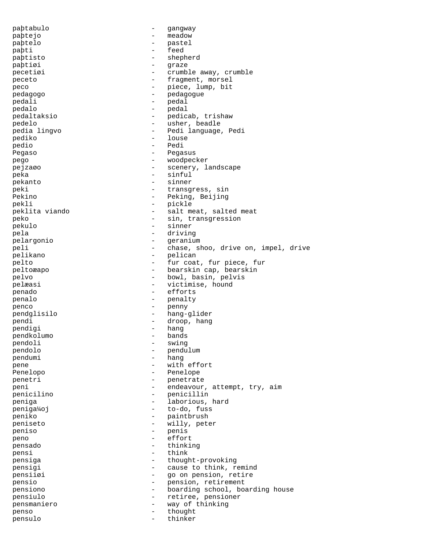paþtabulo - gangway paþtejo - meadow paþtelo - pastel paþti - feed paþtisto - shepherd<br>pabtigi - starte paþtiøi - graze - graze - graze - graze - graze - graze - graze - graze - graze - graze - graze - graze - graze - graze - graze - graze - graze - graze - graze - graze - graze - graze - graze - graze - graze - graze - graz pecetiøi - crumble away, crumble peceto  $-$  fragment, morsel peco  $-$  piece, lump, bit -<br>pedagogo - pedagogue - pedagogue pedali - pedali - pedal pedalo - pedal pedaltaksio - pedicab, trishaw pedelo - usher, beadle pedia lingvo - Pedi language, Pedi pediko - louse<br>pedio - louse - louse - Pedi Pegaso <sup>-</sup> Pegasus pego - woodpecker pejzaøo  $-$  scenery, landscape peka - sinful pekanto - sinner peki  $-$  transgress, sin Pekino - Peking, Beijing pekli - pickle peklita viando - salt meat, salted meat peko - sin, transgression pekulo - sinner pela - driving - driving - driving - driving - driving - driving - driving - driving - driving - driving - driving - driving - driving - driving - driving - driving - driving - driving - driving - driving - driving - drivi pelargonio - geranium peli  $-$  chase, shoo, drive on, impel, drive pelikano - pelican - fur coat, fur piece, fur -<br>peltoæapo - bearskin cap, bearskin pelvo - bowl, basin, pelvis pelæasi  $-$  victimise, hound penado - efforts penalo - penalty penco - penny pendglisilo - hang-glider pendi - droop, hang pendigi - hang<br>
pendkolumo - hang<br>
- bands pendkolumo pendoli - swing - swing pendolo - pendulum pendumi - hang pene  $-$  with effort Penelopo - Penelope penetri - penetrate peni - endeavour, attempt, try, aim penicilino - penicillin peniga - laborious, hard peniga¼oj - to-do, fuss peniko - paintbrush - paintbrush - paintbrush - paintbrush - paintbrush - paintbrush - paintbrush - paintbrush peniseto - willy, peter<br>peniso - penis - penis<br>- effor peno - effort pensado - thinking pensi - think pensiga - thought-provoking pensigi  $-$  cause to think, remind pensiiøi - go on pension, retire pensio - pension, retirement pensiono - boarding school, boarding house pensiulo - retiree, pensioner pensmaniero - way of thinking penso - thought pensulo - thinker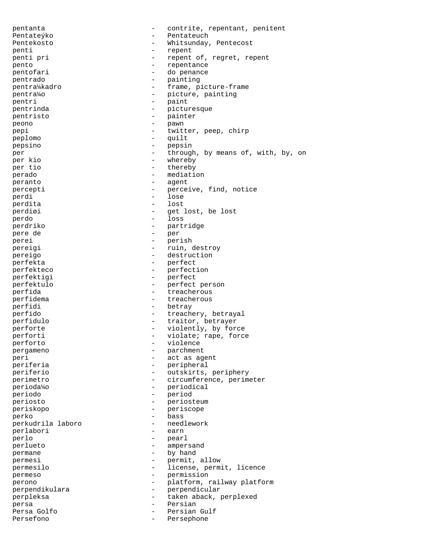pentanta - contrite, repentant, penitent Pentateýko - Pentateuch Pentekosto - Whitsunday, Pentecost penti - repent penti pri  $-$  repent of, regret, repent pento pento - repentance - do penance pentrado - painting - frame, picture-frame pentra¼o - picture, painting pentri - paint - picturesque pentristo - painter peono - pawn pepi - twitter, peep, chirp peplomo - quilt pepsino - pepsin per  $-$  through, by means of, with, by, on per kio - whereby<br>- thereby per tio - thereby perado  $-$  mediation peranto  $-$  agent percepti - perceive, find, notice perdi - lose perdita - lost perdiøi - get lost, be lost perdo - loss perdriko - partridge pere de - per perei - perish - perish pereigi - ruin, destroy pereigo - destruction perfekta - perfect perfekteco - perfection perfektigi - perfect perfektulo - perfect person perfida - treacherous - treacherous perfidema  $-$  treacherous perfidi - betray perfido  $-$  treachery, betrayal perfidulo - traitor, betrayer perforte - violently, by force<br>perforti - violate; rape, force - violate; rape, force<br>- violence perforto pergameno - parchment peri - act as agent - peripheral periferio - outskirts, periphery perimetro - circumference, perimeter perioda¼o - periodical periodo - period periosto - periosteum periskopo - periscope perko - bass perkudrila laboro - needlework perlabori perlo - pearl perlueto - ampersand permane  $\qquad$  - by hand permesi - permit, allow permesilo - license, permit, licence permeso - permission perono - platform, railway platform perpendikulara - perpendicular perpleksa - taken aback, perplexed persa - Persian Persian Gulf Persefono  $-$  Persephone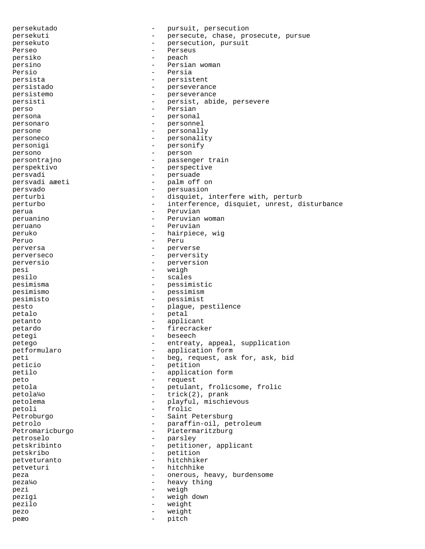persekutado  $\overline{p}$  - pursuit, persecution persekuti persekuti - persecute, chase, prosecute, pursue<br>
- persecution pursuit persekuto - persecution, pursuit Perseo - Perseus - Perseus persiko - peach persino - Persian woman<br>Persia Persio - Persia persista - persistent persistado - perseverance persistemo - perseverance persisti - persist, abide, persevere -<br>perso - Persian - Persian persona - personal personaro - personnel persone - personally personeco - personality personigi - personify<br>persono - person persono - person persontrajno - passenger train perspektivo - perspective persvadi - persuade - palm off on persvado - persuasion - disquiet, interfere with, perturb perturbo - interference, disquiet, unrest, disturbance<br>
- Peruvian perua  $-$  Peruvian peruanino - Peruvian woman peruano - Peruvian peruko - hairpiece, wig Peruo - Peru perversa - perverse perverseco - perversity perversio - perversion pesi - weigh pesilo - scales pesimisma - pessimistic pesimismo - pessimism pesimisto - pessimist pesto - plague, pestilence petalo - petal petanto - applicant petardo - firecracker petegi - beseech<br>netego - entreaty petego - entreaty, appeal, supplication petformularo - application form peti  $-$  beg, request, ask for, ask, bid peticio - petition petilo - application form peto - request petola - petulant, frolicsome, frolic petola¼o - trick(2), prank petolema - playful, mischievous<br>
petoli - frolic petoli - frolic Petroburgo **-** Saint Petersburg petrolo - paraffin-oil, petroleum -<br>Petromaricburgo - Pietermaritzburg petroselo - parsley<br>patskribinto - patition petskribinto - petitioner, applicant<br>
petskribo - petition<br>
- petition petskribo petveturanto - hitchhiker petveturi - hitchhike<br>neza - hitchhike peza - onerous, heavy, burdensome peza¼o - heavy thing pezi  $-$  weigh pezigi - weigh down pezilo - weight pezo - weight peæo - pitch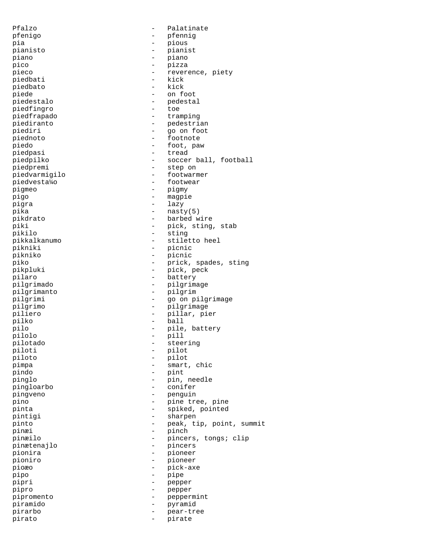Pfalzo - Palatinate pfenigo - pfennig pia - pious pianisto - pianist piano - piano pico - pizza – pizza – pizza – pizza – pizza – pizza – pizza – pizza – pizza – pizza – pizza – pizza – pizza – pizza – pizza – pizza – pizza – pizza – pizza – pizza – pizza – pizza – pizza – pizza – pizza – pizza – pizza – pieco - reverence, piety - reverence, piety - reverence, piety - kick piedbati - kick piedbato piede - on foot piedestalo - pedestal piedfingro - toe piedfrapado - tramping piediranto - cramping<br>piediri - pedestrian<br>piediri - constitution piediri - go on foot piednoto - footnote -<br>piedo - foot, paw piedpasi - tread piedpilko - soccer ball, football piedpremi - step on piedvarmigilo - footwarmer piedvesta¼o - footwear pigmeo - pigmy pigo - magpie pigra - lazy pika - nasty(5) pikdrato - barbed wire piki - pick, sting, stab pikilo - sting pikkalkanumo - stiletto heel<br>nikniki - nicnic pikniki - picnic pikniko - picnic piko - prick, spades, sting<br>pikoluki - pick, peck - pick, peck pikpluki - pick, peck pilaro - battery pilgrimado - pilgrimage pilgrimanto - pilgrim pilgrimi - go on pilgrimage pilgrimo - pilgrimage piliero - pillar, pier pilko - ball pilo - pile, battery pilolo - pill -<br>pilotado - steering - steering piloti - pilot piloto - pilot pimpa - smart, chic pindo - pint pinglo - pin, needle pingloarbo - conifer pingveno - penguin pino - pine tree, pine pinta - spiked, pointed -<br>pintigi - sharpen pinto - peak, tip, point, summit pinæi - pinch<br>pinæilo - pinch<br>pince pinæilo - pincers, tongs; clip pinætenajlo - pincers pionira - pioneer pioniro - pioneer pioæo - pick-axe pipo - pipe pipri - pepper pipro - pepper pipromento - peppermint piramido - pyramid pirarbo - pear-tree pirato - pirate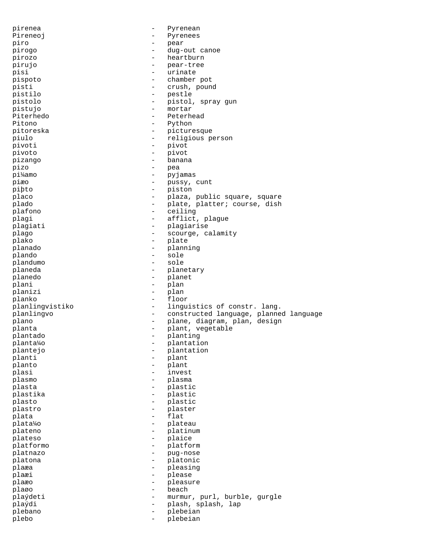pirenea - Pyrenean Pireneoj en la pyrenees piro - pear pirogo - dug-out canoe pirozo - heartburn - heartburn pirujo - pear-tree pisi - urinate<br>pispoto - chamber pispoto - chamber pot pisti - crush, pound pistilo - pestle pistolo - pistol, spray gun pistujo - mortar Piterhedo **-** Peterhead Pitono - Python pitoreska - picturesque piulo - religious person pivoti - pivot pivoto - pivot pizango - banana pizo - pea pi¼amo - pyjamas piæo - pussy, cunt piþto - piston placo  $-$  plaza, public square, square plado - plate, platter; course, dish<br>plafono - ceiling - ceiling plafono - ceiling plagi  $-$  afflict, plague plagiati - plagiarise<br>nlago - plagiarise<br>nlago - scourse sub plago  $-$  scourge, calamity plako - plate planado - planning plando - sole plandumo - sole planeda - planetary planedo - planet plani - plan planizi - plan -<br>planko - floor planlingvistiko - linguistics of constr. lang. planlingvo - constructed language, planned language plano - plane, diagram, plan, design planta - plant, vegetable plantado - planting planta¼o - plantation plantejo - plantation planti - plant planto - plant -<br>plasi - invest plasmo - plasma plasta - plastic plastika - plastic plasto - plastic plastro - plaster plata - flat plata¼o - plateau plateno - platinum - platinum<br>plateso - plaice plateso - plaice platformo - platformo - platformo - platformo - platformo - platformo - platformo - platformo - platformo - platformo - platformo - platformo - platformo - platformo - platformo - platformo - platformo - platformo - platfo platnazo - pug-nose platona  $\qquad \qquad -$  platonic plaæa - pleasing - pleasing plaæi - please plaæo - pleasure plaøo - beach - beach - beach - beach - beach - beach - beach - beach - beach - beach - beach - beach - beach plaýdeti - murmur, purl, burble, gurgle plaýdi - plash, splash, lap plebano - plebeian plebo - plebeian - plebeian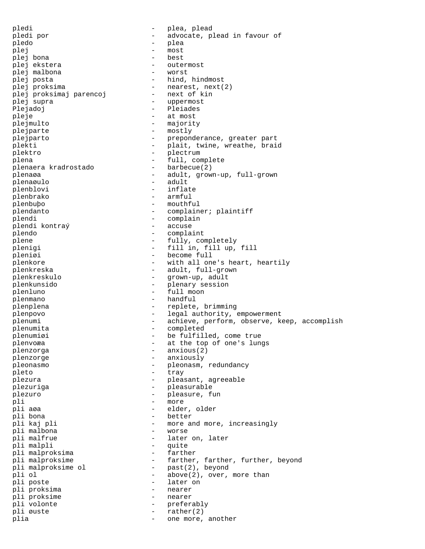pledi - plea, plead pledi por  $-$  advocate, plead in favour of pledo - plea plej - most plej bona - best plej ekstera - outermost plej malbona plej posta <br/> - hind, hindmost plej proksima<br>plej proksimaj parencoj - nearest, next(2)<br>- next of kin plej proksimaj parencoj plej supra - uppermost Plejadoj - Pleiades pleje - at most plejmulto - majority plejparte - mostly plejparto - preponderance, greater part plekti - plait, twine, wreathe, braid plektro - plectrum plena - full, complete plenaera kradrostado plenaøa - adult, grown-up, full-grown plenaøulo - adult plenblovi - inflate plenbrako - armful plenbuþo - mouthful plendanto - complainer; plaintiff plendi<br>
plendi kontraý<br>
- accuse<br>
- accuse plendi kontraý plendo - complaint plene  $\qquad \qquad \qquad -$  fully, completely plenigi - fill in, fill up, fill<br>
plenigi - become full pleniøi - become full plenkore  $-$  with all one's heart, heartily plenkreska - adult, full-grown plenkreskulo - grown-up, adult plenkunsido - plenary session plenluno - full moon plenmano - handful plenplena - replete, brimming plenpovo - legal authority, empowerment plenumi - achieve, perform, observe, keep, accomplish plenumita - completed plenumiøi - be fulfilled, come true<br>plenvoæa plenvoæa en at the top of one's lungs plenzorga - anxious(2) plenzorge - anxiously pleonasmo - pleonasm, redundancy<br>
- trav pleto - tray plezura - pleasant, agreeable plezuriga - pleasurable plezuro - pleasure, fun pli - more pli aøa - elder, older pli bona - better - more and more, increasingly<br>- worse pli malbona - worse pli malfrue  $\qquad \qquad -$  later on, later<br>pli malpli  $\qquad \qquad -$  quite - quite<br>- farther pli malproksima pli malproksime  $-$  farther, farther, further, beyond pli malproksime ol  $-$  past(2), beyond pli ol  $-$  above(2), over, more than pli poste<br>
pli proksima<br>
pli proksima<br>
and the set of the nearer pli proksima pli proksime - nearer pli volonte  $-$  preferably pli øuste  $\qquad - \quad$ rather(2) plia  $-$  one more, another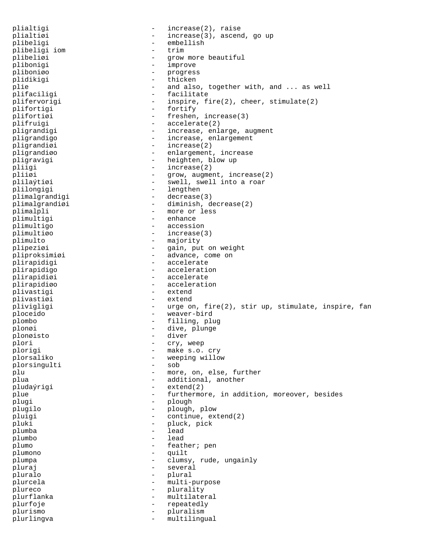plialtigi  $-$  increase(2), raise plialtiøi - increase(3), ascend, go up<br>
plibeligi - embellish plibeligi - embellish plibeligi iom - trim plibeliøi - grow more beautiful<br>
plibonigi - improve plibonigi - improve pliboniøo - progress plidikigi plie  $-$  and also, together with, and ... as well plifaciligi - facilitate plifervorigi - inspire, fire(2), cheer, stimulate(2) plifortigi - fortify plifortiøi - freshen, increase(3) plifruigi - accelerate(2) pligrandigi  $-$  increase, enlarge, augment pligrandigo  $-$  increase, enlargement pligrandigi pligrandiøi - increase(2)<br>pligrandiøo - enlargement pligrandiøo - enlargement, increase pligravigi - heighten, blow up<br>
plijgi - increase(2) pliigi - increase(2)<br>plii*g*i - qrow, augme pliiøi - grow, augment, increase(2)<br>plilaýtiøi - swell, swell into a roar - swell, swell into a roar plilongigi - lengthen plimalgrandigi - decrease(3) plimalgrandiøi - diminish, decrease(2) plimalpli - more or less plimultigi - enhance plimultigo - accession plimultiøo - increase(3) plimulto - majority<br>plineziai - qain pul plipeziøi - gain, put on weight<br>pliproksimiøi - advance, come on -<br>pliproksimiøi - advance, come on<br>plirapidigi - accelerate plirapidigi - accelerate - acceleration plirapidiøi - accelerate plirapidiøo - acceleration plivastigi - extending - extending - extending - extending - extending - extending - extending - extending - extending - extending - extending - extending - extending - extending - extending - extending - extending - exten plivastiøi - extend plivigligi - urge on, fire(2), stir up, stimulate, inspire, fan ploceido - weaver-bird plombo - filling, plug plonøi - dive, plunge - dive, plunge - diver - diver - diver - diver - diver - diver - diver - diver - diver plonøisto - diversion - diversion - diversion - diversion - diversion - diversion - diversion - diversion - diversion - diversion - diversion - diversion - diversion - diversion - diversion - diversion - diversion - divers plori - cry, weep plorigi - make s.o. cry<br>plorsaliko - weeping willow - weeping willow<br>- sob plorsingulti plu - more, on, else, further plua  $-$  additional, another pludaýrigi - extend(2) plue  $-$  furthermore, in addition, moreover, besides plugi - plough - plough - plough - plough - plough - plough - plough - plough - plough - plough - plough - plough - plough - plough - plough - plough - plough - plough - plough - plough - plough - plough - plough - plough plugilo - plough, plow<br>
pluigi - continue exi pluigi - continue, extend(2) pluki - pluck, pick<br>blumba - lead - lead plumba - lead plumbo - leads and the set of the set of the set of the set of the set of the set of the set of the set of the set of the set of the set of the set of the set of the set of the set of the set of the set of the set of the s plumo - feather; pen plumono - quilt plumpa - clumsy, rude, ungainly pluraj en la esperantista en la esperantista en la esperantista en la esperantista en la esperantista en la es pluralo - plural plurcela - multi-purpose plureco - plurality<br>
plurflanka - multilate plurflanka - multilateral<br>plurfoie - multilateral plurfoje - repeatedly plurismo - pluralism plurlingva - multilingual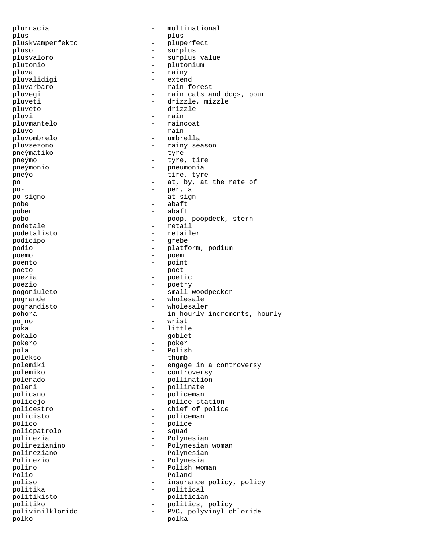plurnacia - multinational plus - plus - plus pluskvamperfekto - pluperfect pluso - surplus plusvaloro - surplus value plutonio - plutonium - rainy<br>- extend pluvalidigi<br>pluvarbaro - rain forest pluvegi  $-$  rain cats and dogs, pour pluveti - drizzle, mizzle pluveto - drizzle pluvi - rain pluvmantelo - raincoat pluvo - rain pluvombrelo - umbrella pluvsezono - rainy season<br>
pre - rainy season<br>
- tyre pneýmatiko pneýmo - tyre, tire pneýmonio - pneumonia pneýo - tire, tyre po  $-$  at, by, at the rate of po- - per, a -<br>po-signo - at-sign pobe - abaft poben - abaft pobo - poop, poopdeck, stern podetale - retail -<br>podetalisto - retailer podicipo - grebe podio - platform, podium poemo - poem poento - point poeto - poet poezia  $\overline{ }$  - poetic poezio - poetry - small woodpecker pogrande  $\qquad \qquad -$  wholesale pograndisto - wholesaler pohora - in hourly increments, hourly pojno - wrist poka - little pokalo - goblet pokero - poker pola - Polish polekso - thumb - engage in a controversy polemiko - controversy polenado - pollination poleni - pollinate policano - policeman policejo - police-station policestro - chief of police policisto - policeman polico - police<br>policpatrolo - police<br>- squad policpatrolo polinezia - Polynesian<br>polinezianino - Polynesian<br>- Polynesian polinezianino - Polynesian woman - Polynesian Polinezio - Polynesia polino - Polish woman - Poland poliso - insurance policy, policy politika - political<br>politikisto - politicial politikisto - politician politiko - politics, policy polivinilklorido - PVC, polyvinyl chloride polko - polka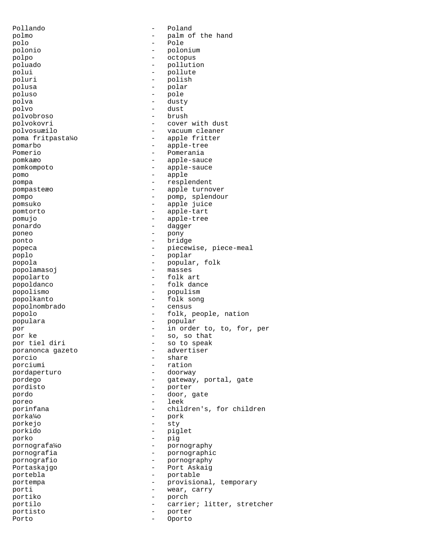Pollando - Poland polmo - palm of the hand<br>polo - Pole polo - Pole polonio - polonium polpo - octopus poluado - pollution polui - polui - polute polui - polute polui - polite polui - polite polite polite - polite polite polite - polite polite - polite polite - polite - polite - polite - polite - polite - polite - polite - polite - polite - po poluri - polish - polish - polish - polish - polish - polish - polish - polish - polish - polish - polish - polish - polish - polish - polish - polish - polish - polish - polish - polish - polish - polish - polish - polish polar poluso - pole - dusty polvo - dust polvobroso polvokovri - cover with dust polvosuæilo - vacuum cleaner poma fritpasta¼o - apple fritter pomarbo - apple-tree<br>Pomerio - Pomerania Pomerio - Pomerania pomkaæo - apple-sauce pomkompoto - apple-sauce pomo - apple pompa - resplendent pompasteæo - apple turnover pompo - pomp, splendour pomsuko - apple juice pomtorto - apple-tart pomujo - apple-tree ponardo - dagger poneo - pony ponto - bridge popeca - piecewise, piece-meal<br>noplo - poplar<br>- poplar poplo - poplar popola - popular, folk popolamasoj popolarto - folk art popoldanco - folk dance popolismo - populism popolkanto - folk song popolnombrado popolo - folk, people, nation populara - popular por  $-$  in order to, to, for, per por ke - so, so that - so to speak<br>- advertiser poranonca gazeto porcio - share - ration<br>- doorway pordaperturo pordego - gateway, portal, gate pordisto - porter pordo - door, gate poreo - leek<br>porinfana - chile porinfana - children's, for children<br>norka<sup>1</sup>/0 - pork porka¼o - pork porkejo - sty porkido - piglet porko - pig pornografa¼o - pornography pornografia<br>
pornografio<br>
pornografio<br>
- pornography<br>
- pornography - pornography Portaskajgo - Port Askaig<br>portebla - portable - portable portebla - portable portempa - provisional, temporary porti - wear, carry<br>
portiko<br>
- porch portiko - porch portilo - carrier; litter, stretcher portisto - porter Porto - Oporto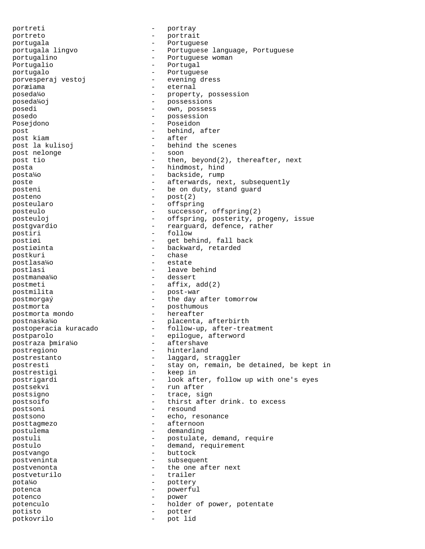portreti - portray<br>portreto - portrai portreto - portrait -<br>portugala - Portuguese portugala lingvo - Portuguese language, Portuguese portugalino  $\overline{P}$  - Portuguese woman<br>Portugalio - Portugal Portugalio - Portugalio - Portugale - Portugale - Portugale - Portugale - Portugale - Portugale - Portugale - Portugale - Portugale - Portugale - Portugale - Portugale - Portugale - Portugale - Portugale - Portugale - Port portugalo - Portuguese porvesperaj vestoj poræiama - eternal poseda¼o - property, possession poseda¼oj - possessions posedi - own, possess posedo  $-$  possession Posejdono - Poseidon post  $-$  behind, after post kiam  $-$  after post la kulisoj  $-$  behind the scenes post nelonge - soon post tio  $-$  then, beyond(2), thereafter, next posta - hindmost, hind posta¼o - backside, rump poste  $-$  afterwards, next, subsequently posteni  $-$  be on duty, stand guard posteno - post $(2)$ <br>posteularo - post $(3)$ posteularo - offspring posteulo - successor, offspring(2) posteuloj - offspring, posterity, progeny, issue postgvardio - rearguard, defence, rather postiri - follow postiøi - get behind, fall back postiøinta - backward, retarded<br>postkuri - chase postkuri – chase i chase i chase i chase i chase i chase i chase i chase i chase i chase i chase i chase i cha<br>District de la chase i chase i chase i chase i chase i chase i chase i chase i chase i chase i chase i chase i postlasa¼o - estate postlasi - leave behind postmanøa¼o - dessert postmeti - affix, add(2) postmilita - post-war postmorgaý  $-$  the day after tomorrow postmorta - posthumous postmorta mondo and the context of the extent of the postmortal mondo postnaska¼o - placenta, afterbirth postoperacia kuracado - follow-up, after-treatment postparolo - epilogue, afterword<br>postraza bmira¼o - - aftershave postraza þmira¼o - aftershaved - aftershaved - aftersom postregiono - hinterland postrestanto - laggard, straggler postresti - stay on, remain, be detained, be kept in postrestigi - keep in postrigardi - look after, follow up with one's eyes postsekvi - run after postsigno - trace, sign postsoifo - thirst after drink. to excess postsoni - resound postsono - echo, resonance posttagmezo - afternoon postulema - demanding postuli - postulate, demand, require postulo - demand, requirement postvango - buttock postveninta - subsequent postvenonta - the one after next<br>postveturilo - trailer postveturilo - trailer - trailer - trailer - trailer - trailer - trailer - trailer - trailer - trailer - trailer - trailer - trailer - trailer - trailer - trailer - trailer - trailer - trailer - trailer - trailer - trailer pota¼o - pottery potenca - powerful potenco - power potenculo  $\qquad \qquad - \qquad \text{holder of power, potentate}$ potisto - potter potkovrilo - pot lid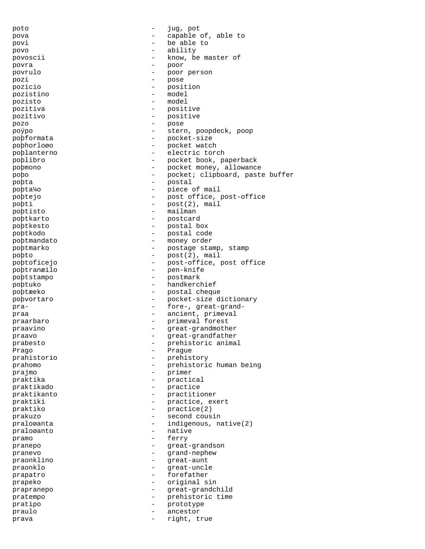poto - jug, pot pova  $\qquad \qquad -$  capable of, able to povi - be able to povo - ability povoscii - know, be master of povra - poor povrulo - poor person pozi - pose pozicio - position pozistino - model pozisto - model pozitiva - positive pozitivo - positive pozo - pose poýpo - stern, poopdeck, poop poþformata - pocket-size poþhorloøo - pocket watch poþlanterno - electric torch<br>noblibro - electric torch<br>noblibro - pocket book p poþlibro - pocket book, paperback poþmono - pocket money, allowance<br>
- pocket: clipboard past. poþo - pocket; clipboard, paste buffer<br>
- postal<br>
- postal poþta - postal poþta¼o - piece of mail poþtejo - post office, post-office poþti - post(2), mail poþtisto - mailman poþtkarto - postcard poþtkesto - postal box poþtkodo - postal code poþtmandato - money order<br>poþtmarko - postage sta poþtmarko - postage stamp, stamp<br>pobto - post(2) mail poþto - post(2), mail poþtoficejo - post-office, post office poþtranæilo - pen-knife poþtstampo - postmark poþtuko - handkerchief poþtæeko - postal cheque poþvortaro - pocket-size dictionary pra-  $\frac{1}{2}$  - fore-, great-grandpraa  $\qquad \qquad$  - ancient, primeval praarbaro - primeval forest praavino - great-grandmother praavo  $\qquad \qquad -$  great-grandfather prabesto - prehistoric animal<br>Prago Prago Prague - Prague prahistorio - prehistory - prehistory - prehistorio prahomo - prehistoric human being<br>
praimo - primer<br>
- primer prajmo - primer praktika  $-$  practical praktikado - practice praktikanto - practitioner praktiki  $-$  practice, exert praktiko - practice(2) prakuzo - second cousin praloøanta  $-$  indigenous, native(2) praloøanto - native pramo - ferry - ferry - ferry - ferry - ferry - ferry - ferry - ferry - ferry - ferry - ferry - ferry - ferry - ferry - ferry - ferry - ferry - ferry - ferry - ferry - ferry - ferry - ferry - ferry - ferry - ferry - ferry pranepo - great-grandson<br>
praneuo - great-grandson<br>
- grand-nepheu pranevo - grand-nephew<br>praonklino - grand-nephew<br>- great-aunt praonklino  $\overline{p}$  - great-aunt praonklo praonklo - great-uncle prapatro - forefather prapeko - original sin prapranepo - great-grandchild pratempo - prehistoric time pratipo - prototype praulo - ancestor prava  $-$  right, true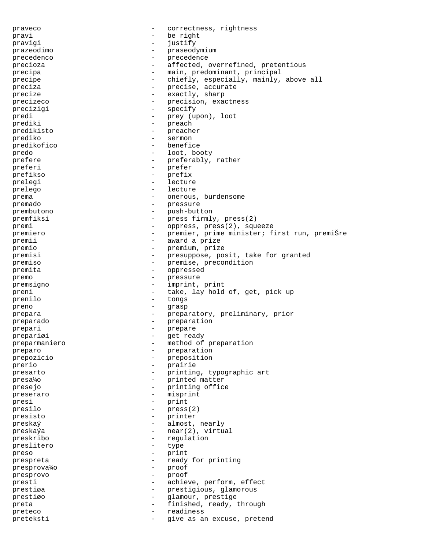praveco  $\qquad \qquad -$  correctness, rightness pravi - be right<br>pravigi - instify - instify pravigi - justify prazeodimo - praseodymium precedenco - precedence precioza - affected, overrefined, pretentious precipa - main, predominant, principal precipe  $-$  chiefly, especially, mainly, above all preciza  $-$  precise, accurate precize  $-$  exactly, sharp precizeco  $-$  precision, exactness precizigi - specify predi - prey (upon), loot prediki - preach<br>predikisto - preache predikisto - preacher - preacher prediko - sermon predikofico - benefice predo - loot, booty prefere  $\qquad \qquad \qquad -$  preferably, rather preferi - prefer prefikso -<br>prelegi - lecture prelego - lecture prema - onerous, burdensome premado en el estado en el estado en el estado en el estado en el estado en el estado en el estado en el estado prembutono - push-button premfiksi - press firmly, press(2)<br>premi - oppress, press(2), squ premi - oppress, press(2), squeeze premiero - premier, prime minister; first run, premiŠre premii  $\qquad \qquad$  - award a prize premio - premium, prize premisi - presuppose, posit, take for granted premiso - premise, precondition<br>premise - premise, precondition premita - oppressed premo - pressure premsigno - imprint, print preni - take, lay hold of, get, pick up<br>prenilo - tongs prenilo - tongs preno - grasp prepara - preparatory, preliminary, prior preparado - preparation prepari - prepare prepariøi - get ready preparmaniero - method of preparation preparo - preparation<br>preparation - preparation prepozicio - preposition prerio - prairie presarto  $-$  printing, typographic art presa¼o - printed matter presejo  $-$  printing office preseraro - misprint presi - print presilo - press(2) presisto - printer preskaý - almost, nearly - near(2), virtual<br>preskaýa - near(2), virtual<br>preskribo - regulation preskribo - regulation<br>preslitero - type - type preslitero - type preso - print prespreta - ready for printing<br>presprova%o - proof presprova¼o presprovo - proof presti  $\qquad \qquad -$  achieve, perform, effect prestiøa - prestigious, glamorous prestiøo - glamour, prestige preta  $-$  finished, ready, through preteco  $-$  readiness preteksti - give as an excuse, pretend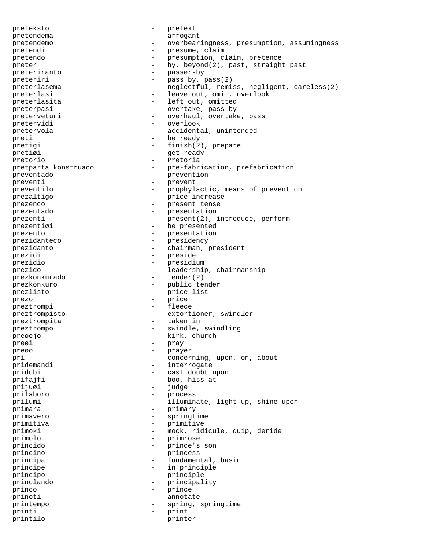preteksto - pretext pretendema - arrogant pretendemo - overbearingness, presumption, assumingness pretendi - overbearingnes:<br>
presume, claim<br>
pretendo pretendo  $-$  presumption, claim, pretence preter - by, beyond(2), past, straight past preteriranto - passer-by<br>
preteriri preteriri - pass by, pass(2) preterlasema - neglectful, remiss, negligent, careless(2) preterlasi - leave out, omit, overlook preterlasita - left out, omitted preterpasi  $-$  overtake, pass by preterveturi - overhaul, overtake, pass pretervidi - overlook<br>pretervola - accidents pretervola - accidental, unintended preti - be ready pretigi - finish(2), prepare pretiøi - get ready -<br>Pretorio - Pretoria pretparta konstruado - pre-fabrication, prefabrication preventado  $\overline{p}$  - prevention<br>preventi preventi - prevent preventilo  $-$  prophylactic, means of prevention prezaltigo - price increase prezenco - present tense prezentado  $-$  presentation<br>prezenti prezenti  $-$  present(2), introduce, perform prezentiøi - be presented prezento - presentation<br>
prezidanteco - - presidency prezidanteco - presidency prezidanto - chairman, president<br>
prezidi - presidente - presidente - presidente - presidente - presidente - presidente - presidente - president prezidi - preside prezidio - presidium prezido - leadership, chairmanship prezkonkurado - tender(2) prezkonkuro - public tender prezlisto - price list -<br>prezo - price -<br>preztrompi - fleece preztrompisto - extortioner, swindler preztrompita - taken in preztrompita - taken in the set of  $\sim$ preztrompo - swindle, swindling preøejo - kirk, church preøi – pray – pray – pray – pray – pray – pray – pray – pray – pray – pray – pray – pray – pray – pray – pray – pray – pray – pray – pray – pray – pray – pray – pray – pray – pray – pray – pray – pray – pray – pray – pray preøo - prayer pri - concerning, upon, on, about pridemandi - interrogate pridubi - cast doubt upon prifajfi - boo, hiss at - boo, hiss at - index prijuøi - judge prilaboro - process prilumi - illuminate, light up, shine upon primara - primary primavero - springtime primitiva - primitive primoki - mock, ridicule, quip, deride primolo - primrose princido - prince's son princino - princess principa - fundamental, basic principe - in principle principo - principle princlando - principality princo - prince prinoti - annotate printempo - spring, springtime printi - print printilo - printer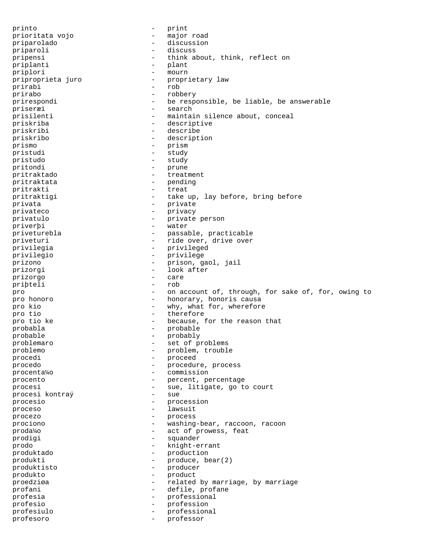printo - print prioritata vojo - major road priparolado - discussion priparoli - discuss pripensi - think about, think, reflect on priplanti - plant priplanti - planti - planti - planti - planti - planti - planti - planti - planti - planti - planti - planti priplori - mourn priproprieta juro - proprietary law prirabi - rob prirabo - robbery prirespondi - be responsible, be liable, be answerable priseræi - search prisilenti - maintain silence about, conceal priskriba - descriptive priskribi - describe priskribo - description prismo - prism pristudi - study pristudo - study - study - study - study - study - study - study - study - study - study - study - study - study - study - study - study - study - study - study - study - study - study - study - study - st pristudo  $-$ <br>pritondi pritondi – prune<br>pritraktado – treati pritraktado - treatment pritraktata - pending<br>
pritrakti - treat pritrakti - treat pritraktigi  $-$  take up, lay before, bring before privata - private privateco - privacy privatulo - private person priverþi - water priveturebla - passable, practicable priveturi - ride over, drive over privilegia - privileged privilegio - privilege prizono - prison, gaol, jail prizorgi - look after<br>
prizorgi - look after<br>
- care prizorgo - care priþteli - rob pro - on account of, through, for sake of, for, owing to pro honoro - honorary, honoris causa pro kio - why, what for, wherefore pro tio  $-$  therefore pro tio ke  $\qquad \qquad -$  because, for the reason that probabla - probable probable - probably problemaro - set of problems problemo - problem, trouble procedi - proceed procedo - procedure, process procenta¼o - commission procento  $\overline{\phantom{a}}$  - percent, percentage procesi  $\begin{array}{ccc} - & \text{sue, } \text{litigate, go to court} \\ \text{processi} & \text{kontra} \hat{y} \end{array}$ procesi kontraý procesio - procession proceso - lawsuit procezo - process prociono  $-$  washing-bear, raccoon, racoon<br>prodako  $-$  act of prowess feat proda¼o - act of prowess, feat prodigi - squander prodo - knight-errant produktado - production produkti - produce, bear(2) produktisto - producer produkto - product proedziøa - related by marriage, by marriage profani  $\qquad \qquad -$  defile, profane profesia - professional profesio - profession profesiulo - professional profesoro - professor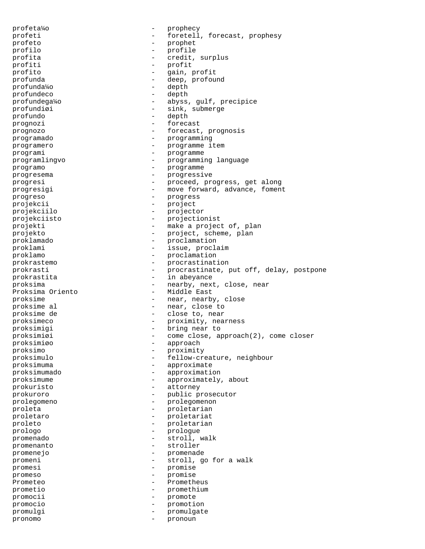profeta¼o - prophecy profeti - foretell, forecast, prophesy profeto - prophet profilo - profile profita  $\qquad \qquad - \qquad \qquad \text{credit, surplus}$ profiti - profit profito - gain, profit profunda - deep, profound profunda¼o - depth profundeco - depth profundega¼o - abyss, gulf, precipice profundiøi - sink, submerge<br>profundo - denth profundo - depth prognozi - forecast prognozo - forecast, prognosis programado - programming programero - programme item programi - programme programlingvo - programming language<br>programo - programme programo - programme - programme - programme - programme - programme - programme - programme - programme - programme - programme - programme - programme - programme - programme - programme - programme - programme - program progresema - progressive progresi - proceed, progress, get along progresigi - move forward, advance, foment progreso - progress projekcii - project projekciilo - projector projekciisto - projectionist projekti - make a project of, plan projekto - project, scheme, plan proklamado - proclamation proklami - issue, proclaim proklamo - proclamation prokrastemo - procrastination<br>
prokrastinate - procrastinate in prokrasti - procrastinate, put off, delay, postpone prokrastita  $\qquad \qquad -$  in abeyance proksima  $-$  nearby, next, close, near Proksima Oriento - Middle East proksime  $-$  near, nearby, close proksime al  $-$  near, close to proksime de  $-$  close to, near proksimeco - proximity, nearness proksimigi - bring near to proksimiøi - come close, approach(2), come closer proksimiøo - approach proksimo - proximity proksimulo - fellow-creature, neighbour proksimuma - approximate proksimumado - approximation proksimume - approximately, about prokuristo - attorney prokuroro - public prosecutor prolegomeno - prolegomenon proleta - proletarian proletaro - proletariat proleto - proletarian prologo - prologue promenado - stroll, walk promenanto - stroller promenejo - promenade promeni - stroll, go for a walk promesi - promise promeso - promise Prometeo - Prometheus prometio - promethium promocii - promote promocio - promotion promulgi - promulgate pronomo - pronoun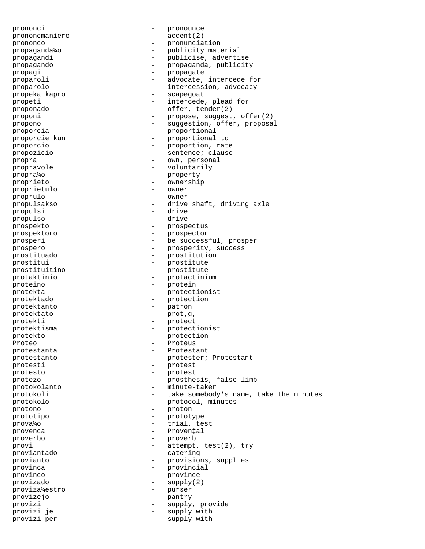prononci - pronounce prononcmaniero - accent(2) prononco - pronunciation propaganda¼o - publicity material propagandi - publicise, advertise propagando - propaganda, publicity propagi - propagate proparoli  $\overline{a}$  - advocate, intercede for proparolo  $-$  intercession, advocacy propeka kapro - scapegoat propeti  $-$  intercede, plead for proponado - offer, tender(2) proponi - propose, suggest, offer(2) propono - suggestion, offer, proposal proporcia - proportional proporcie kun - proportional to proporcio - proportion, rate propozicio - sentence; clause propra<br>
propra - own, personal<br>
proprayele - voluntarily propravole - voluntarily propra¼o - property proprieto - ownership<br>
proprietulo - owner - owner proprietulo - owners - owners - owners - owners - owners - owners - owners - owners - owners - owners - owners proprulo - owner propulsakso - drive shaft, driving axle propulsi - drive propulso - drive prospekto - prospectus prospektoro - prospector prosperiors<br>prosperi - be successful, prosper prospero  $-$  prosperity, success prostituado - prostitution prostitui - prostitute prostituitino - prostitute protaktinio - protactinium proteino - protein protekta - protectionist protektado - protection protektanto - patron protektato - prot, g, protekti - protekti - protect protekti - protect protektisma - protectionist protekto - protection Proteo - Proteus protestanta - Protestant protestanto  $\qquad \qquad -$  protester; Protestant protesti - protest protesto - protest protezo - prosthesis, false limb protokolanto - minute-taker protokoli - take somebody's name, take the minutes protokolo - protocol, minutes protocol, minutes - protocol, minutes - protocol, minutes - proton protono - proton prototipo - prototype prova¼o - trial, test provenca - Proven‡al proverbo - proverb provi - attempt, test(2), try -<br>proviantado  $-$  catering provianto - provisions, supplies provinca - provincial provinco - province provizado - supply(2) proviza¼estro - purser provizejo - pantry provizi - supply, provide - supply with provizi per  $-$  supply with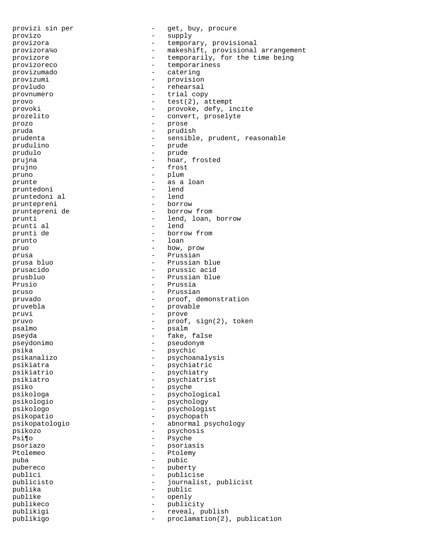provizi sin per - get, buy, procure provizo - supply provizora - temporary, provisional provizora¼o - makeshift, provisional arrangement<br>provizore - temporarily for the time being provizore  $-$  temporarily, for the time being<br>reprovizored  $-$  temporariness provizoreco - temporariness provizumado provizumi - provision provludo - rehearsal provnumero - trial copy provo - test(2), attempt provoki - provoke, defy, incite prozelito - convert, proselyte prozo - prose pruda - prudish prudenta - sensible, prudent, reasonable prudulino - prude - prude - prude - prude - prude - prude - prude - prude - prude - prude - prude - prude - prude - prude - prude - prude - prude - prude - prude - prude - prude - prude - prude - prude - prude - prude - pr prudulo - prude prujna - hoar, frosted prujno - frost pruno - plum prunte - as a loan pruntedoni - lend pruntedoni al - lend pruntepreni pruntepreni de - borrow from prunti  $-$  lend, loan, borrow prunti al  $-$  lend prunti de - borrow from prunto - loan pruo - bow, prow prusa  $-$  Prussian  $-$  Prussian  $-$  Prussian  $-$  Prussian  $-$  Prussian  $-$ - Prussian blue prusacido - prussic acid prusbluo - Prussian blue Prusio - Prussia pruso - Prussian - Prussian pruvado - proof, demonstration pruvebla - provable pruvi - prove - prove - prove - prove - prove - prove - prove - prove - prove - prove - prove - prove - prove - prove - prove - prove - prove - prove - prove - prove - prove - prove - prove - prove - prove - prove - prove pruvo - proof, sign(2), token psalmo - psalm pseýda - fake, false pseýdonimo - pseudonym psika - psychic - psychic psikanalizo - psychoanalysis<br>psikiatra - psychiatric - psychiatric psikiatrio - psychiatry psikiatro - psychiatrist psiko - psyche psikologa - psychological<br>psikologic - psychological<br>psikologic - psychology psikologio - psychology psikologo - psychologist psikopatio - psychopath psikopatologio - abnormal psychology psikozo - psychosis Psi¶o - Psyche psoriazo - psoriasis Ptolemeo - Ptolemy puba - pubic<br>pubereco - pubereco - puber pubereco - puberty publici<br>
publicisto<br>
publicisto<br>
publicisto<br>
publicisto<br>
publicisto<br>
publicisto<br>
publicisto<br>
publicisto<br>
publicisto<br>
publicisto<br>
publicisto<br>
publicisto<br>
publicisto<br>
publicisto<br>
publicisto<br>
publicisto<br>
publicisto<br>
publicist publicisto - journalist, publicist publika - public publike - openly publikeco - publicity publikigi - reveal, publish publikigo - proclamation(2), publication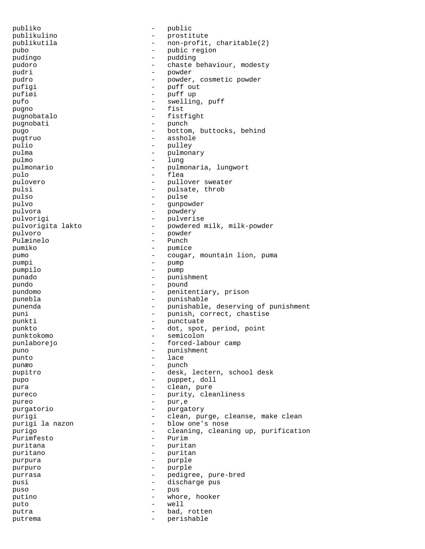publiko - public publikulino - prostitute publikutila - non-profit, charitable(2) pubo - pubic region pudingo - pudding pudoro - chaste behaviour, modesty pudri - powder pudro - powder, cosmetic powder pufigi  $-$  puff out pufiøi - puff up pufo - swelling, puff pugno - fist pugnobatalo - fistfight pugnobati - punch pugo  $-$  bottom, buttocks, behind pugtruo - asshole<br>pulio - anilev pulio - pulley<br>pulma - pulmon: - pulmon: - pulmon: - pulmon: - pulmon: - pulmon: - pulmon: - pulmon: - pulmon: - pulmon: - pulmon: - pulmon: - pulmon: - pulmon: - pulmon: - pulmon: - pulmon: - pulmon: - pulmon: - pulmon: pulma  $\begin{array}{ccc} & - & \text{pulmonary} \\ \text{nulmon} & - & \text{lunor} \end{array}$ pulmo - lung<br>pulmonario - lung pulmonario - pulmonaria, lungwort pulo - flea - pullover sweater pulsi - pulsate, throb pulso - pulse pulvo - gunpowder pulvora - powdery pulvorigi - pulverise pulvorigita lakto - powdered milk, milk-powder<br>pulvoro - powder pulvoro - powder Pulæinelo pumiko - pumice pumo - cougar, mountain lion, puma pumpi - pump pumpilo - pump punado - punishment pundo - pound pundomo - penitentiary, prison punebla - punishable punenda - punishable, deserving of punishment puni - punish, correct, chastise<br>
- punctuate<br>
- punctuate punkti - punctuate punkto - dot, spot, period, point<br>nunktokomo - semicolon punktokomo - semicolon punlaborejo - forced-labour camp puno - punishment punto - lace punæo - punch pupitro - desk, lectern, school desk pupo - puppet, doll pura  $\qquad \qquad -$  clean, pure pureco  $-$  purity, cleanliness pureo - pur, e<br>purgatorio - purgai purgatorio - purgatory purigi - clean, purge, cleanse, make clean<br>purigi la nazon - blow one's nose - blow one's nose<br>- cleaning clean purigo - cleaning, cleaning up, purification<br>Purimfesto - Purim Purimfesto puritana - puritana - puritana - puritana - puritana - puritana - puritana - puritana - puritana - puritana - puritana - puritana - puritana - puritana - puritana - puritana - puritana - puritana - puritana - puritana - pu puritano - puritano - puritano - puritano - puritano - puritano - puritano - puritano - puritano - puritano - puritano - puritano - puritano - puritano - puritano - puritano - puritano - puritano - puritano - puritano - pu purpura - purple purpuro - purple purrasa - pedigree, pure-bred<br>
- discharge pus pusi - discharge pus puso - pus putino - whore, hooker puto - well putra  $-$  bad, rotten putrema  $-$  perishable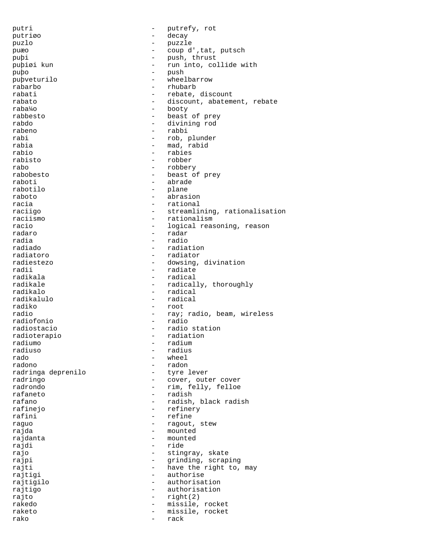putri - putrefy, rot putriøo - decay puzlo - puzzle puæo  $-$  coup d', tat, putsch puþi - push, thrust puþiøi kun - run into, col - run into, collide with puþo - push - push - push - pubveturilo - medlandarrow - medlandarrow - push - push - push - push - push - push - push - push - push - push - push - push - push - push - push - push - push - push - push - push - push - pus puþveturilo<br>rabarbo rabarbo - rhubarb rabati - rebate, discount<br>rabato - discount abatem rabato - discount, abatement, rebate<br>raba<sup>1</sup>/0 - hooty - hooty - booty rabbesto  $-$  beast of prey rabdo - divining rod rabeno - rabbi rabi - rob, plunder rabia - mad, rabid rabio - rabies rabisto - robber rabo - robbery<br>rabobesto - robbery - beast o rabobesto  $\begin{array}{ccc} - & - & - \\ - & \text{beast of prey} \end{array}$ raboti - abrade rabotilo - plane - abrasion racia - rational - streamlining, rationalisation raciismo - rationalism racio - logical reasoning, reason radaro - radar radia - radio radiado - radiation radiatoro  $\begin{array}{ccc} \text{radiator} & \text{matrix} \\ \text{radiator} & \text{matrix} \end{array}$ radiestezo - dowsing, divination<br>radii - radiate - radiate radii - radiate radikala - radical radikale - radically, thoroughly<br>radikalo - radical - radical radikalo - radical - radical radiko - root radio - ray; radio, beam, wireless<br>radiofonio - radio radiofonio<br>radiostacio - radio station<br>- radiation radioterapio<br>radiumo radiumo - radium radiuso - radius rado - wheel - radon<br>- tyre lever radringa deprenilo radringo  $\begin{array}{ccc}\n\text{radringo} & - & \text{cover, outer cover} \\
\text{radrondo} & - & \text{rim. fellow, fellow} \\
\end{array}$ - rim, felly, felloe rafaneto - radish rafano - radish, black radish rafinejo - refinery rafini - refine raguo  $-$  ragout, stew rajda - mounted rajdanta - mounted rajdi - ride - stingray, skate rajpi - grinding, scraping rajti  $-$  have the right to, may rajtigi - authorise rajtigilo - authorisation rajtigo - authorisation rajto - right(2) rakedo - missile, rocket raketo - missile, rocket rako - rack - rack - rack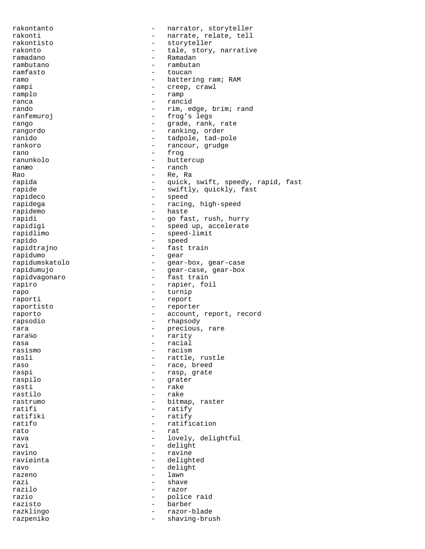rakontanto - narrator, storyteller rakonti  $-$  narrate, relate, tell rakontisto - storyteller rakonto  $-$  tale, story, narrative ramadano - Ramadan rambutano - rambutano - rambutano - rambutano - rambutano - rambutano - rambutano - rambutano - rambutano - rambutano - rambutano - rambutano - rambutano - rambutano - rambutano - rambutano - rambutano - rambutano - rambut ramfasto - toucan ramo - battering ram; RAM<br>
rampi - creep, crawl - creep, crawl ramplo - ramp ranca - rancid rando  $-$  rim, edge, brim; rand ranfemuroj en la estado de la estado en la estado en la estado en la estado en la estado en la estado en la es rango - grade, rank, rate rangordo - ranking, order ranido  $-$  tadpole, tad-pole rankoro - rancour, grudge rano - frog<br>ranunkolo - butte buttercup ranæo - ranch Rao - Re, Rao - Re, Rao - Re, Rao - Re, Rao - Re, Rao - Re, Rao - Re, Rao - Re, Rao - Re, Rao - Re, Rao - Re, Rao - Re, Rao - Re, Rao - Re, Rao - Re, Rao - Re, Rao - Re, Rao - Re, Rao - Re, Rao - Re, Rao - Re, Rao - Re, Ra - quick, swift, speedy, rapid, fast rapide - swiftly, quickly, fast<br>rapideco - - speed - speed - speed rapidega - racing, high-speed rapidemo - haste rapidi - go fast, rush, hurry rapidigi  $-$  speed up, accelerate rapidlimo - speed-limit rapido - speed rapidtrajno - fast train rapidumo - gear rapidumskatolo - gear-box, gear-case<br>rapidumujo - gear-case, gear-box - gear-case, gear-box rapidvagonaro - fast train rapiro - rapier, foil rapo - turnip raporti - report raportisto - reporter raporto  $-$  account, report, record rapsodio - rhapsody rara  $-$  precious, rare rara¼o - rarity rasa - racial - racial - racial - racial - racial - racial - racial - racial - racial - racial - racial - racial - racial - racial - racial - racial - racial - racial - racial - racial - racial - racial - racial - racial -- racism rasli  $-$  rattle, rustle raso  $-$  race, breed raspi - rasp, grate<br>raspilo - raspilo - qrater - grater rasti - rake rastilo - rake rastrumo  $-$  bitmap, raster ratifi - ratify ratifiki - ratify ratifo - ratification<br>rato - ratification<br>- rat rato in the contract of the rate of the rate  $\sim$  rate  $\sim$  rate  $\sim$ rava  $-$  lovely, delightful ravi - delight - delight<br>ravino - ravine - ravine ravino - ravine - delighted ravo  $-$  delight razeno - lawn - lawn - lawn - lawn - lawn - lawn - lawn - lawn - lawn - lawn - lawn - lawn - lawn - lawn - lawn - lawn - lawn - lawn - lawn - lawn - lawn - lawn - lawn - lawn - lawn - lawn - lawn - lawn - lawn - lawn - law razi - shave razilo - razor razio - police raid razisto - barber razklingo - razor-blade razpeniko - shaving-brush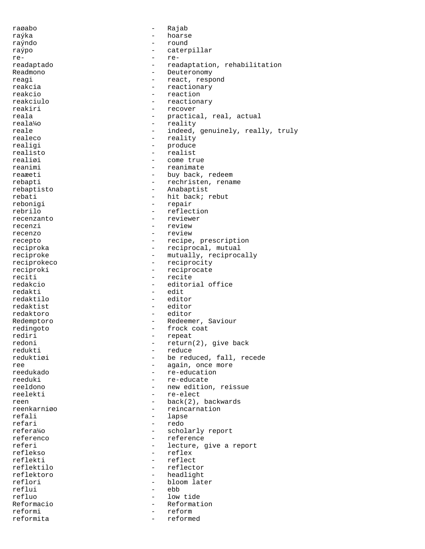raøabo - Rajab raýka - hoarse raýndo - round raýpo - caterpillar re- rereadaptado  $-$  readaptation, rehabilitation Readmono - Deuteronomy reagi - react, respond<br>
reakcia - reactionary<br>
- reactionary - reactionary reakcio  $-$  reaction reakciulo  $-$  reactionary reakiri - recover reala  $-$  practical, real, actual reala¼o - reality reale  $-$  indeed, genuinely, really, truly realeco - reality realigi - produce<br>realisto - realisto realisto - realisto - realisto - realisto - realisto - realisto - realisto - realisto - realisto - realisto realiøi - come true<br>reanimi - reanimate reanimate reaæeti - buy back, redeem<br>
rebapti - rechristen, rena - rechristen, rename rebaptisto - Anabaptist rebati - hit back; rebut rebonigi - repair rebrilo - reflection recenzanto - reviewer recenzi - review recenzo - review recepto - recipe, prescription reciproka  $-$  reciprocal, mutual reciproke  $-$  mutually, reciprocally reciprokeco - reciprocity reciproki - reciprocate reciti - recite redakcio - editorial office redakti - edit redaktilo redaktist - editor<br>redaktoro - - editor redaktoro - editor Redemptoro  $-$  Redeemer, Saviour redingoto - frock coat rediri - repeat redoni - return(2), give back<br>redukti - reduce - reduce redukti - reduce - be reduced, fall, recede ree  $\begin{array}{ccc}\n \text{read} & \text{if } x \neq 0 \\
 \text{read} & \text{if } x = 0 \\
 \text{read} & \text{if } x = 0\n \end{array}$ - re-education reeduki - re-educate<br>reeldono - re-educate - re-educate - new edition, reissue reelekti - re-elect reen - back(2), backwards reenkarniøo - reincarnation refali - lapse refari - redo<br>refera%o - schol refera¼o - scholarly report<br>referenco - reference referenco  $\begin{array}{ccc} - & \text{reference} \\ \text{refer} \end{array}$ referi - lecture, give a report<br>
reflekso - reflex - reflex reflekti - reflect reflektilo - reflector reflektoro - headlight reflori - bloom later reflui - ebb<br>refluo - low - low - low tide Reformacio  $-$  Reformation reformi  $-$  reform reformita - reformed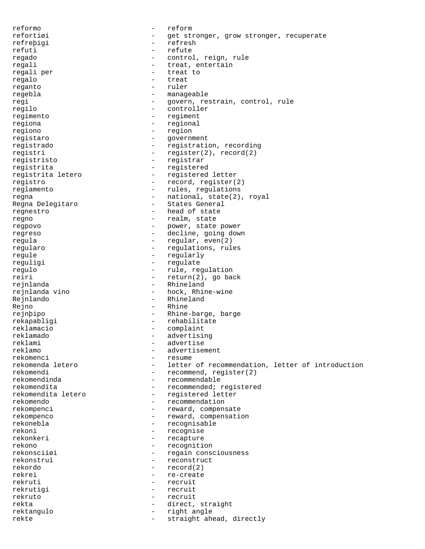reformo - reform refortiøi - get stronger, grow stronger, recuperate refreþigi - refresh refuti - refute regado - control, reign, rule regali  $\begin{array}{ccc} \texttt{regali} & \texttt{regali} & \texttt{regali} & \texttt{rega} \\ \end{array}$ - treat to regalo - treat - ruler regebla - manageable regi  $-$  govern, restrain, control, rule regilo - controller regimento - regiment regiona - regional regiono - region registaro - government registrado - registration, recording registri - register(2), record(2) registristo - registrar registrita - registered registrita letero - registered letter registro - record, register(2) reglamento - rules, regulations regna - national, state(2), royal - States General regnestro - head of state regno  $-$  realm, state regpovo - power, state power regreso - decline, going down regula  $-$  regular, even(2) regularo  $-$  regulations, rules regule - regularly reguligi - regulate regulo  $\overline{\phantom{a}}$  - rule, regulation<br>reiri - return(2), go bay - return(2), go back rejnlanda - Rhineland rejnlanda vino - hock, Rhine-wine Rejnlando **- Rhineland** Rejno - Rhine rejnþipo - Rhine-barge, barge rekapabligi - rehabilitate reklamacio - complaint reklamado - advertising reklami - advertise<br>
reklamo - advertise reklamo - advertisement<br>rekomenci - resume - resume rekomenci - resume<br>
rekomenda letero - letter - letter of recommendation, letter of introduction rekomendi - recommend, register(2)<br>rekomendinda - recommendable rekomendinda - recommendable - recommendable rekomendita - recommended; registered rekomendita letero - registered letter rekomendo - recommendation rekompenci - reward, compensate rekompenco - reward, compensation rekonebla - recognisable rekoni - recognise<br>
rekonkeri - recapture rekonkeri - recapture rekono - recognition<br>
rekonsciiøi - regain cons - regain consciousness rekonstrui - reconstruct rekordo - record(2) rekrei - re-create<br>
rekruti - recruit - recruit rekruti - recruit rekrutigi - recruit rekruto - recruit rekta - direct, straight rektangulo - right angle rekte - straight ahead, directly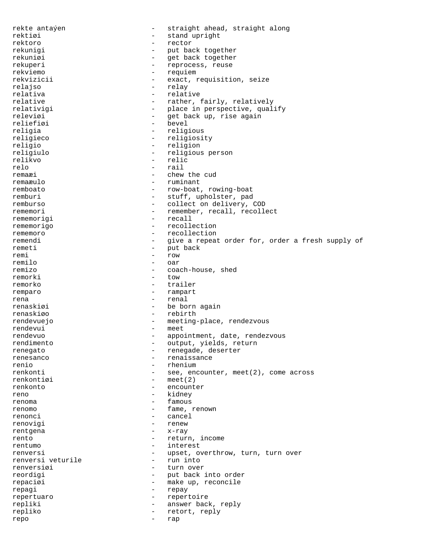rekte antaýen - straight ahead, straight along rektiøi - stand upright rektoro - rector rekunigi - put back together rekuniøi - get back together rekuperi - reprocess, reuse rekviemo - requiem rekvizicii  $-$  exact, requisition, seize relajso - relay relativa - relative relative  $\qquad \qquad -$  rather, fairly, relatively relativigi  $-$  place in perspective, qualify releviøi - get back up, rise again<br>reliefiøi - bevel - bevel - bevel religia - religious religieco - religiosity religio - religion religiulo - religious person relikvo - relic relo - rail<br>remaxi - chew remaæi - chew the cud<br>remaæulo - ruminant remaæulo - ruminant - row-boat, rowing-boat remburi - stuff, upholster, pad remburso - collect on delivery, COD<br>
rememori - remember, recall, recolle - remember, recall, recollect rememorigi - recall rememorigo - recollection rememoro - recollection remendi - give a repeat order for, order a fresh supply of remeti - put back<br>remi - row remi - row remilo - oar - oar - oar - oar - oar - oar - oar - oar - oar - oar - oar - oar - oar - oar - oar - oar - oar - oar - oar - oar - oar - oar - oar - oar - oar - oar - oar - oar - oar - oar - oar - oar - oar - oar - oar - oar coach-house, shed remorki - tow remorko - trailer remparo - rampart rena  $-$  renal renaskiøi - be born again renaskiøo - rebirth rendevuejo - rebirth - rebirth - rebirth - rebirth - rebirth - rebirth - rebirth - rebirth - rebirth - rebirth - rebirth - rebirth - rebirth - rebirth - rebirth - rebirth - rebirth - rebirth - rebirth -- meeting-place, rendezvous<br>- meet rendevui - meeting - meeting - meeting - meeting - meeting - meeting - meeting - meeting - meeting rendevuo - appointment, date, rendezvous<br>
rendimento - output, yields, return - output, yields, return renegato - renegade, deserter renesanco e contra e renaissance renio - rhenium renkonti - see, encounter, meet(2), come across renkontiøi – meet(2)<br>renkonto – encount renkonto - encounter reno - kidney renoma - famous renomo - fame, renown renonci - cancel renovigi - renew rentgena - x-ray - x-ray - x-ray - x-ray - x-ray - x-ray - x-ray - x-ray - x-ray - x-ray - x-ray - x-ray - x-r rento  $-$  return, income rentumo - interest renversi - upset, overthrow, turn, turn over renversi veturile renversiøi - turn over reordigi - put back into order repaciøi - make up, reconcile repagi - repay repertuaro - repertoire repliki - answer back, reply repliko - retort, reply repo - rap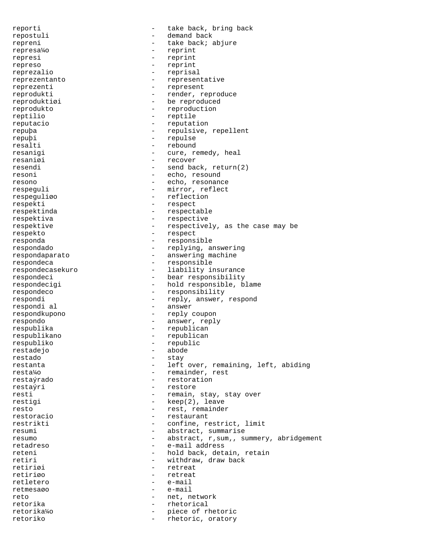reporti - take back, bring back repostuli - demand back repreni - take back; abjure represa¼o - reprint represi - reprint represo - reprint reprezalio - reprisal reprezentanto - representative reprezenti - represent reprodukti - render, reproduce reproduktiøi - be reproduced reprodukto - reproduction reptilio - reptile reputacio - reputation repuþa - repulsive, repellent repuþi - repulse resalti - rebound resanigi  $-$  cure, remedy, heal resaniøi - recover resendi - send back, return(2) resoni - echo, resound resono - echo, resonance respeguli - mirror, reflect respeguliøo - reflection respekti - respect respektinda - respectable respektiva - respective respektive - respectively, as the case may be respekto - respect responda - responsible respondado - replying, answering respondaparato - answering machine respondeca - responsible respondecasekuro - liability insurance respondeci - bear responsibility respondecigi - hold responsible, blame respondeco - responsibility respondi - reply, answer, respond respondi al  $-$  answer respondkupono - reply coupon respondo - answer, reply respublika - republican respublikano - republican respubliko - republic restadejo - abode restado - stay - left over, remaining, left, abiding resta¼o - remainder, rest restaýrado - restoration restaýri - restore resti  $-$  remain, stay, stay over restigi  $-$  keep(2), leave resto  $-$  rest, remainder restoracio  $-$  restaurant restrikti - confine, restrict, limit resumi - abstract, summarise resumo  $-$  abstract, r, sum, , summery, abridgement retadreso - e-mail address reteni - hold back, detain, retain<br>
retiri - withdraw, draw back - withdraw, draw back retiriøi - retreat retiriøo - retreat retletero - e-mail retmesaøo - e-mail reto - net, network retorika - rhetorical<br>retorika¼o - rhetorical<br>- piece of rl retorika¼o - piece of rhetoric retoriko - rhetoric, oratory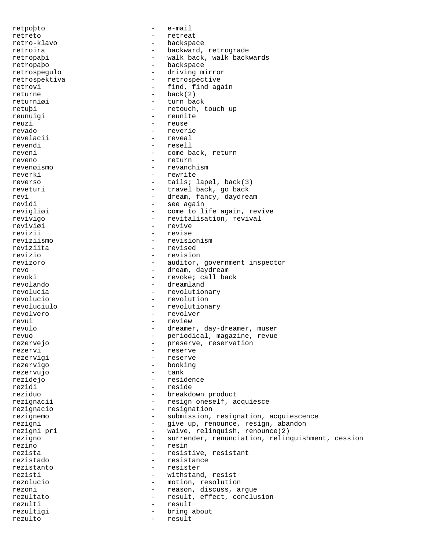retpoþto - e-mail retreto - retreat retro-klavo - backspace retroira - backward, retrograde retropaþi - walk back, walk backwards<br>retropabo - hackspace retropaþo - backspace retrospegulo - driving mirror retrospektiva - retrospective retrovi - find, find again returne back(2) returniøi - turn back - retouch, touch up reunuigi - reunite reuzi - reuse revado - reverie revelacii  $-$  reveal revendi - resell reveni  $-$  come back, return reveno - return revenøismo - revanchism reverki - rewrite reverso - tails; lapel, back(3)<br>reverturi - travel back, go back - travel back, go back revi - dream, fancy, daydream<br>
revidi - see again - see again revigliøi - come to life again, revive revivigo  $-$  revitalisation, revival reviviøi - revive revizii - revise reviziismo - revisionism reviziita - revised revizio - revision revizoro - auditor, government inspector revo - dream, daydream revoki - revoke; call back revolando - dreamland revolucia  $-$  revolutionary revolucio - revolution revoluciulo - revolutionary revolvero - revolver revui - review revulo - dreamer, day-dreamer, muser revuo - periodical, magazine, revue rezervejo - preserve, reservation rezervi - reserve - reserve rezervigo - booking rezervujo rezidejo - residence rezidi - reside reziduo  $-$  breakdown product rezignacii - resign oneself, acquiesce rezignacio - resignation rezignemo - submission, resignation, acquiescence<br>rezigni - give up, renounce, resign, abandon rezigni - give up, renounce, resign, abandon<br>rezigni pri - waive, relinquish, renounce(2) - waive, relinquish, renounce(2) rezigno - surrender, renunciation, relinquishment, cession rezino – resin<br>rezista – resista – resist - resistive, resistant rezistado - resistance rezistanto - resister rezisti - withstand, resist rezolucio - motion, resolution rezoni - reason, discuss, argue rezultato  $-$  result, effect, conclusion rezulti - result rezultigi - bring about rezulto - result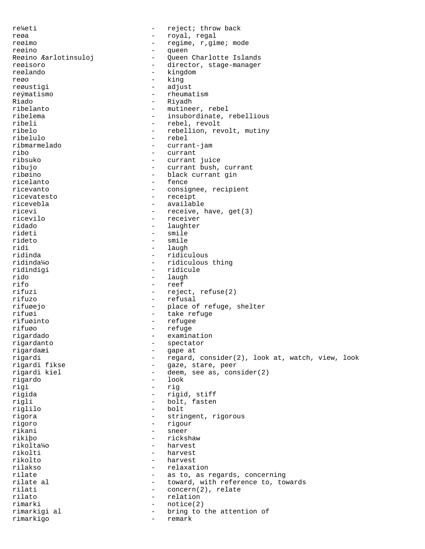re¼eti - reject; throw back reøa  $-$  royal, regal reøimo  $-$  regime, r, gime; mode reøino - queen Queen Charlotte Islands reøisoro  $-$  director, stage-manager reølando - kingdom<br>rego - king reøo - king reøustigi - adjust reýmatismo - rheumatism Riado - Riyadh - Riyadh - Riyadh - Riyadh - Riyadh - Riyadh - Riyadh - Riyadh - Riyadh - Riyadh - Riyadh - Riyadh - Riyadh - Riyadh - Riyadh - Riyadh - Riyadh - Riyadh - Riyadh - Riyadh - Riyadh - Riyadh - Riyadh - Riyadh - mutineer, rebel ribelema - insubordinate, rebellious ribeli - rebel, revolt ribelo - rebellion, revolt, mutiny ribelulo - rebel ribmarmelado - currant-jam ribo - currant - currant - currant - currant - currant - currant - currant - currant - currant - currant - currant - currant - currant - currant - currant - currant - currant - currant - currant - currant - currant - curra currant juice ribujo - currant bush, currant ribøino - black currant gin - fence ricevanto - consignee, recipient ricevatesto - receipt ricevebla - available ricevi - receive, have, get(3) ricevilo - receiver ridado - laughter rideti - smile rideto - smile<br>ridi - laugh - laugh ridi - laugh - laugh - laugh - laugh - laugh - laugh - laugh - laugh - laugh - laugh - laugh - laugh - laugh ridinda - ridiculous ridinda¼o - ridiculous thing - ridicule rido - laugh - laugh - laugh - laugh - laugh - laugh - laugh - laugh - laugh - laugh - laugh - laugh - laugh rifo - reef<br>rifuzi - reef - reject, refuse(2) rifuzo - refusal rifuøejo - place of refuge, shelter rifuøi 1990 - Take refuge 1990 - take refuge 1990 - take refuge 1990 - take refuge 1990 - take refuge 1990 - take refuge 1990 - take refuge 1990 - take refuge 1990 - take refuge 1990 - take refuge 1990 - take refuge 1990 rifuøinto - refugee - refuge<br>- examing rigardado - examination rigardanto - spectator rigardaæi - gape at rigardi - regard, consider(2), look at, watch, view, look<br>rigardi fikse - gaze, stare, peer - gaze, stare, peer rigardi kiel - deem, see as, consider(2) rigardo - look rigi - rig rigida - rigid, stiff rigli - bolt, fasten<br>
riglilo - bolt<br>
- bolt<br>
- bolt riglilo - bolt rigora - stringent, rigorous rigoro - rigour rikani - sneer<br>rikibo - ricks rikiþo - rickshaw rikolta¼o<br>rikolti - harvest rikolto - harvest rilakso - relaxation rilate  $-$  as to, as regards, concerning rilate al  $-$  toward, with reference to, towards rilati  $\begin{array}{ccc} - & \text{concern}(2), \text{ relate} \\ - & \text{relation} \end{array}$ - relation rimarki - notice(2) rimarkigi al  $\qquad \qquad$  - bring to the attention of rimarkigo - remark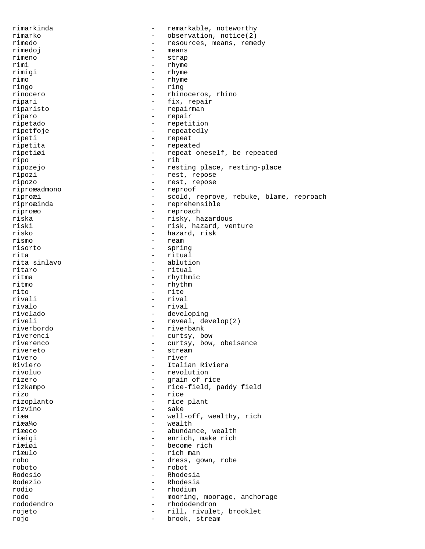rimarkinda - remarkable, noteworthy rimarko - observation, notice(2) rimedo - resources, means, remedy rimedoj - means rimeno - strap rimi - rhyme<br>rimigi - rhyme rimigi - rhyme rimo - rhyme - rhyme - ring - ring - ring - ring - ring - ring - ring - ring - ring - ring - ring - ring - ring - ring - ring - ring - ring - ring - ring - ring - ring - ring - ring - ring - ring - ring - ring - ring - rin - ring rinocero - rhinoceros, rhino ripari - fix, repair riparisto - repairman riparo - repair ripetado - repetition ripetfoje - repeatedly ripeti - repeat ripetita - repeated ripetiøi - repeat oneself, be repeated ripo - rib ripozejo - resting place, resting-place ripozi - rest, repose ripozo - rest, repose riproæadmono - reproof riproæi - scold, reprove, rebuke, blame, reproach riproæinda - reprehensible riproæo - reproach riska - risky, hazardous riski - risk, hazard, venture risko - hazard, risk rismo - ream<br>risorto - ream risorto - spring rita - ritual rita sinlavo - ablution - ritual ritma - rhythmic ritmo - rhythm rito - rite rivali - rival rivalo - rival rivelado - developing - reveal, develop(2) riverbordo - riverbank riverenci - curtsy, bow riverenco - curtsy, bow, obeisance rivereto - stream rivero - river - Italian Riviera rivoluo - revolution rizero - grain of rice rizkampo - rice-field, paddy field rizo - rice rizoplanto - rice plant rizvino - sake riæa - well-off, wealthy, rich riæa¼o - wealth riæeco - abundance, wealth riæigi - enrich, make rich riæiøi - become rich - rich man robo - dress, gown, robe roboto - robot Rodesio - Rhodesia Rodezio - Rhodesia rodio - rhodium rodo  $\qquad \qquad \text{mod}$  - mooring, moorage, anchorage rododendro - rhododendron rojeto - rill, rivulet, brooklet rojo - brook, stream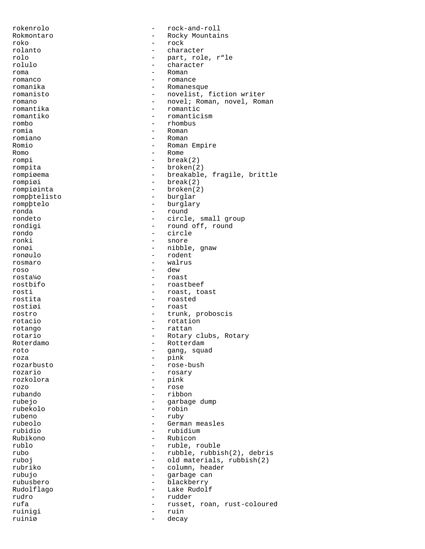rokenrolo - rock-and-roll Rokmontaro - Rocky Mountains<br>roko - rock roko - rock rolanto - character rolo - part, role, r"le - character<br>- Poman roma - Roman - Roman - Roman - Roman - Roman - Roman - Roman - Roman - Roman - Roman - Roman - Roman - Roman romanco - romance - Romanesque romanisto - novelist, fiction writer romano - novel; Roman, novel, Roman<br>
romantika - romantic romantika - romantic romantiko - romanticism rombo - rhombus romia - Roman romiano - Roman Romio - Roman Empire Romo - Rome rompi - break(2) rompita - broken(2) rompiøema - breakable, fragile, brittle<br>
rompiøi - break(2) - break(2) rompiøinta - broken(2) rompþtelisto - burglar rompþtelo - burglary ronda - round rondeto - circle, small group - round off, round rondo - circle - snore ronøi - nibble, gnaw<br>ronøulo - nibble, gnaw<br>- nodent ronøulo - rodent rosmaro - walrus roso - dew rosta¼o - roast rostbifo - roastbeef rosti - roast, toast rostita - roasted rostiøi - roast rostro - trunk, proboscis rotacio - rotation rotango - rattan rotario - Rotary clubs, Rotary Roterdamo - Rotterdam roto - gang, squad roza - pink - rose-bush rozario - rosary rozkolora - pink rozo - rose rubando - ribbon rubejo - garbage dump rubekolo - robin rubeno - ruby - ruby - ruby - ruby - ruby - ruby - ruby - ruby - ruby - ruby - ruby - ruby - ruby - ruby - ruby - ruby - ruby - ruby - ruby - ruby - ruby - ruby - ruby - ruby - ruby - ruby - ruby - ruby - ruby - ruby - rub - German measles<br>- rubidium rubidio - rubidium Rubikono - Rubicon rublo - ruble, rouble - rubble, rubbish(2), debris ruboj - old materials, rubbish(2) rubriko - column, header rubujo - garbage can rubusbero - blackberry Rudolflago - Lake Rudolf rudro - rudder rufa - russet, roan, rust-coloured ruinigi - ruin ruiniø - decay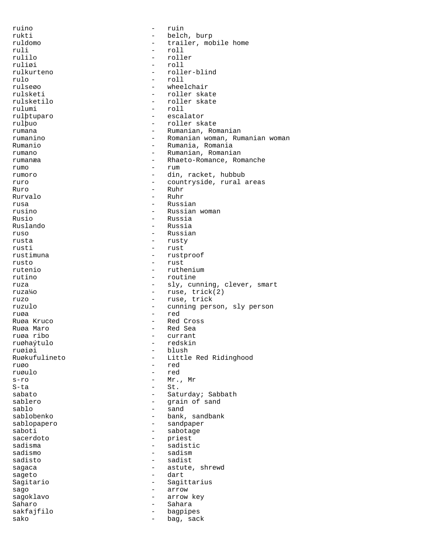| ruino         |                          | ruin                           |
|---------------|--------------------------|--------------------------------|
| rukti         | $-$                      | belch, burp                    |
| ruldomo       |                          | trailer, mobile home           |
| ruli          | $\overline{\phantom{0}}$ | roll                           |
| rulilo        |                          | roller                         |
| ruliøi        | $-$                      | roll                           |
| rulkurteno    | $-$                      | roller-blind                   |
| rulo          | $\overline{\phantom{0}}$ | roll                           |
| rulseøo       |                          | wheelchair                     |
| rulsketi      | $-$                      | roller skate                   |
| rulsketilo    | $-$                      | roller skate                   |
| rulumi        | $\overline{\phantom{0}}$ | roll                           |
| rulþtuparo    | $-$                      | escalator                      |
| rulþuo        | $\overline{\phantom{0}}$ | roller skate                   |
| rumana        | $\overline{\phantom{0}}$ | Rumanian, Romanian             |
| rumanino      | $-$                      | Romanian woman, Rumanian woman |
| Rumanio       | $\overline{\phantom{0}}$ | Rumania, Romania               |
| rumano        | $\overline{\phantom{0}}$ | Rumanian, Romanian             |
|               | $\qquad \qquad -$        | Rhaeto-Romance, Romanche       |
| rumanæa       | $\overline{\phantom{0}}$ |                                |
| rumo          |                          | rum                            |
| rumoro        | $-$                      | din, racket, hubbub            |
| ruro          | $\overline{\phantom{0}}$ | countryside, rural areas       |
| Ruro          | $\overline{\phantom{0}}$ | Ruhr                           |
| Rurvalo       | $-$                      | Ruhr                           |
| rusa          | $\overline{\phantom{0}}$ | Russian                        |
| rusino        | $\equiv$                 | Russian woman                  |
| Rusio         | $\qquad \qquad -$        | Russia                         |
| Ruslando      | $\overline{\phantom{0}}$ | Russia                         |
| ruso          | $-$                      | Russian                        |
| rusta         | $\qquad \qquad -$        | rusty                          |
| rusti         | $\qquad \qquad -$        | rust                           |
| rustimuna     | $\qquad \qquad -$        | rustproof                      |
| rusto         | $\overline{\phantom{0}}$ | rust                           |
| rutenio       |                          | ruthenium                      |
| rutino        | $\qquad \qquad -$        | routine                        |
| ruza          | $\overline{\phantom{a}}$ | sly, cunning, clever, smart    |
| ruza¼o        | $-$                      | ruse, trick(2)                 |
| ruzo          | $-$                      | ruse, trick                    |
| ruzulo        | $-$                      | cunning person, sly person     |
| ruøa          | $\overline{\phantom{0}}$ | red                            |
|               |                          | Red Cross                      |
| Ruøa Kruco    |                          |                                |
| Ruøa Maro     | $\overline{\phantom{0}}$ | Red Sea                        |
| ruøa ribo     |                          | currant                        |
| ruøhaýtulo    | -                        | redskin                        |
| ruøiøi        | -                        | blush                          |
| Ruøkufulineto |                          | Little Red Ridinghood          |
| ruøo          | $\overline{\phantom{0}}$ | red                            |
| ruøulo        | $\overline{\phantom{0}}$ | red                            |
| $s-r$ o       | -                        | Mr., Mr                        |
| S-ta          | Ξ.                       | St.                            |
| sabato        | $\overline{\phantom{0}}$ | Saturday; Sabbath              |
| sablero       | -                        | qrain of sand                  |
| sablo         | $\overline{\phantom{0}}$ | sand                           |
| sablobenko    | $\qquad \qquad -$        | bank, sandbank                 |
| sablopapero   | -                        | sandpaper                      |
| saboti        | $\overline{\phantom{0}}$ | sabotage                       |
| sacerdoto     | -                        | priest                         |
| sadisma       | $\overline{\phantom{0}}$ | sadistic                       |
| sadismo       | $\overline{\phantom{0}}$ | sadism                         |
| sadisto       | $\overline{\phantom{0}}$ | sadist                         |
| sagaca        | $\overline{\phantom{0}}$ | astute, shrewd                 |
| sageto        | $-$                      | dart                           |
| Sagitario     | $\overline{\phantom{0}}$ | Sagittarius                    |
| sago          | $\overline{\phantom{0}}$ | arrow                          |
| sagoklavo     | $\overline{\phantom{0}}$ | arrow key                      |
| Saharo        | $\overline{\phantom{0}}$ | Sahara                         |
|               |                          |                                |
| sakfajfilo    | $-$                      | bagpipes                       |
| sako          | $\overline{\phantom{0}}$ | bag, sack                      |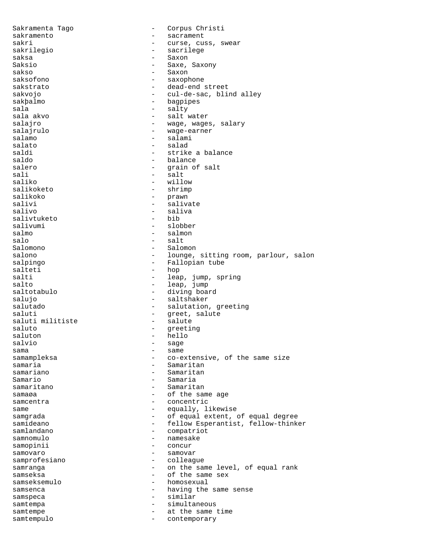Sakramenta Tago  $-$  Corpus Christi sakramento - sacrament sakri  $-$  curse, cuss, swear sakrilegio - sacrilege saksa - Saxon - Saxon - Saxon - Saxon - Saxon - Saxon - Saxon - Saxon - Saxon - Saxon - Saxon - Saxon - Saxon - Saxon - Saxon - Saxon - Saxon - Saxon - Saxon - Saxon - Saxon - Saxon - Saxon - Saxon - Saxon - Saxon - Saxon - Saxe, Saxony<br>- Saxon sakso - Saxon saksofono - saxophone - dead-end street sakvojo - cul-de-sac, blind alley - bagpipes sala - salty - salt water salajro  $-$  wage, wages, salary salajrulo - wage-earner salamo - salami - salami salato - salad saldi - strike a balance<br>saldo - strike a balance - balance salero - grain of salt sali - salt - salt - salt - salt - salt - salt - salt - salt - salt - salt - salt - salt - salt - salt - salt - salt - salt - salt - salt - salt - salt - salt - salt - salt - salt - salt - salt - salt - salt - salt - salt saliko - willow<br>salikoketo - biliow - shrimo - shrimp salikoko - prawn salivi - salivate<br>salivo - saliva - saliva<br>- bib salivtuketo salivumi - slobber salmo - salmon salo - salt - salt - salt - salt - salt - salt - salvada - salvada - salvada - salvada - salvada - salvada - s Salomono - Salomon salono - lounge, sitting room, parlour, salon<br>salpingo - Fallopian tube salpingo - Fallopian tube<br>salteti - hop - hop salteti - hop<br>salti - hop - hop - lea - leap, jump, spring salto - leap, jump saltotabulo - diving board salujo - saltshaker salutado  $\qquad \qquad \qquad -$  salutation, greeting saluti - greet, salute saluti militiste - salute saluto - greeting<br>saluton - hello saluton - hello salvio - sage sama - same samampleksa - co-extensive, of the same size samaria  $-$  Samaritan samariano - Samaritan Samario - Samaria samaritano - Samaritan samaøa - of the same age samcentra  $\qquad -$  concentric same  $-$  equally, likewise samgrada - of equal extent, of equal degree<br>samideano - fellow Esperantist, fellow-think samideano - fellow Esperantist, fellow-thinker<br>samlandano - compatriot - compatriot<br>- namesake samnomulo - namesake samopinii samovaro  $-$  samovar samprofesiano - colleague samranga - on the same level, of equal rank samseksa - of the same sex samseksemulo - homosexual samsenca - having the same sense<br>samspeca - similar samspeca - similar samtempa - simultaneous samtempe - at the same time samtempulo - contemporary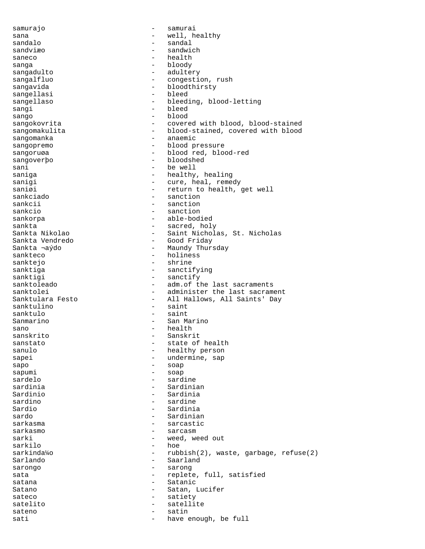samurajo  $-$  samurai sana  $-$  well, healthy sandalo - sandal sandviæo - sandwich saneco - health sanga - bloody sangadulto - adultery sangalfluo - congestion, rush - bloodthirsty<br>- bleed sangellasi sangellaso - bleeding, blood-letting sangi - bleed sango - blood sangokovrita - covered with blood, blood-stained sangomakulita - blood-stained, covered with blood sangomanka - anaemic sangopremo - blood pressure sangoruøa - blood red, blood-red sangoverþo - bloodshed sani - be well saniga - healthy, healing<br>sanigi - healthy, healing<br>cure, heal, reme - cure, heal, remedy saniøi - return to health, get well<br>sankciado - sanction - sanction sankciado - sanction - sanction sankcio  $-$  sanction sankorpa - able-bodied sankta - sacred, holy Sankta Nikolao - Saint Nicholas, St. Nicholas Sankta Vendredo - Good Friday Sankta ¬aýdo - Maundy Thursday sankteco - holiness<br>sanktejo - holiness<br>- shrine sanktejo - shrine - sanctifying sanktigi - sanctify<br>sanktoleado - adm.of the sanktoleado - adm.of the last sacraments<br>sanktolei - administer the last sacraments sanktolei - administer the last sacrament<br>Sanktulara Festo - All Hallows, All Saints' Dav - All Hallows, All Saints' Day sanktulino - saint sanktulo - saint Sanmarino - San Marino sano - health - health - health - health - health - health - health - health - health - health - health - health - health - health - health - health - health - health - health - health - health - health - health - health -- Sanskrit sanstato  $-$  state of health sanulo - healthy person sapei - undermine, sap sapo - soap sapumi - soap<br>sardelo - sard sardelo - sardine sardinia - Sardinian Sardinio - Sardinia sardino - sardine - sardine Sardio - Sardinia - Sardinian sarkasma - sarcastic sarcasm sarki - weed, weed out<br>sarkilo - hoe - hoe sarkilo - hoe - rubbish(2), waste, garbage, refuse(2) Sarlando - Saarland sarongo  $-$  sarong sata  $-$  replete, full, satisfied satana - Satanic Satano - Satan, Lucifer<br>sateco - Satiety<br>- Satiety sateco - satiety satelito - satellite sateno - satin sati  $-$  have enough, be full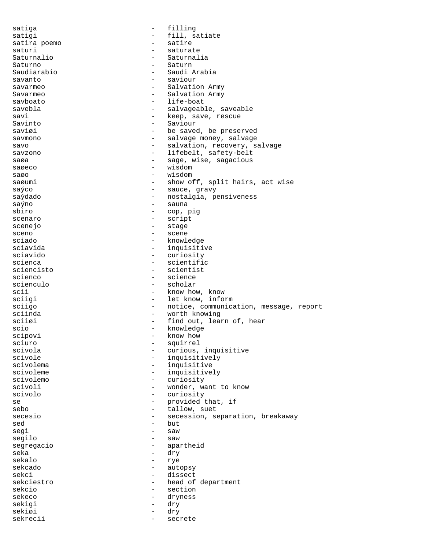satiga  $-$  filling satigi - fill, satiate satira poemo  $-$  satire saturi - saturate Saturnalio - Saturnalia<br>Saturno - Saturno - Saturn Saturno - Saturno - Saturno - Saturno - Saturno - Saturno - Saturno - Saudi $\it P$ - Saudi Arabia savanto - saviour savarmeo  $-$  Salvation Army Savarmeo - Salvation Army savboato - life-boat savebla - salvageable, saveable savi - keep, save, rescue Savinto - Saviour saviøi 1999 – Saved, be preserved savmono - salvage money, salvage savo  $-$  salvation, recovery, salvage savzono - lifebelt, safety-belt<br>saga - sage wise sagacious saøa - sage, wise, sagacious saøeco - wisdom - wisdom saøo - wisdom - wisdom - wisdom - wisdom - wisdom - wisdom - wisdom - wisdom - wisdom -- show off, split hairs, act wise saýco - sauce, gravy saýdado  $-$  nostalgia, pensiveness saýno - sauna - cop, pig scenaro - script scenejo - stage - stage sceno - scene sciado - knowledge - knowledge<br>sciavida - knowledge - knowledge sciavida - inquisitive sciavido - curiosity scienca - scientific<br>sciencisto - scientist<br>- scientist - scientist scienco - science scienculo  $\overline{\phantom{a}}$  - scholar scii - know how, know sciigi - know how, know sciigi - know - let know info - let know, inform sciigo  $-$  notice, communication, message, report sciinda - worth knowing sciiøi - find out, learn of, hear scio - knowledge - knowledge - knowledge - knowledge - knowledge - knowledge - knowledge - knowledge - knowledge - knowledge - knowledge - knowledge - knowledge - knowledge - knowledge - knowledge - knowledge - knowledge scipovi - know how sciuro - squirrel scivola - curious, inquisitive<br>scivole - curious, inquisitively scivole - inquisitively<br>scivolema - inquisitive - inquisitive - inquisitive scivoleme - inquisitively<br>scivolemo - curiosity - curiosity scivoli - wonder, want to know scivolo - curiosity se  $\begin{array}{ccc} - & - & - \\ - & \end{array}$  provided that, if sebo sebo - tallow, suet<br>secesio - tallow, suet<br>- secession, secesion, secesion, secesion, secesion, secesion, secesion, secesion, secesion, secesion, secesion, secesion, secesion, secesion, secesion, secesion, secesion, secesi - secession, separation, breakaway  $\begin{array}{ccc}\n\text{sed} & - & \text{but} \\
\text{sgn} & - & \text{sgn}\n\end{array}$ segi - saw segilo  $-$  saw segregacio - apartheid - dry sekalo - rye sekcado - autopsy sekci - dissect sekciestro  $-$  head of department sekcio - section sekeco - dryness sekigi - dry sekiøi - dry sekrecii - secrete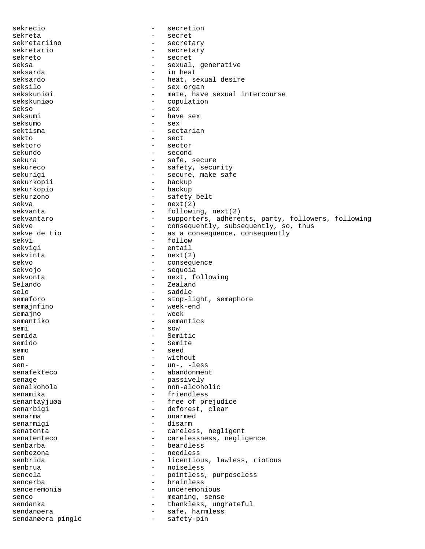sekrecio - secretion sekreta - secret sekretariino - secretary sekretario  $-$  secretary sekreto - secret seksa - sexual, generative<br>seksarda - seksarda - seksarda seksarda - in heat seksardo - heat, sexual desire seksilo - sex organ sekskuniøi - mate, have sexual intercourse<br>sekskuniøo - conulation - copulation sekso – sex<br>seksumi – have - have sex seksumo - sex sektisma - sectarian sekto - sect sektoro - sector sekundo - second sekura - safe, secure - safety, security sekurigi - secure, make safe sekurkopii sekurkopio - backup sekurzono - safety belt sekva - next(2)<br>sekvanta - followii - followii - following, next(2) sekvantaro entries - supporters, adherents, party, followers, following sekve - consequently, subsequently, so, thus<br>sekve de tio - - as a consequence, consequently - as a consequence, consequently<br>- follow sekvi - follow sekvigi - entail sekvinta - next(2) sekvo - consequence - consequence - consequence - consequence - consequence - consequence - consequence - consequence - consequence - consequence - consequence - consequence - consequence - consequence - consequence - cons - sequoia sekvonta - next, following Selando - Zealand selo - saddle - saddle - saddle - saddle - stop-l: - stop-light, semaphore semajnfino  $-$  week-end semajno - week - semantics semi - sow - sow - sow - sow - sow - sow - sow - sow - sow - sow - sow - sow - sow - sow - sow - som - som - som - som - som - som - som - som - som - som - som - som - som - som - som - som - som - som - som - som - som -- Semitic semido - Semite semo - seed<br>sen - with sen  $\begin{array}{ccc} - & \text{without} \\ \text{sen} - & \text{un} - \\ - & \text{un} - \end{array}$ - un-, -less senafekteco - abandonment senage - passively<br>senalkohola - passively<br>- non-alcoho - non-alcoholic senamika - friendless senantaýjuøa  $-$  free of prejudice senarbigi - deforest, clear<br>senarma senarma - unarmed senarmigi - disarm senatenta  $\qquad \qquad - \qquad \qquad \text{careless, negligible}$ senatenteco - carelessness, negligence<br>senbarba - carelessness, negligence senbarba - beardless senbezona - needless - licentious, lawless, riotous senbrua - noiseless<br>sencela - nointless sencela - pointless, purposeless sencerba - brainless senceremonia  $-$  unceremonious senco - meaning, sense<br>sendanka - meaning, sense sendanka - thankless, ungrateful sendanøera en medlemmer og medlemmer safe, harmless sendanøera pinglo - safety-pin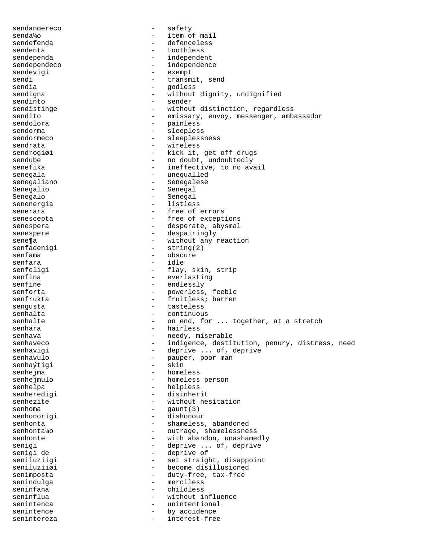sendanøereco - safety senda¼o - item of mail sendefenda - defenceless sendenta - toothless sendependa<br>sendependeco - independence<br>- independence sendependeco - independence<br>sendevigi - exempt - exempt sendevigi - exempt - exempt - exempt - exempt - exempt - exempt - exempt - exempt - exempt - exempt - exempt -  $\sim$  frances - exempt - exempt - exempt - exempt - exempt - exempt - exempt - exempt - exempt - exempt - exempt sendi - transmit, send - godless<br>- without sendigna - without dignity, undignified sendinto - sender sendistinge  $-$  without distinction, regardless sendito - emissary, envoy, messenger, ambassador - emissary, envoy, messenger, ambassador sendolora - painless sendorma - sleepless sendormeco - sleeplessness sendrata - wireless<br>sendrogiai - kick it sendrogiøi  $-$  kick it, get off drugs sendube - no doubt, undoubtedly<br>senefika - - - - - - - - - - - - ineffective, to no av - ineffective, to no avail senegala - unequalled senegaliano - Senegalese Senegalio - Senegal Senegalo - Senegal senenergia  $-$  listless senerara  $-$  free of errors senescepta - free of exceptions senespera  $-$  desperate, abysmal senespere  $-$  despairingly sene¶a<br>senfadenigi - without any reaction<br>senfadenigi - string(2) senfadenigi - string(2)<br>senfama - obscure senfama - obscure<br>senfara - obscure - obscure senfara<br>senfeligi - flay, skin, strip senfina - everlasting<br>senfine - endlessly - endlessly senforta - powerless, feeble senfrukta - fruitless; barren sengusta  $-$  tasteless senhalta  $-$  continuous senhalte  $\qquad \qquad -$  on end, for ... together, at a stretch senhara - hairless senhava - needy, miserable<br>senhaveco - indigence destit senhaveco - indigence, destitution, penury, distress, need senhavigi - deprive ... of, deprive<br>senhavulo - pauper, poor man - pauper, poor man<br>- skin senhaýtigi senhejma - homeless senhejmulo - homeless person senhelpa - helpless senheredigi - disinherit senhezite - without hesitation<br>senhoma<br>-  $\sigma$ <br>-  $\sigma$ <br>aunt(3) senhoma - gaunt(3) senhonorigi - dishonour<br>senhonta - shameless senhonta - shameless, abandoned<br>senhonta<sup>1</sup>/0 senhonta¼o - outrage, shamelessness senhonte - with abandon, unashamedly<br>senigi senigi - deprive ... of, deprive senigi de  $-$  deprive of - deprive of seniluziigi - set straight, disappoint seniluziiøi - become disillusioned senimposta - duty-free, tax-free senindulga seninfana - childless seninflua - without influence senintenca - unintentional<br>senintence - hy accidence senintence by accidence senintereza - interest-free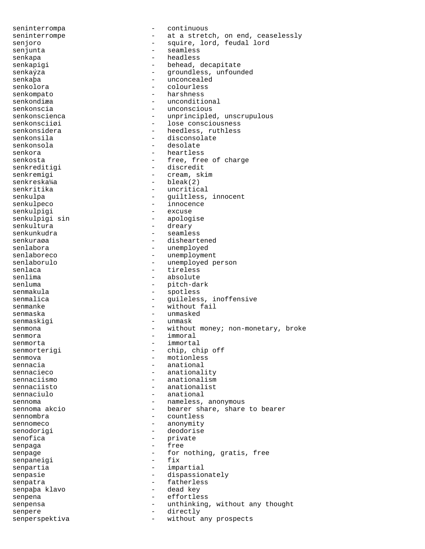seninterrompa - continuous seninterrompe external one at a stretch, on end, ceaselessly senjoro  $-$  squire, lord, feudal lord senjunta - seamless senkapa - headless senkapigi  $-$  behead, decapitate senkaýza - groundless, unfounded senkapa - unconcealed<br>senkolora - unconcealed - colourless - colourless senkompato - harshness senkondiæa - unconditional<br>senkonscia - unconscious senkonscia - unconscious<br>senkonscienca - unprinciple - unprincipled, unscrupulous senkonsciiøi - lose consciousness senkonsidera  $-$  heedless, ruthless senkonsila - disconsolate<br>senkonsola - desolate - desolate senkonsola - desolate senkora - heartless senkosta - free, free of charge senkreditigi - discredit senkremigi - cream, skim - bleak(2) senkritika - uncritical senkulpa - guiltless, innocent senkulpeco - innocence senkulpigi senkulpigi sin - apologise senkultura - dreary senkunkudra - seamless senkuraøa - disheartened senlabora - unemployed senlaboreco - unemployment senlaborulo - unemployed person<br>senlaca - tireless<br>- tireless senlaca - tireless<br>senlima - tireless<br>absolute senlima - absolute<br>senluma - absolute<br>- pitch-da - pitch-dark senmakula - spotless senmalica  $\qquad \qquad -$  guileless, inoffensive senmanke  $-$  without fail senmaska - unmasked senmaskigi  $-$  unmask senmona - without money; non-monetary, broke senmora - immoral senmorta - immortal senmorterigi - chip, chip off senmova - motionless sennacia - anational<br>sennacieco - anational sennacieco - anationality<br>sennaciismo - anationalism - anationalism sennaciisto - anationalist sennaciulo - anational sennoma - nameless, anonymous sennoma akcio  $-$  bearer share, share to bearer sennombra - countless sennomeco - anonymity senodorigi - deodorise senofica - private senpaga entre and the sense of the sense of the sense of the sense of the sense of the sense of the sense of the sense of the sense of the sense of the sense of the sense of the sense of the sense of the sense of the sense senpage - for nothing, gratis, free<br>senpaneigi - fix senpaneigi senpartia  $-$  impartial senpasie  $-$  dispassionately senpatra  $-$  fatherless senpaþa klavo - dead key senpena - effortless senpensa - unthinking, without any thought senpere - directly senperspektiva  $-$  without any prospects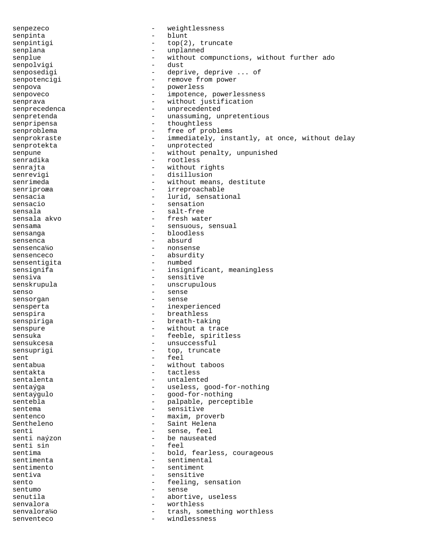senpezeco - weightlessness senpinta - blunt senpintigi  $\qquad - \quad \text{top}(2)$ , truncate senplana - unplanned senplue  $-$  without compunctions, without further ado senpolvigi - dust senposedigi  $-$  deprive, deprive ... of senpotencigi entransier - remove from power senpova - powerless senpoveco - impotence, powerlessness senprava - without justification senprecedenca - unprecedented senpretenda - unassuming, unpretentious senpripensa - thoughtless senproblema  $-$  free of problems senprokraste - immediately, instantly, at once, without delay senprotekta - unprotected<br>senpune - without pena senpune - without penalty, unpunished<br>senradika - rootless senradika - rootless<br>senraita - rootless<br>- without 1 senrajta - without rights<br>senrevigi - disillusion - disillusion senrevigi - disillusion<br>senrimeda - vithout mean - without means, destitute senriproæa en andere irreproachable sensacia  $\overline{\phantom{a}}$  - lurid, sensational sensacio  $-$  sensation sensala - salt-free sensala akvo  $-$  fresh water sensama - sensuous, sensual sensanga - bloodless sensenca - absurd sensenca¼o - nonsense sensenceco - absurdity sensentigita - numbed - insignificant, meaningless sensiva<br>
- sensitive<br>
- sensitive senskrupula - unscrupulous senso - sense sensorgan - sense sensperta  $-$  inexperienced senspira  $-$  breathless senspiriga  $-$  breath-taking senspure - without a trace sensuka - feeble, spiritless sensukcesa - unsuccessful sensuprigi  $-$  top, truncate sent<br>sentabua - feel<br>sentabua - with sentabua - without taboos<br>sentakta - tactless - tactless sentalenta  $-$  untalented sentaýga - viernami - useless, good-for-nothing sentaýgulo  $-$  good-for-nothing sentebla - palpable, perceptible sentema - sensitive sentenco - maxim, proverb Sentheleno - Saint Helena<br>
Senti - Sense feel senti  $\begin{array}{ccc} \text{senti} & \text{semis} \\ \text{senti} & \text{nafizon} \\ \end{array}$  - sense, feel - be nauseated<br>- feel senti sin<br>sentima - bold, fearless, courageous sentimenta  $-$  sentimental sentimento  $\overline{\phantom{0}}$  - sentimento  $\overline{\phantom{0}}$  - sentimento  $\overline{\phantom{0}}$ - sensitive sento  $-$  feeling, sensation sentumo - sense senutila  $\qquad \qquad -$  abortive, useless senvalora - worthless senvalora¼o - trash, something worthless windlessness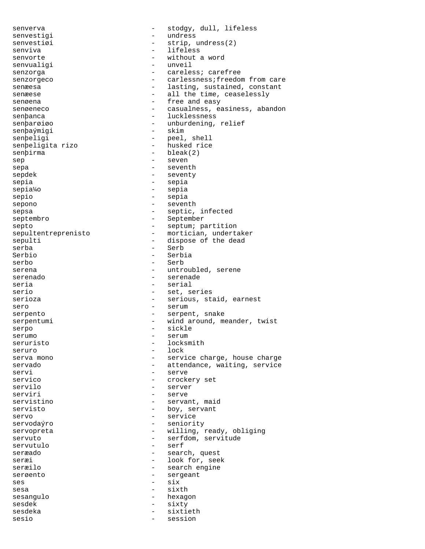senverva entries and the stodgy, dull, lifeless senvestigi - undress<br>senvestigi - strip 1 senvestiøi - strip, undress(2) senviva - lifeless senvorte - without a word senvualigi senzorga - careless; carefree senzorgeco - carlessness; freedom from care senæesa - lasting, sustained, constant senæese - all the time, ceaselessly senøena  $-$  free and easy senøeneco - casualness, easiness, abandon senbanca - lucklessness senþarøiøo - unburdening, relief<br>senþaýmigi - skim - skim senþaýmigi senþeligi - peel, shell senþeligita rizo - husked rice senþirma - bleak(2) sep - seven sepa - seventh sepdek - seventy sepia - sepia sepia¼o - sepia sepio - sepia sepono - seventh sepsa - septic, infected septembro - September septo - septum; partition sepultentreprenisto - mortician, undertaker sepulti - dispose of the dead serba - Serb Serbia serbo - Serb serena - untroubled, serene serenado  $-$  serenade seria  $-$  serial serio  $-$  set, series serioza - serious, staid, earnest sero - serum serpento - serpent, snake serpentumi - wind around, meander, twist serpo - sickle<br>serumo - serum serumo - serumo - serumo - serum seruristo  $-$  locksmith seruro - lock - service charge, house charge servado - attendance, waiting, service<br>servi - serve - serve servico - crockery set - server serviri - serve servistino  $-$  servant, maid servisto  $-$  boy, servant servo - service servodaýro - seniority servopreta - willing, ready, obliging servuto - serfdom, servitude servutulo - serf seræado - search, quest seræi - look for, seek - search engine serøento - sergeant  $ses$  -  $six$ sesa - sixth sesangulo - hexagon sesdek - sixty sesdeka - sixtieth sesio - session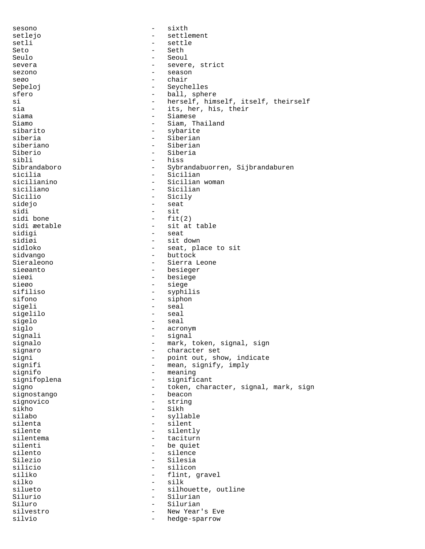sesono - sixth setlejo - settlement setli - settle Seto - Seth Seulo - Seoul - Seoul - Seoul - Seoul - Seoul - Seoul - Seoul - Seoul - Seoul - Seoul - Seoul - Seoul - Seoul - Seoul - Seoul - Seoul - Seoul - Seoul - Seoul - Seoul - Seoul - Seoul - Seoul - Seoul - Seoul - Seoul - Seoul severa entry and the severe, strict sezono - season seøo - chair Seþeloj - Seychelles sfero - ball, sphere si - herself, himself, itself, theirself<br>sia - its her his their sia  $-$  its, her, his, their<br>siama  $-$  Siamese siama - Siamese Siamo - Siam, Thailand sibarito - sybarite siberia - Siberian siberiano - Siberian Siberio - Siberia<br>sibli - Siberia<br>- hiss sibli - hiss Sibrandaboro - Sybrandabuorren, Sijbrandaburen sicilia - Sicilian<br>sicilianino - Sicilian - Sicilian sicilianino - Sicilian woman siciliano - Siciliano - Siciliano<br>Sicilio - Sicilv - Sicily sidejo - seat sidi - sit<br>sidi bone - fit sidi bone - fit(2) sidi æetable - sit at table sidigi - seat sidiøi - sit down<br>sidloko - - seat, pla - seat, place to sit sidvango - buttock Sieraleono - Sierra Leone<br>sieøanto - Sierra Leone<br>- besieger - besieger sieøi - besiege sieøo - siege<br>sifiliso - svohi - svohi sifiliso - syphilis<br>sifono - siphon - siphon - siphon sigeli - seal sigelilo sigelo - seal siglo - acronym signali - signal signalo - mark, token, signal, sign signaro - character set signi - point out, show, indicate - mean, signify, imply signifo - meaning signifoplena - significant signo - token, character, signal, mark, sign signostango - beacon signovico - string sikho - Sikh silabo - syllable silenta - silent silente - silently<br>silentema - taciturn<br>- taciturn silentema - taciturn silenti - be quiet - silence Silezio - Silesia silicio - silicon siliko - flint, gravel - silk silueto - silhouette, outline Silurio - Silurian Siluro - Silurian silvestro - New Year's Eve silvio - hedge-sparrow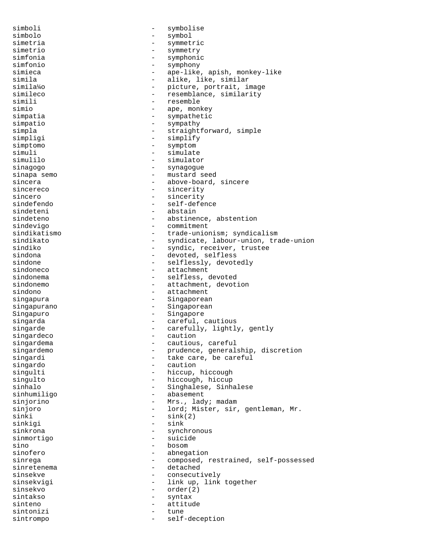simboli - symbolise simbolo - symbol simetria - symmetric simetrio - symmetry simfonia - symphonic simfonio - symphony simieca - ape-like, apish, monkey-like<br>simila - alike, like, similar simila - alike, like, similar<br>simila<sup>1</sup>40 - - - - - - - picture, portrait, in simila¼o - picture, portrait, image simileco - resemblance, similarity<br>simili - resemble<br>- resemble - resemble simio  $-$  ape, monkey simpatia  $-$  sympathetic simpatio - sympathy simpla - straightforward, simple simpligi - simplify simptomo - symptomo - symptomo - symptomo - symptomo - symptomo - symptomo - symptomo - symptomo - simulation - simulation - simulation - simulation - simulation - simulation - simulation - simulation - simulation - simula simuli - simulate simulator sinagogo  $-$  synagogue sinapa semo - mustard seed - above-board, sincere sincereco - sincerity sincero - sincerity<br>sindefendo - self-defe sindefendo - self-defence - abstain sindeteno - abstinence, abstention sindevigo - commitment sindikatismo  $-$  trade-unionism; syndicalism sindikato - syndicate, labour-union, trade-union sindiko - syndic, receiver, trustee sindona - devoted, selfless sindone - selflessly, devotedly - attachment sindonema - selfless, devoted sindonemo  $-$  attachment, devotion sindono - attachment singapura  $-$  Singaporean singapurano  $-$  Singaporean Singapuro - Singapore singarda  $-$  careful, cautious singarde - carefully, lightly, gently<br>singardeco singardeco - caution<br>singardema - cautious singardema - cautious, careful singardemo - prudence, generalship, discretion singardi - take care, be careful singardo - caution singulti - hiccup, hiccough<br>singulto - hiccough, hiccup - hiccough, hiccup sinhalo - Singhalese, Sinhalese sinhumiligo - abasement sinjorino - Mrs., lady; madam sinjoro - lord; Mister, sir, gentleman, Mr.  $\sinh i$  -  $\sinh(2)$ sinkigi - sink sinkrona - synchronous<br>sinmortico sinmortigo  $-$  suicide<br>sino  $-$  bosom sino - bosom - bosom - bosom - bosom - bosom - bosom - bosom - bosom - bosom - bosom - bosom - bosom - bosom -- abnegation sinrega - composed, restrained, self-possessed sinretenema - detached sinsekve - consecutively sinsekvigi - link up, link together sinsekvo - order(2) sintakso - syntax sinteno - attitude sintonizi - tune sintrompo - self-deception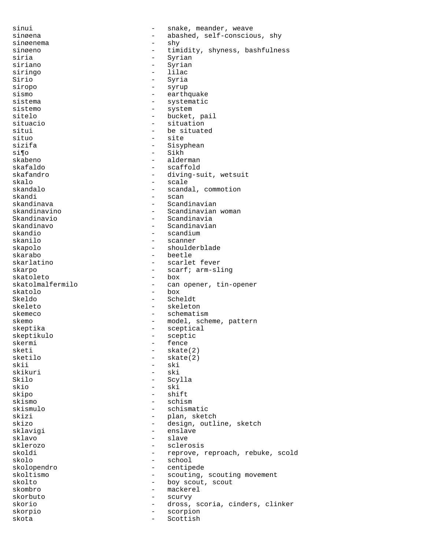sinui - snake, meander, weave sinøena - abashed, self-conscious, shy<br>sinøenema - shy<br>- shy sinøenema - shy sinøeno - timidity, shyness, bashfulness<br>siria - Syrian - Syrian - Syrian<br>- Syrian siriano - Syriano - Syriano - Syriano - Syriano - Syriano - Syriano - Syriano - Syriano - Syriano - Syriano siringo - lilaceological de la contrada de la contrada de la contrada de la contrada de la contrada de la contrada de la contrada de la contrada de la contrada de la contrada de la contrada de la contrada de la contrada de Sirio - Syria siropo - syrup sismo - earthquake sistema - systematic<br>sistemo - systematic<br>- system - system sitelo  $-$  bucket, pail situacio  $-$  situation situi - be situated<br>situo - site - site situo – patemas – sizifa – sizifa – sizifa – sizifa – sizifa – sizifa – sizifa – sizifa – sizifa – sizifa – si sizifa - Sisyphean<br>si¶o - Sikh si¶o - Sikh skabeno - alderman skafaldo - scaffold skafandro - diving-suit, wetsuit - scale skandalo - scandal, commotion<br>skandi - scan skandi - scan skandinava - Scandinavian<br>skandinavino - Scandinavian - Scandinavian woman Skandinavio - Scandinavia skandinavo - Scandinavian skandio - scandium - scanner<br>- shoulder skapolo - shoulderblade skarabo - beetle - beetle - beetle - beetle - beetle - beetle - beetle - scarlet - scarlet fever skarpo - scarf; arm-sling<br>skatoleto - box - box skatoleto<br>skatolmalfermilo - can opener, tin-opener skatolo - box - Scheldt skeleto - skeleton skemeco - schematism skemo - model, scheme, pattern<br>skeptika - sceptical<br>- sceptical - sceptical<br>- sceptic skeptikulo - sceptic - sceptic - sceptic - sceptic - sceptic - sceptic - sceptic - sceptic - sceptic - sceptic - fence<br>- skate sketi - skate(2) sketilo - skate(2)<br>skii - ski skii - ski<br>skikuri - ski - ski skikuri – ski<br>Skilo – Scv - Scylla skio - ski skipo - shift skismo - schism skismulo - schismatic - plan, sketch<br>- design, outl skizo - design, outline, sketch - enslave<br>- slave sklavo - slave sklerozo - sclerosis - reprove, reproach, rebuke, scold skolo - school skolopendro - centipede skoltismo - scouting, scouting movement<br>skolto - boy scout, scout - boy scout, scout skombro - mackerel<br>skorbuto - scurvy skorbuto - scurvy skorio - dross, scoria, cinders, clinker skorpio - scorpion skota - Scottish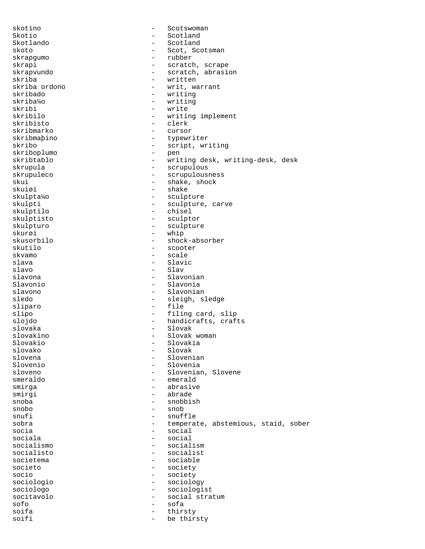skotino - Scotswoman Skotio - Scotland - Scotland - Scotland - Scotland - Scotland - Scotland - Scotland - Scotland - Scotland - Scotland - Scotland - Scotland - Scotland - Scotland - Scotland - Scotland - Scotland - Scotland - Scotland - Scot - Scotland skoto - Scot, Scotsman skrapgumo - rubber skrapi - scratch, scrape<br>skrapvundo - scratch, abrasi skrapvundo - scratch, abrasion skriba - written skriba ordono - 1999 - 1999 - 1999 - 1999 - 1999 - 1999 - 1999 - 1999 - 1999 - 1999 - 1999 - 1999 - 1999 - 19<br>
Skribado - 1999 - 1999 - 1999 - 1999 - 1999 - 1999 - 1999 - 1999 - 1999 - 1999 - 1999 - 1999 - 1999 - 1999 skribado - writing skriba¼o - writing<br>skribi - write skribi - write<br>skribilo - write - writing implement skribisto - clerk skribmarko - cursor skribmaþino - typewriter skribo - script, writing<br>skribonlumo - nen skriboplumo - pen skribtablo - writing desk, writing-desk, desk<br>skrupula - scrupulous skrupula - scrupulous skrupuleco - scrupulousness<br>skui - shake, shock skui - shake, shock<br>skuiøi - shake - shake skuiøi - shake - shake - shake - shake - shake - shake - shake - shake - shake - shake - shake - shake - shake - shake - shake - shake - shake - shake - shake - shake - shake - shake - shake - shake - shake - shake - shake skulpta¼o - sculpture - sculpture, carve<br>- chisel skulptilo skulptisto - sculptor skulpturo - sculpture skurøi - whip<br>skusorbilo - shocł - shock-absorber skutilo - scooter - scooter<br>skvamo - scale skvamo - scale slava - Slavic - Slav slavona - Slavonian Slavonio - Slavonia slavono - Slavonian - sleigh, sledge sliparo - file slipo - filing card, slip slojdo - handicrafts, crafts slovaka - Slovak slovakino - Slovak woman Slovakio - Slovakia slovako - Slovako - Slovako - Slovako - Slovako - Slovako - Slovako - Slovako - Slovako - Slovako - Slovako - Slovako - Slovako - Slovako - Slovako - Slovako - Slovako - Slovako - Slovako - Slovako - Slovako - Slovako - Sl slovena - Slovenian Slovenio - Slovenia sloveno - Slovenian, Slovene smeraldo - emerald smirga - abrasive smirgi - abrade snoba - snobbish snobo - snob snufi - snufile<br>sobra - temperat - temperate, abstemious, staid, sober socia - social sociala - social<br>socialismo - social socialismo - socialism - socialist societema - sociable societo - society socio - society sociologio - sociology sociologo - sociologist socitavolo - social stratum sofo - sofa soifa - thirsty be thirsty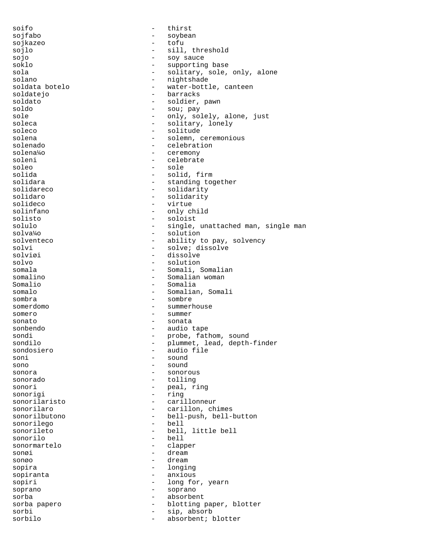soifo - thirst sojfabo - soybean<br>soikazeo - tofu - tofu sojkazeo - tofu sojlo - sill, threshold sojo - soy sauce - supporting base sola - solitary, sole, only, alone<br>solano - nightshade solano - nightshade - nightshade - nightshade - nightshade - nightshade - nightshade - nightshade - nightshade -  $\sim$  mater-bott. - water-bottle, canteen soldatejo - barracks soldato - soldier, pawn soldo - sou; pay - only, solely, alone, just soleca - solitary, lonely soleco - solitude - solitude solena - solemn, ceremonious solenado - celebration solena¼o - ceremony soleni - celebrate<br>soleo - sole soleo - sole<br>solida - solida - solida solida - solid, firm solidara - standing together<br>solidareco - - solidarity solidareco - solidarity<br>solidaro - solidarity<br>- solidarity solidaro - solidarity solideco - virtue - only child solisto - soloist<br>solulo - single. - single, unattached man, single man solva¼o - solution solventeco - ability to pay, solvency<br>solvi - solve; dissolve solvi - solve; dissolve<br>solviøi - dissolve<br>- dissolve solviøi - dissolve<br>solvo - - solution<br>- solution solvo - solution somala - Somali, Somalian<br>somalino - Somalian woman - Somalian woman Somalio - Somalia somalo - Somalian, Somalian, Somalian, Somalian, Somalian, Somalian, Somalian, Somalian, Somalian, Somalian, Somalian, Somalian, Somalian, Somalian, Somalian, Somalian, Somalian, Somalian, Somalian, Somalian, Somalian, Som sombra - sombre somerdomo - summerhouse somero - summer sonato - sonata sonbendo - audio tape sondi  $-$  probe, fathom, sound sondilo - plummet, lead, depth-finder sondosiero - audio file soni - sound sono - sound<br>sonora - sonora - sonor sonora - sonorous - tolling sonori - peal, ring sonorigi - ring sonorilaristo - carillonneur sonorilaro  $-$  carillon, chimes sonorilbutono - bell-push, bell-button sonorilego - bello - bello - bello - bello - bello - bello - bello - bello - bello - bello - bello - bello - b sonorileto - bell, little bell sonorilo - bell sonormartelo sonøi - dream sonøo - dream sopira - longing sopiranta - anxious sopiri - long for, yearn soprano - soprano sorba - absorbent sorba papero  $-$  blotting paper, blotter sorbi - sip, absorb sorbilo - absorbent; blotter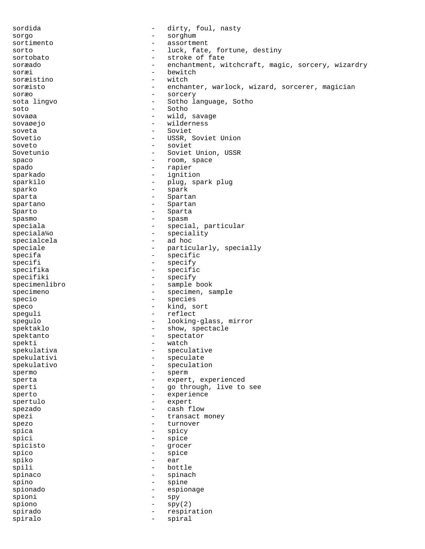sordida - dirty, foul, nasty sorgo - sorghum sortimento - assortment sorto  $-$  luck, fate, fortune, destiny sortobato - stroke of fate soræado - enchantment, witchcraft, magic, sorcery, wizardry<br>soræi soræi - bewitch - bewitch - bewitch - bewitch - witch - witch - witch - witch - witch - witch - witch - witch soræistino - witch - witch - witch - witch - witch - witch - witch - witch - witch - witch - witch - witch - w soræisto - enchanter, warlock, wizard, sorcerer, magician soræo - sorcery - Sotho language, Sotho soto - Sotho sovaøa - wild, savage sovaøejo - wilderness soveta - Soviet Sovetio - USSR, Soviet Union soveto - soviet Sovetunio - Soviet Union, USSR<br>spaco - Companade - Soviet Union, USSR<br>- Companade - Companade - Companade - Companade - Companade - Companade - Companade - Companade - Companade - Companade - Companade - Companade - Compan spaco - room, space spado - rapier sparkado - ignition sparkilo  $-$  plug, spark plug sparko - spark sparta - Spartan - Spartan spartano - Spartan Sparto - Sparta spasmo - spasmo - spasm speciala - special, particular speciala¼o - speciality<br>specialcela - - ad hoc specialcela - ad hoc speciale - particularly, specially<br>specifa specifa - specific specifi - specify<br>specifika - specifika - specifi specifika - specific<br>specifiki - specify - specify - specify specimenlibro - sample book specimeno - specimen, sample specio - species speco - kind, sort speguli - reflect spegulo - looking-glass, mirror spektaklo - show, spectacle<br>spektanto - spectator spektanto - spectator<br>spekti - watch spekti - watch spekulativa - speculative - speculate spekulativo - speculation spermo - sperm sperta - expert, experienced sperti - go through, live to see sperto - experience spertulo - expert spezado  $-$  cash flow spezi  $-$  transact money spezo - turnover<br>spica - spicy - spicy spica - spicy - spicy<br>spici - spice - spice spici - spice - spice<br>spicisto - grocer spicisto - grocer - grocer - grocer - grocer - grocer - grocer - grocer - grocer - grocer - grocer - grocer - g  $\frac{\text{spico}}{\text{sniko}}$  -  $\frac{\text{spice}}{\text{snio}}$ spiko - ear spili - bottle spinaco - spinach spino - spine spionado - espionage spioni - spy  $spino$  -  $spy(2)$ spirado  $-$  respiration spiralo - spiral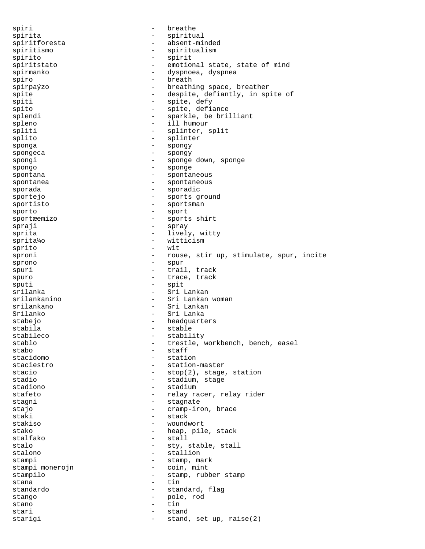spiri - breathe spirita - spiritual spiritforesta - absent-minded spiritismo - spiritualism spirito - spirit spiritstato  $-$  emotional state, state of mind spirmanko - dyspnoea, dyspnea spiro - breath spirpaýzo - breathing space, breather spite  $-$  despite, defiantly, in spite of spiti - spite, defy spito  $-$  spite, defiance splendi - sparkle, be brilliant spleno - ill humour spliti - splinter, split splito - splinter sponga - spongy spongeca - spongy<br>spongi - sponge spongi - sponge down, sponge spongo - sponge spontana  $\qquad \qquad \qquad -$  spontaneous spontanea - spontaneous sporada - sporadic - sporadic sportejo - sports ground sportisto - sportsman sporto - sport sportæemizo - sports shirt<br>spraji - sprav spraji - spray sprita  $-$  lively, witty sprita¼o - witticism sprito - wit<br>spropi - wit sproni **1988** - rouse, stir up, stimulate, spur, incite sprono - spur spuri - trail, track spuro  $-$  trace, track sputi - spit srilanka - Sri Lankan - Sri Lankan woman srilankano - Sri Lankan Srilanko - Sri Lanka stabejo - headquarters stabila - stable stabileco - stability stablo  $\begin{array}{ccc}\n\text{stable} & \text{trestle} & \text{workbench} & \text{bench} & \text{easel} \\
\text{stab} & & & \text{statf}\n\end{array}$ stabo - staff<br>stacidomo - static - static stacidomo - station - station<br>staciestro - stationstaciestro - station-master<br>stacio - stor(2) stage - stop(2), stage, station stadio  $-$  stadium, stage stadiono  $-$  stadium stafeto  $-$  relay racer, relay rider stagni - stagnate stajo  $-$  cramp-iron, brace staki - stack stakiso - woundwort<br>stako - heap pile stako  $-$  heap, pile, stack stalfako - stall stalo - sty, stable, stall<br>stalono - stallion - stallion - stallion stampi - stamp, mark<br>stampi monerojn - coin, mint stampi monerojn stampilo - stamp, rubber stamp<br>stana - tin stana - tin standardo - standard, flag<br>stango - standard, flag<br>- pole rod stango - pole, rod stano - tin stari - stand starigi  $-$  stand, set up, raise(2)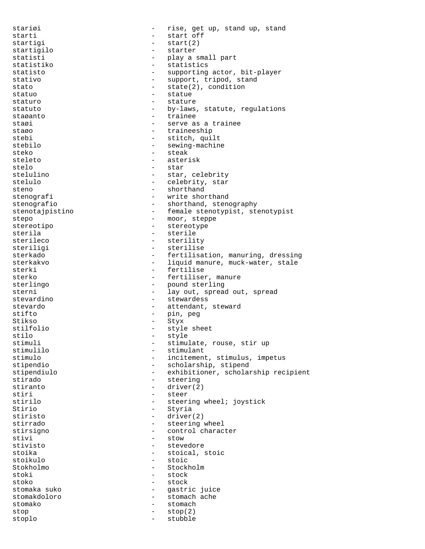stariøi - rise, get up, stand up, stand starti - start off startigi - start(2) startigilo statisti - play a small part<br>statistiko - statistics statistics statisto - supporting actor, bit-player stativo  $-$  support, tripod, stand stato  $-$  state(2), condition statuo - statue - statue staturo  $-$  stature statuto - by-laws, statute, regulations staøanto - trainee staøi  $-$  serve as a trainee staøo - traineeship stebi - stitch, quilt stebilo - sewing-machine steko - steak - steak<br>steleto - steak steleto - asterisk stelo - star - star<br>stelulino - star - star stelulino - star, celebrity - celebrity, star steno - shorthand<br>stenografi - write shor stenografi - write shorthand<br>stenografio - shorthand.sten - shorthand, stenography stenotajpistino - female stenotypist, stenotypist stepo - moor, steppe stereotipo  $-$  stereotype sterila - sterile sterileco - sterility steriligi - sterilise sterkado - fertilisation, manuring, dressing<br>sterkakvo - - liquid manure, muck-water, stale sterkakvo - liquid manure, muck-water, stale<br>sterki - fertilise - fertilise sterko - fertiliser, manure<br>sterlingo - fertiliser, manure sterlingo - pound sterling - lay out, spread out, spread stevardino entre entre entre entre entre entre entre entre entre entre entre entre entre entre entre entre en stevardo - attendant, steward stifto - pin, peg Stikso - Styx - style sheet stilo - style - style<br>stimuli - stimuli - stimuli stimuli - stimulate, rouse, stir up stimulilo - stimulant stimulo - incitement, stimulus, impetus<br>stipendio - scholarship, stipend - scholarship, stipend stipendiulo - exhibitioner, scholarship recipient stirado - steering stiranto - driver(2) stiri - steer stirilo - steering wheel; joystick Stirio - Styria stiristo - driver(2) stirrado  $-$  steering wheel stirsigno - control character<br>stivi - stow - stow stivi - stow - stow - stow - stow - stow - stow - stow - stow - stow - stow - stow - stow - stow - stow - stow - stevedore stoika - stoical, stoic<br>stoikulo - stoic - stoic - stoic Stokholmo - Stockholmo - Stockholmo - Stockholmo - Stockholmo - Stockholmo - Stockholmo - Stockholmo - Stockholmo - Stockholmo - Stockholmo - Stockholmo - Stockholmo - Stockholmo - Stockholmo - Stockholmo - Stockholmo - St - stock stoko - stock stomaka suko - gastric juice stomakdoloro - stomach ache stomako - stomach  $stop(2)$ stoplo - stubble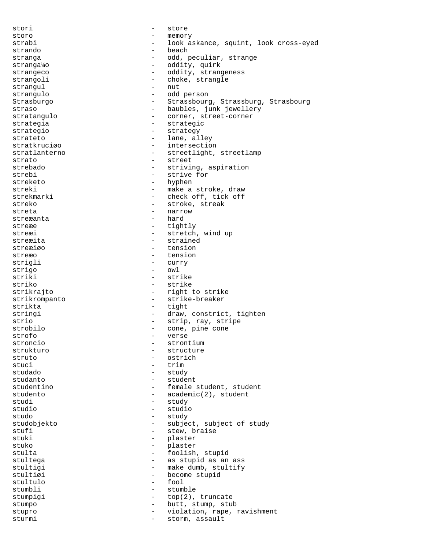stori - store storo - memory strabi - look askance, squint, look cross-eyed strando - beach stranga - odd, peculiar, strange<br>stranga<sup>1</sup>/0 stranga¼o - oddity, quirk strangeco - oddity, strangeness<br>strangoli - choke strangle strangoli - choke, strangle strangule - choke, strangle strangul - nutries at the strangulous strangulous strangulous - number of  $\sim$  100  $\pm$  100  $\pm$  100  $\pm$  100  $\pm$  100  $\pm$  100  $\pm$  100  $\pm$  100  $\pm$  100  $\pm$  100  $\pm$  100  $\pm$  100  $\pm$  100  $\pm$  100  $\pm$  100  $\pm$  100  $\pm$ strangulo - odd person Strasburgo - Strassbourg, Strassburg, Strasbourg straso - baubles, junk jewellery stratangulo entre entre to the corner, street-corner strategia  $-$  strategic strategio - strategy strateto - lane, alley stratkruciøo - intersection<br>stratlanterno - streetlight stratlanterno - streetlight, streetlamp<br>strato - street<br>- street strato - street strebado  $-$  striving, aspiration strebi - strive for<br>streketo - hyphen - hyphen streketo - hyphen - make a stroke, draw strekmarki - check off, tick off streko - stroke, streak streta - narrow streæanta - hard streæe - tightly streæi - stretch, wind up streæita – strained<br>streæigo – tension streæiøo – tension – tension<br>streæo – tension – tension tension strigli - curry strigo - owl<br>striki - str striki - strike<br>striko - strike striko - strike strikrajto - right to strike strikrompanto - strike-breaker strikta - tight stringi - draw, constrict, tighten strio - strip, ray, stripe strobilo  $\qquad \qquad -$  cone, pine cone strofo - verse strontium strukturo - structure - structure - structure - structure - structure - structure - structure - structure - structure - structure - structure - structure - structure - structure - structure - structure - structure - struct struto - ostrich - ostrich - ostrich - ostrich - trim stuci - trim<br>studado - study - study - study studanto e estadente e student studentino - female student, student studento - academic(2), student studi - study studio - studio studo - study studobjekto - subject, subject of study stufi - stew, braise<br>stuki - stew, braise<br>- plaster stuki - plaster<br>stuko - plaster<br>- plaster stuko - plaster - foolish, stupid stultega  $-$  as stupid as an ass stultigi - make dumb, stultify stultiøi - become stupid stultulo - fool stumbli - stumble stumpigi  $-$  top(2), truncate stumpo - butt, stump, stub<br>stupro - violation rane stupro - violation, rape, ravishment sturmi - storm, assault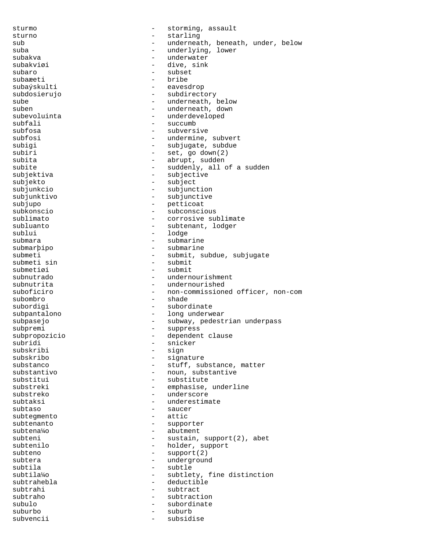sturmo - storming, assault sturno - starling - starling<br>sub - underneal sub  $\qquad \qquad \qquad -$  underneath, beneath, under, below suba - underlying, lower subakva - underwater subakviøi - dive, sink - subset<br>- bribe subaæeti<br>subaýskulti - eavesdrop subdosierujo - subdirectory sube - underneath, below<br>suben - underneath, down suben - underneath, down<br>subevoluinta - underdeveloped - underdeveloped subfali - succumb subfosa - subversive subfosi - undermine, subvert subigi - subjugate, subdue subiri - set, go down(2)<br>subita - abrupt, sudden subita - abrupt, sudden<br>subite - suddenly, all subite - suddenly, all of a sudden<br>subjektiva - subjective - subjective - subjective subjekto - subject subjunkcio - subjunction subjunktivo - subjunctive subjupo - petticoat subkonscio - subconscious sublimato  $-$  corrosive sublimate subluanto  $-$  subtenant, lodger sublui - lodge submara - submarine submarþipo - submarine submeti - submit, subdue, subjugate<br>submeti sin - submit - submit submeti sin<br>submetiøi - submit subnutrado  $-$  undernourishment subnutrita - undernourished suboficiro - non-commissioned officer, non-com subombro - shade subordigi - subordinate subpantalono  $\qquad \qquad -$  long underwear subpasejo - subway, pedestrian underpass subpremi - suppress<br>subpropozicio subpropozicio - dependent clause<br>subridi - snicker - snicker<br>- sign subskribi - sign subskribo - signature - stuff, substance, matter substantivo  $\qquad \qquad -$  noun, substantive substitui - substitute substreki - emphasise, underline substreko - underscore subtaksi - underestimate subtaso - saucer subtegmento - attico subtenanto  $\begin{array}{ccc} - & \text{support} \\ \text{subtens} \end{array}$ subtena¼o - abutment subteni - sustain, support(2), abet<br>subtenilo - holder, support subtenilo - holder, support<br>subteno - support(2)  $-$  support(2) subtera - underground subtila - subtle - subtlety, fine distinction subtrahebla - deductible subtrahi - subtract subtraho  $-$  subtraction subulo - subordinate suburbo - suburb subvencii - subsidise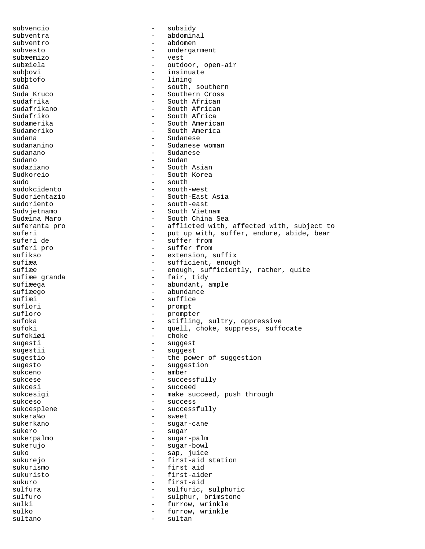subvencio - subsidy subventra - abdominal subventro - abdomen subvesto  $-$  undergarment subæemizo - vest subæiela - outdoor, open-air<br>subbovi - insinuate subþovi - insinuate subþtofo - lining suda - south, southern Suda Kruco - Southern Cross sudafrika - South African sudafrikano - South African - South Africa sudamerika - South American Sudameriko - South America sudana - Sudanese - Sudanese - Sudanese - Sudanese - Sudanese - Sudanese - Sudanese - Sudanese - Sudanese - Su sudananino - Sudanese woman sudanano - Sudanese Sudano - Sudano - Sudano - Sudano - Sudano - Sudano - Sudano - Sudano - Sudano - Sudano - Sudano - Sudano - Su sudaziano - South Asian Sudkoreio - South Korea sudo - south sudokcidento - south-west Sudorientazio - South-East Asia<br>sudoriento - south-east sudoriento - south-east - South Vietnam Sudæina Maro - South China Sea suferanta pro  $-$  afflicted with, affected with, subject to suferi - put up with, suffer, endure, abide, bear<br>suferi de suffer from suferi de  $\begin{array}{ccc} - & \text{suffix} & - \\ - & \text{Buffer} & \text{from} \\ \end{array}$ suferi pro  $\overline{\phantom{0}}$  - suffer from  $\overline{\phantom{0}}$  - suffer from  $\overline{\phantom{0}}$ sufikso - extension, suffix<br>sufi<del>re</del> - sufficient, enough sufiæa - sufficient, enough<br>sufiæe - enough sufficient sufiæe - enough, sufficiently, rather, quite<br>sufiæe granda - fair, tidy sufiæe granda - fair, tidy<br>sufiæega - fair, tidy<br>- abundant, a sufiæega - abundant, ample<br>sufiæego - abundance sufiæego - abundance<br>sufiæi - suffice sufiæi - suffice suflori - prompt sufloro - prompter suffoka<br>sufoka - stifling, sultry, oppressive<br>sufoki - quell, choke, suppress, suff - quell, choke, suppress, suffocate<br>- choke sufokiøi<br>sugesti sugesti - suggest sugestii - suggest sugestio - the power of suggestion<br>sugesto - suggestion<br>- suggestion - suggestion sukceno – amber<br>sukcese – succes - successfully sukcesi - succeed sukcesigi - make succeed, push through sukceso - success sukcesplene - successfully sukera¼o - sweet sukerkano - sugar-cane sukero - sugar - sugar<br>sukerpalmo - sugar - sugar - sugar-palm sukerujo - sugar-bowl - sap, juice sukurejo - first-aid station sukurismo - first aid<br>sukuristo - first-aide sukuristo - first-aider sukuro - first-aid - sulfuric, sulphuric sulfuro - sulphur, brimstone - furrow, wrinkle sulko - furrow, wrinkle sultano - sultan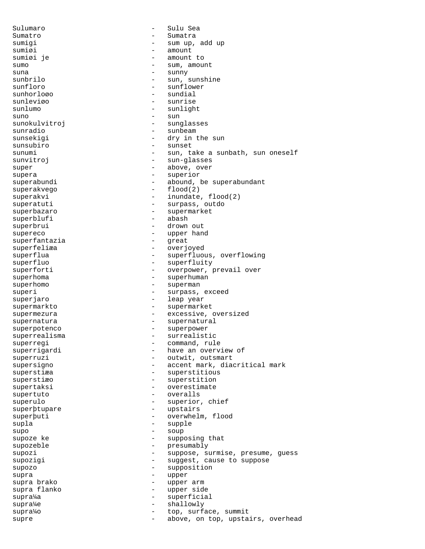Sulumaro - Sulu Sea Sumatro - Sumatra sumigi - sum up, add up sumiøi - amount<br>sumiøi je - amount - amount - amount to sumo - sum, amount suna - sunny<br>sunbrilo - sun - sun - sun - sun - sun - sun - sun - sun - sun - sun - sun - sun - sun - sun - sun - sun - su sunbrilo - sun, sunshine<br>sunfloro - sunflower sunfloro - sunflower<br>sunhorlogo - sundial - sundial - sundial sunleviøo - sunrise sunlumo - sunlight  $\sinh$  - sun sunokulvitroj <br/> - sunglasses sunradio - sunbeam sunsekigi - dry in the sun sunsubiro - sunset sunumi - sun, take a sunbath, sun oneself sunvitroj en la estado en la estado en la estado en la estado en la estado en la estado en la estado en la est super - above, over supera - superior - abound, be superabundant superakvego - flood(2) superakvi - inundate, flood(2) superatuti - surpass, outdo superbazaro - supermarket superblufi superbrui - drown out supereco - upper hand superfantazia superfeliæa - overjoyed superflua - superfluous, overflowing superfluo  $-$  superfluity superforti - overpower, prevail over superhoma - superhuman superhomo - superman - superman superi - surpass, exceed superjaro  $-$  leap year supermarkto - supermarket supermezura - excessive, oversized supernatura  $\qquad \qquad -$  supernatural superpotenco - superpower superrealisma - surrealistic superregi entry the command, rule superrigardi - have an overview of superruzi - outwit, outsmart supersigno  $-$  accent mark, diacritical mark superstiæa - superstitious superstiæo - superstition supertaksi - overestimate<br>supertuto - overalls supertuto - overalls superulo - superior, chief superþtupare - upstairs<br>superbuti - overwhelm superþuti - overwhelm, flood<br>supla supla - supple - supple - supple supo - soup supoze ke - supposing that supozeble - presumably supozi **1988** - suppose, surmise, presume, guess supozigi  $-$  suggest, cause to suppose supozo - supposition<br>supposition<br>- upper supra - upper supra brako - upper arm supra flanko - upper side supra¼a - superficial supra¼e - shallowly supra¼o  $-$  top, surface, summit supre  $\qquad \qquad \qquad -$  above, on top, upstairs, overhead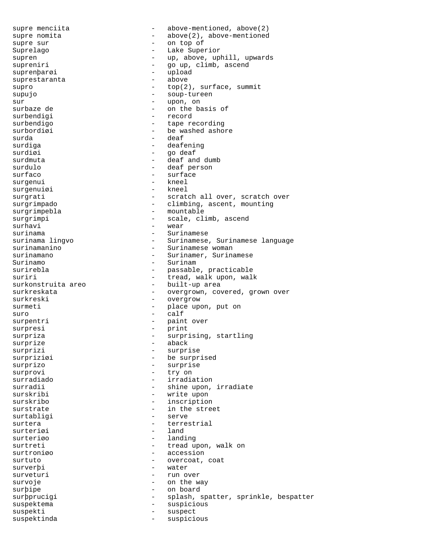supre menciita - above-mentioned, above(2) supre nomita  $\qquad \qquad -$  above(2), above-mentioned supre sur  $-$  on top of Suprelago - Lake Superior supren - up, above, uphill, upwards<br>supreniri - go up, climb, ascend supreniri - go up, climb, ascend<br>suprenbarøi - upload - upload - upload<br>- above suprestaranta supro  $\qquad \qquad -\qquad \text{top}(2)$ , surface, summit supujo - soup-tureen sur - upon, on - on the basis of<br>- record surbendigi surbendigo  $-$  tape recording surbordiøi - be washed ashore<br>surda - deaf surda - deaf surdiga - deafening<br>surdiøi - deafening<br>- qo deaf surdiøi - go deaf surdmuta - deaf and dumb surdulo - deaf person - surface<br>- kneel surgenui - kneel<br>surgenuiøi - kneel<br>- kneel surgenuiøi surgrati - scratch all over, scratch over surgrimpado  $\qquad \qquad - \qquad \text{climbing}, \text{ ascent}, \text{ mounting}$ surgrimpebla - mountable surgrimpi - scale, climb, ascend surhavi - wear surinama - Surinamese surinama lingvo Surinamese, Surinamese language<br>surinamanino Surinamese woman surinamanino - Surinamese woman<br>surinamano - Surinamer, Surina surinamano - Surinamer, Surinamese Surinamo - Surinam - passable, practicable suriri - tread, walk upon, walk<br>surkonstruita areo - built-up area surkonstruita areo  $-$  built-up area<br>surkreskata - overgrown.com - overgrown, covered, grown over surkreski - overgrow surmeti - place upon, put on<br>suro - calf suro - calf surpentri  $-$  paint over surpresi - print surpresi<br>surpriza - surprising, startling surprize - aback surprizi - surprise surpriziøi - be surprised surprizo - surprise<br>surprovi - trv on - try on surradiado  $-$  irradiation surradii - shine upon, irradiate surskribi - write upon surskribo - inscription surstrate - in the street<br>surtabliqi - serve surtabligi - served - served - served - served - served - served - served - served - served - served - served surtera - terrestrial surteriøi surteriøo - landing surtreti - tread upon, walk on<br>surtronigo - tread upon, walk on - accession surtuto  $-$  overcoat, coat surverþi - water - run over survoje - on the way surþipe - on board surþprucigi - splash, spatter, sprinkle, bespatter suspektema - suspicious suspekti - suspect suspektinda - suspicious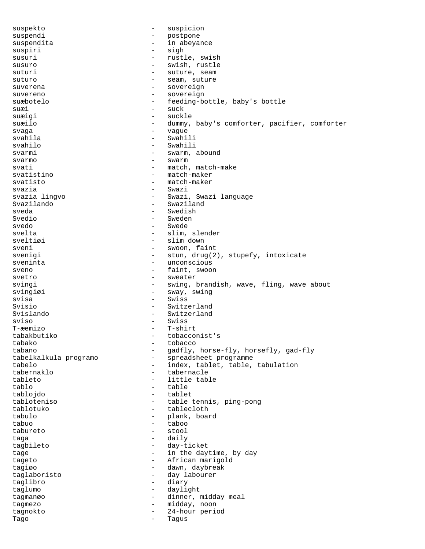suspekto - suspicion suspendi<br>suspendita - postpone<br>suspendita - in abeva: suspendita - in abeyance suspiri - signal - signal - signal - signal - signal - signal - signal - signal - signal - signal - signal - signal - signal - signal - signal - signal - signal - signal - signal - signal - signal - signal - signal - signa susuri - rustle, swish susuro - swish, rustle suturi - suture, seam suturo  $-$  seam, suture suverena - sovereign suvereno - sovereign suæbotelo - feeding-bottle, baby's bottle suæi - suck suæigi - suckle suæilo  $-$  dummy, baby's comforter, pacifier, comforter svaga - vague svahila - Swahili svahilo - Swahili svarmi - swarm, abound svarmo - swarm svati - match, match-make<br>svatistino - match-maker svatistino  $\begin{array}{ccc} - & \text{match-maker} \\ - & \text{match-maker} \end{array}$ - match-maker svazia - Swazi<br>svazia lingvo - - - Swazi svazia lingvo - Swazi, Swazi language Svazilando - Swaziland - Swedish Svedio - Sweden svedo - Swede svelta - slim, slender sveltiøi - slim down sveni - swoon, faint svenigi - stun, drug(2), stupefy, intoxicate sveninta - unconscious sveno - faint, swoon svetro - sweater<br>svingi - swing. - swing, brandish, wave, fling, wave about svingiøi - sway, swing svisa - Swiss Svisio - Switzerland Svislando - Switzerland sviso - Swiss T-æemizo - T-shirt tabakbutiko - tobacconist's tabako - tobacco tabano - gadfly, horse-fly, horsefly, gad-fly tabelkalkula programo - spreadsheet programme tabelo - index, tablet, table, tabulation tabernaklo - tabernacle tableto - little table tablo - table tablojdo - tablet tabloteniso - table tennis, ping-pong tablotuko - tablecloth tabulo - plank, board tabuo - taboo - taboo - taboo - taboo - taboo - taboo - taboo - taboo - taboo - taboo - taboo - taboo - taboo - taboo - taboo - taboo - taboo - taboo - taboo - taboo - taboo - taboo - taboo - taboo - taboo - taboo - taboo tabureto - stool taga - daily tagbileto - day-ticket tage  $-$  in the daytime, by day tageto - African marigold tagiøo - dawn, daybreak taglaboristo - day labourer taglibro - diary taglumo - daylight tagmanøo - dinner, midday meal tagmezo - midday, noon tagnokto - 24-hour period Tago - Tagus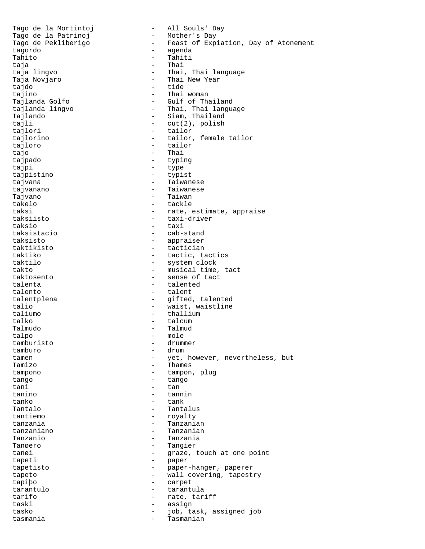Tago de la Mortintoj (m. 1920)<br>Tago de la Patrinoj (m. 1920) - Mother's Day Tago de la Patrinoj<br>Tago de Pekliberigo - Feast of Expiation, Day of Atonement tagordo - agenda - Tahiti taja - Thai taja lingvo - Thai, Thai language Taja Novjaro - Thai New Year - tide tajino - Thai woman - Gulf of Thailand tajlanda lingvo - Thai, Thai language Tajlando - Siam, Thailand tajli  $-\text{cut}(2)$ , polish tajlori - tailor tajlorino - tailor, female tailor tajloro - tailor - tailor<br>tajo - Thai tajo - Thai tajpado - typing tajpi - type tajpistino - typist tajvana  $-$  Taiwanese tajvanano - Taiwanese Tajvano - Taiwan takelo - tackle taksi  $-$  rate, estimate, appraise taksiisto - taxi-driver taksio - taxi taksistacio - cab-stand taksisto - appraiser taktikisto - tactician taktiko - tactic, tactics<br>taktilo - tactic, tactics - system clock takto  $-$  musical time, tact<br>taktosento  $-$  sense of tact - sense of tact talenta - talented talento - talent talentplena  $-$  gifted, talented talio - waist, waistline taliumo - thallium talko  $-$  talcum Talmudo - Talmud talpo - mole tamburisto tamburo - drum tamen - yet, however, nevertheless, but<br>Tamizo - Thames - Thames tampono - tampon, plug tango - tango - tango - tango - tango - tango - tango - tango - tango - tango - tango - tango - tango - tango - tango - tango - tango - tango - tango - tango - tango - tango - tango - tango - tango - tango - tango - tango tani - tan tanino - tannin tanko - tank Tantalo  $-$  Tantalus tantiemo - royalty<br>tanzania - ranzania - ranzania - Tanzanian tanzaniano - Tanzanian Tanzanio - Tanzania - Tangier tanøi  $-$  graze, touch at one point tapeti - paper<br>tapetisto - paper tapetisto - paper-hanger, paperer tapeto - wall covering, tapestry tapiþo - carpet tarantulo - tarantula tarifo  $-$  rate, tariff taski - assign tasko - job, task, assigned job tasmania - Tasmanian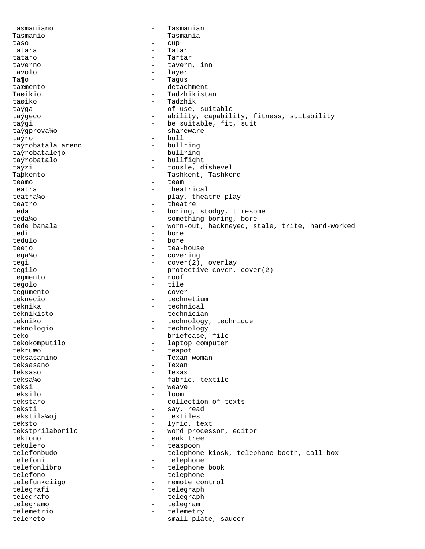tasmaniano - Tasmanian Tasmanio - Tasmania taso - cup tatara  $-$  Tatar tataro - Tartar taverno  $-$  tavern, inn tavolo - layer Ta¶o - Tagus - Tagus<br>taæmento - Tagus - detac - detachment Taøikio - Tadzhikistan taøiko - Tadzhik taýga - of use, suitable taýgeco - ability, capability, fitness, suitability taýgi - be suitable, fit, suit taýgprova¼o - shareware taýro<br>taýro<br>taýrobatala areno bullring taýrobatala areno bullring<br>taýrobatalejo bullring taýrobatalejo taýrobatalo - bullfight taýzi - tousle, dishevel<br>Taþkento - tousle, dishevel - Tashkent, Tashkend teamo chamber and team team team teatra  $-$  theatrical teatra¼o - play, theatre play teatro  $\qquad \qquad -$  theatre teda  $-$  boring, stodgy, tiresome teda¼o - something boring, bore tede banala - worn-out, hackneyed, stale, trite, hard-worked tedi - bore tedulo - bore - bore - bore - bore - bore - bore - bore - bore - bore - bore - bore - bore - bore - bore - bore - bore - bore - bore - bore - bore - bore - bore - bore - bore - bore - bore - bore - bore - bore - bore - bor teejo - tea-house tega¼o - covering tegi - cover(2), overlay<br>tegilo - protective cover, - protective cover, cover(2) tegmento - roof tegolo - tile<br>tegumento - cover tequmento teknecio - technetium teknika - technical teknikisto - technician<br>tekniko - technology - technology - technology, technique teknologio - technology teko  $\overline{\phantom{a}}$  - briefcase, file<br>tekokomputilo - laptop computer - laptop computer tekruæo - teapot teksasanino - Texan woman - Texan Teksaso - Texas teksa¼o - fabric, textile teksi - weave teksilo - loom tekstaro - collection of texts teksti - say, read tekstila¼oj - textiles teksto - lyric, text<br>tekstprilaborilo - word proces - word processor, editor<br>- teak tree tektono - teak tree tekulero - teaspoon - teaspoon - teaspoon - teaspoon - teaspoon - teaspoon - teaspoon - teaspoon - teaspoon - - telephone kiosk, telephone booth, call box telefoni - telephone telefonlibro - telephone book telefono - telephone telefunkciigo - remote control telegrafi - telegraph<br>telegrafo - telegraph telegrafo - telegraph telegramo - telegram telemetrio - telemetry telereto  $-$  small plate, saucer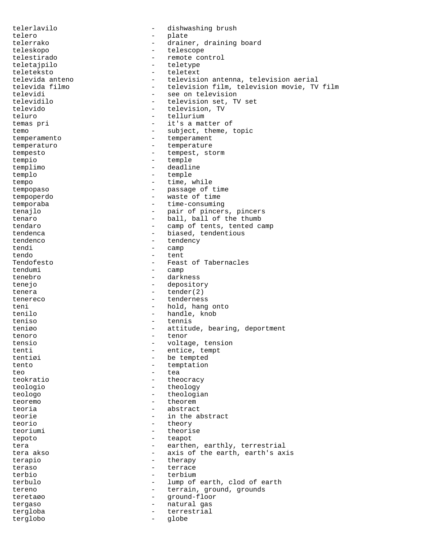telerlavilo - dishwashing brush telero - plate telerrako - drainer, draining board teleskopo - telescope telestirado - remote control<br>teletajpilo - remote control teletajpilo - teletype teleteksto - teletext televida anteno television antenna, television aerial<br>televida filmo television film, television movie, TV - television film, television movie, TV film televidi<br>televidilo - see on television set. T - television set, TV set televido - television, TV teluro - tellurium temas pri  $-$  it's a matter of temo  $-$  subject, theme, topic temperamento - temperament temperaturo  $-$  temperature tempesto - tempest, storm tempio - temple templimo - deadline templo - temple tempo  $-$  time, while tempopaso - passage of time tempoperdo - waste of time temporaba  $-$  time-consuming tenajlo - pair of pincers, pincers tenaro  $-$  ball, ball of the thumb tendaro  $-$  camp of tents, tented camp tendenca - biased, tendentious tendenco - tendency tendi - camp tendo - tent Tendofesto - Feast of Tabernacles<br>tendumi - camp - camp tenebro - darkness tenejo - depository tenera - tender(2)<br>tenereco - tendernes - tenderness teni - hold, hang onto tenilo - handle, knob teniso - tennis teniøo - attitude, bearing, deportment tenoro - tenor<br>tensio - voltac tensio - voltage, tension tenti - entice, tempt<br>tentiøi - be tempted - be tempted tento - temptation teo e e tea teokratio  $-$  theocracy teologio - theology teologo - theologian teoremo - theorem teoria - abstract teorie  $-$  in the abstract teorio - theory<br>teoriumi - theori teoriumi - theorise<br>tenoto - teapot tepoto - teapot tera  $-$  earthen, earthly, terrestrial<br>tera akso  $-$  axis of the earth, earth's ax - axis of the earth, earth's axis terapio - therapy<br>teraso - terrace - terrace teraso - terrace - terrace - terrace - terrace - terrace - terrace - terrace - terrace - terrace - terrace - terrace - terrace - terrace - terrace - terrace - terrace - terrace - terrace - terrace - terrace - terrace - ter - terbium terbulo - lump of earth, clod of earth tereno  $-$  terrain, ground, grounds teretaøo - ground-floor tergaso - natural gas tergloba - terrestrial terglobo - globe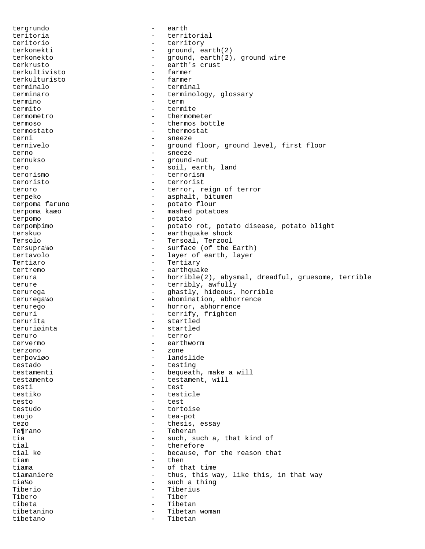tergrundo - earth teritoria - territorial teritorio - territory terkonekti - ground, earth(2) terkonekto - ground, earth(2), ground wire terkrusto - earth's crust terkultivisto - farmer terkulturisto<br>terminalo - terminal terminaro - terminology, glossary<br>termino - term - term termito - termite termometro - thermometer termoso - thermos bottle termostato - thermostat terni - sneeze ternivelo - ground floor, ground level, first floor terno - sneeze ternukso - ground-nut tero  $-$  soil, earth, land<br>terorismo  $-$  terrorism - terrorism teroristo - terrorist teroro - terror, reign of terror terpeko - asphalt, bitumen terpoma faruno - potato flour terpoma kaæo - mashed potatoes terpomo - potato terpomþimo - potato rot, potato disease, potato blight terskuo - earthquake shock Tersolo - Tersoal, Terzool tersupra¼o - surface (of the Earth) tertavolo - layer of earth, layer Tertiaro - Tertiary tertremo - earthquake terura <a>>
->
horrible(2), abysmal, dreadful, gruesome, terrible</a>
creadful, gruesome, terrible</a> terure - terribly, awfully terurega - ghastly, hideous, horrible terurega¼o - abomination, abhorrence terurego  $-$  horror, abhorrence teruri - terrify, frighten terurita - startled teruriøinta - startlede - startlede - startlede - startlede - startlede - startlede - startlede - startlede teruro - terror - terror - terror - terror - terror - terror - terror - terror - terror - terror - terror - ter tervermo - earthworm - earthworm terzono - zone terþoviøo - landslide testado - testing testamenti - bequeath, make a will testamento - testament, will testi - test testiko - testicle testo - test testudo - tortoise teujo - tea-pot tezo  $-$  thesis, essay Te¶rano - Teherano - Teherano - Teherano - Teherano - Teherano - Teherano - Teherano - Teherano - Teherano - Teherano - Teherano - Teherano - Teherano - Teherano - Teherano - Teherano - Teherano - Teherano - Teherano - Teh tia - such, such a, that kind of<br>
- therefore<br>
- therefore tial - therefore - because, for the reason that<br>- then tiam time then tiama  $-$  of that time tiamaniere  $-$  thus, this way, like this, in that way tia¼o - such a thing Tiberio - Tiberius Tibero - Tibero - Tibero - Tibero - Tibero - Tibero - Tibero - Tibero - Tibero - Tibero - Tibero - Tibero - Tibero - Tibero - Tibero - Tibero - Tibero - Tibero - Tibero - Tibero - Tibero - Tibero - Tibero - Tibero - Tibero - Tibetan tibetanino - Tibetan woman tibetano - Tibetan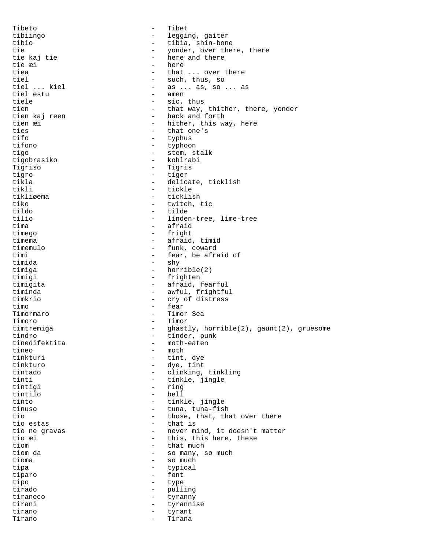Tibeto - Tibet tibiingo - legging, gaiter tibio - tibia, shin-bone<br>tie - vonder.over.them tie  $\begin{array}{ccc}\n \downarrow \\
 \downarrow \\
 \downarrow \\
 \downarrow\n \end{array}$  tie kaj tie  $\begin{array}{ccc}\n \downarrow \\
 \downarrow \\
 \downarrow\n \end{array}$  and there and there - here and there<br>- here tie æi tie andere van de steed van de versleid van de van de van de van de van de van de van de van de van de<br>Een van de van de van de van de van de van de van de van de van de van de van de van de van de van de van de v tiea - that ... over there<br>tiel - such thus so tiel - such, thus, so  $\begin{array}{ccc} - & as \dots as, so \dots as, \\ - & amen \end{array}$ tiel estu tiele  $-$  sic, thus tien  $-$  that way, thither, there, yonder tien kaj reen  $-$  back and forth - back and forth tien æi  $-$  hither, this way, here ties - that one's<br>tifo - typhus - typhus - typhus tifono - typhoon tigo - stem, stalk tigobrasiko - kohlrabi Tigriso - Tigris tigro - tiger - delicate, ticklish tikli - tickle - ticklish tiko - twitch, tic - tilde tilio - linden-tree, lime-tree tima - afraid timego - fright timema - afraid, timid timemulo - funk, coward timi - fear, be afraid of<br>timida - shy - shy timida - shy - horrible(2) timigi - frighten timigita - afraid, fearful timinda - awful, frightful timkrio - cry of distress timo - fear Timormaro - Timor Sea - Timor timtremiga  $-$  ghastly, horrible(2), gaunt(2), gruesome tindro  $\overline{ }$  tinder, punk<br>tinedifektita - moth-eaten - moth-eaten tineo - moth<br>tinkturi - tint. tinkturi - tint, dye<br>
tinkturo - dve, tint - dye, tint tintado - clinking, tinkling tinti  $-$  tinkle, jingle tintigi - ring tintilo - bell tinto - tinkle, jingle - tuna, tuna-fish tio  $-$  those, that, that over there tio estas  $-$  that is tio estas  $-$  that is<br>tio ne gravas  $-$  never m: tio ne gravas  $\begin{array}{ccc}\n- & n \neq n \text{ and } n \text{ is } n \neq n\end{array}$  this, this here, these tio æi  $\qquad \qquad$  - this, this here, these tiom tiom  $\begin{array}{ccc} - & \text{that much} \\ - & \text{so many,} \end{array}$ - so many, so much tioma - so much tipa - typical tiparo - font<br>tipo - type - type tipo - type tirado - pulling tiraneco - tyranny tirani - tyrannise tirano - tyrant Tirano - Tirana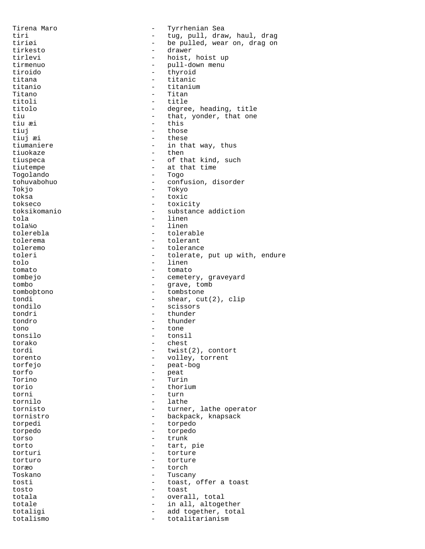Tirena Maro - Tyrrhenian Sea tiri - tug, pull, draw, haul, drag - be pulled, wear on, drag on<br>- drawer tirkesto – drawer – drawer – drawer – drawer – drawer – drawer – drawer – drawer – drawer – drawer – drawer – tirlevi - hoist, hoist up<br>tirmenuo - pull-down menu tirmenuo - pull-down menu tiroido - thyroid titana - titanic - titanic - titanic - titanic - titaniu - titanium<br>- Titan Titano - Titan titoli - title<br>titolo - degree - degree, heading, title tiu  $-$  that, yonder, that one tiu æi - this tiuj en la contradición de la contradición de la contradición de la contradición de la contradición de la contra tiuj æi - these tiumaniere  $\begin{array}{ccc} - & i n \text{ that way, thus} \\ - & i n \text{ that way,} \end{array}$ tiuokaze - then the then the then the then the then the then the then the then the then the then the then the the tiuspeca  $-$  of that kind, such tiutempe - at that time Togolando<br>tohuvabohuo - confusion, disorder Tokjo - Tokyo - toxic tokseco - toxicity<br>toksikomanio - substance - substance addiction tola - linen tola¼o - linen tolerebla - tolerable tolerema - tolerant<br>toleremo - tolerancy toleremo - tolerance<br>toleri - tolerate. toleri - tolerate, put up with, endure<br>tolo - linen tolo - linen - linen - linen - linen - linen - linen - linen - linen - linen - linen - linen - linen - linen - linen - linen - linen - linen - linen - linen - linen - linen - linen - linen - linen - linen - linen - linen tomato - tomato tombejo - cemetery, graveyard tombo - grave, tomb tomboþtono - tombstone tondi - shear, cut(2), clip tondilo - scissors tondri - thunder tondro - thunder tono - tone - tone - tone - tone - tone - tone - tone - tone - tone - tone - tone - tone - tone - tone - tone - tone - tone - tone - tone - tone - tone - tone - tone - tone - tone - tone - tone - tone - tone - tone - tone - tonsil torako - chest tordi - twist(2), contort torento - volley, torrent torfejo - peat-bog<br>torfe - peat-bog<br>- peat torfo - peat Torino - Turin torio - thorium torni - turn tornilo - lathe tornisto - turner, lathe operator tornistro - backpack, knapsack torpedi - torpedo torpedo - torpedo torso - trunk<br>torto - tart. torto - tart, pie torturi - torture torturo - torture toræo - torch Toskano - Tuscany tosti - toast, offer a toast tosto - toast totala  $-$  overall, total totale  $\qquad \qquad -$  in all, altogether totaligi - add together, total<br>totalismo totalismo - totalitarianism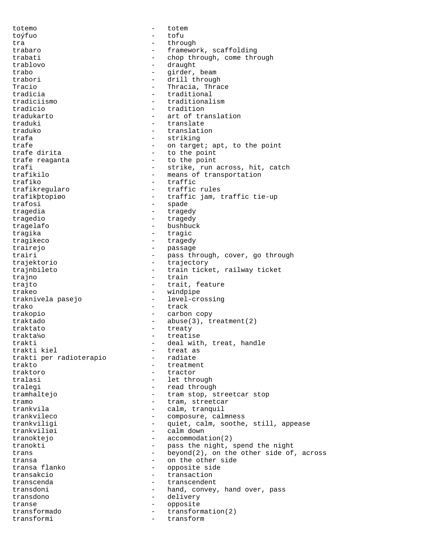totemo - totem toýfuo - tofu tra - through trabaro  $-$  framework, scaffolding trabati - chop through, come through trablovo - draught trabo  $-$  girder, beam trabori - drill through Tracio  $-$  Thracia, Thrace tradicia - traditional tradiciismo - traditionalism tradicio - tradition tradukarto - art of translation traduki - translate traduko - translation trafa - striking - striking trafe  $\begin{array}{ccc} \texttt{trafe} & \texttt{--} & \texttt{--} & \texttt{--} & \texttt{--} & \texttt{--} & \texttt{--} & \texttt{--} & \texttt{--} & \texttt{--} & \texttt{--} & \texttt{--} & \texttt{--} & \texttt{--} & \texttt{--} & \texttt{--} & \texttt{--} & \texttt{--} & \texttt{--} & \texttt{--} & \texttt{--} & \texttt{--} & \texttt{--} & \texttt{--} & \texttt{--} & \texttt{--} & \texttt{--} & \texttt{--} & \texttt{--} & \texttt{$ - to the point trafe reaganta  $-$  to the point trafi - strike, run across, hit, catch<br>trafikilo - - - - - - - - - means of transportation trafikilo - means of transportation<br>trafiko - trafic - trafic traffic trafikregularo - traffic rules trafikþtopiøo - traffic jam, traffic tie-up trafosi - spade tragedia extensive tragedy tragedio entragedy tragedy tragelafo - bushbuck tragika - tragic tragikeco - tragedy trairejo - passage trairi - pass through, cover, go through<br>traiektorio - traiectory trajektorio - trajectory trajnbileto - train ticket, railway ticket trajno - train trajto  $-$  trait, feature trakeo - windpipe traknivela pasejo - level-crossing trako - track trakopio - carbon copy -  $abuse(3)$ , treatment(2) traktato - treaty trakta¼o - treatise trakti  $-$  deal with, treat, handle<br>trakti kiel  $-$  treat as trakti kiel - treat as trakti per radioterapio - radiate trakto - treatment<br>traktoro - tractor - tractor traktoro - tractor tralasi  $\qquad \qquad -$  let through tralegi - read through tramhaltejo  $-$  tram stop, streetcar stop tramo - tram, streetcar<br>trankvila - calm, tranquil - calm, tranquil trankvileco - composure, calmness trankviligi - quiet, calm, soothe, still, appease<br>trankviligi - calm down trankviliøi - calm down tranoktejo - accommodation(2)<br>tranokti - pass the night. tranokti - pass the night, spend the night trans  $-$  beyond(2), on the other side of, across transa<br>transa flanko - on the other side<br>- opposite side<br>- opposite side opposite side transakcio  $\overline{t}$  - transaction<br>transcenda - transcenden transcenda - transcendent transdoni **-** hand, convey, hand over, pass transdono - delivery transe - opposite transformado - transformation(2) transformi - transform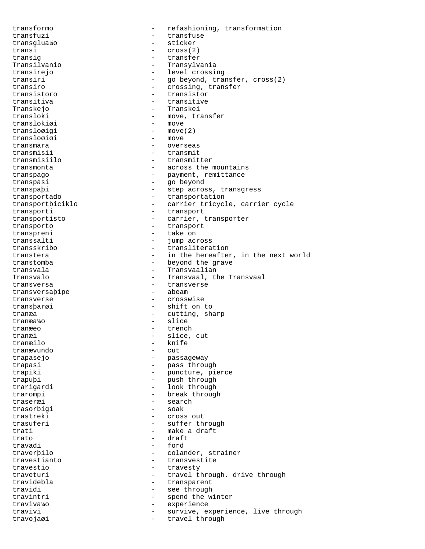transformo - refashioning, transformation transfuzi - transfuse transglua¼o - sticker transi - cross(2) transig - transfer Transilvanio - Transylvania transirejo - level crossing<br>transiri - do bevond, transiri transiri - go beyond, transfer, cross(2)<br>transiro - crossing, transfer - crossing, transfer transistoro - transistor transitiva - transitive Transkejo - Transkei transloki - move, transfer<br>translokiøi - move - move translokiøi transloøigi – move(2)<br>transloøiøi – move transloøiøi - movember - movember - movember - movember - movember - movember - movember - movember - movember<br>Transmara transmara  $\begin{array}{ccc} - & \text{overses} \\ \text{transmisii} & - & \text{transmit} \end{array}$ transmisii - transmit<br>transmisiilo - transmit - transmitter transmonta  $\overline{\phantom{a}}$  - across the mountains transpago - payment, remittance transpasi - go beyond transpaþi - step across, transgress transportado - transportation transportbiciklo - carrier tricycle, carrier cycle transporti - transport transportisto - carrier, transporter transporto - transport transpreni - take on transsalti - jump across<br>transskribo - translitera transskribo - transliteration transtera  $-$  in the hereafter, in the next world transtomba - beyond the grave transvala - Transvaalian - Transvaal, the Transvaal transversa - transverse<br>transversabipe - abeam - beam transversaþipe transverse - crosswise transþarøi - shift on to tranæa - cutting, sharp tranæa¼o - slice tranæeo - trench tranæi - slice, cut - knife<br>- cut tranævundo trapasejo - passageway - pass through trapiki - puncture, pierce trapuþi - push through trarigardi - look through trarompi - break through traseræi - search - search - search - search - search - search - search - search - search - search trasorbigi trastreki - cross out trasuferi - suffer through trati  $-$  make a draft trato - draft - draft - draft - draft - draft - draft - draft - draft - draft - draft - draft - draft - draft - draft - draft - draft - draft - draft - draft - draft - draft - draft - draft - draft - draft - draft - draft travadi - ford - colander, strainer travestianto - transvestite travestio  $-$  travesty traveturi - travel through. drive through travidebla - transparent travidi - see through<br>travintri - spend the w travintri  $-$  spend the winter traviva¼o - experience travivi - survive, experience, live through travojaøi - travel through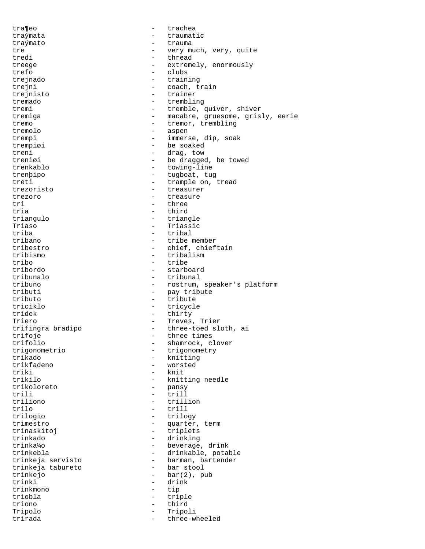tra¶eo - trachea traýmata - traumatic traýmato - trauma tre  $-$  very much, very, quite tredi - thread treege - extremely, enormously<br>trefo - clubs trefo - clubs - clubs - clubs - clubs - clubs - clubs - clubs - clubs - clubs - clubs - clubs - clubs - clubs - clubs - clubs - clubs - clubs - clubs - clubs - clubs - clubs - clubs - clubs - clubs - clubs - clubs - clubs trejnado - training - coach, train trejnisto - trainer tremado  $-$  trembling tremi - tremble, quiver, shiver tremiga - macabre, gruesome, grisly, eerie tremo - tremor, trembling tremolo - aspen trempi - immerse, dip, soak trempiøi - be soaked treni - drag, tow<br>treniøi - be dragge treniøi - be dragged, be towed<br>trenkablo - towing-line - towing-line trenþipo - tugboat, tug treti - trample on, tread trezoristo - treasurer trezoro - treasure tri - three - third triangulo - triangle Triaso - Triassic triba - tribal tribano - tribe member<br>tribestro - tribestro - chief, chief tribestro - chief, chieftain<br>tribismo - tribalism tribismo - tribalism tribo - tribe tribordo - starboard tribunalo - tribunal tribuno - rostrum, speaker's platform<br>tributi - pay tribute - pay tribute tributo - tribute triciklo - tricycle tridek - thirty Triero - Treves, Trier trifingra bradipo - three-toed sloth, ai trifoje  $\begin{array}{ccc} \text{trif } \text{ol} & \text{trif } \text{col} \end{array}$  three times trifolio - shamrock, clover<br>trigonometrio - trigonometry trigonometrio - trigonometry<br>trikado - knitting trikado - knitting - worsted triki - knit trikilo - knitting needle - pansy trili - trill triliono - trillion trilo - trill trilogio - trilogy trimestro - quarter, term trinaskitoj - triplets trinkado - drinking trinka¼o - beverage, drink - drinkable, potable trinkeja servisto barman, bartender<br>trinkeja tabureto bar stool trinkeja tabureto trinkejo - bar(2), pub trinki - drink trinkmono - tip triobla - triple triono - third Tripolo - Tripoli trirada - three-wheeled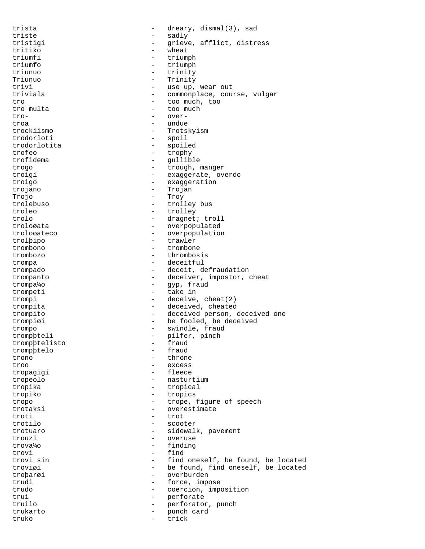trista - dreary, dismal(3), sad triste - sadly<br>tristici - crieve tristigi - grieve, afflict, distress tritiko - wheat triumfi - triumph<br>triumfo - triumph triumfo - triumph<br>triumph - triumph - triumph triunuo - trinity Triunuo - Trinity - use up, wear out triviala  $-$  commonplace, course, vulgar tro - too much, too tro multa  $\qquad \qquad -$  too much tro- - overtroa - undue trockiismo - Trotskyism trodorloti - spoil trodorlotita - spoiled trofeo - trophy<br>trofidema - qullib - gullible trogo - trough, manger<br>troigi - trough, manger<br>exaggerate, over troigi - exaggerate, overdo<br>troigo - exaggeration - exaggeration trojano - Trojan Trojo - Troy trolebuso - trolley bus troleo - trolley trolo - dragnet; troll troloøata - overpopulated troloøateco - - overpopulation<br>trolbino - trawler trolþipo - trawler trombono - trombone - trombone - trombone - trombone - trombone - trombone - trombone - trombone - trombone - trombone - trombone - trombone - trombone - trombone - trombone - trombone - trombone - trombone - trombone - tr trombozo - thrombosis trompa - deceitful trompado - deceit, defraudation trompanto  $-$  deceiver, impostor, cheat trompa¼o - gyp, fraud trompeti - take in trompi - deceive, cheat(2) trompita - deceived, cheated trompito - deceived person, deceived one trompiøi - be fooled, be deceived trompo - swindle, fraud trompþteli - pilfer, pinch<br>trompbtelisto - fraud trompþtelisto - fraud<br>trompbtelo - fraud trompþtelo trono - throne troo - excess tropagigi - fleece tropeolo - nasturtium tropika - tropical tropiko - tropics tropo - trope, figure of speech trotaksi - overestimate troti - trot trotilo - scooter trotuaro - sidewalk, pavement<br>trouzi - overuse trouzi - overuse<br>trouz<sup>1</sup>/0 - <sup>finding</sup> trova¼o - finding trovi - find<br>trovi sin - find<br>- find - find oneself, be found, be located troviøi - be found, find oneself, be located troþarøi - overburden trudi - force, impose trudo  $-$  coercion, imposition<br>trui  $-$  perforate trui  $-$  perforate truilo - perforator, punch trukarto - punch card truko - trick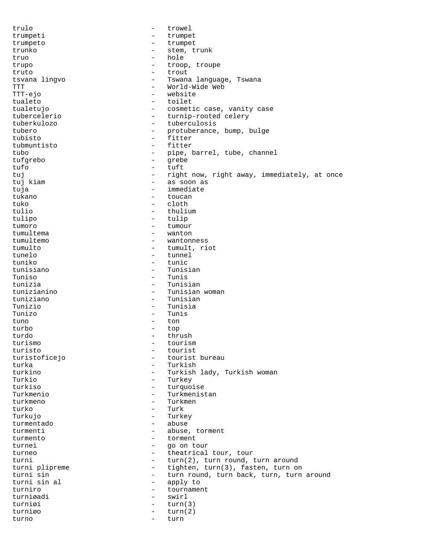trulo - trowel trumpeti - trumpet trumpeto - trumpet - stem, trunk truo - hole trupo - troop, troupe - troop, troupe - troupe - troupe - troupe - troupe - troupe - troupe - troupe - troupe - troupe - troupe - troupe - troupe - troupe - troupe - troupe - troupe - troupe - troupe - troupe - troupe - tr truto - trout - Tswana language, Tswana TTT **-** World-Wide Web TTT-ejo - website tualeto - toilet tualetujo - cosmetic case, vanity case tubercelerio - turnip-rooted celery tuberkulozo - tuberculosis tubero  $-$  protuberance, bump, bulge tubisto - fitter tubmuntisto - fitto - fitto - fitto - fitto - fitto - fitto - fitto - fitto - fitto - fitto - fitto - fitto - fitto - fitto - fitto - fitto - fitto - fitto - fitto - fitto - fitto - fitto - fitto - fitto - fitto - fitto tubo - pipe, barrel, tube, channel<br>tufarebo - arebe tufgrebo - grebe tufo - tuft tuj - right now, right away, immediately, at once<br>tuj kiam - as soon as - as soon as tuja  $-$  immediate tukano - toucan tuko - cloth - cloth - cloth - cloth - cloth - cloth - cloth - cloth - cloth - cloth - cloth - cloth - cloth -- thulium tulipo - tulip tumoro - tumour - tumour - tumour - tumour - tumour - tumour - tumour - tumour - tumour - tumour - tumour - tumour - tumour - tumour - tumour - tumour - tumour - tumour - tumour - tumour - tumour - tumour - tumour - tumour tumultema - wanton - wantonness tumulto - tumult, riot tunelo - tunnel tuniko - tunic - Tunisian Tuniso - Tuniso - Tuniso - Tuniso - Tuniso - Tuniso - Tuniso - Tuniso - Tuniso - Tuniso - Tuniso - Tuniso - Tuniso - Tuniso - Tuniso - Tuniso - Tuniso - Tuniso - Tuniso - Tuniso - Tuniso - Tuniso - Tuniso - Tuniso - Tuniso - Tunisian tunizianino - Tunisian woman tuniziano - Tunisian Tunizio - Tunisia Tunizo - Tunis tuno - ton turbo - top turdo - thrush turismo - tourism turisto - tourist<br>turistoficejo - tourist - tourist bureau turka - Turkish turkino - Turkish lady, Turkish woman Turkio - Turkey - turquoise Turkmenio - Turkmenistan turkmeno - Turkmen turko - Turk Turkujo - Turkey turmentado - abuse<br>turmenti - abuse turmenti - abuse, torment<br>turmento - torment turmento - torment<br>turnei - go on to turnei - go on tour turneo  $-$  theatrical tour, tour turni - turn(2), turn round, turn around<br>turni plipreme - tighten, turn(3), fasten, turn of turni plipreme - tighten, turn(3), fasten, turn on<br>turni sin - turn round, turn back, turn, turn turni sin  $\begin{array}{ccc} \text{turni} & \text{sin} \\ \text{turni} & \text{sin} \\ \text{sin} & \text{sin} \\ \end{array}$  -  $\begin{array}{ccc} \text{turni} & \text{turni} \\ \text{turni} & \text{sin} \\ \end{array}$ - apply to turniro - tournament turniøadi - swirl turniøi - turn(3)<br>turniøo - turn(2) turn(2) turno - turn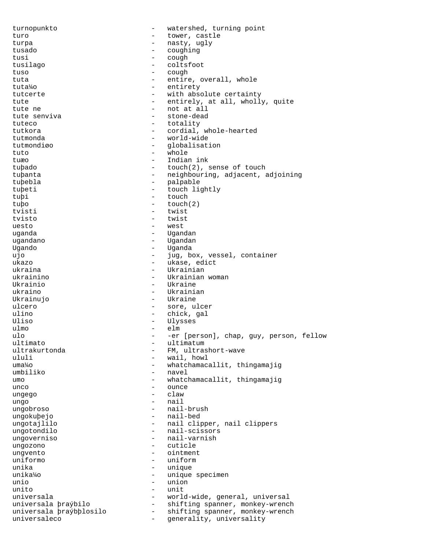turnopunkto - watershed, turning point turo - tower, castle turpa - nasty, ugly tusado - coughing tusi - cough<br>tusilago - colta: tusilago - coltsfoot<br>tuso - cough - cough tuso - cough tuta  $-$  entire, overall, whole tuta¼o - entirety tutcerte  $-$  with absolute certainty tute  $-$  entirely, at all, wholly, quite tute ne - not at all tute senviva - stone-dead tuteco - totality tutkora - cordial, whole-hearted tutmonda - world-wide tutmondiøo - globalisation<br>tuto - whole tuto - whole<br>tu<del>r</del>o - Thdiar tuæo - Indian ink<br>tuþado - Sandarískur - Indian ink tuþado - touch(2), sense of touch tuþanta - neighbouring, adjacent, adjoining<br>tuþebla - palpable - palpable tuþeti - touch lightly tuþi - touch tuþo - touch(2)<br>tvisti - twist tvisti - twist tvisto - twist uesto  $-$  west uganda - Ugandan ugandano - Ugandan Ugando - Uganda ujo - jug, box, vessel, container ukazo - ukase, edict<br>ukraina - ukrainian - ukrainian - Ukrainian ukrainino  $-$  Ukrainian woman Ukrainio - Ukraine ukraino  $-$  Ukrainian Ukrainujo - Ukraine ulcero - sore, ulcer ulino - chick, gal<br>Uliso - Ulysses - Ulysses Uliso - Ulysses<br>ulmo - elm ulmo - elm ulo - -er [person], chap, guy, person, fellow<br>ultimato - ultimatum - ultimatum ultimato - ultimatum ultrakurtonda - FM, ultrashort-wave<br>ululi - wail howl ululi - wail, howl<br>uma<sup>1</sup>40 - whatchamac - whatchamacallit, thingamajig umbiliko - navel umo - whatchamacallit, thingamajig unco - ounce ungego - claw ungo - nail ungobroso - nail-brush ungokuþejo - nail-bed ungotajlilo  $-$  nail clipper, nail clippers ungotondilo - nail-scissors ungoverniso - nail-varnish ungozono - cuticle ungvento - ointment uniformo - uniform unika  $-$  unique  $-$  unique  $-$  unique  $-$  unique  $-$  unique  $$ unika¼o - unique specimen - union unito - unit universala<br>universala praýbilo - vorld-wide, general, universal<br>- shifting spanner, monkey-wrenc - shifting spanner, monkey-wrench universala þraýbþlosilo - shifting spanner, monkey-wrench<br>universala þraýbþlosilo - shifting spanner, monkey-wrench<br>- generality universality universaleco and the generality, universality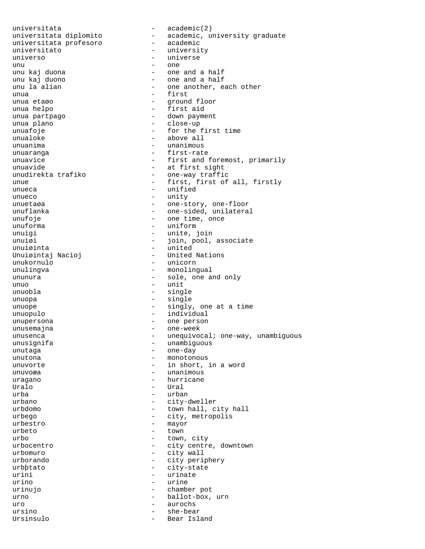universitata  $\qquad -$  academic(2) universitata profesoro universitato - university universo - universe unu - one unu kaj duona - one and a half unu kaj duono  $-$  one and a half unu la alian  $-$  one another, each one another, each one another, each one another, each one another, each one another, each one another  $$ unua - first unua helpo  $-$  first aid unua partpago - down payment unua plano - close-up unuafoje - for the first time unuanima - unanimous unuaranga entri and the set of the set of the set of the set of the set of the set of the set of the set of th unuavide<br>unudirekta trafiko - at first sight<br>- one-way traffi unueca - unified unueco - unity unuetaøa - one-story, one-floor unuflanka - one-sided, unilateral unufoje  $\qquad \qquad -$  one time, once unuforma - uniform unuigi - unite, join unuiøi - join, pool, associate unuiøinta - united Unuiøintaj Nacioj unukornulo - unicorn ununura - sole, one and only  $\mathbf{u}$ unuo - unit unuobla - single unuopa - single unuope - singly, one at a time unuopulo - individual unupersona - one person unusignifa - unambiguous unutaga - one-day unutona - monotonous unuvorte - in short, in a word unuvoæa - unanimous uragano  $-$  hurricane Uralo - Ural  $\begin{array}{cccc} \text{urba} & \hspace{1.5cm} & - & \text{urban} \end{array}$ urbano - city-dweller urbdomo - town hall, city hall urbego - city, metropolis<br>urbestro - mayor  $\begin{array}{ccc}\n \text{unbestro} & - & \text{mayor} \\
 \text{unbeta} & - & \text{town}\n \end{array}$ urbeto - town urbo - town, city<br>urbocentro - town, city<br>- city centre urbocentro - city centre, downtown<br>urbomuro - city wall urborando - city periphery urini - urinate urino - urine urinujo - chamber pot urno - ballot-box, urn uro - aurochs - aurochs ursino - she-bear Ursinsulo - Bear Island

universitata diplomito - academic, university graduate - one another, each other - ground floor - above all unuavice  $\begin{array}{ccc}\n-\text{first and foremost, primarily} \\
-\text{at first sight}\n\end{array}$ - one-way traffic unue - first, first of all, firstly - monolingual - one-week unusenca - unequivocal; one-way, unambiguous - city wall - city-state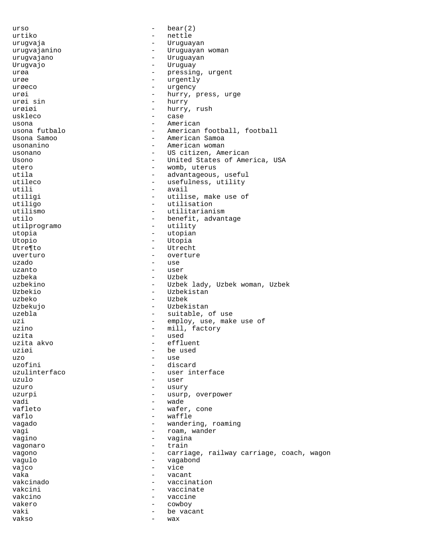$urso$  -  $bear(2)$ urtiko - nettle urugvaja - Uruguayan - Uruguayan woman urugvajano - Uruguayan Urugvajo - Uruguay urøa – pressing, urgent urøe - urgently urøeco - urgency urøi - hurry, press, urge<br>urøi sin - hurry, press, urge urøi sin - hurry urøiøi - hurry, rush<br>uskleco - case - case usona  $-$  American usona futbalo - American football, football - American Samoa usonanino  $-$  American woman usonano  $-$  US citizen, American Usono - United States of America, USA utero - womb, uterus utila - advantageous, useful - useful - usefulness, useful - usefulness, utility - usefulness, utility utili - avail - avail - avail - avail - avail - avail - avail - avail - avail - avail - avail - avail - avail - avail - avail - avail - avail - avail - avail - avail - avail - avail - avail - avail - avail - avail - avail - utilise, make use of utiligo - utilisation - utilitarianism utilo  $-$  benefit, advantage utilprogramo - utility<br>utopia - utopian - utopian utopia - utopian Utopio - Utopia - Utopia<br>Utresto - Utopia - Utopia Utre¶to - Utrecht uverturo - overture - overture uzado - use - user uzbeka - Uzbek uzbekino - Uzbek lady, Uzbek woman, Uzbek Uzbekio - Uzbekistan uzbeko - Uzbek Uzbekujo - Uzbekistan uzebla  $-$  suitable, of use uzi - employ, use, make use of - mill, factory<br>- used uzita - used uzita akvo<br>uziøi - be used uzo - use uzofini - discard<br>uzulinterfaco - - - - - - - - user int - user interface uzulo - user uzuro - usury uzurpi - usurp, overpower vadi - wade vafleto  $-$  wafer, cone vaflo - waffle vagado - wandering, roaming<br>vagi vagi - roam, wander<br>vagino - roam, wander<br>- vagina - vagina<br>- train vagonaro vagono  $-$  carriage, railway carriage, coach, wagon vagulo - vagabond vajco - vice<br>vaka - vice - vice vaka - vacant vakcinado - vaccination vakcini - vaccinate vakcino - vaccine vakero - cowboy vaki  $-$  be vacant vakso - wax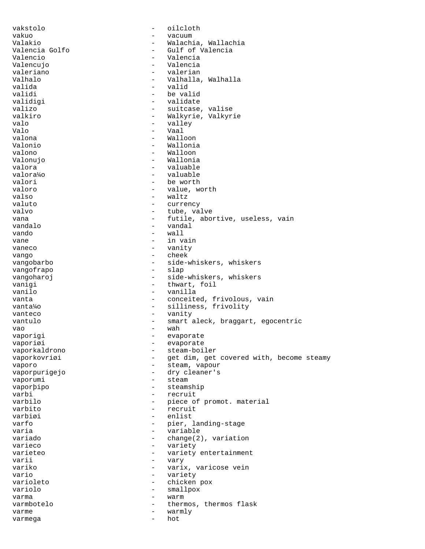vakstolo - oilcloth vakuo - vacuum Valakio - Walachia, Wallachia<br>Valencia Golfo - - Gulf of Valencia Valencia Golfo - Gulf of Valencia - Valencia<br>- Valencia Valencujo - Valencia valeriano<br>Valhalo Valhalo - Valhalla, Walhalla valida - valid validi - be valid validigi - validate valizo - suitcase, valise - Walkyrie, Valkyrie valo - valley Valo - Vaal valona - Walloon Valonio - Wallonia valono - Walloon Valonujo - Wallonia valora - valuable valora¼o - valuable valori - be worth<br>valoro - value w valoro - value, worth<br>valso - valtz<br>- waltz - waltz valuto - currency - tube, valve vana  $-$  futile, abortive, useless, vain vandalo - vandal vando - wall vane  $-$  in vain vaneco - vanity<br>vango - vanity<br>cheek - cheek vango - cheek vangobarbo - side-whiskers, whiskers<br>vangofrapo - slap<br>- slap vangofrapo vangoharoj  $-$  side-whiskers, whiskers vanigi - thwart, foil<br>vanilo - vanilla - vanilla vanta  $\qquad \qquad - \qquad \qquad \text{conceited, frivolous, vain}$ vanta¼o - silliness, frivolity vanteco  $-$  vanity vantulo - smart aleck, braggart, egocentric vao - wah vaporigi  $-$  evaporate vaporiøi - evaporate<br>vaporkaldrono - - steam-boi - steam-boiler vaporkovriøi - get dim, get covered with, become steamy vaporo  $-$  steam, vapour vaporpurigejo - dry cleaner's vaporumi - steam vaporþipo - steamship varbi - recruit varbilo  $-$  piece of promot. material varbito  $-$  piece of promot. material recruit varbiøi - enlist varfo - pier, landing-stage<br>
varia varia - variable variado  $\begin{array}{ccc} - & \text{change}(2), \text{variation} \\ \text{varieco} & - & \text{variety} \end{array}$ varieco - variety - variety entertainment<br>- vary varii - vary variko - varix, varicose vein vario - variety - chicken pox variolo - smallpox varma - warm varmbotelo  $-$  thermos, thermos flask varme - warmly varmega - hot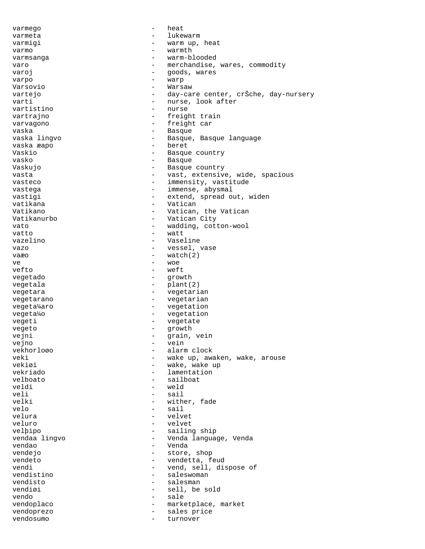varmego - heat varmeta - lukewarm varmigi  $-$  warm up, heat varmo - warmth varmsanga - warm-blooded varo  $-$  merchandise, wares, commodity<br>varoi – soods, wares varoj - goods, wares varpo - warp Varsovio - Warsaw vartejo - day-care center, crŠche, day-nursery varti - nurse, look after<br>
vartistino - nurse - nurse - nurse vartrajno  $-$  freight train varvagono - freight car vaska - Basque - Basque, Basque language<br>- beret vaska æapo - beret Vaskio - Basque country vasko - Basque - Basque Vaskujo - Basque country vasta - vast, extensive, wide, spacious - immensity, vastitude vastega - immense, abysmal<br>vastigi - extend, spread o - extend, spread out, widen vatikana - Vatican Vatikano - Vatican, the Vatican Vatikanurbo - Vatican City<br>
vato - vadding cott vato  $-$  wadding, cotton-wool vatto - watt vazelino - Vaseline - Vaseline<br>vazo - vessel v vazo - vessel, vase vaæo  $-$  watch(2) ve - woe - weft vegetado  $-$  growth vegetala  $\qquad \qquad -$  plant(2) vegetara  $-$  vegetarian vegetarano  $-$  vegetarian vegeta¼aro - vegetation vegeta¼o - vegetation vegeti - vegetate<br>vegeto vegeto - growth<br>veini - growth vejni - grain, vein<br>veino - veino - vein vejno - vein vekhorloøo - alarm clock<br>veki - wake up, awa veki - wake up, awaken, wake, arouse<br>vekigi - wake, wake, wake up vekiøi - wake, wake up vekriado - lamentation - sailboat veldi - weld veli - sail - sail velki - wither, fade<br>
velo - sail velo - sail velura - velvet veluro - velvet<br>velbino - sailing velþipo - sailing ship vendaa lingvo - Venda language, Venda vendao - Venda - store, shop vendeto entre establecente de la vendetta, feud vendi - vend, sell, dispose of<br>
vendistino - saleswoman<br>
- saleswoman - saleswoman vendisto - salesman vendiøi - sell, be sold vendo - sale vendoplaco  $-$  marketplace, market vendoprezo - sales price vendosumo - turnover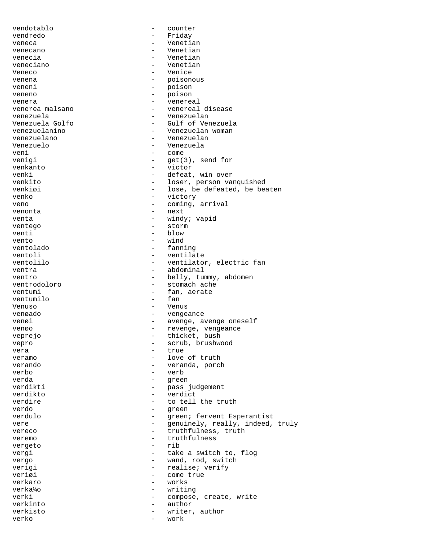vendotablo - counter vendredo - Friday veneca - Venetian venecano  $-$  Venetian venecia - Venetian veneciano - Veneciano - Veneciano - Veneciano - Veneciano - Veneciano - Veneciano - Veneciano - Veneciano - Ve Veneco - Venice venena - poisonous veneni - poison veneno - poison - poison venera<br>
venerea malsano<br>
- venereal<br>
- venereal venerea malsano - venereal disease venezuela - Venezuelan - Gulf of Venezuela venezuelanino - Venezuelan woman venezuelano - Venezuelan Venezuelo - Venezuela veni - come<br>venigi - qet(3 venigi - get(3), send for<br>
venkanto - victor venkanto - victor venki - defeat, win over<br>
venkito - loser person value venkito - loser, person vanquished<br>venkiøi - lose. be defeated. be be - lose, be defeated, be beaten venko  $-$  victory veno  $-$  coming, arrival venonta - next venta  $-$  windy; vapid ventego - storm venti - blow vento  $-$  wind ventolado  $-$  fanning ventoli - ventilate<br>
ventolilo - ventilato ventolilo - ventilator, electric fan ventra<br>
- abdominal<br>
- abdominal - abdominal ventro - belly, tummy, abdomen<br>ventrodoloro - stomach ache - stomach ache ventumi - fan, aerate<br>ventumilo - fan ventumilo Venuso - Venus venøado - vengeance - avenge, avenge oneself venøo  $-$  revenge, vengeance veprejo - thicket, bush vepro - scrub, brushwood vera - true veramo - love of truth - veranda, porch  $v$ erbo  $-$  verb verda - green - pass judgement<br>- verdict verdikto - verdict verdire  $\qquad \qquad$  - to tell the truth verdo - green verdulo - green; fervent Esperantist vere  $-$  genuinely, really, indeed, truly vereco - truthfulness, truth<br>
veremo - truthfulness veremo - truthfulness vergeto - rib vergi  $-$  take a switch to, flog vergo  $-$  wand, rod, switch verigi  $-$  realise; verify veriøi - come true verkaro - works verka¼o - writing verki  $-$  compose, create, write verkinto - author verkisto - writer, author<br>verko - work verko - work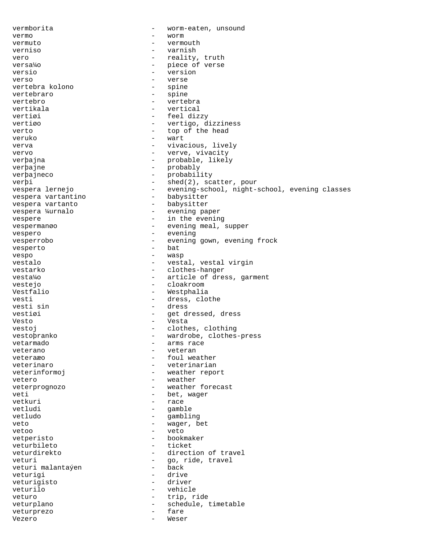vermborita - worm-eaten, unsound vermo - worm vermuto - vermouth verniso - varnish vero  $-$  reality, truth versa¼o - piece of verse<br>versio - version - version versio - version - version - version - version - version - version - version - version - version - version - version - version - version - version - version - version - version - version - version - version - version - ver verso - verse vertebra kolono - verse - verse - verse - verse - verse - verse - verse - verse - verse - verse vertebra kolono vertebraro - spine vertebro - vertebra vertikala  $-$  vertical vertiøi en andre en andre større en andre større en andre større en andre større en andre større en andre stør vertiøo - vertigo, dizziness verto - top of the head veruko - wart verva  $-$  vivacious, lively vervo  $-$  verve, vivacity verþajna - probable, likely verþajne - probably verþajneco - probability verþi - shed(2), scatter, pour vespera lernejo - evening-school, night-school, evening classes<br>vespera vartantino - babysitter vespera vartantino - babysitter vespera vartanto<br>vespera ¼urnalo - evening paper vespere  $-$  in the evening vespermanøo - evening meal, supper vespero - evening - evening vesperrobo - evening gown, evening frock<br>vesperto - bat vesperto – batterio – batterio – batterio – batterio – batterio – batterio – batterio – batterio – batterio – batterio – batterio – batterio – batterio – batterio – batterio – batterio – batterio – batterio – batterio – ba vespo - wasp vestalo - vestal, vestal virgin<br>
vestarko - clothes-hanger - clothes-hanger vesta¼o - article of dress, garment - cloakroom Vestfalio - Westphalia<br>
vesti - dress, clot - dress, clothe vesti sin - dress vestiøi - get dressed, dress Vesto - Vesta vestoj  $-$  clothes, clothing vestoþranko - wardrobe, clothes-press vetarmado - arms race veterano - veteran veteraæo - foul weather veterinaro  $-$  veterinarian veterinformoj en el esterno en la veather report vetero  $-$  weather veterprognozo - weather forecast veti - bet, wager vetkuri - race<br>vetludi - amb vetludi - gamble vetludo - gambling veto  $-$  wager, bet vetoo - veto vetperisto - bookmaker veturbileto<br>veturdirekto - direction of travel veturi  $-$  go, ride, travel<br>veturi malantaven back veturi malantaýen - back veturigi - drive veturigisto veturilo - vehicle veturo - trip, ride veturplano - schedule, timetable<br>veturprezo - fare<br>- fare veturprezo  $-$ Vezero - Weser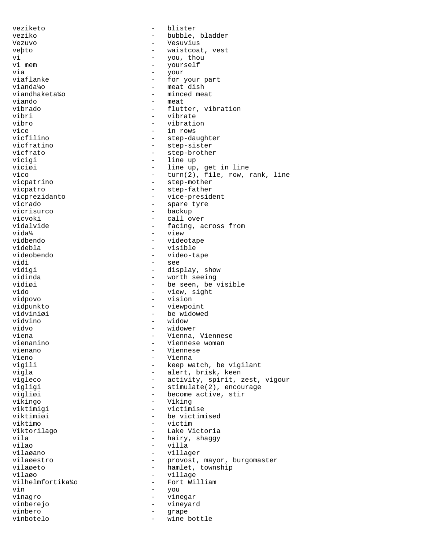veziketo - blister veziko - bubble, bladder - Vesuvius veþto - waistcoat, vest vi - you, thou vi mem - yourself via - your viaflanke - for your part vianda¼o - meat dish viandhaketa¼o - minced meat<br>viando - meat viando – meat<br>vibrado – flutt vibrado - flutter, vibration - vibrate vibro - vibration vice - in rows<br>vicfilino - in rows - in rows vicfilino - step-daughter<br>vicfratino - step-sister vicfratino - step-sister<br>vicfrato - step-brothe - step-brother vicigi - line up viciøi - line up, get in line<br>vico - turn(2), file, row, : vico - turn(2), file, row, rank, line<br>vicpatrino - step-mother - step-mother vicpatro - step-father<br>vicprezidanto - vice-presid - vice-president vicrado - spare tyre<br>vicrisurco - - - - - - - - - - - - backup - backup vicvoki - call over vidalvide - facing, across from vidal - facing, across from vidal - view vida¼ - view vidbendo - videotape videbla - visible videobendo - video-tape vidi - see vidigi - display, show vidinda - worth seeing vidiøi - be seen, be visible<br>vido - view, sight vido - view, sight<br>vidoovo - vision - vision - vision vidpunkto - viewpoint vidviniøi - be widowed - vidvino - be widowed - vidvino - vidvino - vidvino - vidvino - vidvino - vidvino - vidvi vidvino - widow vidvo - widower viena - Vienna, Viennese<br>
vienanino - Viennese woman<br>
- Viennese woman vienanino - Viennese woman vienano - Viennese Vieno - Vienna<br>vigili - Vienna - Vienna - Vienna - Vienna - Vienna - Vienna - Vienna - Vienna - Vienna - Vienna - Vienna - Vienna - Vienna - Vienna - Vienna - Vienna - Vienna - Vienna - Vienna - Vienna - Vienna - Vienna - - keep watch, be vigilant vigla - alert, brisk, keen vigleco - activity, spirit, zest, vigour vigligi  $-$  stimulate(2), encourage vigliøi - become active, stir vikingo - Viking viktimigi - victimise - be victimised<br>- victim viktimo<br>Viktorilago Viktorilago - Lake Victoria vila - hairy, shaggy vilao - villa vilaøano - villager - villager<br>vilaøestro - - provost. vilaøestro - provost, mayor, burgomaster<br>vilaøeto - hamlet, township vilaøeto - hamlet, township<br>vilaøo - village - village vilaøo - village<br>Vilhelmfortika¼o - Fort Wil - Fort William vin - you vinagro - vinegar - vineyard vinbero - grape<br>vinbotelo - wine b vinbotelo - wine bottle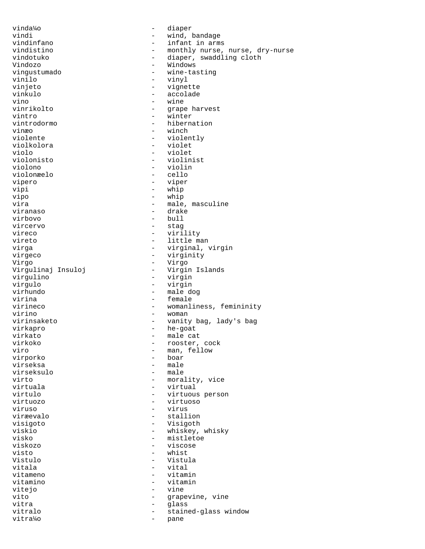vinda¼o - diaper vindi - wind, bandage vindinfano - infant in arms<br>vindistino - monthly nurse, vindistino  $-$  monthly nurse, nurse, dry-nurse<br>vindotuko  $-$  diaper, swaddling cloth vindotuko - diaper, swaddling cloth Vindozo - Windows vingustumado - wine-tasting vinilo - vinyl vinjeto - vignette - accolade vino - wine - grape harvest vintro - winter vintrodormo - hibernation vinæo - winch - winch - winch - winch - winch - winch - winch - winch - winch - winch - winch - winch - winch violente - violently - violet<br>- violet violo - violet<br>violonisto - violin violonisto - violinist - violin<br>- cello violonæelo<br>vipero - viper vipi - whip vipo - whip vira  $\overline{\phantom{a}}$  - male, masculine viranaso - drake virbovo - bull vircervo - stag vireco - virility vireto - little man virga - virginal, virgin virgeco - virginity<br>Virgo - virgo - virgo Virgo - Virgo - Virgo<br>Virgulinaj Insuloj - Virgin - Virgin Islands virgulino - virgin virgulo - virgin virhundo - male dog - female virineco  $-$  womanliness, femininity virino - woman - vanity bag, lady's bag virkapro - he-goat virkato  $\overline{\phantom{a}}$  - male cat virkoko - rooster, cock viro - man, fellow<br>virporko - boar - boar - boar<br>- male virseksa – male<br>virseksulo – male virseksulo virto - morality, vice<br>
virtuala - virtual - virtual virtulo - virtuous person virtuozo - virtuoso viruso - virus viræevalo - stallion visigoto - Visigoth viskio - whiskey, whisky<br>visko - mistletoe - mistletoe visko - mistletoe - mistletoe - mistletoe - mistletoe - mistletoe - mistletoe - mistletoe - mistletoe - mistletoe - mistletoe - mistletoe - mistletoe - mistletoe - mistletoe - mistletoe - mistletoe - mistletoe - mistletoe viskozo - viscose visto - whist<br>Vistulo - vistu Vistulo - Vistula vitala - vital - vitamin vitamino - vitamin vitejo - vine vito  $-$  grapevine, vine vitra en la estado de la estado en la estado en la estado en la estado en la estado en la estado en la estado e vitralo  $-$  stained-glass window vitra¼o - pane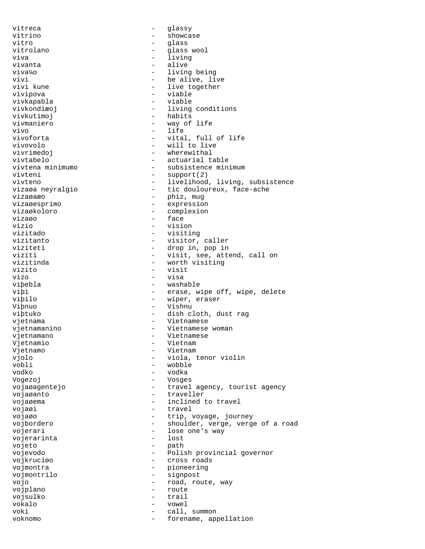vitreca and a glassy vitrino - showcase vitro - glass<br>vitrolano - alass vitrolano  $\qquad \qquad -$  glass wool viva - living vivanta  $-$  alive viva¼o - living being vivi  $-$  be alive, live<br>vivi kune  $-$  live together - live together vivipova - viable vivkapabla vivkondiæoj - living conditions vivkutimoj - habits vivmaniero - way of life vivo - life - vital, full of life vivovolo - will to live - wherewithal vivtabelo - actuarial table<br>vivtena minimumo - subsistence min vivtena minimumo  $-$  subsistence minimum vivteni  $-$  support(2) vivteni - support(2)<br>vivteno - livelihood - livelihood vivteno - livelihood, living, subsistence<br>vizaøa neýralgio - - tic douloureux, face-ache - tic douloureux, face-ache vizaøaæo - phiz, mug vizaøesprimo - expression vizaøkoloro - complexion vizaøo - face vizio - vision vizitado - visiting vizitanto - visitor, caller viziteti  $\begin{array}{ccc} - & drop in, pop in \\ - & v is it. see.$ viziti - visit, see, attend, call on vizitinda<br>
- worth visiting - worth visiting<br>- visit vizito – vizito – vizito – vizito – vizito – vizito – vizito – vizito – vizito – vizito – vizito – vizito – vizito – vizito – vizito – vizito – vizito – vizito – vizito – vizito – vizito – vizito – vizito – vizito – vizito vizo - visa viþebla - washable viþi - erase, wipe off, wipe, delete viþilo - wiper, eraser Viþnuo - Vishnu viþtuko - dish cloth, dust rag<br>vietnama - vietnamese vjetnama - Vietnamese vjetnamanino - Vietnamese woman vjetnamano - Vietnamese Vjetnamio Vjetnamo - Vietnam vjolo - viola, tenor violin vobli - wobble vodko - vodka Vogezoj - Vosges vojaøagentejo - travel agency, tourist agency vojaøanto - traveller vojaøema - inclined to travel vojaøi - travel vojaøo - trip, voyage, journey vojbordero - shoulder, verge, verge of a road<br>vojetari - lose one's way vojerari - lose one's way<br>vojerarinta - lost - lost vojerarinta vojeto - path vojevodo - Polish provincial governor - cross roads vojmontra  $-$  pioneering vojmontrilo - signpost vojo  $-$  road, route, way vojplano - route vojsulko - trail vokalo - vowel voki - call, summon voknomo - forename, appellation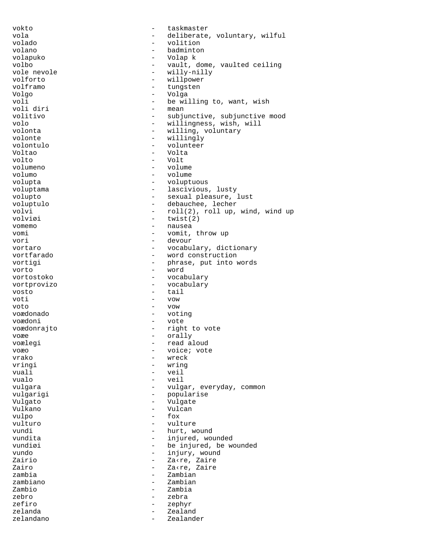vokto - taskmaster vola - deliberate, voluntary, wilful volado - volition - badminton volapuko - Volap k volbo - vault, dome, vaulted ceiling vole nevole  $\begin{array}{ccc} & - & \text{willy-nilly} \\ \text{volforto} & - & \text{willpower} \end{array}$ volforto - willpower tungsten Volgo - Volga voli  $\begin{array}{ccc}\n\text{voli} & \text{divi} \\
\text{voli} & \text{divi}\n\end{array}$  - be willing to, want, wish voli diri - mean - subjunctive, subjunctive mood volo - willingness, wish, will volonta  $\begin{array}{ccc} 1 & - & \text{willing, voluntary} \\ 2 & - & \text{willing} \end{array}$ volonte - willingly - volunteer<br>- Volta Voltao - Volta volto - Volt volumeno - volume volumo - volume - voluptuous voluptama - lascivious, lusty volupto - sexual pleasure, lust voluptulo - debauchee, lecher volvi - roll(2), roll up, wind, wind up - twist(2) vomemo - nausea vomi - vomit, throw up vori - devour vortaro  $-$  vocabulary, dictionary vortfarado - word construction vortigi  $-$  phrase, put into words vorto - word vortostoko - vocabulary vortprovizo - vocabulary<br>vosto - tail - tail - tail voti - vow voto - vow voædonado - voting voædoni - vote voædonrajto - right to vote voæe - orally voælegi - read aloud voæo - voice; vote<br>vrako - voice; vote<br>- wreck vrako - wreck<br>vringi - wringi - wringi - wring vuali - veil vualo - veil vulgara  $\qquad \qquad -$  vulgar, everyday, common vulgarigi - popularise<br>Vulgato - Vulgate Vulgato - Vulgate Vulkano - Vulcan  $\text{vulpo}$  -  $\text{vultip}_o$  vulturo - vulture vundi - hurt, wound vundita - injured, wounded<br>vundiøi - be injured, be w vundiøi - be injured, be wounded<br>vundo - injury, wound Zairio - Za‹re, Zaire Zairo - Za‹re, Zaire zambia - Zambian zambiano - Zambian Zambio - Zambia zebro - zebra zefiro - zephyr zelanda  $\sim$  Zealand zelandano - Zealander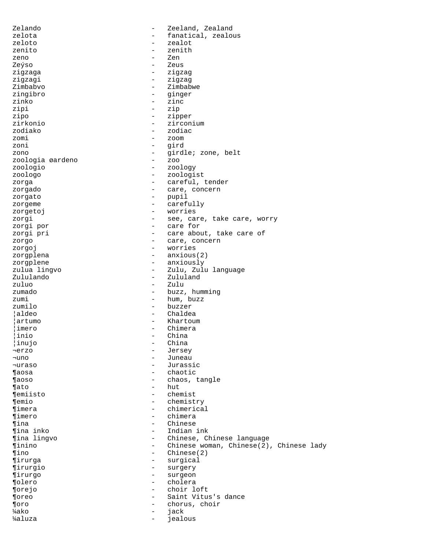Zelando - Zeeland, Zealand zelota - fanatical, zealous<br>zeloto - zealot zeloto - zealot zenito - zenith<br>zeno - zenith zeno - Zen Zeýso - Zeus<br>ziazaga - Zeus - Zeus zigzaga - zigzag zigzagi - zigzag - Zimbabwe zingibro - ginger zinko - zinc zipi - zip zipo - zipper zirkonio - zirconium zodiako - zodiac zomi - zoom zoni - gird zono - girdle; zone, belt<br>zoologia øardeno - zoo zoologia øardeno<br>zoologio - zoology zoologo - zoologist zorga  $\qquad \qquad -$  careful, tender zorgado  $\overline{\phantom{a}}$  - care, concern zorgato - pupil zorgeme  $\qquad \qquad - \qquad \qquad \text{carefully}$ zorgetoj - worries zorgi  $-$  see, care, take care, worry zorgi por  $-$  care for zorgi pri  $-$  care about, take care of zorgo  $-$  care, concern zorgoj - worries zorgplena - anxious(2) zorgplene - anxiously<br>zulua lingvo - 2ulu, Zulu - Zulu, Zulu language Zululando - Zululand zuluo - Zulu - buzz, humming zumi - hum, buzz zumilo - buzzer ¦aldeo - Chaldea ¦artumo - Khartoum ¦imero - Chimera ¦inio - China | inujo ¬erzo - Jersey ¬uno - Juneau - Jurassic ¶aosa - chaotic ¶aoso - chaos, tangle ¶ato - hut ¶emiisto - chemist ¶emio - chemistry ¶imera - chimerical ¶imero - chimera ¶ina - Chinese ¶ina inko - Indian ink ¶ina lingvo - Chinese, Chinese language ¶inino - Chinese woman, Chinese(2), Chinese lady - Chinese(2) ¶irurga - surgical ¶irurgio - surgery ¶irurgo - surgeon ¶olero - cholera ¶orejo - choir loft ¶oreo - Saint Vitus's dance ¶oro - chorus, choir <sup>1</sup>⁄4ako - industria energia energia energia energia energia energia energia energia energia energia energia en ¼aluza - jealous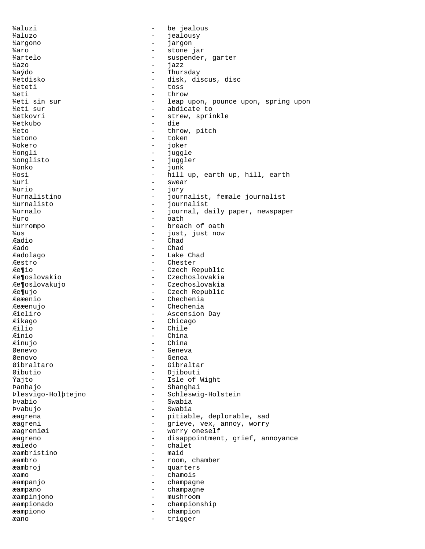¼aluzi - be jealous ¼aluzo - jealousy ¼argono - jargon ¼aro - stone jar ¼artelo - suspender, garter  $\frac{1}{4}$ azo - internacional e jazz ¼aýdo - Thursday ¼etdisko - disk, discus, disc ¼eteti - toss ¼eti - throw - throw - throw - throw - throw - throw - throw - throw - throw - throw - throw - throw - throw -¼eti sin sur - leap upon, pounce upon, spring upon % / *4*eti sur  $\frac{1}{2}$  - abdicate to  $\frac{1}{2}$  abdicate to  $\frac{1}{2}$  - strew spring - strew, sprinkle ¼etkubo - die ¼eto - throw, pitch ¼etono - token ¼okero - joker ¼ongli - juggle ¼onglisto - juggler ¼onko - junk ¼osi - hill up, earth up, hill, earth  $\frac{1}{2}$  swear ¼urio - jury ¼urnalistino - journalist, female journalist ¼urnalisto - journalist journal, daily paper, newspaper  $\frac{1}{4}$ uro - oath ¼urrompo - breach of oath ¼us - just, just now Æadio - Chad Æado - Chad Æadolago - Lake Chad *E*estro - Chester - Chester<br>*E*e¶io - Czech R - Czech Republic Æe¶oslovakio - Czechoslovakia Æe¶oslovakujo - Czechoslovakia Æe¶ujo - Czech Republic Æeæenio - Chechenia Æeæenujo - Chechenia Æieliro - Ascension Day Æikago - Chicago Æilio - Chile - China<br>- China *Æinujo* Øenevo - Geneva Øenovo - Genoa - Gibraltar Øibutio - Djibouti - Isle of Wight Þanhajo - Shanghai Þlesvigo-Holþtejno - Schleswig-Holstein Þvabio - Swabia Þvabujo - Swabia æagrena - pitiable, deplorable, sad<br>
annov, worry - exieve, vex, annov, worry æagreni - grieve, vex, annoy, worry æagreniøi - worry oneself<br>æagreniøi - disappointment æagreno - disappointment, grief, annoyance<br>
endededededededededeneder - chalet - chalet<br>- maid æambristino æambro - room, chamber æambroj - quarters æamo - chamois<br>æampanjo - champag - champag - champagne æampano - champagne æampinjono - mushroom æampionado - championship æampiono - champion æano - trigger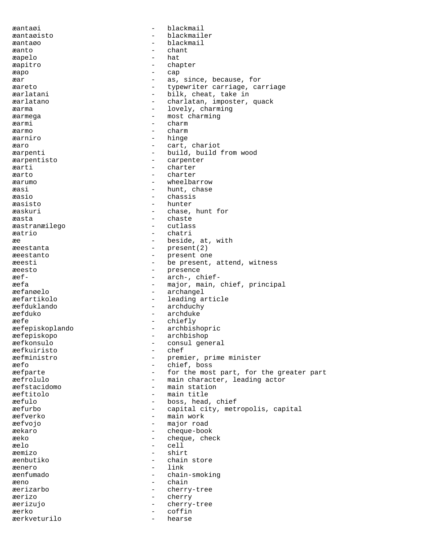æantaøi - blackmail æantaøisto - blackmailer æantaøo - blackmail æanto - chant æapelo - hat æapitro - chapter<br>
= cap æapo - cap æar - as, since, because, for - typewriter carriage, carriage æarlatani - bilk, cheat, take in æarlatano - charlatan, imposter, quack æarma - lovely, charming æarmega - most charming æarmi - charm æarmo - charm æarniro - hinge æaro - cart, chariot æarpenti - build, build from wood<br>
æarpentisto - carpenter - carpenter<br>- charter æarti - charter æarto - charter æarumo - wheelbarrow æasi - hunt, chase æasio - chassis æasisto - hunter æaskuri - chase, hunt for æasta - chaste æastranæilego - cutlass æatrio - chatri æe  $-$  beside, at, with æeestanta – present(2)<br>aeestanto – present.on æeestanto - present one æeesti - be present, attend, witness æeesto – presence<br>
æef- – arch-...cl - arch-, chiefæefa - major, main, chief, principal æefanøelo - archangel - leading article æefduklando - archduchy æefduko - archduke æefe - chiefly<br>
æefepiskoplando - archbisl - archbishopric æefepiskopo - archbishop - consul general<br>- chef æefkuiristo<br>æefministro æefministro - premier, prime minister<br>
aefo - chief, boss - chief, boss æefparte - for the most part, for the greater part æefrolulo - main character, leading actor<br>
- main station<br>
- main station - main station æeftitolo - main title æefulo - boss, head, chief æefurbo - capital city, metropolis, capital æefverko - main work æefvojo - major road æekaro - cheque-book æeko  $\begin{array}{ccc} - & \text{cheque, check} \\ \text{relo} & - & \text{cell} \end{array}$ æelo - cell shirt æenbutiko - chain store æenero - link<br>æenfumado - chair - chain-smoking æeno - chain æerizarbo - cherry-tree æerizo - cherry - cherry-tree æerko - coffin<br>æerkveturilo - hearse æerkveturilo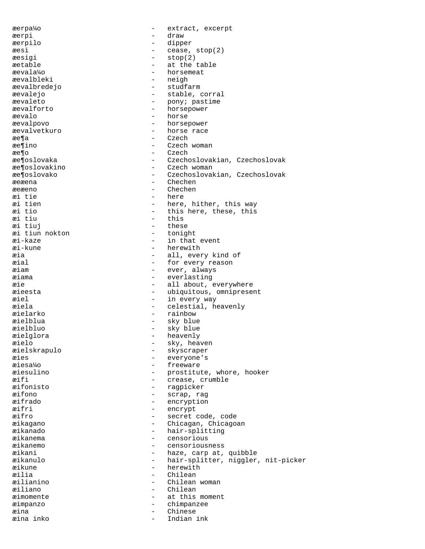æerpa¼o - extract, excerpt æerpi - draw æerpilo - dipper æesi - cease, stop(2) æesigi – stop(2)<br>æetable – at the t æetable - at the table æevala¼o - horsemeat æevalbleki – neigh<br>æevalbredejo – studfa - studfarm æevalejo - stable, corral æevaleto - pony; pastime æevalforto - horsepower æevalo - horse æevalpovo - horsepower æevalvetkuro - horse race æe¶a - Czech æe¶ino - Czech woman æe¶o - Czech - Czech - Czech - Czech - Czech - Czech - Czech - Czech - Czech - Czech - Czech - Czech - Czech æe¶oslovaka - Czechoslovakian, Czechoslovak<br>æe¶oslovakino - Czech woman æe¶oslovakino - Czech woman<br>æe¶oslovako - - Czechoslovak æe¶oslovako - Czechoslovakian, Czechoslovak - Chechen æeæeno - Chechen<br>
aritie - Here<br>
- Here æi tie - here æi tien - here, hither, this way<br>and tio - this here, these, this æi tio - this here, these, this - this æi tiuj - these æi tiun nokton<br>æi-kaze æi-kaze - in that event æi-kune - herewith - herewith - herewith - all, ever æia - all, every kind of æial - for every reason æiam - ever, always - everlasting æie - all about, everywhere<br>  $\overline{r}$  - all about, everywhere<br>
- ubiquitous, omniprese - ubiquitous, omnipresent æiel  $-$  in every way æiela - celestial, heavenly æielarko - rainbow æielblua - sky blue æielbluo - sky blue æielglora - heavenly æielo - sky, heaven<br>æielskrapulo - skyscraper æielskrapulo - skyscraper æies - everyone's<br>
æiesa¼o - everyone's<br>
– freeware æiesa¼o - freeware æiesulino - prostitute, whore, hooker<br>
exifi æifi - crease, crumble<br>
aifonisto - ragpicker - ragpicker æifono - scrap, rag æifrado - encryption æifri - encrypt - secret code, code æikagano - Chicagan, Chicagoan æikanado - hair-splitting<br>aikanema - censorious æikanema - censorious æikanemo - censoriousness æikani - haze, carp at, quibble - hair-splitter, niggler, nit-picker æikune - herewith - herewith - herewith - herewith - herewith - herewith - herewith - herewith - herewith - herewith - herewith - herewith - herewith - herewith - herewith - herewith - herewith - herewith - herewith - here æilia - Chilean - Chilean<br>amilianino - Chilean - Chilean - Chilean woman æiliano - Chilean æimomente - at this moment æimpanzo - chimpanzee æina - Chinese Indian ink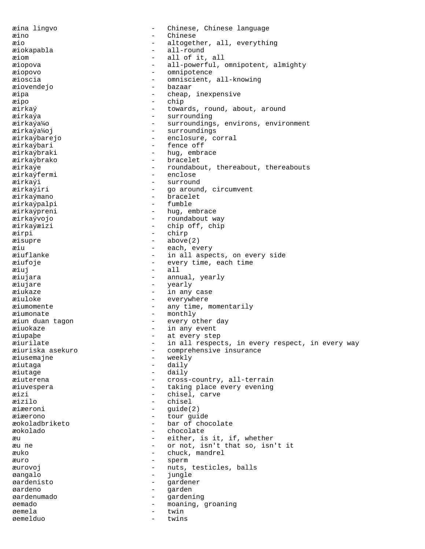æina lingvo - Chinese, Chinese language æino - Chinese æio - altogether, all, everything æiokapabla - all-round æiom - all of it, all æiopova - all-powerful, omnipotent, almighty æiopovo - omnipotence æioscia - omniscient, all-knowing æiovendejo - bazaar æipa - cheap, inexpensive æipo - chip æirkaý - towards, round, about, around æirkaýa - surrounding æirkaýa¼o - surroundings, environs, environment æirkaýa¼oj - surroundings æirkaýbarejo - enclosure, corral æirkaýbari - fence off æirkaýbraki - hug, embrace<br>æirkaýbrako - hug, embrace - bracelet æirkaýe - roundabout, thereabout, thereabouts<br>æirkaýfermi - enclose - enclose æirkaýfermi - enclose eirkaýi - enclose - enclose - enclose - enclose - enclose - enclose - enclose - enclose <br>- enclose - enclose - enclose - enclose - enclose - enclose - enclose - enclose - enclose - enclose - enclose æirkaýi - surround - go around, circumvent æirkaýmano - bracelet æirkaýpalpi æirkaýpreni - hug, embrace æirkaývojo - roundabout way æirkaýæizi - chip off, chip æirpi - chirp æisupre - above(2) æiu - each, every - in all aspects, on every side æiufoje - every time, each time æiuj - all æiujara - annual, yearly æiujare - yearly æiukaze - in any case æiuloke - everywhere æiumomente - any time, momentarily æiumonate - monthly æiun duan tagon - every other day æiuokaze - in any event æiupaþe - at every step æiurilate - in all respects, in every respect, in every way<br>  $\frac{1}{2}$  - comprehensive insurance - comprehensive insurance æiusemajne - weekly æiutaga - daily æiutage - daily æiuterena - cross-country, all-terrain æiuvespera - taking place every evening æizi - chisel, carve æizilo - chisel æiæeroni - guide(2) æiæerono - tour guide<br>æokoladbriketo - har of cho æokoladbriketo - bar of chocolate<br>æokolado - chocolate æokolado - chocolate æu - either, is it, if, whether æu ne - or not, isn't that so, isn't it æuko - chuck, mandrel æuro - sperm æurovoj - nuts, testicles, balls øangalo - jungle øardenisto - gardener øardeno - garden øardenumado - gardening øemado - moaning, groaning øemela - twin øemelduo - twins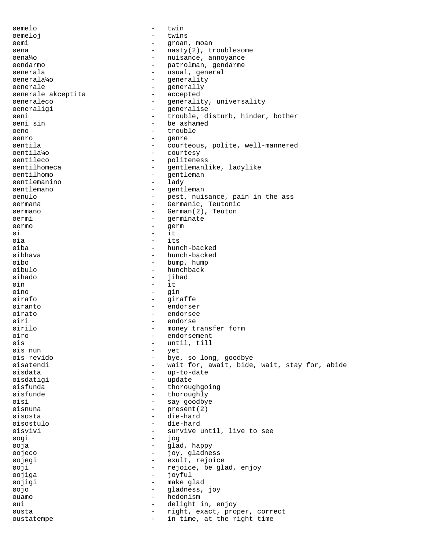øemelo - twin øemeloj - twins øemi - groan, moan øena - nasty(2), troublesome øena¼o - nuisance, annoyance - patrolman, gendarme øenerala - usual, general<br>
1992 - usual, generala<br>
1992 - venerality<br>
2008 - venerality - generality<br>- generally øenerale - generally øenerale akceptita øeneraleco - generality, universality øeneraligi - generalise øeni - trouble, disturb, hinder, bother øeni sin - be ashamed øeno - trouble øenro - genre øentila - courteous, polite, well-mannered courtesy øentileco - politeness øentilhomeca - gentlemanlike, ladylike - gentleman<br>- lady øentlemanino - lady øentlemano - gentleman øenulo - pest, nuisance, pain in the ass øermana - Germanic, Teutonic øermano - German(2), Teuton øermi - germinate<br>
aermo - germ øermo - germ øi - it øia - its øiba - hunch-backed øibhava - hunch-backed øibo - bump, hump<br>
øibulo - hunchback - hunchback - hunchback<br>- iihad øihado - jihad $\qquad \qquad -$ jihad $\qquad \qquad -$ it øin - it øino - gin øirafo - giraffe øiranto - endorser øirato - endorsee øiri - endorse øirilo - money transfer form øiro - endorsement - until, till<br>- vet øis nun - yet øis revido - bye, so long, goodbye - wait for, await, bide, wait, stay for, abide<br>- un-to-date øisdata - up-to-date øisdatigi - update øisfunda - thoroughgoing øisfunde - thoroughly øisi - say goodbye øisnuna - present(2) øisosta - die-hard øisostulo - die-hard øisvivi - survive until, live to see øogi - jog øoja - glad, happy øojeco - joy, gladness øojegi - exult, rejoice øoji - rejoice, be glad, enjoy øojiga - joyful øojigi - make glad øojo - gladness, joy øuamo - hedonism øui - delight in, enjoy øusta - right, exact, proper, correct øustatempe - in time, at the right time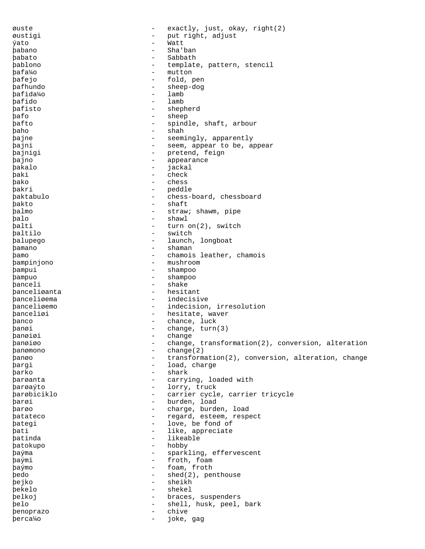øuste - exactly, just, okay, right(2) øustigi - put right, adjust ýato - Watt þabano - Sha'ban þabato - Sabbath þablono - template, pattern, stencil þafa¼o - mutton þafejo - fold, pen<br>hafbundo - fold, pen þafhundo - sheep-dog<br>bafida<sup>1</sup>40 - sheep-dog þafida¼o - lamb þafido - lamb<br>bafisto - shen þafisto - shepherd<br>hafo - sheep þafo - sheep þafto - spindle, shaft, arbour þaho - shah - shah þajne - seemingly, apparently þajni - seem, appear to be, appear þajnigi - pretend, feign þajno - appearance - appearance - appearance - appearance - appearance - appearance - appearance - appearance -  $\frac{1}{2}$ þakalo - jackal þaki - check þako - chess - chess - chess - chess - chess - chess - chess - chess - chess - chess - chess - chess - chess - chess - chess - chess - chess - chess - chess - chess - chess - chess - chess - chess - chess - chess - chess þakri - peddle - peddle - peddle - peddle - peddle - peddle - peddle - peddle - peddle - peddle - peddle - peddle - peddle - peddle - peddle - peddle - peddle - peddle - peddle - peddle - peddle - peddle - peddle - peddle þaktabulo - chess-board, chessboard þakto - shaft þalmo - straw; shawm, pipe þalo - shawl þalti - turn on(2), switch þaltilo - switch þalupego - launch, longboat þamano - shaman - shaman<br>hamo - chamois þamo - chamois leather, chamois bampinjono - chamois leather, chamois bampinjono þampinjono - mushroom þampui - shampoo þampuo - shampoo panceli - shake - shake - shake - shake - shake - shake - shake - shake - shake - shake - shake - shake - shake - shake - shake - shake - shake - shake - shake - shake - shake - shake - shake - shake - shake - shake - shak þanceliøanta - henceliøanta - henceliøenna - henceliøenna - henceliøenna - henceliøenna - henceliøenna - hence þanceliøema - indecisive þanceliøemo - indecision, irresolution -<br>þanceliøi - hesitate, waver þanco - chance, luck þanøi - change, turn(3) þanøiøi - change þanøiøo - change, transformation(2), conversion, alteration þanømono - change(2) þanøo - transformation(2), conversion, alteration, change þargi - load, charge þarko - shark - shark<br>barganta - carry **barøanta** - carrying, loaded with<br>hargavto þarøaýto - lorry, truck þarøbiciklo - carrier cycle, carrier tricycle þarøi - burden, load þarøo - charge, burden, load þatateco - regard, esteem, respect þategi - love, be fond of þati - like, appreciate þatinda - likeable þatokupo - hobby þaýma - sparkling, effervescent þaými - froth, foam<br>haýmo - foam froth þaýmo - foam, froth<br>bedo - shed(2) per þedo - shed(2), penthouse þejko - sheikh þekelo - shekel þelkoj - braces, suspenders þelo - shell, husk, peel, bark þenoprazo - chive þerca¼o - joke, gag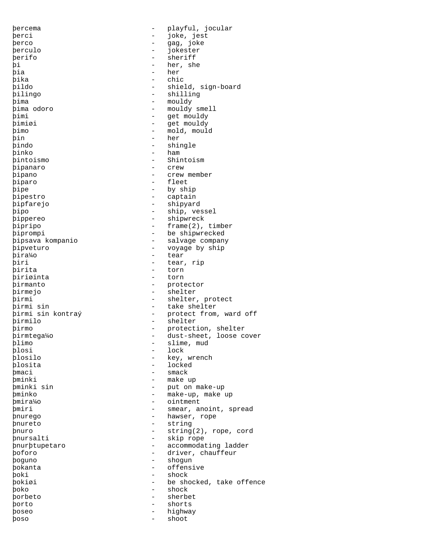þercema - playful, jocular þerci - joke, jest þerco - - - - - - - - - - - - - - - - - gag, joke þerculo - jokester þerifo - sheriff þi - her, she þia - her þika - chic þildo - shield, sign-board<br>þilingo - shilling - shilling - shilling þima - mouldy - mouldy smell þimi - get mouldy þimiøi - get mouldy þimo - mold, mould þin - her þindo - shingle - shingle - shingle - shingle - shingle - shingle - shingle - shingle - shingle - shingle - shingle - shingle - shingle - shingle - shingle - shingle - shingle - shingle - shingle - shingle - shingle - shin þinko - ham - ham - ham - ham - ham - ham - ham - ham - shir þintoismo - Shintoism þipanaro þipano - crew member þiparo - fleet þipe - by ship þipestro - captain þipfarejo - shipyard þipo - ship, vessel þippereo - shipwreck þipripo - frame(2), timber þiprompi - be shipwrecked þipsava kompanio - salvage company þipveturo - voyage by ship<br>bira¼o - tear - tear þira¼o<br>þiri þiri - tear, rip þirita - torn þiriøinta - torn þirmanto - protector þirmejo - shelter þirmi - shelter, protect þirmi sin - take shelter þirmi sin kontraý - protect from, ward off pirmilo - shelter - shelter þirmo - protection, shelter **þirmtega¼o** - dust-sheet, loose cover<br>blimo - slime mud þlimo - slime, mud<br>blosi - lock - lock þlosi - lock<br>þlosilo - key, þlosilo - key, wrench - locked þmaci - smack **þminki** - make up<br>bminki sin - put on r - put on make-up þminko - make-up, make up þmira¼o - ointment þmiri - smear, anoint, spread -<br>þnurego - hawser, rope þnureto - string þnuro - string(2), rope, cord þnursalti - skip rope þnurþtupetaro - accommodating ladder þoforo - driver, chauffeur þoguno - shogun þokanta - offensive þoki - shock þokiøi - be shocked, take offence þoko - shock þorbeto - sherbet þorto - shorts þoseo - highway þoso - shoot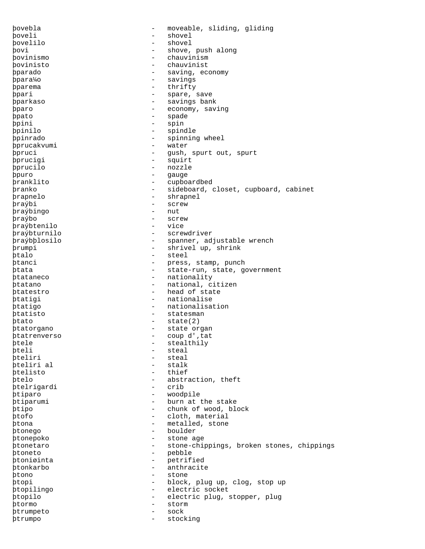þovebla - moveable, sliding, gliding þoveli - shovel þovelilo - shovel þovi - shove, push along þovinismo - chauvinism þovinisto - chauvinist þparado - saving, economy þpara¼o - savings þparema - thrifty þpari - spare, save þparkaso - savings bank þparo - economy, saving <u>bpato</u> - spade - spade þpini - spin þpinilo - spindle þpinrado - spinning wheel þprucakvumi - water þpruci - gush, spurt out, spurt þprucigi - squirt pprucilo - nozzle þpuro - gauge - cupboardbed þranko - sideboard, closet, cupboard, cabinet **prapnelo** - shrapnel þraýbi - screw - screw - screw - screw - screw - screw - screw - screw - screw - screw - screw - screw - screw þraýbingo þraýbo - screw þraýbtenilo - vice þraýbturnilo - screwdriver þraýbþlosilo - spanner, adjustable wrench þrumpi - shrivel up, shrink þtalo - steel þtanci - press, stamp, punch .<br>
ptata - state-run, state, government þtataneco - nationality þtatano - national, citizen þtatestro - head of state þtatigi - nationalise þtatigo - nationalisation þtatisto - statesman þtato - state(2) þtatorgano - state organ þtatrenverso - coup d''tat þtele - stealthily<br>bteli - steal þteli - steal - steal - steal - steal - steal - steal - steal - steal - steal - steal - steal - steal - steal - steal - steal - steal - steal - steal - steal - steal - steal - steal - steal - steal - steal - steal - steal - steal<br>- stalk þteliri al þtelisto - thief þtelo - abstraction, theft þtelrigardi þtiparo - woodpile þtiparumi - burn at the stake þtipo - chunk of wood, block þtofo - cloth, material þtona - metalled, stone þtonego - boulder þtonepoko - stone age - stone-chippings, broken stones, chippings þtoneto - pebble - petrified þtonkarbo - anthracite þtono - stone þtopi - block, plug up, clog, stop up þtopilingo - electric socket þtopilo - electric plug, stopper, plug þtormo - storm þtrumpeto - sock þtrumpo - stocking